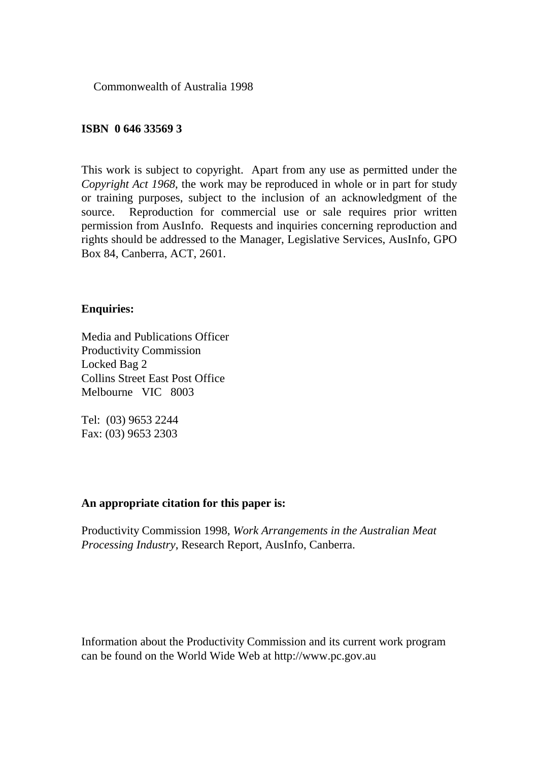Commonwealth of Australia 1998

#### **ISBN 0 646 33569 3**

This work is subject to copyright. Apart from any use as permitted under the *Copyright Act 1968*, the work may be reproduced in whole or in part for study or training purposes, subject to the inclusion of an acknowledgment of the source. Reproduction for commercial use or sale requires prior written permission from AusInfo. Requests and inquiries concerning reproduction and rights should be addressed to the Manager, Legislative Services, AusInfo, GPO Box 84, Canberra, ACT, 2601.

#### **Enquiries:**

Media and Publications Officer Productivity Commission Locked Bag 2 Collins Street East Post Office Melbourne VIC 8003

Tel: (03) 9653 2244 Fax: (03) 9653 2303

#### **An appropriate citation for this paper is:**

Productivity Commission 1998, *Work Arrangements in the Australian Meat Processing Industry*, Research Report, AusInfo, Canberra.

Information about the Productivity Commission and its current work program can be found on the World Wide Web at http://www.pc.gov.au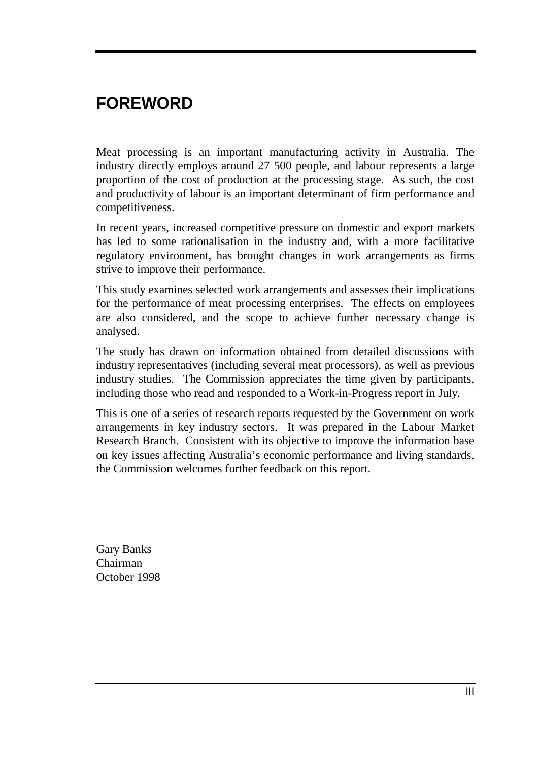# **FOREWORD**

Meat processing is an important manufacturing activity in Australia. The industry directly employs around 27 500 people, and labour represents a large proportion of the cost of production at the processing stage. As such, the cost and productivity of labour is an important determinant of firm performance and competitiveness.

In recent years, increased competitive pressure on domestic and export markets has led to some rationalisation in the industry and, with a more facilitative regulatory environment, has brought changes in work arrangements as firms strive to improve their performance.

This study examines selected work arrangements and assesses their implications for the performance of meat processing enterprises. The effects on employees are also considered, and the scope to achieve further necessary change is analysed.

The study has drawn on information obtained from detailed discussions with industry representatives (including several meat processors), as well as previous industry studies. The Commission appreciates the time given by participants, including those who read and responded to a Work-in-Progress report in July.

This is one of a series of research reports requested by the Government on work arrangements in key industry sectors. It was prepared in the Labour Market Research Branch. Consistent with its objective to improve the information base on key issues affecting Australia's economic performance and living standards, the Commission welcomes further feedback on this report.

Gary Banks Chairman October 1998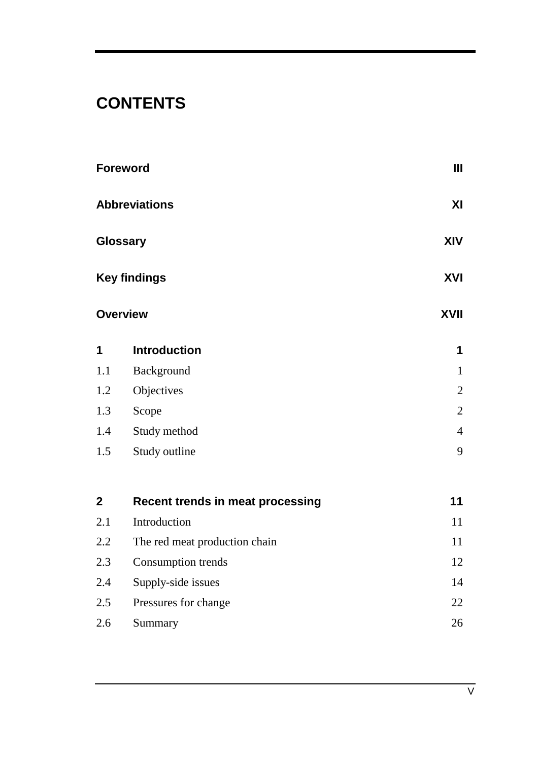# **CONTENTS**

|                         | <b>Foreword</b>                         | Ш              |
|-------------------------|-----------------------------------------|----------------|
|                         | <b>Abbreviations</b>                    | XI             |
|                         | Glossary                                | XIV            |
|                         | <b>Key findings</b>                     | XVI            |
|                         | <b>Overview</b>                         | XVII           |
| 1                       | <b>Introduction</b>                     | 1              |
| 1.1                     | Background                              | $\mathbf{1}$   |
| 1.2                     | Objectives                              | $\overline{2}$ |
| 1.3                     | Scope                                   | $\overline{2}$ |
| 1.4                     | Study method                            | $\overline{4}$ |
| $1.5\,$                 | Study outline                           | 9              |
| $\overline{\mathbf{2}}$ | <b>Recent trends in meat processing</b> | 11             |
| 2.1                     | Introduction                            | 11             |
| 2.2                     | The red meat production chain           | 11             |
| 2.3                     | Consumption trends                      | 12             |
| 2.4                     | Supply-side issues                      | 14             |
| 2.5                     | Pressures for change                    | 22             |
| 2.6                     | Summary                                 | 26             |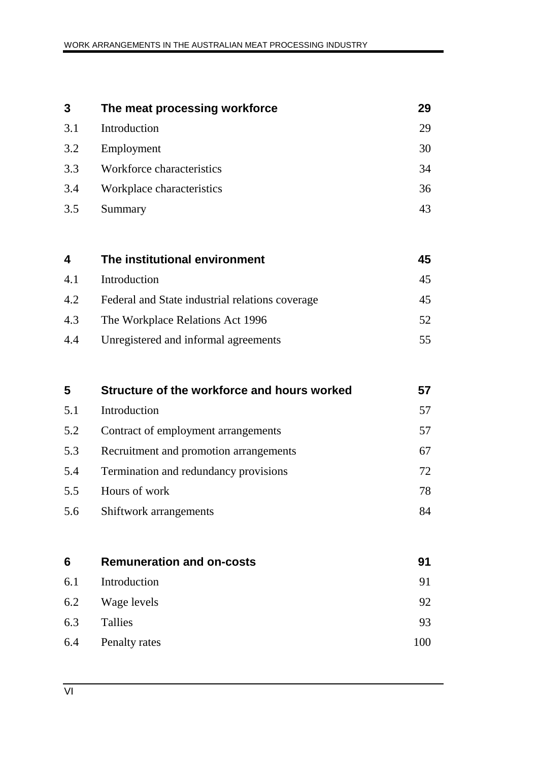| 3   | The meat processing workforce                   | 29 |
|-----|-------------------------------------------------|----|
| 3.1 | Introduction                                    | 29 |
| 3.2 | Employment                                      | 30 |
| 3.3 | Workforce characteristics                       | 34 |
| 3.4 | Workplace characteristics                       | 36 |
| 3.5 | Summary                                         | 43 |
|     |                                                 |    |
| 4   | The institutional environment                   | 45 |
| 4.1 | Introduction                                    | 45 |
| 4.2 | Federal and State industrial relations coverage | 45 |
| 4.3 | The Workplace Relations Act 1996                | 52 |
| 4.4 | Unregistered and informal agreements            | 55 |
|     |                                                 |    |

| 5   | Structure of the workforce and hours worked | 57 |
|-----|---------------------------------------------|----|
| 5.1 | Introduction                                | 57 |
| 5.2 | Contract of employment arrangements         | 57 |
| 5.3 | Recruitment and promotion arrangements      | 67 |
| 5.4 | Termination and redundancy provisions       | 72 |
| 5.5 | Hours of work                               | 78 |
| 5.6 | Shiftwork arrangements                      | 84 |
|     |                                             |    |

| 6   | <b>Remuneration and on-costs</b> | 91  |
|-----|----------------------------------|-----|
| 6.1 | Introduction                     | 91  |
| 6.2 | Wage levels                      | 92  |
| 6.3 | Tallies                          | 93  |
| 6.4 | <b>Penalty rates</b>             | 100 |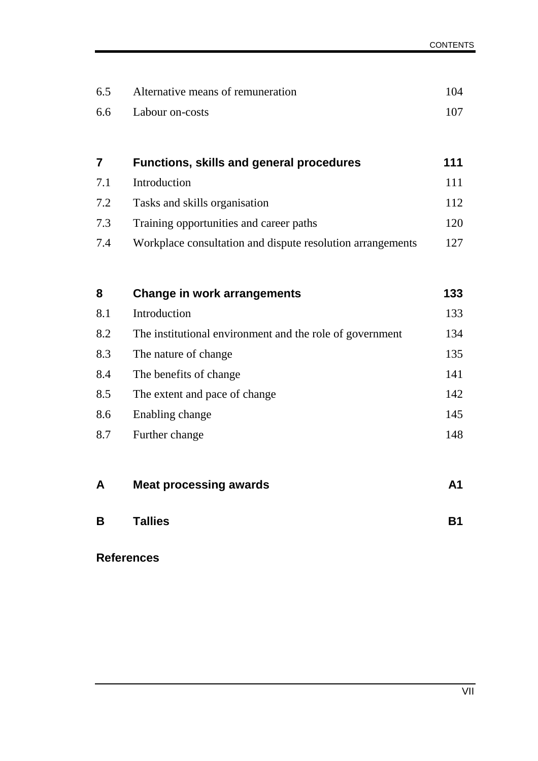| 6.5 | Alternative means of remuneration                          | 104            |
|-----|------------------------------------------------------------|----------------|
| 6.6 | Labour on-costs                                            | 107            |
|     |                                                            |                |
| 7   | <b>Functions, skills and general procedures</b>            | 111            |
| 7.1 | Introduction                                               | 111            |
| 7.2 | Tasks and skills organisation                              | 112            |
| 7.3 | Training opportunities and career paths                    | 120            |
| 7.4 | Workplace consultation and dispute resolution arrangements | 127            |
|     |                                                            |                |
| 8   | <b>Change in work arrangements</b>                         | 133            |
| 8.1 | Introduction                                               | 133            |
| 8.2 | The institutional environment and the role of government   | 134            |
| 8.3 | The nature of change                                       | 135            |
| 8.4 | The benefits of change                                     | 141            |
| 8.5 | The extent and pace of change                              | 142            |
| 8.6 | Enabling change                                            | 145            |
| 8.7 | Further change                                             | 148            |
|     |                                                            |                |
| Α   | <b>Meat processing awards</b>                              | A <sub>1</sub> |
| В   | <b>Tallies</b>                                             | <b>B1</b>      |
|     | <b>References</b>                                          |                |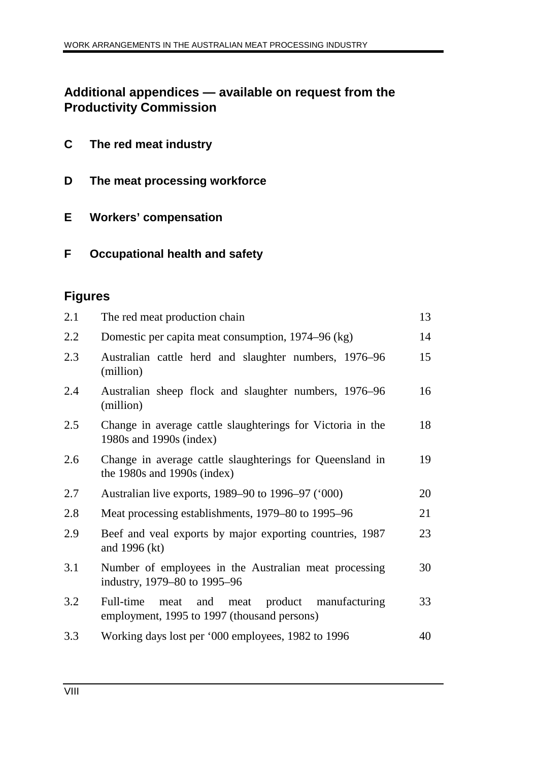## **Additional appendices — available on request from the Productivity Commission**

- **C The red meat industry**
- **D The meat processing workforce**
- **E Workers' compensation**
- **F Occupational health and safety**

## **Figures**

| 2.1 | The red meat production chain                                                                         | 13 |
|-----|-------------------------------------------------------------------------------------------------------|----|
| 2.2 | Domestic per capita meat consumption, 1974–96 (kg)                                                    | 14 |
| 2.3 | Australian cattle herd and slaughter numbers, 1976–96<br>(million)                                    | 15 |
| 2.4 | Australian sheep flock and slaughter numbers, 1976–96<br>(million)                                    | 16 |
| 2.5 | Change in average cattle slaughterings for Victoria in the<br>1980s and 1990s (index)                 | 18 |
| 2.6 | Change in average cattle slaughterings for Queensland in<br>the 1980s and 1990s (index)               | 19 |
| 2.7 | Australian live exports, 1989–90 to 1996–97 ('000)                                                    | 20 |
| 2.8 | Meat processing establishments, 1979–80 to 1995–96                                                    | 21 |
| 2.9 | Beef and veal exports by major exporting countries, 1987<br>and 1996 (kt)                             | 23 |
| 3.1 | Number of employees in the Australian meat processing<br>industry, 1979–80 to 1995–96                 | 30 |
| 3.2 | product manufacturing<br>Full-time<br>and meat<br>meat<br>employment, 1995 to 1997 (thousand persons) | 33 |
| 3.3 | Working days lost per '000 employees, 1982 to 1996                                                    | 40 |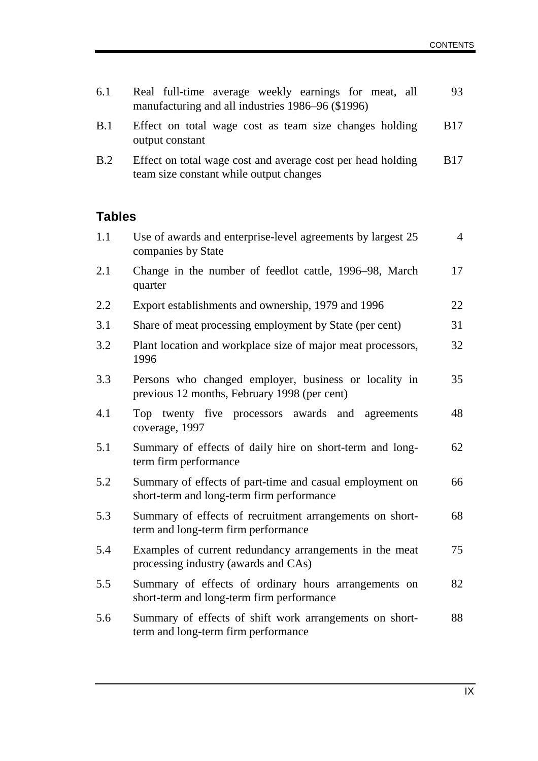| 6.1           | Real full-time average weekly earnings for meat, all<br>manufacturing and all industries 1986–96 (\$1996) | 93             |
|---------------|-----------------------------------------------------------------------------------------------------------|----------------|
| B.1           | Effect on total wage cost as team size changes holding<br>output constant                                 | <b>B</b> 17    |
| B.2           | Effect on total wage cost and average cost per head holding<br>team size constant while output changes    | <b>B</b> 17    |
| <b>Tables</b> |                                                                                                           |                |
| 1.1           | Use of awards and enterprise-level agreements by largest 25<br>companies by State                         | $\overline{4}$ |
| 2.1           | Change in the number of feedlot cattle, 1996–98, March<br>quarter                                         | 17             |
| 2.2           | Export establishments and ownership, 1979 and 1996                                                        | 22             |
| 3.1           | Share of meat processing employment by State (per cent)                                                   | 31             |
| 3.2           | Plant location and workplace size of major meat processors,<br>1996                                       | 32             |
| 3.3           | Persons who changed employer, business or locality in<br>previous 12 months, February 1998 (per cent)     | 35             |
| 4.1           | Top twenty five processors<br>awards and agreements<br>coverage, 1997                                     | 48             |
| 5.1           | Summary of effects of daily hire on short-term and long-<br>term firm performance                         | 62             |
| 5.2           | Summary of effects of part-time and casual employment on<br>short-term and long-term firm performance     | 66             |
| 5.3           | Summary of effects of recruitment arrangements on short-<br>term and long-term firm performance           | 68             |
| 5.4           | Examples of current redundancy arrangements in the meat<br>processing industry (awards and CAs)           | 75             |
| 5.5           | Summary of effects of ordinary hours arrangements on<br>short-term and long-term firm performance         | 82             |
| 5.6           | Summary of effects of shift work arrangements on short-<br>term and long-term firm performance            | 88             |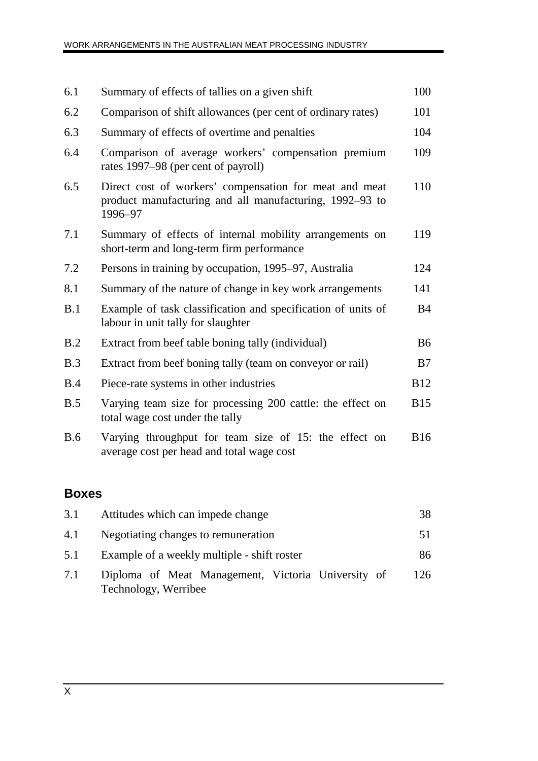| 6.1        | Summary of effects of tallies on a given shift                                                                               | 100         |
|------------|------------------------------------------------------------------------------------------------------------------------------|-------------|
| 6.2        | Comparison of shift allowances (per cent of ordinary rates)                                                                  | 101         |
| 6.3        | Summary of effects of overtime and penalties                                                                                 | 104         |
| 6.4        | Comparison of average workers' compensation premium<br>rates 1997–98 (per cent of payroll)                                   | 109         |
| 6.5        | Direct cost of workers' compensation for meat and meat<br>product manufacturing and all manufacturing, 1992–93 to<br>1996-97 | 110         |
| 7.1        | Summary of effects of internal mobility arrangements on<br>short-term and long-term firm performance                         | 119         |
| 7.2        | Persons in training by occupation, 1995–97, Australia                                                                        | 124         |
| 8.1        | Summary of the nature of change in key work arrangements                                                                     | 141         |
| B.1        | Example of task classification and specification of units of<br>labour in unit tally for slaughter                           | <b>B</b> 4  |
| B.2        | Extract from beef table boning tally (individual)                                                                            | <b>B6</b>   |
| B.3        | Extract from beef boning tally (team on conveyor or rail)                                                                    | B7          |
| B.4        | Piece-rate systems in other industries                                                                                       | <b>B12</b>  |
| B.5        | Varying team size for processing 200 cattle: the effect on<br>total wage cost under the tally                                | <b>B15</b>  |
| <b>B.6</b> | Varying throughput for team size of 15: the effect on<br>average cost per head and total wage cost                           | <b>B</b> 16 |

## **Boxes**

| 3.1 | Attitudes which can impede change                                          | 38  |
|-----|----------------------------------------------------------------------------|-----|
| 4.1 | Negotiating changes to remuneration                                        | 51  |
| 5.1 | Example of a weekly multiple - shift roster                                | 86  |
| 7.1 | Diploma of Meat Management, Victoria University of<br>Technology, Werribee | 126 |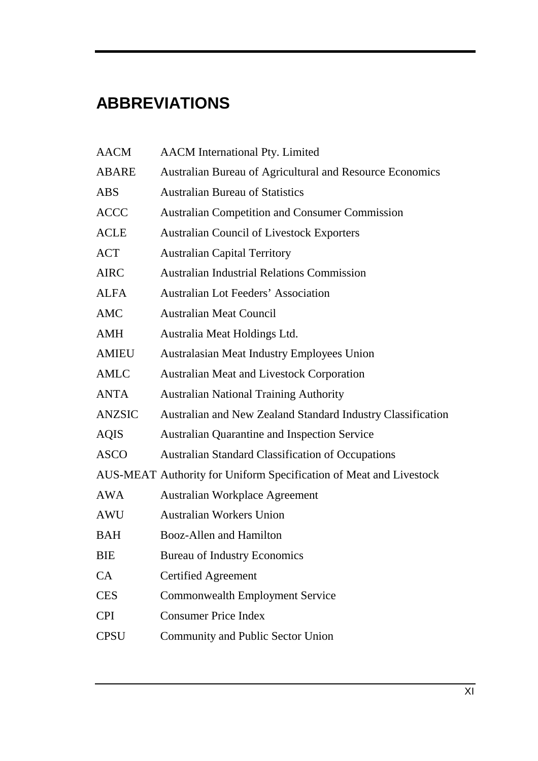# **ABBREVIATIONS**

| <b>AACM</b>   | <b>AACM</b> International Pty. Limited                             |
|---------------|--------------------------------------------------------------------|
| <b>ABARE</b>  | Australian Bureau of Agricultural and Resource Economics           |
| <b>ABS</b>    | <b>Australian Bureau of Statistics</b>                             |
| <b>ACCC</b>   | <b>Australian Competition and Consumer Commission</b>              |
| <b>ACLE</b>   | <b>Australian Council of Livestock Exporters</b>                   |
| <b>ACT</b>    | <b>Australian Capital Territory</b>                                |
| <b>AIRC</b>   | <b>Australian Industrial Relations Commission</b>                  |
| <b>ALFA</b>   | <b>Australian Lot Feeders' Association</b>                         |
| AMC           | <b>Australian Meat Council</b>                                     |
| <b>AMH</b>    | Australia Meat Holdings Ltd.                                       |
| <b>AMIEU</b>  | <b>Australasian Meat Industry Employees Union</b>                  |
| <b>AMLC</b>   | <b>Australian Meat and Livestock Corporation</b>                   |
| <b>ANTA</b>   | <b>Australian National Training Authority</b>                      |
| <b>ANZSIC</b> | Australian and New Zealand Standard Industry Classification        |
| <b>AQIS</b>   | <b>Australian Quarantine and Inspection Service</b>                |
| <b>ASCO</b>   | <b>Australian Standard Classification of Occupations</b>           |
|               | AUS-MEAT Authority for Uniform Specification of Meat and Livestock |
| AWA           | <b>Australian Workplace Agreement</b>                              |
| AWU           | <b>Australian Workers Union</b>                                    |
| <b>BAH</b>    | <b>Booz-Allen and Hamilton</b>                                     |
| <b>BIE</b>    | <b>Bureau of Industry Economics</b>                                |
| <b>CA</b>     | <b>Certified Agreement</b>                                         |
| <b>CES</b>    | <b>Commonwealth Employment Service</b>                             |
| <b>CPI</b>    | <b>Consumer Price Index</b>                                        |
| <b>CPSU</b>   | <b>Community and Public Sector Union</b>                           |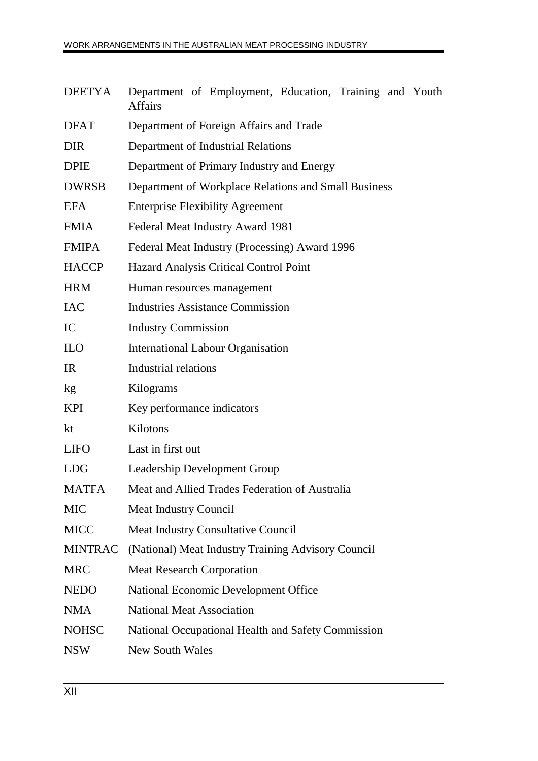|         | DEETYA Department of Employment, Education, Training and Youth |  |  |
|---------|----------------------------------------------------------------|--|--|
| Affairs |                                                                |  |  |

| <b>DFAT</b>    | Department of Foreign Affairs and Trade              |
|----------------|------------------------------------------------------|
| <b>DIR</b>     | Department of Industrial Relations                   |
| <b>DPIE</b>    | Department of Primary Industry and Energy            |
| <b>DWRSB</b>   | Department of Workplace Relations and Small Business |
| <b>EFA</b>     | <b>Enterprise Flexibility Agreement</b>              |
| <b>FMIA</b>    | Federal Meat Industry Award 1981                     |
| <b>FMIPA</b>   | Federal Meat Industry (Processing) Award 1996        |
| <b>HACCP</b>   | <b>Hazard Analysis Critical Control Point</b>        |
| <b>HRM</b>     | Human resources management                           |
| <b>IAC</b>     | <b>Industries Assistance Commission</b>              |
| IC             | <b>Industry Commission</b>                           |
| <b>ILO</b>     | <b>International Labour Organisation</b>             |
| IR             | <b>Industrial relations</b>                          |
| kg             | Kilograms                                            |
| <b>KPI</b>     | Key performance indicators                           |
| kt             | Kilotons                                             |
| <b>LIFO</b>    | Last in first out                                    |
| <b>LDG</b>     | Leadership Development Group                         |
| <b>MATFA</b>   | Meat and Allied Trades Federation of Australia       |
| <b>MIC</b>     | <b>Meat Industry Council</b>                         |
| <b>MICC</b>    | <b>Meat Industry Consultative Council</b>            |
| <b>MINTRAC</b> | (National) Meat Industry Training Advisory Council   |
| <b>MRC</b>     | <b>Meat Research Corporation</b>                     |
| <b>NEDO</b>    | National Economic Development Office                 |
| <b>NMA</b>     | <b>National Meat Association</b>                     |
| <b>NOHSC</b>   | National Occupational Health and Safety Commission   |
| <b>NSW</b>     | <b>New South Wales</b>                               |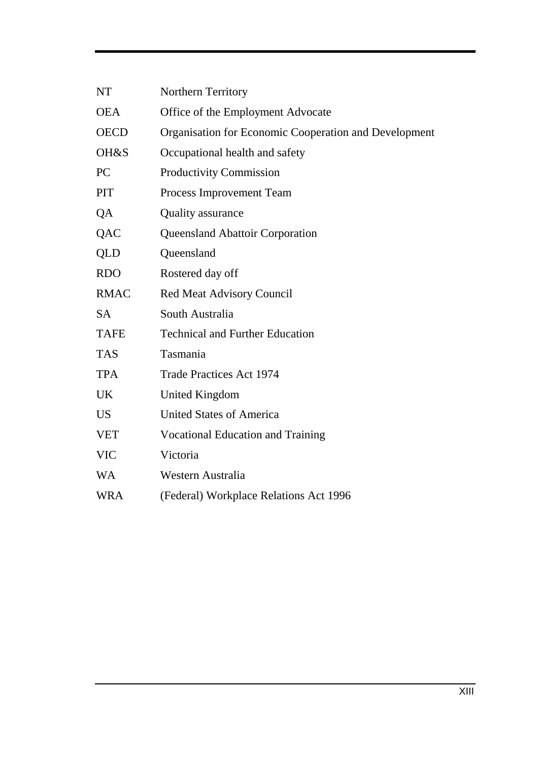| <b>NT</b>       | Northern Territory                                    |
|-----------------|-------------------------------------------------------|
| <b>OEA</b>      | Office of the Employment Advocate                     |
| <b>OECD</b>     | Organisation for Economic Cooperation and Development |
| OH&S            | Occupational health and safety                        |
| PC              | <b>Productivity Commission</b>                        |
| PIT             | Process Improvement Team                              |
| QA              | <b>Quality assurance</b>                              |
| QAC             | Queensland Abattoir Corporation                       |
| QLD             | Queensland                                            |
| <b>RDO</b>      | Rostered day off                                      |
| <b>RMAC</b>     | <b>Red Meat Advisory Council</b>                      |
| <b>SA</b>       | South Australia                                       |
| <b>TAFE</b>     | <b>Technical and Further Education</b>                |
| <b>TAS</b>      | Tasmania                                              |
| <b>TPA</b>      | <b>Trade Practices Act 1974</b>                       |
| UK              | <b>United Kingdom</b>                                 |
| US <sub>1</sub> | <b>United States of America</b>                       |
| <b>VET</b>      | <b>Vocational Education and Training</b>              |
| <b>VIC</b>      | Victoria                                              |
| <b>WA</b>       | Western Australia                                     |
| <b>WRA</b>      | (Federal) Workplace Relations Act 1996                |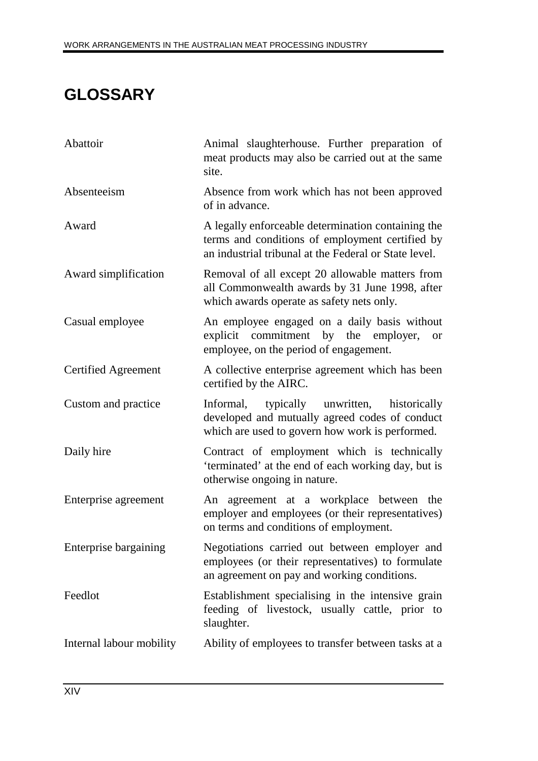# **GLOSSARY**

| Abattoir                   | Animal slaughterhouse. Further preparation of<br>meat products may also be carried out at the same<br>site.                                                    |
|----------------------------|----------------------------------------------------------------------------------------------------------------------------------------------------------------|
| Absenteeism                | Absence from work which has not been approved<br>of in advance.                                                                                                |
| Award                      | A legally enforceable determination containing the<br>terms and conditions of employment certified by<br>an industrial tribunal at the Federal or State level. |
| Award simplification       | Removal of all except 20 allowable matters from<br>all Commonwealth awards by 31 June 1998, after<br>which awards operate as safety nets only.                 |
| Casual employee            | An employee engaged on a daily basis without<br>explicit commitment by the employer,<br><b>or</b><br>employee, on the period of engagement.                    |
| <b>Certified Agreement</b> | A collective enterprise agreement which has been<br>certified by the AIRC.                                                                                     |
| Custom and practice        | Informal, typically unwritten,<br>historically<br>developed and mutually agreed codes of conduct<br>which are used to govern how work is performed.            |
| Daily hire                 | Contract of employment which is technically<br>'terminated' at the end of each working day, but is<br>otherwise ongoing in nature.                             |
| Enterprise agreement       | An agreement at a workplace between the<br>employer and employees (or their representatives)<br>on terms and conditions of employment.                         |
| Enterprise bargaining      | Negotiations carried out between employer and<br>employees (or their representatives) to formulate<br>an agreement on pay and working conditions.              |
| Feedlot                    | Establishment specialising in the intensive grain<br>feeding of livestock, usually cattle, prior to<br>slaughter.                                              |
| Internal labour mobility   | Ability of employees to transfer between tasks at a                                                                                                            |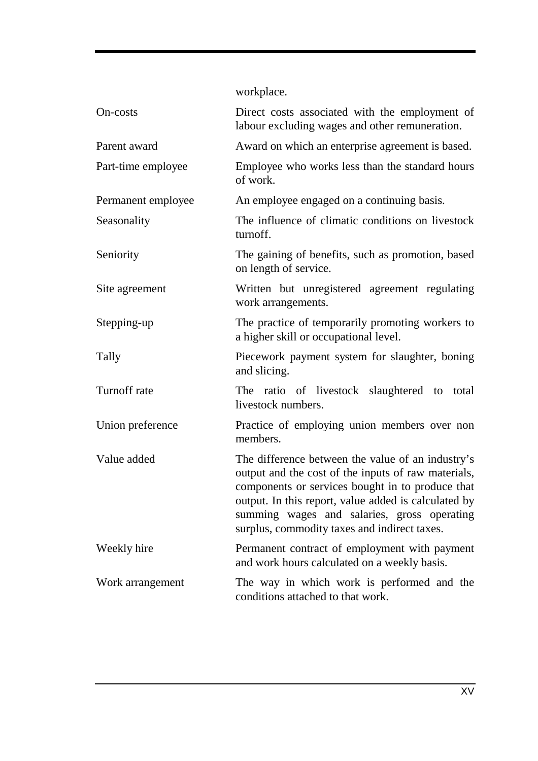workplace.

| On-costs           | Direct costs associated with the employment of<br>labour excluding wages and other remuneration.                                                                                                                                                                                                                    |
|--------------------|---------------------------------------------------------------------------------------------------------------------------------------------------------------------------------------------------------------------------------------------------------------------------------------------------------------------|
| Parent award       | Award on which an enterprise agreement is based.                                                                                                                                                                                                                                                                    |
| Part-time employee | Employee who works less than the standard hours<br>of work.                                                                                                                                                                                                                                                         |
| Permanent employee | An employee engaged on a continuing basis.                                                                                                                                                                                                                                                                          |
| Seasonality        | The influence of climatic conditions on livestock<br>turnoff.                                                                                                                                                                                                                                                       |
| Seniority          | The gaining of benefits, such as promotion, based<br>on length of service.                                                                                                                                                                                                                                          |
| Site agreement     | Written but unregistered agreement regulating<br>work arrangements.                                                                                                                                                                                                                                                 |
| Stepping-up        | The practice of temporarily promoting workers to<br>a higher skill or occupational level.                                                                                                                                                                                                                           |
| Tally              | Piecework payment system for slaughter, boning<br>and slicing.                                                                                                                                                                                                                                                      |
| Turnoff rate       | The ratio of livestock slaughtered to total<br>livestock numbers.                                                                                                                                                                                                                                                   |
| Union preference   | Practice of employing union members over non<br>members.                                                                                                                                                                                                                                                            |
| Value added        | The difference between the value of an industry's<br>output and the cost of the inputs of raw materials,<br>components or services bought in to produce that<br>output. In this report, value added is calculated by<br>summing wages and salaries, gross operating<br>surplus, commodity taxes and indirect taxes. |
| Weekly hire        | Permanent contract of employment with payment<br>and work hours calculated on a weekly basis.                                                                                                                                                                                                                       |
| Work arrangement   | The way in which work is performed and the<br>conditions attached to that work.                                                                                                                                                                                                                                     |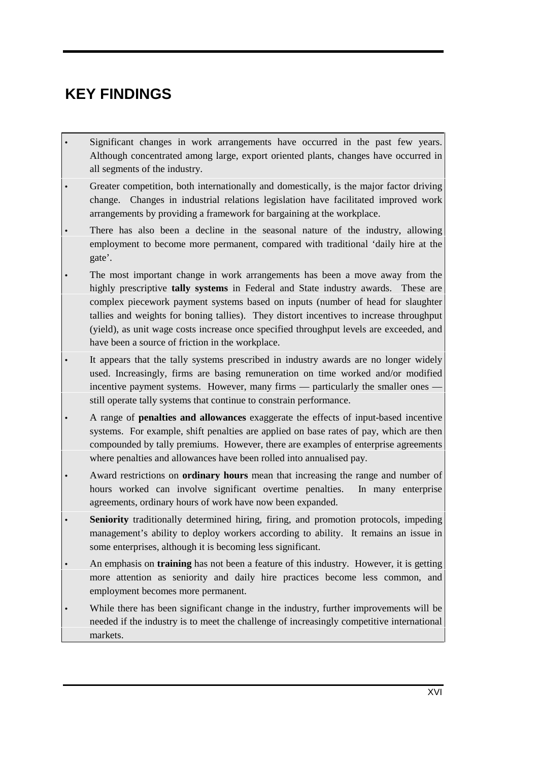# **KEY FINDINGS**

- Significant changes in work arrangements have occurred in the past few years. Although concentrated among large, export oriented plants, changes have occurred in all segments of the industry.
- Greater competition, both internationally and domestically, is the major factor driving change. Changes in industrial relations legislation have facilitated improved work arrangements by providing a framework for bargaining at the workplace.
- There has also been a decline in the seasonal nature of the industry, allowing employment to become more permanent, compared with traditional 'daily hire at the gate'.
- The most important change in work arrangements has been a move away from the highly prescriptive **tally systems** in Federal and State industry awards. These are complex piecework payment systems based on inputs (number of head for slaughter tallies and weights for boning tallies). They distort incentives to increase throughput (yield), as unit wage costs increase once specified throughput levels are exceeded, and have been a source of friction in the workplace.
- It appears that the tally systems prescribed in industry awards are no longer widely used. Increasingly, firms are basing remuneration on time worked and/or modified incentive payment systems. However, many firms — particularly the smaller ones still operate tally systems that continue to constrain performance.
- A range of **penalties and allowances** exaggerate the effects of input-based incentive systems. For example, shift penalties are applied on base rates of pay, which are then compounded by tally premiums. However, there are examples of enterprise agreements where penalties and allowances have been rolled into annualised pay.
- Award restrictions on **ordinary hours** mean that increasing the range and number of hours worked can involve significant overtime penalties. In many enterprise agreements, ordinary hours of work have now been expanded.
- **Seniority** traditionally determined hiring, firing, and promotion protocols, impeding management's ability to deploy workers according to ability. It remains an issue in some enterprises, although it is becoming less significant.
- An emphasis on **training** has not been a feature of this industry. However, it is getting more attention as seniority and daily hire practices become less common, and employment becomes more permanent.
- While there has been significant change in the industry, further improvements will be needed if the industry is to meet the challenge of increasingly competitive international markets.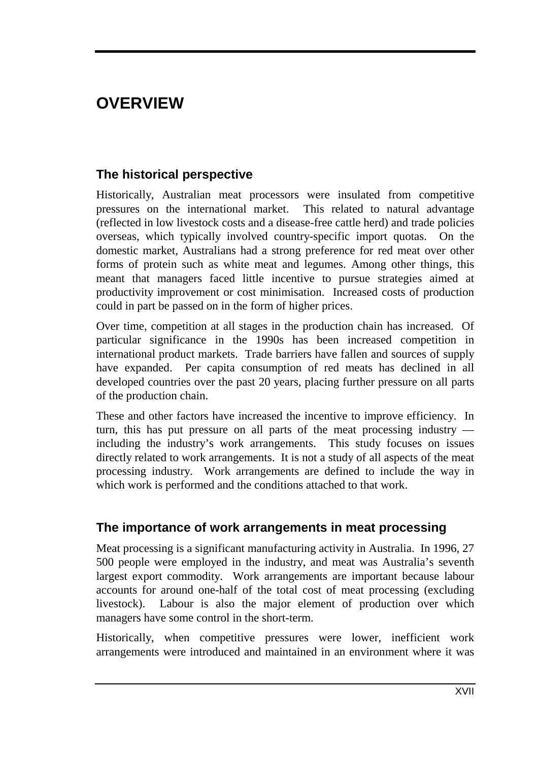# **OVERVIEW**

## **The historical perspective**

Historically, Australian meat processors were insulated from competitive pressures on the international market. This related to natural advantage (reflected in low livestock costs and a disease-free cattle herd) and trade policies overseas, which typically involved country-specific import quotas. On the domestic market, Australians had a strong preference for red meat over other forms of protein such as white meat and legumes. Among other things, this meant that managers faced little incentive to pursue strategies aimed at productivity improvement or cost minimisation. Increased costs of production could in part be passed on in the form of higher prices.

Over time, competition at all stages in the production chain has increased. Of particular significance in the 1990s has been increased competition in international product markets. Trade barriers have fallen and sources of supply have expanded. Per capita consumption of red meats has declined in all developed countries over the past 20 years, placing further pressure on all parts of the production chain.

These and other factors have increased the incentive to improve efficiency. In turn, this has put pressure on all parts of the meat processing industry including the industry's work arrangements. This study focuses on issues directly related to work arrangements. It is not a study of all aspects of the meat processing industry. Work arrangements are defined to include the way in which work is performed and the conditions attached to that work.

### **The importance of work arrangements in meat processing**

Meat processing is a significant manufacturing activity in Australia. In 1996, 27 500 people were employed in the industry, and meat was Australia's seventh largest export commodity. Work arrangements are important because labour accounts for around one-half of the total cost of meat processing (excluding livestock). Labour is also the major element of production over which managers have some control in the short-term.

Historically, when competitive pressures were lower, inefficient work arrangements were introduced and maintained in an environment where it was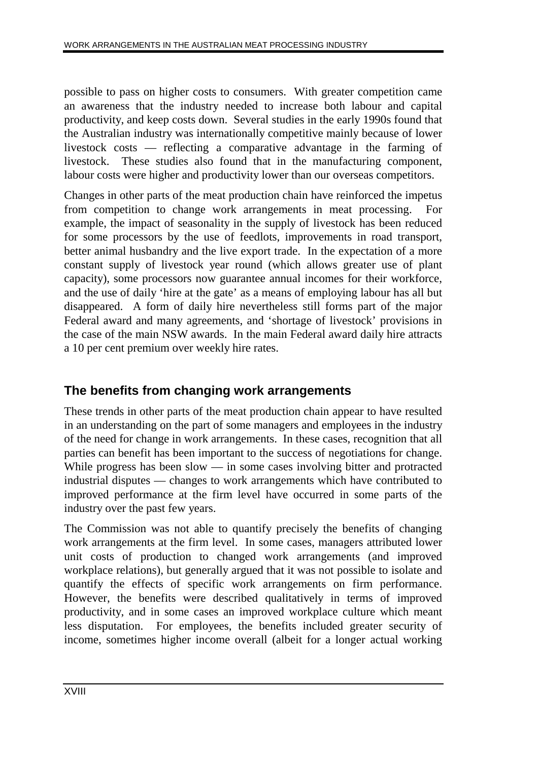possible to pass on higher costs to consumers. With greater competition came an awareness that the industry needed to increase both labour and capital productivity, and keep costs down. Several studies in the early 1990s found that the Australian industry was internationally competitive mainly because of lower livestock costs — reflecting a comparative advantage in the farming of livestock. These studies also found that in the manufacturing component, labour costs were higher and productivity lower than our overseas competitors.

Changes in other parts of the meat production chain have reinforced the impetus from competition to change work arrangements in meat processing. For example, the impact of seasonality in the supply of livestock has been reduced for some processors by the use of feedlots, improvements in road transport, better animal husbandry and the live export trade. In the expectation of a more constant supply of livestock year round (which allows greater use of plant capacity), some processors now guarantee annual incomes for their workforce, and the use of daily 'hire at the gate' as a means of employing labour has all but disappeared. A form of daily hire nevertheless still forms part of the major Federal award and many agreements, and 'shortage of livestock' provisions in the case of the main NSW awards. In the main Federal award daily hire attracts a 10 per cent premium over weekly hire rates.

## **The benefits from changing work arrangements**

These trends in other parts of the meat production chain appear to have resulted in an understanding on the part of some managers and employees in the industry of the need for change in work arrangements. In these cases, recognition that all parties can benefit has been important to the success of negotiations for change. While progress has been slow — in some cases involving bitter and protracted industrial disputes — changes to work arrangements which have contributed to improved performance at the firm level have occurred in some parts of the industry over the past few years.

The Commission was not able to quantify precisely the benefits of changing work arrangements at the firm level. In some cases, managers attributed lower unit costs of production to changed work arrangements (and improved workplace relations), but generally argued that it was not possible to isolate and quantify the effects of specific work arrangements on firm performance. However, the benefits were described qualitatively in terms of improved productivity, and in some cases an improved workplace culture which meant less disputation. For employees, the benefits included greater security of income, sometimes higher income overall (albeit for a longer actual working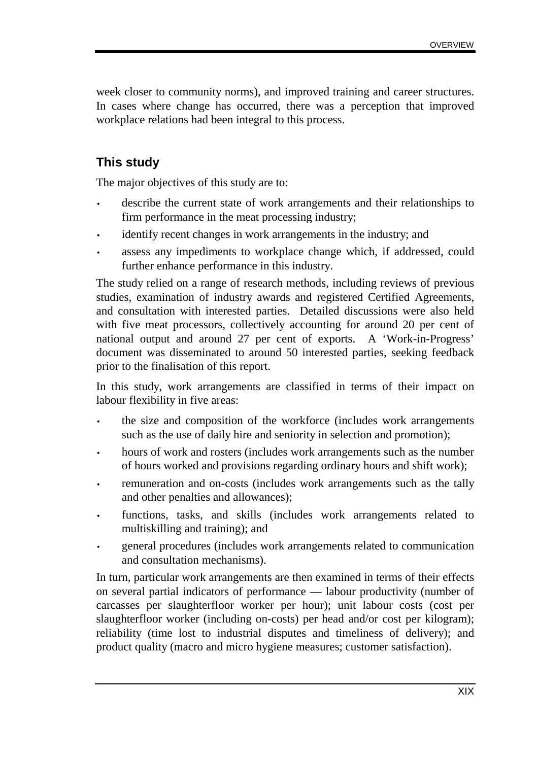week closer to community norms), and improved training and career structures. In cases where change has occurred, there was a perception that improved workplace relations had been integral to this process.

## **This study**

The major objectives of this study are to:

- describe the current state of work arrangements and their relationships to firm performance in the meat processing industry;
- identify recent changes in work arrangements in the industry; and
- assess any impediments to workplace change which, if addressed, could further enhance performance in this industry.

The study relied on a range of research methods, including reviews of previous studies, examination of industry awards and registered Certified Agreements, and consultation with interested parties. Detailed discussions were also held with five meat processors, collectively accounting for around 20 per cent of national output and around 27 per cent of exports. A 'Work-in-Progress' document was disseminated to around 50 interested parties, seeking feedback prior to the finalisation of this report.

In this study, work arrangements are classified in terms of their impact on labour flexibility in five areas:

- the size and composition of the workforce (includes work arrangements such as the use of daily hire and seniority in selection and promotion);
- hours of work and rosters (includes work arrangements such as the number of hours worked and provisions regarding ordinary hours and shift work);
- remuneration and on-costs (includes work arrangements such as the tally and other penalties and allowances);
- functions, tasks, and skills (includes work arrangements related to multiskilling and training); and
- general procedures (includes work arrangements related to communication and consultation mechanisms).

In turn, particular work arrangements are then examined in terms of their effects on several partial indicators of performance — labour productivity (number of carcasses per slaughterfloor worker per hour); unit labour costs (cost per slaughterfloor worker (including on-costs) per head and/or cost per kilogram); reliability (time lost to industrial disputes and timeliness of delivery); and product quality (macro and micro hygiene measures; customer satisfaction).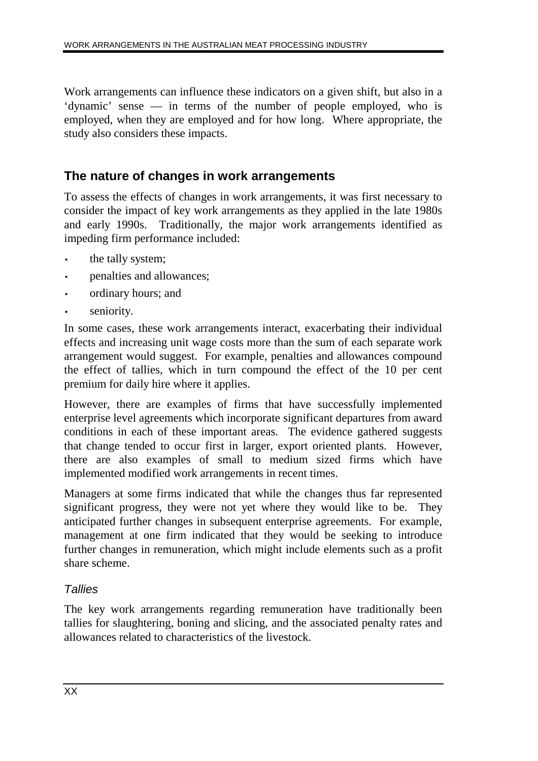Work arrangements can influence these indicators on a given shift, but also in a 'dynamic' sense — in terms of the number of people employed, who is employed, when they are employed and for how long. Where appropriate, the study also considers these impacts.

### **The nature of changes in work arrangements**

To assess the effects of changes in work arrangements, it was first necessary to consider the impact of key work arrangements as they applied in the late 1980s and early 1990s. Traditionally, the major work arrangements identified as impeding firm performance included:

- the tally system;
- penalties and allowances;
- ordinary hours; and
- seniority.

In some cases, these work arrangements interact, exacerbating their individual effects and increasing unit wage costs more than the sum of each separate work arrangement would suggest. For example, penalties and allowances compound the effect of tallies, which in turn compound the effect of the 10 per cent premium for daily hire where it applies.

However, there are examples of firms that have successfully implemented enterprise level agreements which incorporate significant departures from award conditions in each of these important areas. The evidence gathered suggests that change tended to occur first in larger, export oriented plants. However, there are also examples of small to medium sized firms which have implemented modified work arrangements in recent times.

Managers at some firms indicated that while the changes thus far represented significant progress, they were not yet where they would like to be. They anticipated further changes in subsequent enterprise agreements. For example, management at one firm indicated that they would be seeking to introduce further changes in remuneration, which might include elements such as a profit share scheme.

### **Tallies**

The key work arrangements regarding remuneration have traditionally been tallies for slaughtering, boning and slicing, and the associated penalty rates and allowances related to characteristics of the livestock.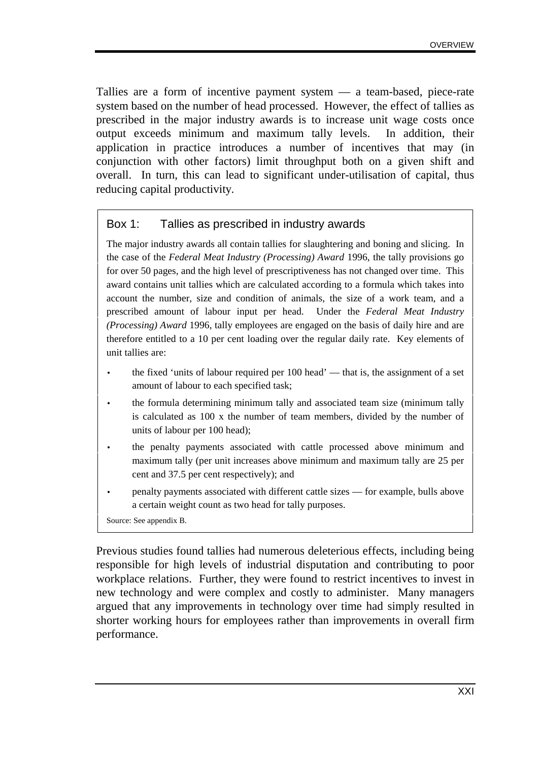Tallies are a form of incentive payment system — a team-based, piece-rate system based on the number of head processed. However, the effect of tallies as prescribed in the major industry awards is to increase unit wage costs once output exceeds minimum and maximum tally levels. In addition, their application in practice introduces a number of incentives that may (in conjunction with other factors) limit throughput both on a given shift and overall. In turn, this can lead to significant under-utilisation of capital, thus reducing capital productivity.

#### Box 1: Tallies as prescribed in industry awards

The major industry awards all contain tallies for slaughtering and boning and slicing. In the case of the *Federal Meat Industry (Processing) Award* 1996, the tally provisions go for over 50 pages, and the high level of prescriptiveness has not changed over time. This award contains unit tallies which are calculated according to a formula which takes into account the number, size and condition of animals, the size of a work team, and a prescribed amount of labour input per head. Under the *Federal Meat Industry (Processing) Award* 1996, tally employees are engaged on the basis of daily hire and are therefore entitled to a 10 per cent loading over the regular daily rate. Key elements of unit tallies are:

- the fixed 'units of labour required per 100 head' that is, the assignment of a set amount of labour to each specified task;
- the formula determining minimum tally and associated team size (minimum tally is calculated as 100 x the number of team members, divided by the number of units of labour per 100 head);
- the penalty payments associated with cattle processed above minimum and maximum tally (per unit increases above minimum and maximum tally are 25 per cent and 37.5 per cent respectively); and
- penalty payments associated with different cattle sizes for example, bulls above a certain weight count as two head for tally purposes.

Source: See appendix B.

Previous studies found tallies had numerous deleterious effects, including being responsible for high levels of industrial disputation and contributing to poor workplace relations. Further, they were found to restrict incentives to invest in new technology and were complex and costly to administer. Many managers argued that any improvements in technology over time had simply resulted in shorter working hours for employees rather than improvements in overall firm performance.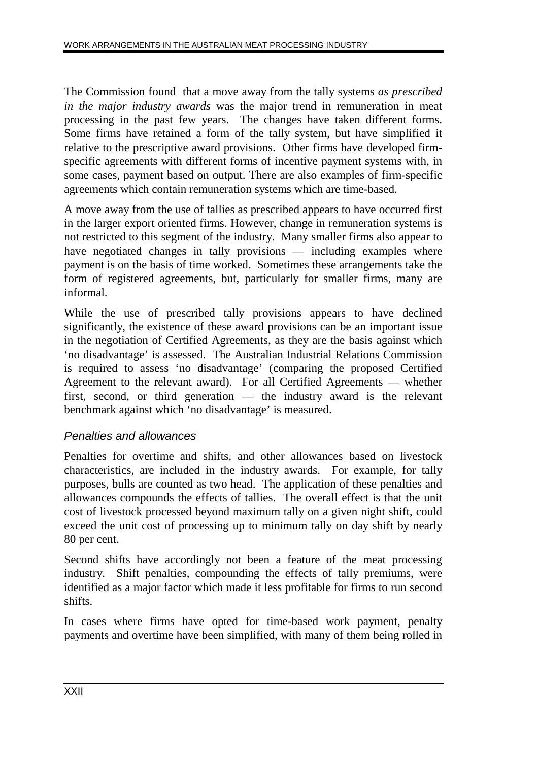The Commission found that a move away from the tally systems *as prescribed in the major industry awards* was the major trend in remuneration in meat processing in the past few years. The changes have taken different forms. Some firms have retained a form of the tally system, but have simplified it relative to the prescriptive award provisions. Other firms have developed firmspecific agreements with different forms of incentive payment systems with, in some cases, payment based on output. There are also examples of firm-specific agreements which contain remuneration systems which are time-based.

A move away from the use of tallies as prescribed appears to have occurred first in the larger export oriented firms. However, change in remuneration systems is not restricted to this segment of the industry. Many smaller firms also appear to have negotiated changes in tally provisions — including examples where payment is on the basis of time worked. Sometimes these arrangements take the form of registered agreements, but, particularly for smaller firms, many are informal.

While the use of prescribed tally provisions appears to have declined significantly, the existence of these award provisions can be an important issue in the negotiation of Certified Agreements, as they are the basis against which 'no disadvantage' is assessed. The Australian Industrial Relations Commission is required to assess 'no disadvantage' (comparing the proposed Certified Agreement to the relevant award). For all Certified Agreements — whether first, second, or third generation — the industry award is the relevant benchmark against which 'no disadvantage' is measured.

### Penalties and allowances

Penalties for overtime and shifts, and other allowances based on livestock characteristics, are included in the industry awards. For example, for tally purposes, bulls are counted as two head. The application of these penalties and allowances compounds the effects of tallies. The overall effect is that the unit cost of livestock processed beyond maximum tally on a given night shift, could exceed the unit cost of processing up to minimum tally on day shift by nearly 80 per cent.

Second shifts have accordingly not been a feature of the meat processing industry. Shift penalties, compounding the effects of tally premiums, were identified as a major factor which made it less profitable for firms to run second shifts.

In cases where firms have opted for time-based work payment, penalty payments and overtime have been simplified, with many of them being rolled in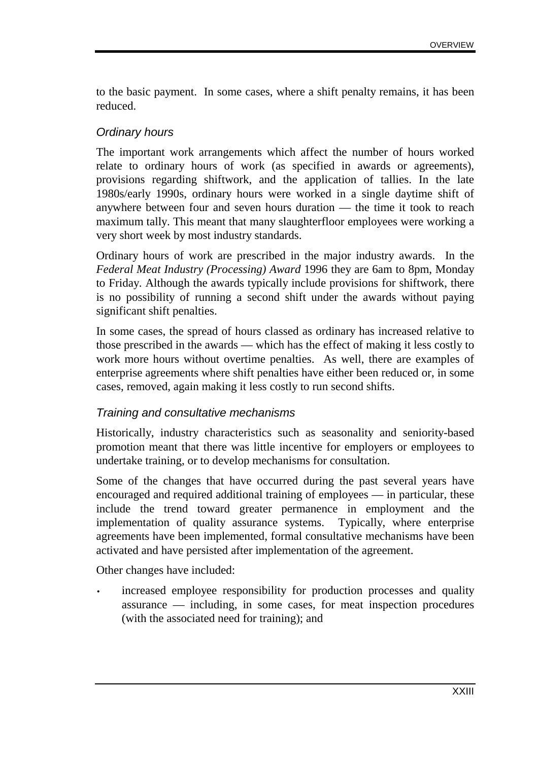to the basic payment. In some cases, where a shift penalty remains, it has been reduced.

#### Ordinary hours

The important work arrangements which affect the number of hours worked relate to ordinary hours of work (as specified in awards or agreements), provisions regarding shiftwork, and the application of tallies. In the late 1980s/early 1990s, ordinary hours were worked in a single daytime shift of anywhere between four and seven hours duration — the time it took to reach maximum tally. This meant that many slaughterfloor employees were working a very short week by most industry standards.

Ordinary hours of work are prescribed in the major industry awards. In the *Federal Meat Industry (Processing) Award* 1996 they are 6am to 8pm, Monday to Friday. Although the awards typically include provisions for shiftwork, there is no possibility of running a second shift under the awards without paying significant shift penalties.

In some cases, the spread of hours classed as ordinary has increased relative to those prescribed in the awards — which has the effect of making it less costly to work more hours without overtime penalties. As well, there are examples of enterprise agreements where shift penalties have either been reduced or, in some cases, removed, again making it less costly to run second shifts.

### Training and consultative mechanisms

Historically, industry characteristics such as seasonality and seniority-based promotion meant that there was little incentive for employers or employees to undertake training, or to develop mechanisms for consultation.

Some of the changes that have occurred during the past several years have encouraged and required additional training of employees — in particular, these include the trend toward greater permanence in employment and the implementation of quality assurance systems. Typically, where enterprise agreements have been implemented, formal consultative mechanisms have been activated and have persisted after implementation of the agreement.

Other changes have included:

• increased employee responsibility for production processes and quality assurance — including, in some cases, for meat inspection procedures (with the associated need for training); and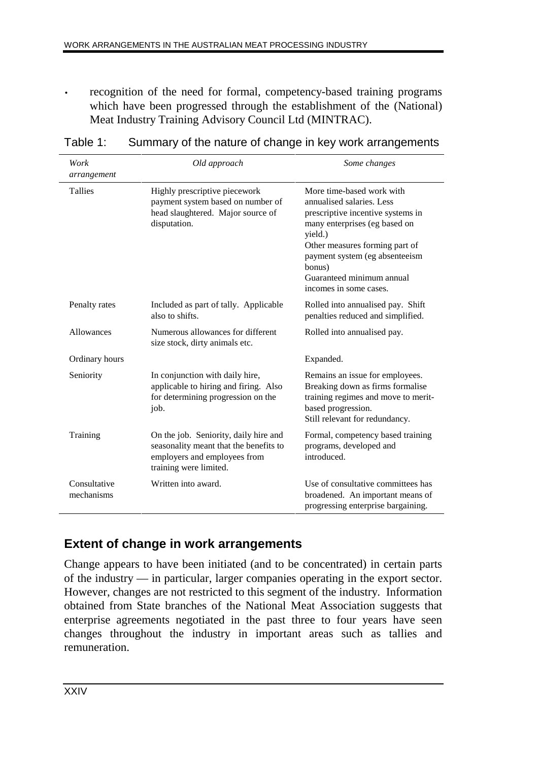• recognition of the need for formal, competency-based training programs which have been progressed through the establishment of the (National) Meat Industry Training Advisory Council Ltd (MINTRAC).

| Work<br>arrangement        | Old approach                                                                                                                              | Some changes                                                                                                                                                                                                                                                                 |
|----------------------------|-------------------------------------------------------------------------------------------------------------------------------------------|------------------------------------------------------------------------------------------------------------------------------------------------------------------------------------------------------------------------------------------------------------------------------|
| Tallies                    | Highly prescriptive piecework<br>payment system based on number of<br>head slaughtered. Major source of<br>disputation.                   | More time-based work with<br>annualised salaries. Less<br>prescriptive incentive systems in<br>many enterprises (eg based on<br>yield.)<br>Other measures forming part of<br>payment system (eg absenteeism<br>bonus)<br>Guaranteed minimum annual<br>incomes in some cases. |
| Penalty rates              | Included as part of tally. Applicable<br>also to shifts.                                                                                  | Rolled into annualised pay. Shift<br>penalties reduced and simplified.                                                                                                                                                                                                       |
| Allowances                 | Numerous allowances for different<br>size stock, dirty animals etc.                                                                       | Rolled into annualised pay.                                                                                                                                                                                                                                                  |
| Ordinary hours             |                                                                                                                                           | Expanded.                                                                                                                                                                                                                                                                    |
| Seniority                  | In conjunction with daily hire,<br>applicable to hiring and firing. Also<br>for determining progression on the<br>job.                    | Remains an issue for employees.<br>Breaking down as firms formalise<br>training regimes and move to merit-<br>based progression.<br>Still relevant for redundancy.                                                                                                           |
| Training                   | On the job. Seniority, daily hire and<br>seasonality meant that the benefits to<br>employers and employees from<br>training were limited. | Formal, competency based training<br>programs, developed and<br>introduced.                                                                                                                                                                                                  |
| Consultative<br>mechanisms | Written into award.                                                                                                                       | Use of consultative committees has<br>broadened. An important means of<br>progressing enterprise bargaining.                                                                                                                                                                 |

### Table 1: Summary of the nature of change in key work arrangements

### **Extent of change in work arrangements**

Change appears to have been initiated (and to be concentrated) in certain parts of the industry — in particular, larger companies operating in the export sector. However, changes are not restricted to this segment of the industry. Information obtained from State branches of the National Meat Association suggests that enterprise agreements negotiated in the past three to four years have seen changes throughout the industry in important areas such as tallies and remuneration.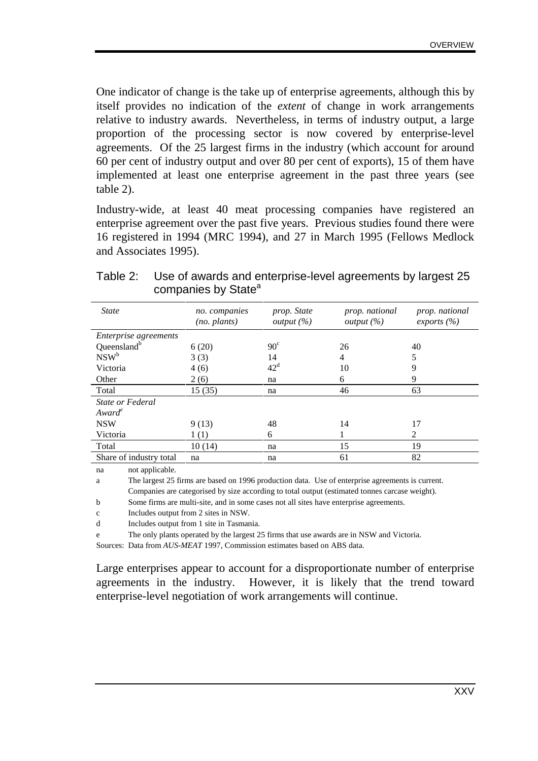One indicator of change is the take up of enterprise agreements, although this by itself provides no indication of the *extent* of change in work arrangements relative to industry awards. Nevertheless, in terms of industry output, a large proportion of the processing sector is now covered by enterprise-level agreements. Of the 25 largest firms in the industry (which account for around 60 per cent of industry output and over 80 per cent of exports), 15 of them have implemented at least one enterprise agreement in the past three years (see table 2).

Industry-wide, at least 40 meat processing companies have registered an enterprise agreement over the past five years. Previous studies found there were 16 registered in 1994 (MRC 1994), and 27 in March 1995 (Fellows Medlock and Associates 1995).

| <b>State</b>                 | no. companies<br>$(no.$ plants) | prop. State<br><i>output</i> $(\%)$ | prop. national<br><i>output</i> $(\%)$ | prop. national<br>exports $(\% )$ |
|------------------------------|---------------------------------|-------------------------------------|----------------------------------------|-----------------------------------|
| <i>Enterprise agreements</i> |                                 |                                     |                                        |                                   |
| Queensland <sup>b</sup>      | 6(20)                           | $90^\circ$                          | 26                                     | 40                                |
| NSW <sup>b</sup>             | 3(3)                            | 14                                  | 4                                      | 5                                 |
| Victoria                     | 4(6)                            | $42^d$                              | 10                                     | 9                                 |
| Other                        | 2(6)                            | na                                  | 6                                      | 9                                 |
| Total                        | 15(35)                          | na                                  | 46                                     | 63                                |
| State or Federal             |                                 |                                     |                                        |                                   |
| Award <sup>e</sup>           |                                 |                                     |                                        |                                   |
| <b>NSW</b>                   | 9(13)                           | 48                                  | 14                                     | 17                                |
| Victoria                     | 1(1)                            | 6                                   | 1                                      | 2                                 |
| Total                        | 10(14)                          | na                                  | 15                                     | 19                                |
| Share of industry total      | na                              | na                                  | 61                                     | 82                                |

#### Table 2: Use of awards and enterprise-level agreements by largest 25 companies by State<sup>a</sup>

na not applicable.

a The largest 25 firms are based on 1996 production data. Use of enterprise agreements is current.

Companies are categorised by size according to total output (estimated tonnes carcase weight).

b Some firms are multi-site, and in some cases not all sites have enterprise agreements.

c Includes output from 2 sites in NSW.

d Includes output from 1 site in Tasmania.

e The only plants operated by the largest 25 firms that use awards are in NSW and Victoria.

Sources: Data from *AUS-MEAT* 1997, Commission estimates based on ABS data.

Large enterprises appear to account for a disproportionate number of enterprise agreements in the industry. However, it is likely that the trend toward enterprise-level negotiation of work arrangements will continue.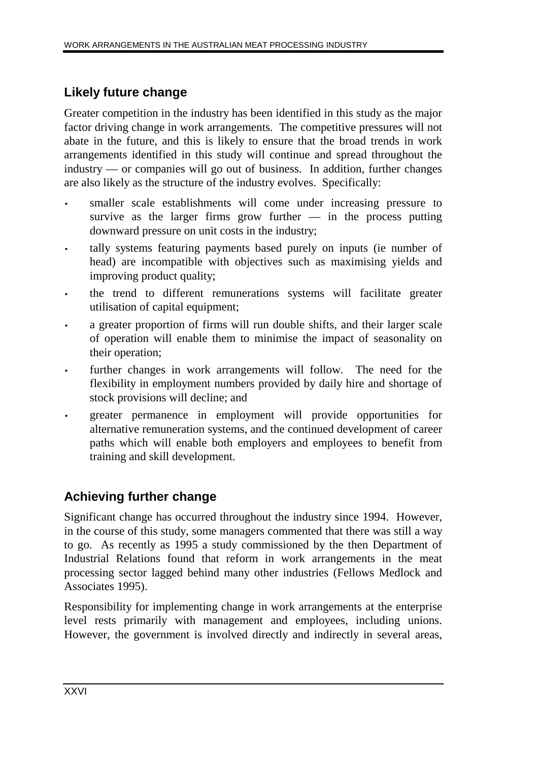## **Likely future change**

Greater competition in the industry has been identified in this study as the major factor driving change in work arrangements. The competitive pressures will not abate in the future, and this is likely to ensure that the broad trends in work arrangements identified in this study will continue and spread throughout the industry — or companies will go out of business. In addition, further changes are also likely as the structure of the industry evolves. Specifically:

- smaller scale establishments will come under increasing pressure to survive as the larger firms grow further  $-$  in the process putting downward pressure on unit costs in the industry;
- tally systems featuring payments based purely on inputs (ie number of head) are incompatible with objectives such as maximising yields and improving product quality;
- the trend to different remunerations systems will facilitate greater utilisation of capital equipment;
- a greater proportion of firms will run double shifts, and their larger scale of operation will enable them to minimise the impact of seasonality on their operation;
- further changes in work arrangements will follow. The need for the flexibility in employment numbers provided by daily hire and shortage of stock provisions will decline; and
- greater permanence in employment will provide opportunities for alternative remuneration systems, and the continued development of career paths which will enable both employers and employees to benefit from training and skill development.

## **Achieving further change**

Significant change has occurred throughout the industry since 1994. However, in the course of this study, some managers commented that there was still a way to go. As recently as 1995 a study commissioned by the then Department of Industrial Relations found that reform in work arrangements in the meat processing sector lagged behind many other industries (Fellows Medlock and Associates 1995).

Responsibility for implementing change in work arrangements at the enterprise level rests primarily with management and employees, including unions. However, the government is involved directly and indirectly in several areas,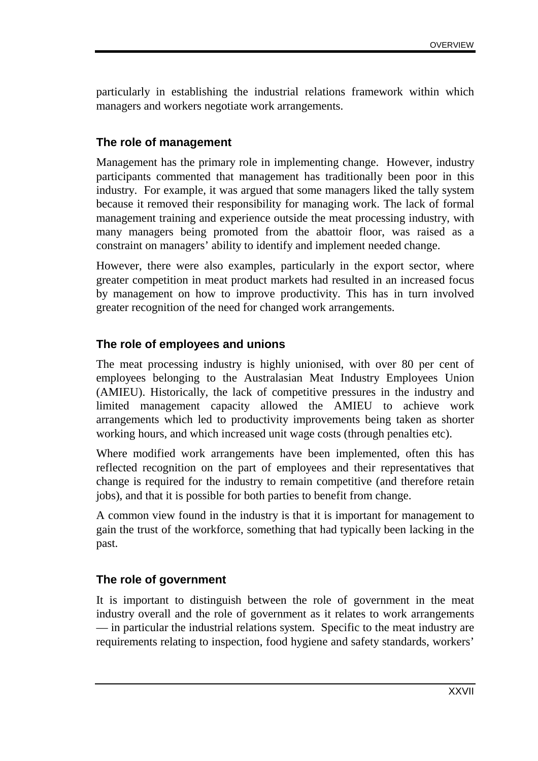particularly in establishing the industrial relations framework within which managers and workers negotiate work arrangements.

### **The role of management**

Management has the primary role in implementing change. However, industry participants commented that management has traditionally been poor in this industry. For example, it was argued that some managers liked the tally system because it removed their responsibility for managing work. The lack of formal management training and experience outside the meat processing industry, with many managers being promoted from the abattoir floor, was raised as a constraint on managers' ability to identify and implement needed change.

However, there were also examples, particularly in the export sector, where greater competition in meat product markets had resulted in an increased focus by management on how to improve productivity. This has in turn involved greater recognition of the need for changed work arrangements.

### **The role of employees and unions**

The meat processing industry is highly unionised, with over 80 per cent of employees belonging to the Australasian Meat Industry Employees Union (AMIEU). Historically, the lack of competitive pressures in the industry and limited management capacity allowed the AMIEU to achieve work arrangements which led to productivity improvements being taken as shorter working hours, and which increased unit wage costs (through penalties etc).

Where modified work arrangements have been implemented, often this has reflected recognition on the part of employees and their representatives that change is required for the industry to remain competitive (and therefore retain jobs), and that it is possible for both parties to benefit from change.

A common view found in the industry is that it is important for management to gain the trust of the workforce, something that had typically been lacking in the past.

### **The role of government**

It is important to distinguish between the role of government in the meat industry overall and the role of government as it relates to work arrangements — in particular the industrial relations system. Specific to the meat industry are requirements relating to inspection, food hygiene and safety standards, workers'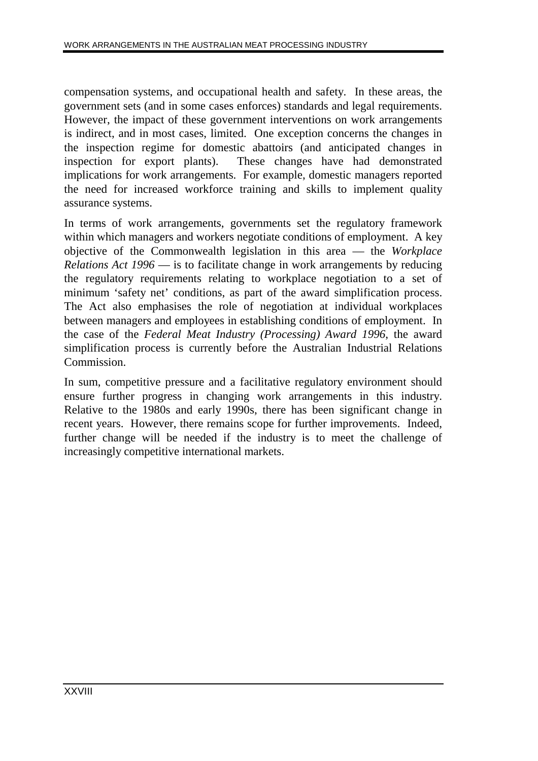compensation systems, and occupational health and safety. In these areas, the government sets (and in some cases enforces) standards and legal requirements. However, the impact of these government interventions on work arrangements is indirect, and in most cases, limited. One exception concerns the changes in the inspection regime for domestic abattoirs (and anticipated changes in inspection for export plants). These changes have had demonstrated implications for work arrangements. For example, domestic managers reported the need for increased workforce training and skills to implement quality assurance systems.

In terms of work arrangements, governments set the regulatory framework within which managers and workers negotiate conditions of employment. A key objective of the Commonwealth legislation in this area — the *Workplace Relations Act 1996* — is to facilitate change in work arrangements by reducing the regulatory requirements relating to workplace negotiation to a set of minimum 'safety net' conditions, as part of the award simplification process. The Act also emphasises the role of negotiation at individual workplaces between managers and employees in establishing conditions of employment. In the case of the *Federal Meat Industry (Processing) Award 1996*, the award simplification process is currently before the Australian Industrial Relations Commission.

In sum, competitive pressure and a facilitative regulatory environment should ensure further progress in changing work arrangements in this industry. Relative to the 1980s and early 1990s, there has been significant change in recent years. However, there remains scope for further improvements. Indeed, further change will be needed if the industry is to meet the challenge of increasingly competitive international markets.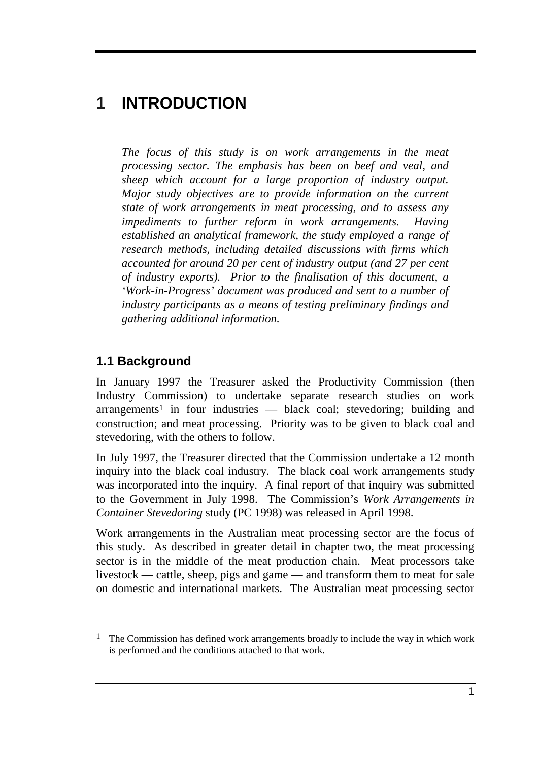# **1 INTRODUCTION**

*The focus of this study is on work arrangements in the meat processing sector. The emphasis has been on beef and veal, and sheep which account for a large proportion of industry output. Major study objectives are to provide information on the current state of work arrangements in meat processing, and to assess any impediments to further reform in work arrangements. Having established an analytical framework, the study employed a range of research methods, including detailed discussions with firms which accounted for around 20 per cent of industry output (and 27 per cent of industry exports). Prior to the finalisation of this document, a 'Work-in-Progress' document was produced and sent to a number of industry participants as a means of testing preliminary findings and gathering additional information.*

## **1.1 Background**

-

In January 1997 the Treasurer asked the Productivity Commission (then Industry Commission) to undertake separate research studies on work  $arrangements<sup>1</sup>$  in four industries — black coal; stevedoring; building and construction; and meat processing. Priority was to be given to black coal and stevedoring, with the others to follow.

In July 1997, the Treasurer directed that the Commission undertake a 12 month inquiry into the black coal industry. The black coal work arrangements study was incorporated into the inquiry. A final report of that inquiry was submitted to the Government in July 1998. The Commission's *Work Arrangements in Container Stevedoring* study (PC 1998) was released in April 1998.

Work arrangements in the Australian meat processing sector are the focus of this study. As described in greater detail in chapter two, the meat processing sector is in the middle of the meat production chain. Meat processors take livestock — cattle, sheep, pigs and game — and transform them to meat for sale on domestic and international markets. The Australian meat processing sector

<sup>&</sup>lt;sup>1</sup> The Commission has defined work arrangements broadly to include the way in which work is performed and the conditions attached to that work.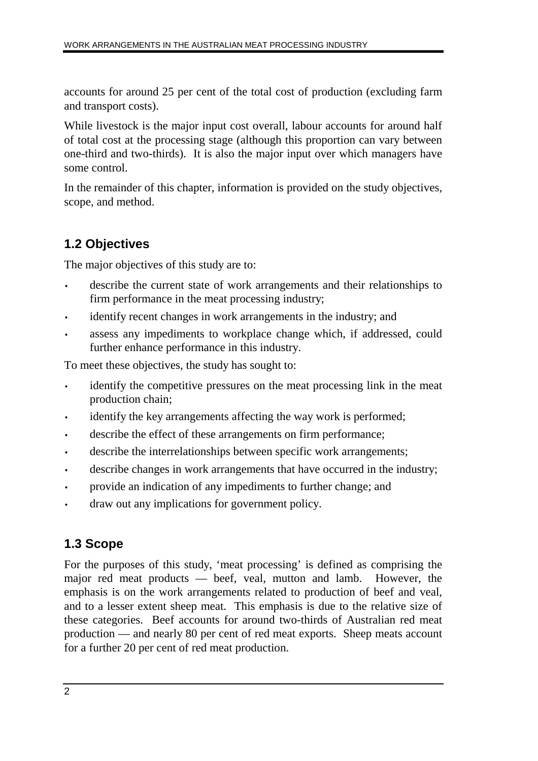accounts for around 25 per cent of the total cost of production (excluding farm and transport costs).

While livestock is the major input cost overall, labour accounts for around half of total cost at the processing stage (although this proportion can vary between one-third and two-thirds). It is also the major input over which managers have some control.

In the remainder of this chapter, information is provided on the study objectives, scope, and method.

## **1.2 Objectives**

The major objectives of this study are to:

- describe the current state of work arrangements and their relationships to firm performance in the meat processing industry;
- identify recent changes in work arrangements in the industry; and
- assess any impediments to workplace change which, if addressed, could further enhance performance in this industry.

To meet these objectives, the study has sought to:

- identify the competitive pressures on the meat processing link in the meat production chain;
- identify the key arrangements affecting the way work is performed;
- describe the effect of these arrangements on firm performance;
- describe the interrelationships between specific work arrangements;
- describe changes in work arrangements that have occurred in the industry;
- provide an indication of any impediments to further change; and
- draw out any implications for government policy.

## **1.3 Scope**

For the purposes of this study, 'meat processing' is defined as comprising the major red meat products — beef, veal, mutton and lamb. However, the emphasis is on the work arrangements related to production of beef and veal, and to a lesser extent sheep meat. This emphasis is due to the relative size of these categories. Beef accounts for around two-thirds of Australian red meat production — and nearly 80 per cent of red meat exports. Sheep meats account for a further 20 per cent of red meat production.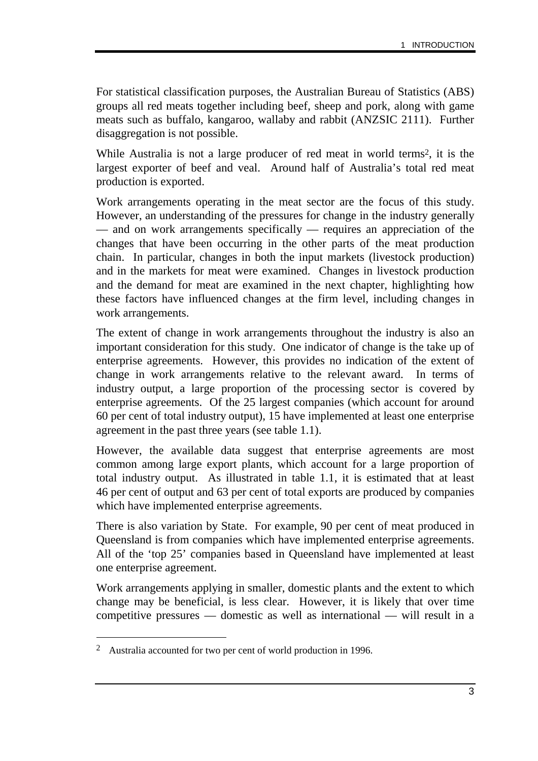For statistical classification purposes, the Australian Bureau of Statistics (ABS) groups all red meats together including beef, sheep and pork, along with game meats such as buffalo, kangaroo, wallaby and rabbit (ANZSIC 2111). Further disaggregation is not possible.

While Australia is not a large producer of red meat in world terms2, it is the largest exporter of beef and veal. Around half of Australia's total red meat production is exported.

Work arrangements operating in the meat sector are the focus of this study. However, an understanding of the pressures for change in the industry generally — and on work arrangements specifically — requires an appreciation of the changes that have been occurring in the other parts of the meat production chain. In particular, changes in both the input markets (livestock production) and in the markets for meat were examined. Changes in livestock production and the demand for meat are examined in the next chapter, highlighting how these factors have influenced changes at the firm level, including changes in work arrangements.

The extent of change in work arrangements throughout the industry is also an important consideration for this study. One indicator of change is the take up of enterprise agreements. However, this provides no indication of the extent of change in work arrangements relative to the relevant award. In terms of industry output, a large proportion of the processing sector is covered by enterprise agreements. Of the 25 largest companies (which account for around 60 per cent of total industry output), 15 have implemented at least one enterprise agreement in the past three years (see table 1.1).

However, the available data suggest that enterprise agreements are most common among large export plants, which account for a large proportion of total industry output. As illustrated in table 1.1, it is estimated that at least 46 per cent of output and 63 per cent of total exports are produced by companies which have implemented enterprise agreements.

There is also variation by State. For example, 90 per cent of meat produced in Queensland is from companies which have implemented enterprise agreements. All of the 'top 25' companies based in Queensland have implemented at least one enterprise agreement.

Work arrangements applying in smaller, domestic plants and the extent to which change may be beneficial, is less clear. However, it is likely that over time competitive pressures — domestic as well as international — will result in a

-

<sup>2</sup> Australia accounted for two per cent of world production in 1996.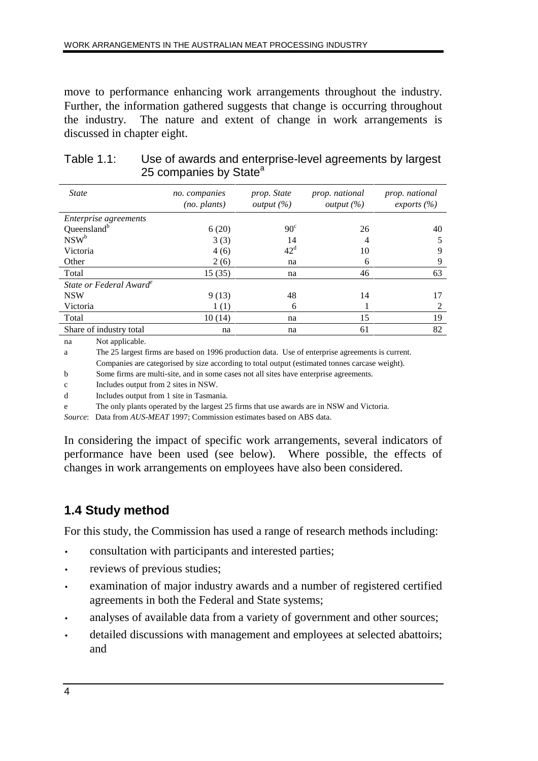move to performance enhancing work arrangements throughout the industry. Further, the information gathered suggests that change is occurring throughout the industry. The nature and extent of change in work arrangements is discussed in chapter eight.

| <b>State</b>                        | no. companies<br>$(no.$ plants) | prop. State<br><i>output</i> $(\%)$ | prop. national<br><i>output</i> $(\%)$ | prop. national<br>exports $(\% )$ |
|-------------------------------------|---------------------------------|-------------------------------------|----------------------------------------|-----------------------------------|
| <i>Enterprise agreements</i>        |                                 |                                     |                                        |                                   |
| Queensland <sup>b</sup>             | 6(20)                           | $90^\circ$                          | 26                                     | 40                                |
| NSW <sup>b</sup>                    | 3(3)                            | 14                                  | $\overline{4}$                         | 5                                 |
| Victoria                            | 4(6)                            | $42^{\rm d}$                        | 10                                     | 9                                 |
| Other                               | 2(6)                            | na                                  | 6                                      | 9                                 |
| Total                               | 15(35)                          | na                                  | 46                                     | 63                                |
| State or Federal Award <sup>e</sup> |                                 |                                     |                                        |                                   |
| <b>NSW</b>                          | 9(13)                           | 48                                  | 14                                     | 17                                |
| Victoria                            | 1(1)                            | 6                                   |                                        | $\mathfrak{D}$                    |
| Total                               | 10(14)                          | na                                  | 15                                     | 19                                |
| Share of industry total             | na                              | na                                  | 61                                     | 82                                |
|                                     |                                 |                                     |                                        |                                   |

| Table $1.1$ : | Use of awards and enterprise-level agreements by largest |
|---------------|----------------------------------------------------------|
|               | 25 companies by State <sup>a</sup>                       |

na Not applicable.

a The 25 largest firms are based on 1996 production data. Use of enterprise agreements is current.

Companies are categorised by size according to total output (estimated tonnes carcase weight).

b Some firms are multi-site, and in some cases not all sites have enterprise agreements.

c Includes output from 2 sites in NSW.

d Includes output from 1 site in Tasmania.

e The only plants operated by the largest 25 firms that use awards are in NSW and Victoria.

*Source*: Data from *AUS-MEAT* 1997; Commission estimates based on ABS data.

In considering the impact of specific work arrangements, several indicators of performance have been used (see below). Where possible, the effects of changes in work arrangements on employees have also been considered.

## **1.4 Study method**

For this study, the Commission has used a range of research methods including:

- consultation with participants and interested parties;
- reviews of previous studies;
- examination of major industry awards and a number of registered certified agreements in both the Federal and State systems;
- analyses of available data from a variety of government and other sources;
- detailed discussions with management and employees at selected abattoirs; and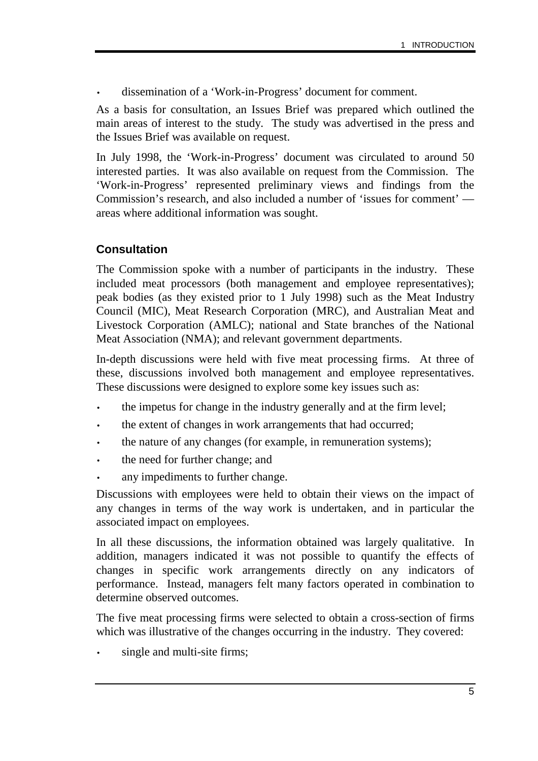• dissemination of a 'Work-in-Progress' document for comment.

As a basis for consultation, an Issues Brief was prepared which outlined the main areas of interest to the study. The study was advertised in the press and the Issues Brief was available on request.

In July 1998, the 'Work-in-Progress' document was circulated to around 50 interested parties. It was also available on request from the Commission. The 'Work-in-Progress' represented preliminary views and findings from the Commission's research, and also included a number of 'issues for comment' areas where additional information was sought.

### **Consultation**

The Commission spoke with a number of participants in the industry. These included meat processors (both management and employee representatives); peak bodies (as they existed prior to 1 July 1998) such as the Meat Industry Council (MIC), Meat Research Corporation (MRC), and Australian Meat and Livestock Corporation (AMLC); national and State branches of the National Meat Association (NMA); and relevant government departments.

In-depth discussions were held with five meat processing firms. At three of these, discussions involved both management and employee representatives. These discussions were designed to explore some key issues such as:

- the impetus for change in the industry generally and at the firm level;
- the extent of changes in work arrangements that had occurred;
- the nature of any changes (for example, in remuneration systems);
- the need for further change; and
- any impediments to further change.

Discussions with employees were held to obtain their views on the impact of any changes in terms of the way work is undertaken, and in particular the associated impact on employees.

In all these discussions, the information obtained was largely qualitative. In addition, managers indicated it was not possible to quantify the effects of changes in specific work arrangements directly on any indicators of performance. Instead, managers felt many factors operated in combination to determine observed outcomes.

The five meat processing firms were selected to obtain a cross-section of firms which was illustrative of the changes occurring in the industry. They covered:

single and multi-site firms;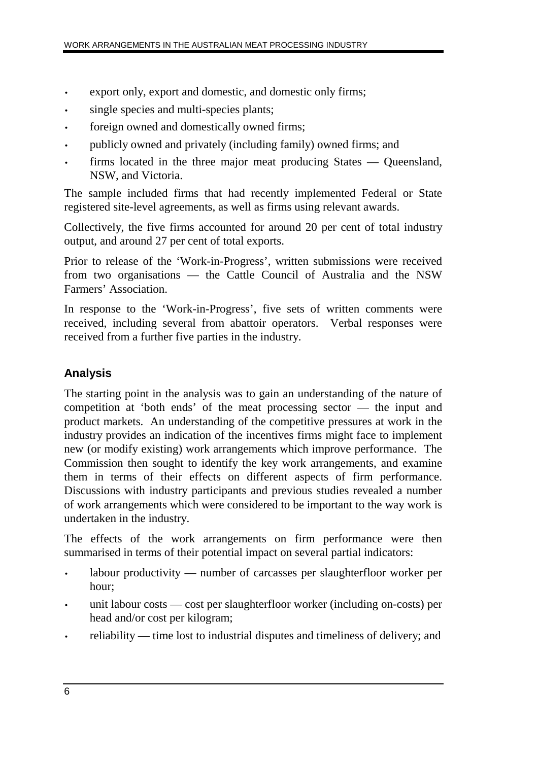- export only, export and domestic, and domestic only firms;
- single species and multi-species plants;
- foreign owned and domestically owned firms;
- publicly owned and privately (including family) owned firms; and
- firms located in the three major meat producing States Queensland, NSW, and Victoria.

The sample included firms that had recently implemented Federal or State registered site-level agreements, as well as firms using relevant awards.

Collectively, the five firms accounted for around 20 per cent of total industry output, and around 27 per cent of total exports.

Prior to release of the 'Work-in-Progress', written submissions were received from two organisations — the Cattle Council of Australia and the NSW Farmers' Association.

In response to the 'Work-in-Progress', five sets of written comments were received, including several from abattoir operators. Verbal responses were received from a further five parties in the industry.

### **Analysis**

The starting point in the analysis was to gain an understanding of the nature of competition at 'both ends' of the meat processing sector — the input and product markets. An understanding of the competitive pressures at work in the industry provides an indication of the incentives firms might face to implement new (or modify existing) work arrangements which improve performance. The Commission then sought to identify the key work arrangements, and examine them in terms of their effects on different aspects of firm performance. Discussions with industry participants and previous studies revealed a number of work arrangements which were considered to be important to the way work is undertaken in the industry.

The effects of the work arrangements on firm performance were then summarised in terms of their potential impact on several partial indicators:

- labour productivity number of carcasses per slaughterfloor worker per hour;
- unit labour costs cost per slaughterfloor worker (including on-costs) per head and/or cost per kilogram;
- reliability time lost to industrial disputes and timeliness of delivery; and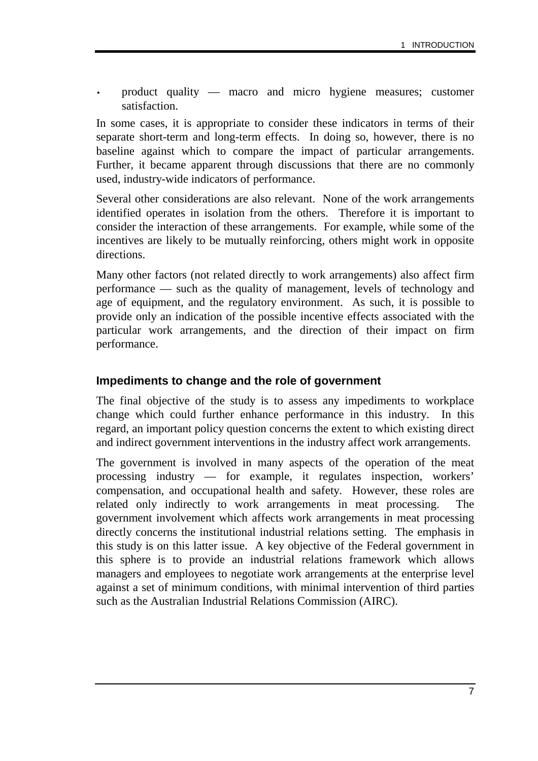• product quality — macro and micro hygiene measures; customer satisfaction.

In some cases, it is appropriate to consider these indicators in terms of their separate short-term and long-term effects. In doing so, however, there is no baseline against which to compare the impact of particular arrangements. Further, it became apparent through discussions that there are no commonly used, industry-wide indicators of performance.

Several other considerations are also relevant. None of the work arrangements identified operates in isolation from the others. Therefore it is important to consider the interaction of these arrangements. For example, while some of the incentives are likely to be mutually reinforcing, others might work in opposite directions.

Many other factors (not related directly to work arrangements) also affect firm performance — such as the quality of management, levels of technology and age of equipment, and the regulatory environment. As such, it is possible to provide only an indication of the possible incentive effects associated with the particular work arrangements, and the direction of their impact on firm performance.

#### **Impediments to change and the role of government**

The final objective of the study is to assess any impediments to workplace change which could further enhance performance in this industry. In this regard, an important policy question concerns the extent to which existing direct and indirect government interventions in the industry affect work arrangements.

The government is involved in many aspects of the operation of the meat processing industry — for example, it regulates inspection, workers' compensation, and occupational health and safety. However, these roles are related only indirectly to work arrangements in meat processing. The government involvement which affects work arrangements in meat processing directly concerns the institutional industrial relations setting. The emphasis in this study is on this latter issue. A key objective of the Federal government in this sphere is to provide an industrial relations framework which allows managers and employees to negotiate work arrangements at the enterprise level against a set of minimum conditions, with minimal intervention of third parties such as the Australian Industrial Relations Commission (AIRC).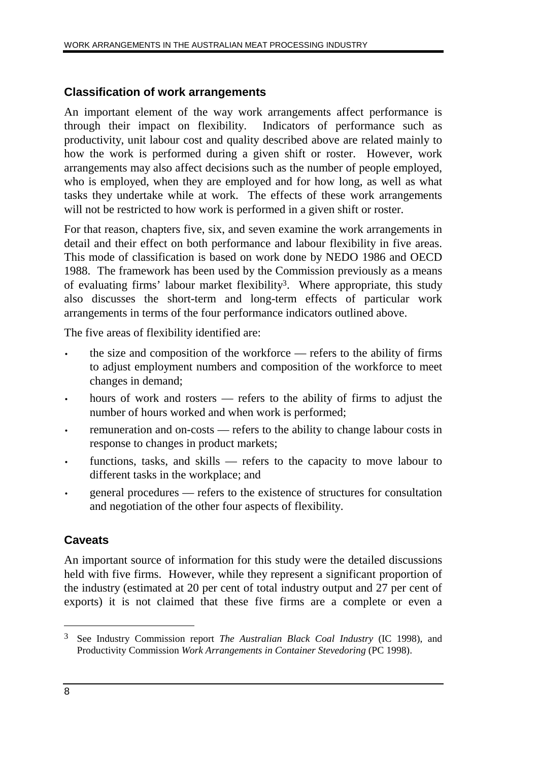#### **Classification of work arrangements**

An important element of the way work arrangements affect performance is through their impact on flexibility. Indicators of performance such as productivity, unit labour cost and quality described above are related mainly to how the work is performed during a given shift or roster. However, work arrangements may also affect decisions such as the number of people employed, who is employed, when they are employed and for how long, as well as what tasks they undertake while at work. The effects of these work arrangements will not be restricted to how work is performed in a given shift or roster.

For that reason, chapters five, six, and seven examine the work arrangements in detail and their effect on both performance and labour flexibility in five areas. This mode of classification is based on work done by NEDO 1986 and OECD 1988. The framework has been used by the Commission previously as a means of evaluating firms' labour market flexibility3. Where appropriate, this study also discusses the short-term and long-term effects of particular work arrangements in terms of the four performance indicators outlined above.

The five areas of flexibility identified are:

- the size and composition of the workforce refers to the ability of firms to adjust employment numbers and composition of the workforce to meet changes in demand;
- hours of work and rosters refers to the ability of firms to adjust the number of hours worked and when work is performed;
- remuneration and on-costs refers to the ability to change labour costs in response to changes in product markets;
- functions, tasks, and skills refers to the capacity to move labour to different tasks in the workplace; and
- general procedures refers to the existence of structures for consultation and negotiation of the other four aspects of flexibility.

### **Caveats**

An important source of information for this study were the detailed discussions held with five firms. However, while they represent a significant proportion of the industry (estimated at 20 per cent of total industry output and 27 per cent of exports) it is not claimed that these five firms are a complete or even a

 $\overline{a}$ 

<sup>3</sup> See Industry Commission report *The Australian Black Coal Industry* (IC 1998), and Productivity Commission *Work Arrangements in Container Stevedoring* (PC 1998).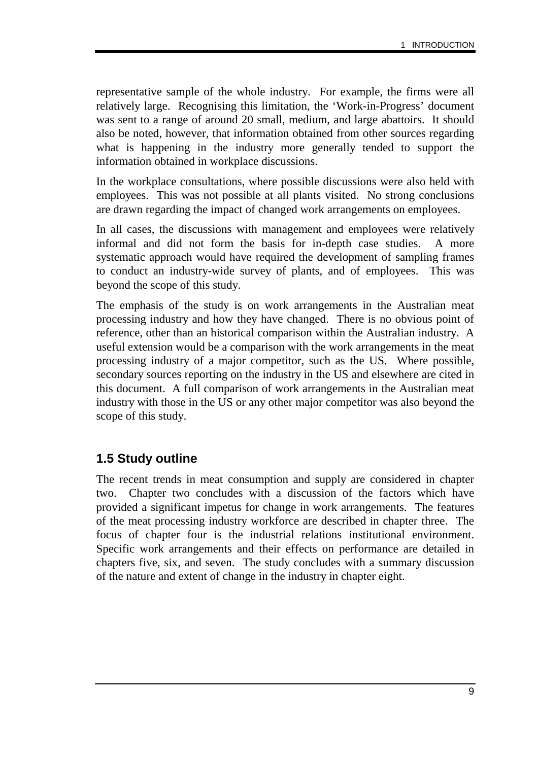representative sample of the whole industry. For example, the firms were all relatively large. Recognising this limitation, the 'Work-in-Progress' document was sent to a range of around 20 small, medium, and large abattoirs. It should also be noted, however, that information obtained from other sources regarding what is happening in the industry more generally tended to support the information obtained in workplace discussions.

In the workplace consultations, where possible discussions were also held with employees. This was not possible at all plants visited. No strong conclusions are drawn regarding the impact of changed work arrangements on employees.

In all cases, the discussions with management and employees were relatively informal and did not form the basis for in-depth case studies. A more systematic approach would have required the development of sampling frames to conduct an industry-wide survey of plants, and of employees. This was beyond the scope of this study.

The emphasis of the study is on work arrangements in the Australian meat processing industry and how they have changed. There is no obvious point of reference, other than an historical comparison within the Australian industry. A useful extension would be a comparison with the work arrangements in the meat processing industry of a major competitor, such as the US. Where possible, secondary sources reporting on the industry in the US and elsewhere are cited in this document. A full comparison of work arrangements in the Australian meat industry with those in the US or any other major competitor was also beyond the scope of this study.

### **1.5 Study outline**

The recent trends in meat consumption and supply are considered in chapter two. Chapter two concludes with a discussion of the factors which have provided a significant impetus for change in work arrangements. The features of the meat processing industry workforce are described in chapter three. The focus of chapter four is the industrial relations institutional environment. Specific work arrangements and their effects on performance are detailed in chapters five, six, and seven. The study concludes with a summary discussion of the nature and extent of change in the industry in chapter eight.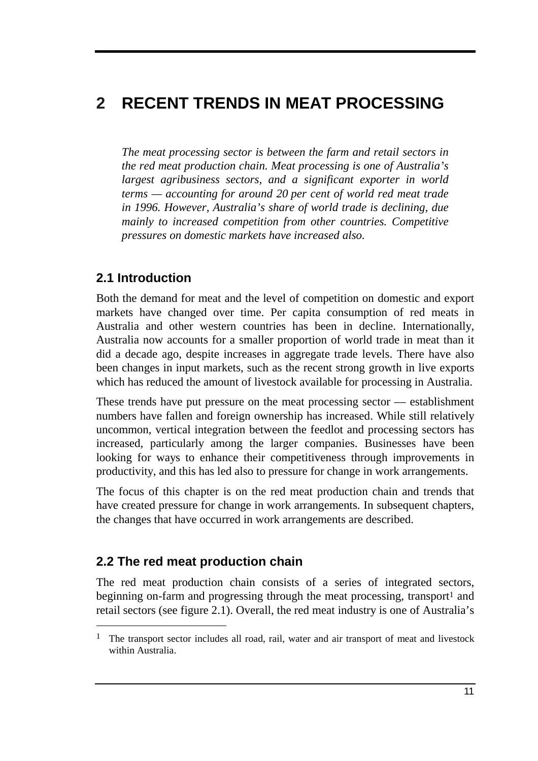# **2 RECENT TRENDS IN MEAT PROCESSING**

*The meat processing sector is between the farm and retail sectors in the red meat production chain. Meat processing is one of Australia's largest agribusiness sectors, and a significant exporter in world terms — accounting for around 20 per cent of world red meat trade in 1996. However, Australia's share of world trade is declining, due mainly to increased competition from other countries. Competitive pressures on domestic markets have increased also.*

# **2.1 Introduction**

Both the demand for meat and the level of competition on domestic and export markets have changed over time. Per capita consumption of red meats in Australia and other western countries has been in decline. Internationally, Australia now accounts for a smaller proportion of world trade in meat than it did a decade ago, despite increases in aggregate trade levels. There have also been changes in input markets, such as the recent strong growth in live exports which has reduced the amount of livestock available for processing in Australia.

These trends have put pressure on the meat processing sector — establishment numbers have fallen and foreign ownership has increased. While still relatively uncommon, vertical integration between the feedlot and processing sectors has increased, particularly among the larger companies. Businesses have been looking for ways to enhance their competitiveness through improvements in productivity, and this has led also to pressure for change in work arrangements.

The focus of this chapter is on the red meat production chain and trends that have created pressure for change in work arrangements. In subsequent chapters, the changes that have occurred in work arrangements are described.

# **2.2 The red meat production chain**

-

The red meat production chain consists of a series of integrated sectors, beginning on-farm and progressing through the meat processing, transport<sup>1</sup> and retail sectors (see figure 2.1). Overall, the red meat industry is one of Australia's

<sup>&</sup>lt;sup>1</sup> The transport sector includes all road, rail, water and air transport of meat and livestock within Australia.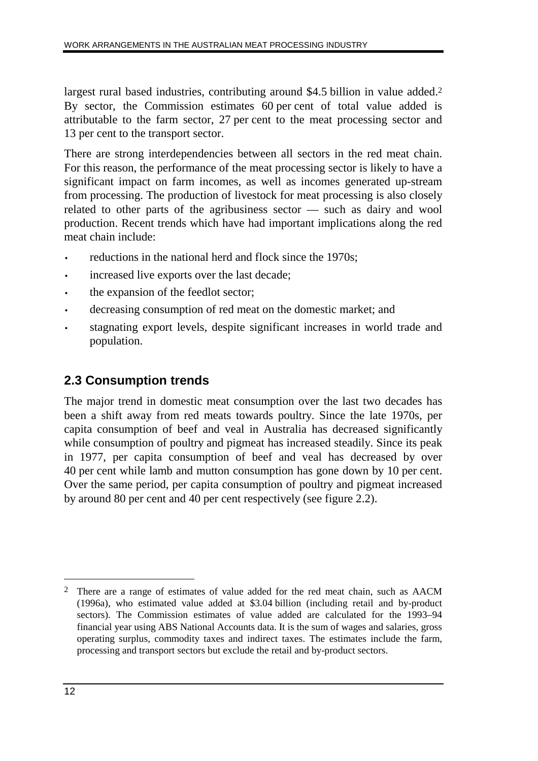largest rural based industries, contributing around \$4.5 billion in value added.<sup>2</sup> By sector, the Commission estimates 60 per cent of total value added is attributable to the farm sector, 27 per cent to the meat processing sector and 13 per cent to the transport sector.

There are strong interdependencies between all sectors in the red meat chain. For this reason, the performance of the meat processing sector is likely to have a significant impact on farm incomes, as well as incomes generated up-stream from processing. The production of livestock for meat processing is also closely related to other parts of the agribusiness sector — such as dairy and wool production. Recent trends which have had important implications along the red meat chain include:

- reductions in the national herd and flock since the 1970s;
- increased live exports over the last decade;
- the expansion of the feedlot sector;
- decreasing consumption of red meat on the domestic market; and
- stagnating export levels, despite significant increases in world trade and population.

# **2.3 Consumption trends**

The major trend in domestic meat consumption over the last two decades has been a shift away from red meats towards poultry. Since the late 1970s, per capita consumption of beef and veal in Australia has decreased significantly while consumption of poultry and pigmeat has increased steadily. Since its peak in 1977, per capita consumption of beef and veal has decreased by over 40 per cent while lamb and mutton consumption has gone down by 10 per cent. Over the same period, per capita consumption of poultry and pigmeat increased by around 80 per cent and 40 per cent respectively (see figure 2.2).

 $\overline{a}$ 

<sup>2</sup> There are a range of estimates of value added for the red meat chain, such as AACM (1996a), who estimated value added at \$3.04 billion (including retail and by-product sectors). The Commission estimates of value added are calculated for the 1993–94 financial year using ABS National Accounts data. It is the sum of wages and salaries, gross operating surplus, commodity taxes and indirect taxes. The estimates include the farm, processing and transport sectors but exclude the retail and by-product sectors.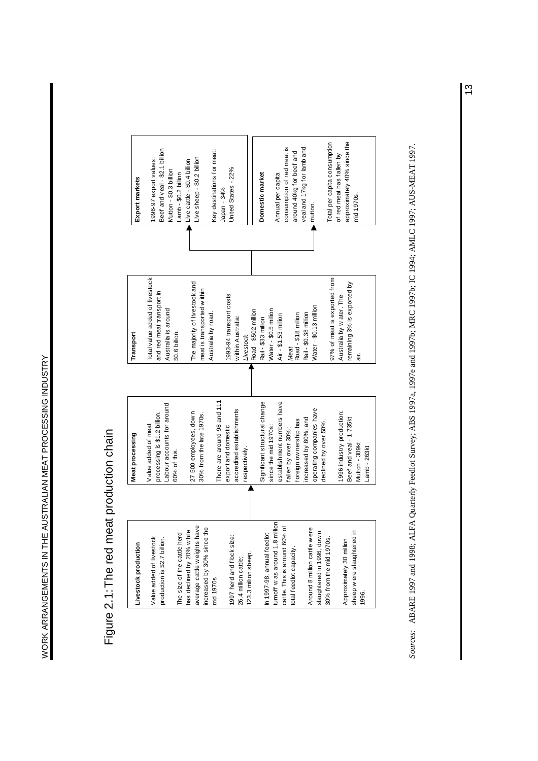# Figure 2.1: The red meat production chain Figure 2.1: The red meat production chain



Sources: ABARE 1997 and 1998; ALFA Quarterly Feedlot Survey; ABS 1997a, 1997e; and 1997b; MRC 1994; AMLC 1997; AUS-MEAT 1997. *Sources:* ABARE 1997 and 1998; ALFA Quarterly Feedlot Survey; ABS 1997a, 1997e and 1997b; MRC 1997b; IC 1994; AMLC 1997; AUS-MEAT 1997.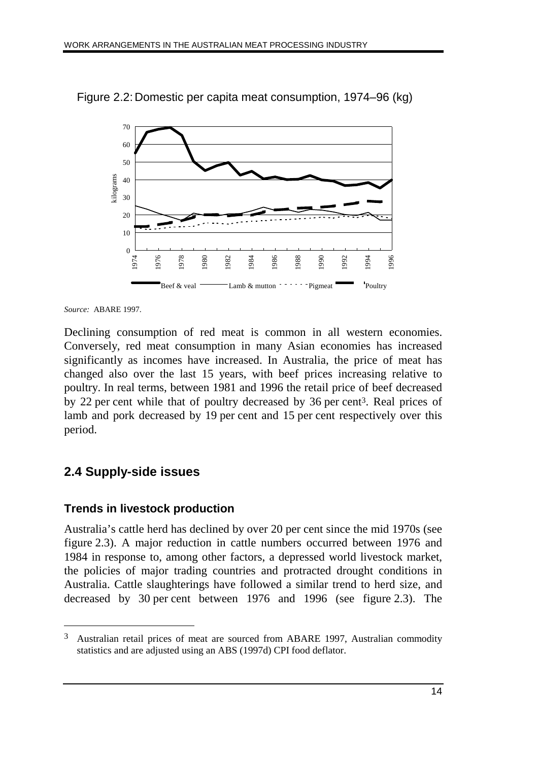

Figure 2.2: Domestic per capita meat consumption, 1974–96 (kg)

*Source:* ABARE 1997.

Declining consumption of red meat is common in all western economies. Conversely, red meat consumption in many Asian economies has increased significantly as incomes have increased. In Australia, the price of meat has changed also over the last 15 years, with beef prices increasing relative to poultry. In real terms, between 1981 and 1996 the retail price of beef decreased by 22 per cent while that of poultry decreased by 36 per cent3. Real prices of lamb and pork decreased by 19 per cent and 15 per cent respectively over this period.

# **2.4 Supply-side issues**

 $\overline{a}$ 

# **Trends in livestock production**

Australia's cattle herd has declined by over 20 per cent since the mid 1970s (see figure 2.3). A major reduction in cattle numbers occurred between 1976 and 1984 in response to, among other factors, a depressed world livestock market, the policies of major trading countries and protracted drought conditions in Australia. Cattle slaughterings have followed a similar trend to herd size, and decreased by 30 per cent between 1976 and 1996 (see figure 2.3). The

<sup>3</sup> Australian retail prices of meat are sourced from ABARE 1997, Australian commodity statistics and are adjusted using an ABS (1997d) CPI food deflator.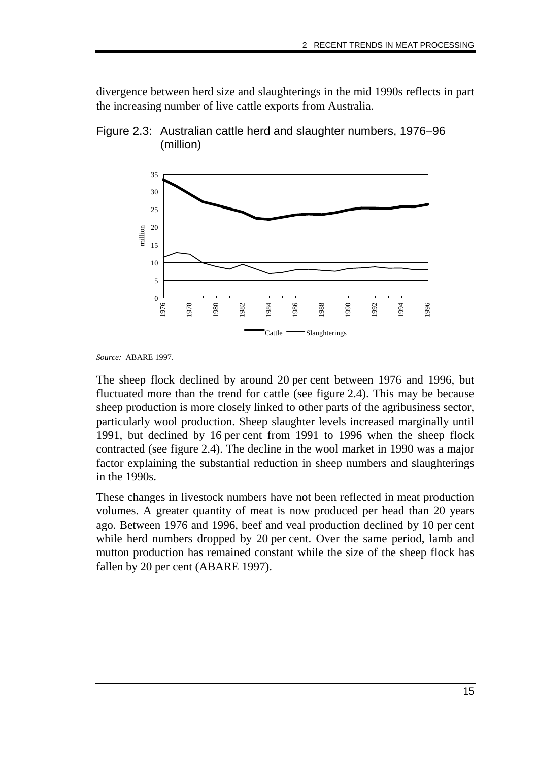divergence between herd size and slaughterings in the mid 1990s reflects in part the increasing number of live cattle exports from Australia.



Figure 2.3: Australian cattle herd and slaughter numbers, 1976–96 (million)

*Source:* ABARE 1997.

The sheep flock declined by around 20 per cent between 1976 and 1996, but fluctuated more than the trend for cattle (see figure 2.4). This may be because sheep production is more closely linked to other parts of the agribusiness sector, particularly wool production. Sheep slaughter levels increased marginally until 1991, but declined by 16 per cent from 1991 to 1996 when the sheep flock contracted (see figure 2.4). The decline in the wool market in 1990 was a major factor explaining the substantial reduction in sheep numbers and slaughterings in the 1990s.

These changes in livestock numbers have not been reflected in meat production volumes. A greater quantity of meat is now produced per head than 20 years ago. Between 1976 and 1996, beef and veal production declined by 10 per cent while herd numbers dropped by 20 per cent. Over the same period, lamb and mutton production has remained constant while the size of the sheep flock has fallen by 20 per cent (ABARE 1997).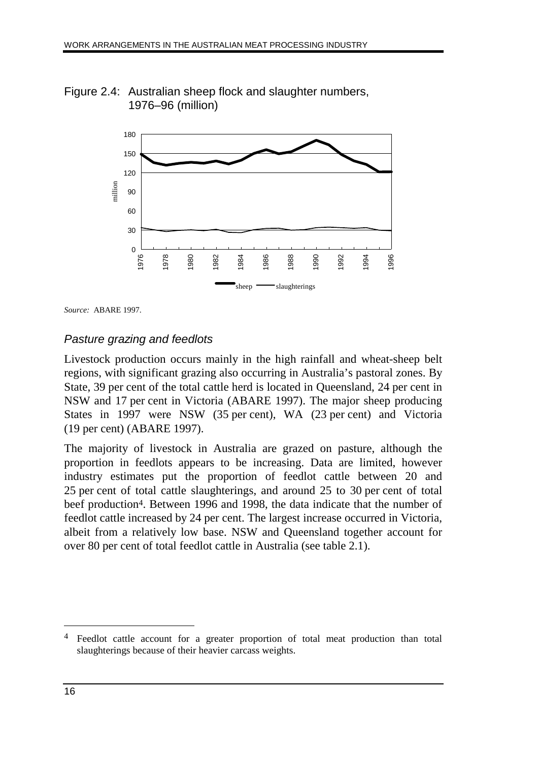Figure 2.4: Australian sheep flock and slaughter numbers, 1976–96 (million)



*Source:* ABARE 1997.

#### Pasture grazing and feedlots

Livestock production occurs mainly in the high rainfall and wheat-sheep belt regions, with significant grazing also occurring in Australia's pastoral zones. By State, 39 per cent of the total cattle herd is located in Queensland, 24 per cent in NSW and 17 per cent in Victoria (ABARE 1997). The major sheep producing States in 1997 were NSW (35 per cent), WA (23 per cent) and Victoria (19 per cent) (ABARE 1997).

The majority of livestock in Australia are grazed on pasture, although the proportion in feedlots appears to be increasing. Data are limited, however industry estimates put the proportion of feedlot cattle between 20 and 25 per cent of total cattle slaughterings, and around 25 to 30 per cent of total beef production4. Between 1996 and 1998, the data indicate that the number of feedlot cattle increased by 24 per cent. The largest increase occurred in Victoria, albeit from a relatively low base. NSW and Queensland together account for over 80 per cent of total feedlot cattle in Australia (see table 2.1).

 $\overline{a}$ 

<sup>4</sup> Feedlot cattle account for a greater proportion of total meat production than total slaughterings because of their heavier carcass weights.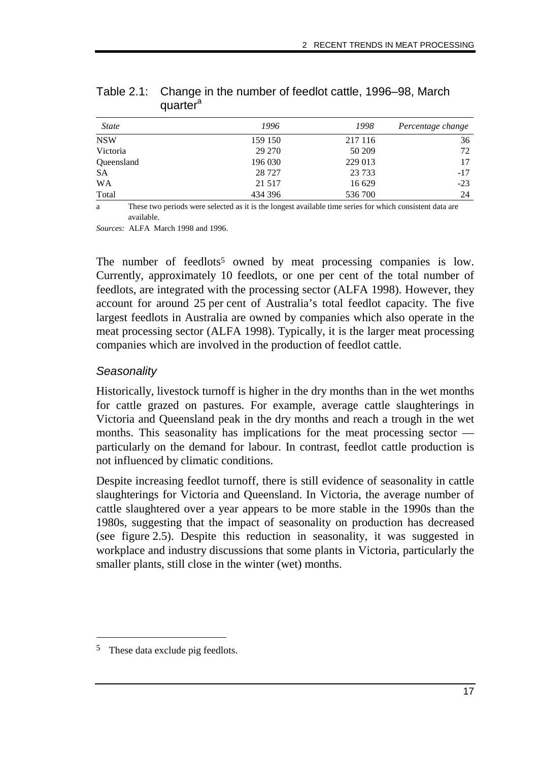| <b>State</b> | 1996    | 1998    | Percentage change |
|--------------|---------|---------|-------------------|
| <b>NSW</b>   | 159 150 | 217 116 | 36                |
| Victoria     | 29 270  | 50 209  | 72                |
| Queensland   | 196 030 | 229 013 | 17                |
| <b>SA</b>    | 28 7 27 | 23 7 33 | $-17$             |
| <b>WA</b>    | 21 5 17 | 16 629  | $-23$             |
| Total        | 434 396 | 536 700 | 24                |

Table 2.1: Change in the number of feedlot cattle, 1996–98, March quarter<sup>a</sup>

a These two periods were selected as it is the longest available time series for which consistent data are available.

*Sources:* ALFA March 1998 and 1996.

The number of feedlots<sup>5</sup> owned by meat processing companies is low. Currently, approximately 10 feedlots, or one per cent of the total number of feedlots, are integrated with the processing sector (ALFA 1998). However, they account for around 25 per cent of Australia's total feedlot capacity. The five largest feedlots in Australia are owned by companies which also operate in the meat processing sector (ALFA 1998). Typically, it is the larger meat processing companies which are involved in the production of feedlot cattle.

#### **Seasonality**

Historically, livestock turnoff is higher in the dry months than in the wet months for cattle grazed on pastures. For example, average cattle slaughterings in Victoria and Queensland peak in the dry months and reach a trough in the wet months. This seasonality has implications for the meat processing sector particularly on the demand for labour. In contrast, feedlot cattle production is not influenced by climatic conditions.

Despite increasing feedlot turnoff, there is still evidence of seasonality in cattle slaughterings for Victoria and Queensland. In Victoria, the average number of cattle slaughtered over a year appears to be more stable in the 1990s than the 1980s, suggesting that the impact of seasonality on production has decreased (see figure 2.5). Despite this reduction in seasonality, it was suggested in workplace and industry discussions that some plants in Victoria, particularly the smaller plants, still close in the winter (wet) months.

-

<sup>5</sup> These data exclude pig feedlots.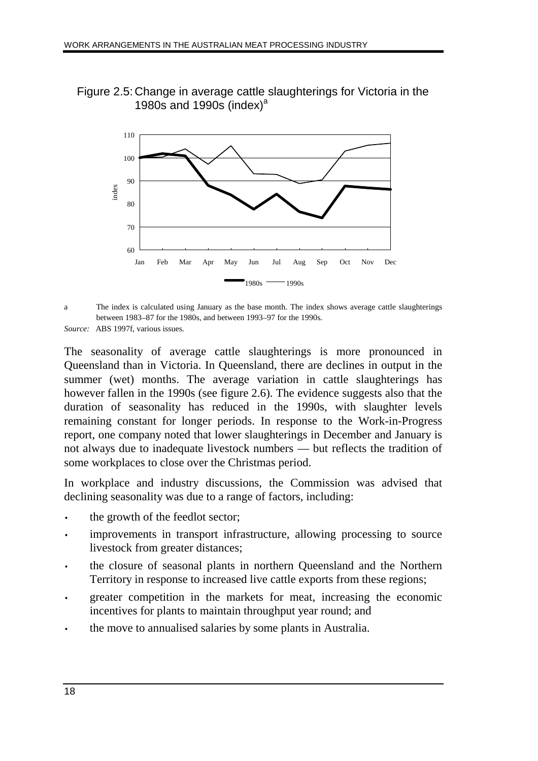Figure 2.5: Change in average cattle slaughterings for Victoria in the 1980s and 1990s (index) $a$ 



a The index is calculated using January as the base month. The index shows average cattle slaughterings between 1983–87 for the 1980s, and between 1993–97 for the 1990s.

*Source:* ABS 1997f, various issues.

The seasonality of average cattle slaughterings is more pronounced in Queensland than in Victoria. In Queensland, there are declines in output in the summer (wet) months. The average variation in cattle slaughterings has however fallen in the 1990s (see figure 2.6). The evidence suggests also that the duration of seasonality has reduced in the 1990s, with slaughter levels remaining constant for longer periods. In response to the Work-in-Progress report, one company noted that lower slaughterings in December and January is not always due to inadequate livestock numbers — but reflects the tradition of some workplaces to close over the Christmas period.

In workplace and industry discussions, the Commission was advised that declining seasonality was due to a range of factors, including:

- the growth of the feedlot sector;
- improvements in transport infrastructure, allowing processing to source livestock from greater distances;
- the closure of seasonal plants in northern Queensland and the Northern Territory in response to increased live cattle exports from these regions;
- greater competition in the markets for meat, increasing the economic incentives for plants to maintain throughput year round; and
- the move to annualised salaries by some plants in Australia.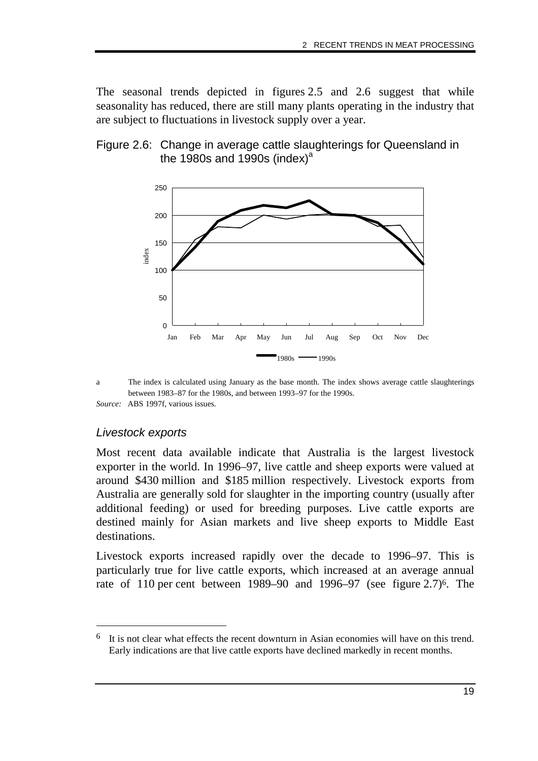The seasonal trends depicted in figures 2.5 and 2.6 suggest that while seasonality has reduced, there are still many plants operating in the industry that are subject to fluctuations in livestock supply over a year.





a The index is calculated using January as the base month. The index shows average cattle slaughterings between 1983–87 for the 1980s, and between 1993–97 for the 1990s. *Source:* ABS 1997f, various issues*.*

#### Livestock exports

-

Most recent data available indicate that Australia is the largest livestock exporter in the world. In 1996–97, live cattle and sheep exports were valued at around \$430 million and \$185 million respectively. Livestock exports from Australia are generally sold for slaughter in the importing country (usually after additional feeding) or used for breeding purposes. Live cattle exports are destined mainly for Asian markets and live sheep exports to Middle East destinations.

Livestock exports increased rapidly over the decade to 1996–97. This is particularly true for live cattle exports, which increased at an average annual rate of 110 per cent between 1989–90 and 1996–97 (see figure 2.7)<sup>6</sup>. The

<sup>6</sup> It is not clear what effects the recent downturn in Asian economies will have on this trend. Early indications are that live cattle exports have declined markedly in recent months.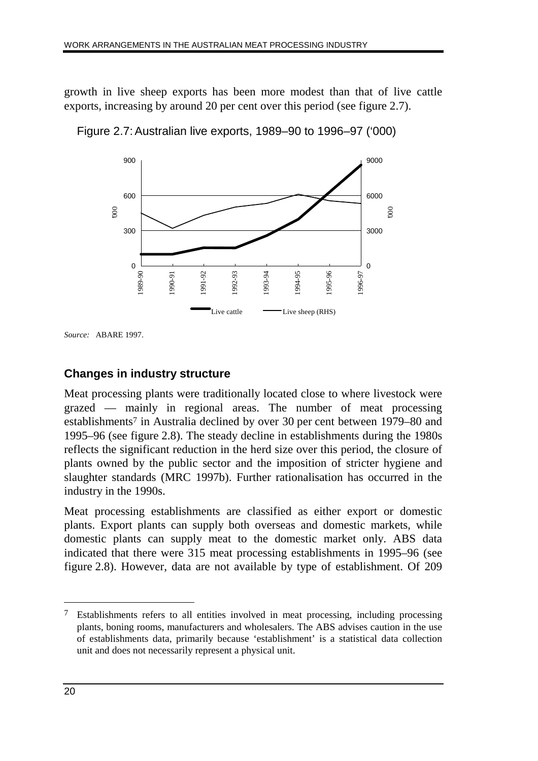growth in live sheep exports has been more modest than that of live cattle exports, increasing by around 20 per cent over this period (see figure 2.7).





*Source:* ABARE 1997.

#### **Changes in industry structure**

Meat processing plants were traditionally located close to where livestock were grazed — mainly in regional areas. The number of meat processing establishments7 in Australia declined by over 30 per cent between 1979–80 and 1995–96 (see figure 2.8). The steady decline in establishments during the 1980s reflects the significant reduction in the herd size over this period, the closure of plants owned by the public sector and the imposition of stricter hygiene and slaughter standards (MRC 1997b). Further rationalisation has occurred in the industry in the 1990s.

Meat processing establishments are classified as either export or domestic plants. Export plants can supply both overseas and domestic markets, while domestic plants can supply meat to the domestic market only. ABS data indicated that there were 315 meat processing establishments in 1995–96 (see figure 2.8). However, data are not available by type of establishment. Of 209

 $\overline{a}$ 

<sup>7</sup> Establishments refers to all entities involved in meat processing, including processing plants, boning rooms, manufacturers and wholesalers. The ABS advises caution in the use of establishments data, primarily because 'establishment' is a statistical data collection unit and does not necessarily represent a physical unit.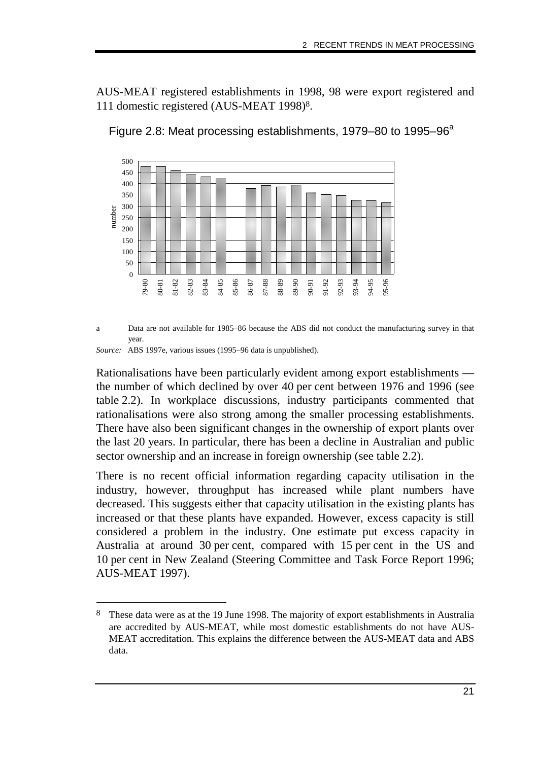AUS-MEAT registered establishments in 1998, 98 were export registered and 111 domestic registered (AUS-MEAT 1998)8.





a Data are not available for 1985–86 because the ABS did not conduct the manufacturing survey in that year.

*Source:* ABS 1997e, various issues (1995–96 data is unpublished).

-

Rationalisations have been particularly evident among export establishments the number of which declined by over 40 per cent between 1976 and 1996 (see table 2.2). In workplace discussions, industry participants commented that rationalisations were also strong among the smaller processing establishments. There have also been significant changes in the ownership of export plants over the last 20 years. In particular, there has been a decline in Australian and public sector ownership and an increase in foreign ownership (see table 2.2).

There is no recent official information regarding capacity utilisation in the industry, however, throughput has increased while plant numbers have decreased. This suggests either that capacity utilisation in the existing plants has increased or that these plants have expanded. However, excess capacity is still considered a problem in the industry. One estimate put excess capacity in Australia at around 30 per cent, compared with 15 per cent in the US and 10 per cent in New Zealand (Steering Committee and Task Force Report 1996; AUS-MEAT 1997).

<sup>8</sup> These data were as at the 19 June 1998. The majority of export establishments in Australia are accredited by AUS-MEAT, while most domestic establishments do not have AUS-MEAT accreditation. This explains the difference between the AUS-MEAT data and ABS data.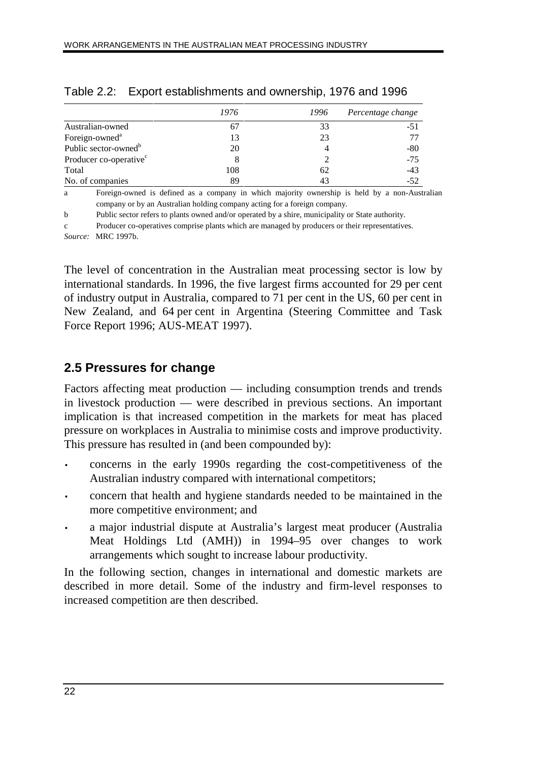|                                    | 1976 | 1996 | Percentage change |
|------------------------------------|------|------|-------------------|
| Australian-owned                   |      | 33   | $-51$             |
| Foreign-owned <sup>a</sup>         | 13   | 23   |                   |
| Public sector-owned <sup>b</sup>   | 20   |      | $-80$             |
| Producer co-operative <sup>c</sup> | 8    |      | $-75$             |
| Total                              | 108  | 62   | $-43$             |
| No. of companies                   | 89   | 43   | $-52$             |

#### Table 2.2: Export establishments and ownership, 1976 and 1996

a Foreign-owned is defined as a company in which majority ownership is held by a non-Australian company or by an Australian holding company acting for a foreign company.

b Public sector refers to plants owned and/or operated by a shire, municipality or State authority.

c Producer co-operatives comprise plants which are managed by producers or their representatives.

*Source:* MRC 1997b.

The level of concentration in the Australian meat processing sector is low by international standards. In 1996, the five largest firms accounted for 29 per cent of industry output in Australia, compared to 71 per cent in the US, 60 per cent in New Zealand, and 64 per cent in Argentina (Steering Committee and Task Force Report 1996; AUS-MEAT 1997).

# **2.5 Pressures for change**

Factors affecting meat production — including consumption trends and trends in livestock production — were described in previous sections. An important implication is that increased competition in the markets for meat has placed pressure on workplaces in Australia to minimise costs and improve productivity. This pressure has resulted in (and been compounded by):

- concerns in the early 1990s regarding the cost-competitiveness of the Australian industry compared with international competitors;
- concern that health and hygiene standards needed to be maintained in the more competitive environment; and
- a major industrial dispute at Australia's largest meat producer (Australia Meat Holdings Ltd (AMH)) in 1994–95 over changes to work arrangements which sought to increase labour productivity.

In the following section, changes in international and domestic markets are described in more detail. Some of the industry and firm-level responses to increased competition are then described.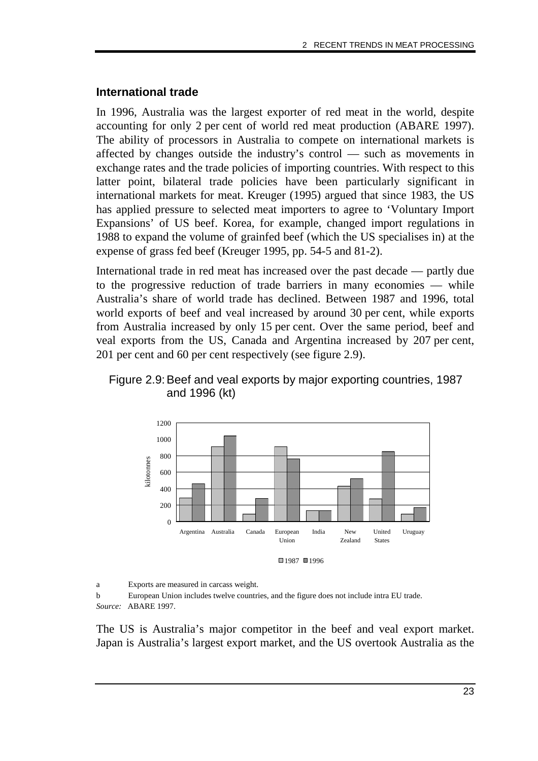#### **International trade**

In 1996, Australia was the largest exporter of red meat in the world, despite accounting for only 2 per cent of world red meat production (ABARE 1997). The ability of processors in Australia to compete on international markets is affected by changes outside the industry's control — such as movements in exchange rates and the trade policies of importing countries. With respect to this latter point, bilateral trade policies have been particularly significant in international markets for meat. Kreuger (1995) argued that since 1983, the US has applied pressure to selected meat importers to agree to 'Voluntary Import Expansions' of US beef. Korea, for example, changed import regulations in 1988 to expand the volume of grainfed beef (which the US specialises in) at the expense of grass fed beef (Kreuger 1995, pp. 54-5 and 81-2).

International trade in red meat has increased over the past decade — partly due to the progressive reduction of trade barriers in many economies — while Australia's share of world trade has declined. Between 1987 and 1996, total world exports of beef and veal increased by around 30 per cent, while exports from Australia increased by only 15 per cent. Over the same period, beef and veal exports from the US, Canada and Argentina increased by 207 per cent, 201 per cent and 60 per cent respectively (see figure 2.9).





a Exports are measured in carcass weight.

b European Union includes twelve countries, and the figure does not include intra EU trade. *Source:* ABARE 1997.

The US is Australia's major competitor in the beef and veal export market. Japan is Australia's largest export market, and the US overtook Australia as the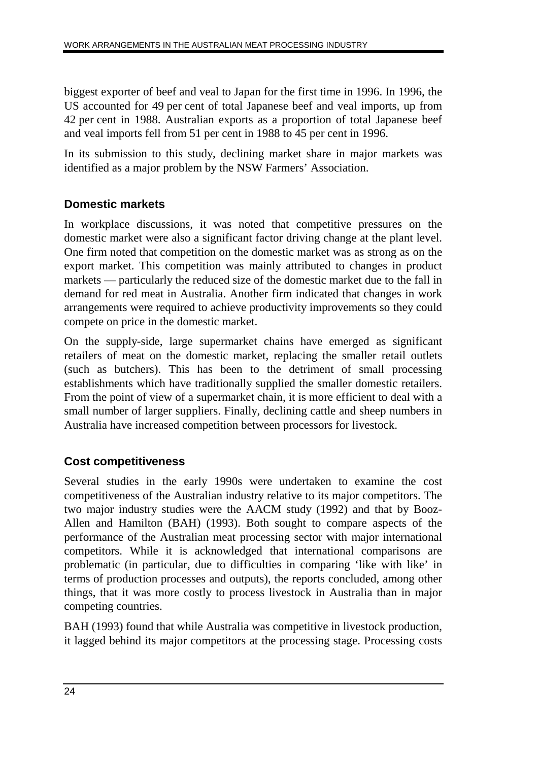biggest exporter of beef and veal to Japan for the first time in 1996. In 1996, the US accounted for 49 per cent of total Japanese beef and veal imports, up from 42 per cent in 1988. Australian exports as a proportion of total Japanese beef and veal imports fell from 51 per cent in 1988 to 45 per cent in 1996.

In its submission to this study, declining market share in major markets was identified as a major problem by the NSW Farmers' Association.

# **Domestic markets**

In workplace discussions, it was noted that competitive pressures on the domestic market were also a significant factor driving change at the plant level. One firm noted that competition on the domestic market was as strong as on the export market. This competition was mainly attributed to changes in product markets — particularly the reduced size of the domestic market due to the fall in demand for red meat in Australia. Another firm indicated that changes in work arrangements were required to achieve productivity improvements so they could compete on price in the domestic market.

On the supply-side, large supermarket chains have emerged as significant retailers of meat on the domestic market, replacing the smaller retail outlets (such as butchers). This has been to the detriment of small processing establishments which have traditionally supplied the smaller domestic retailers. From the point of view of a supermarket chain, it is more efficient to deal with a small number of larger suppliers. Finally, declining cattle and sheep numbers in Australia have increased competition between processors for livestock.

# **Cost competitiveness**

Several studies in the early 1990s were undertaken to examine the cost competitiveness of the Australian industry relative to its major competitors. The two major industry studies were the AACM study (1992) and that by Booz-Allen and Hamilton (BAH) (1993). Both sought to compare aspects of the performance of the Australian meat processing sector with major international competitors. While it is acknowledged that international comparisons are problematic (in particular, due to difficulties in comparing 'like with like' in terms of production processes and outputs), the reports concluded, among other things, that it was more costly to process livestock in Australia than in major competing countries.

BAH (1993) found that while Australia was competitive in livestock production, it lagged behind its major competitors at the processing stage. Processing costs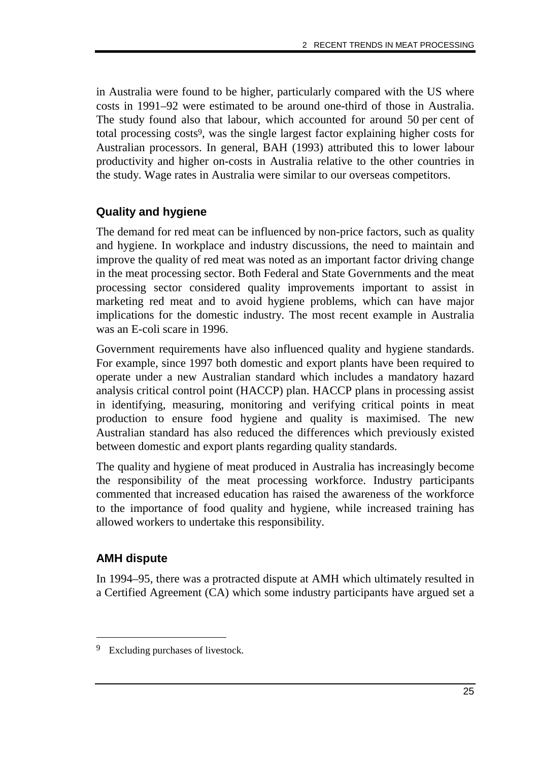in Australia were found to be higher, particularly compared with the US where costs in 1991–92 were estimated to be around one-third of those in Australia. The study found also that labour, which accounted for around 50 per cent of total processing costs9, was the single largest factor explaining higher costs for Australian processors. In general, BAH (1993) attributed this to lower labour productivity and higher on-costs in Australia relative to the other countries in the study. Wage rates in Australia were similar to our overseas competitors.

#### **Quality and hygiene**

The demand for red meat can be influenced by non-price factors, such as quality and hygiene. In workplace and industry discussions, the need to maintain and improve the quality of red meat was noted as an important factor driving change in the meat processing sector. Both Federal and State Governments and the meat processing sector considered quality improvements important to assist in marketing red meat and to avoid hygiene problems, which can have major implications for the domestic industry. The most recent example in Australia was an E-coli scare in 1996.

Government requirements have also influenced quality and hygiene standards. For example, since 1997 both domestic and export plants have been required to operate under a new Australian standard which includes a mandatory hazard analysis critical control point (HACCP) plan. HACCP plans in processing assist in identifying, measuring, monitoring and verifying critical points in meat production to ensure food hygiene and quality is maximised. The new Australian standard has also reduced the differences which previously existed between domestic and export plants regarding quality standards.

The quality and hygiene of meat produced in Australia has increasingly become the responsibility of the meat processing workforce. Industry participants commented that increased education has raised the awareness of the workforce to the importance of food quality and hygiene, while increased training has allowed workers to undertake this responsibility.

### **AMH dispute**

-

In 1994–95, there was a protracted dispute at AMH which ultimately resulted in a Certified Agreement (CA) which some industry participants have argued set a

<sup>9</sup> Excluding purchases of livestock.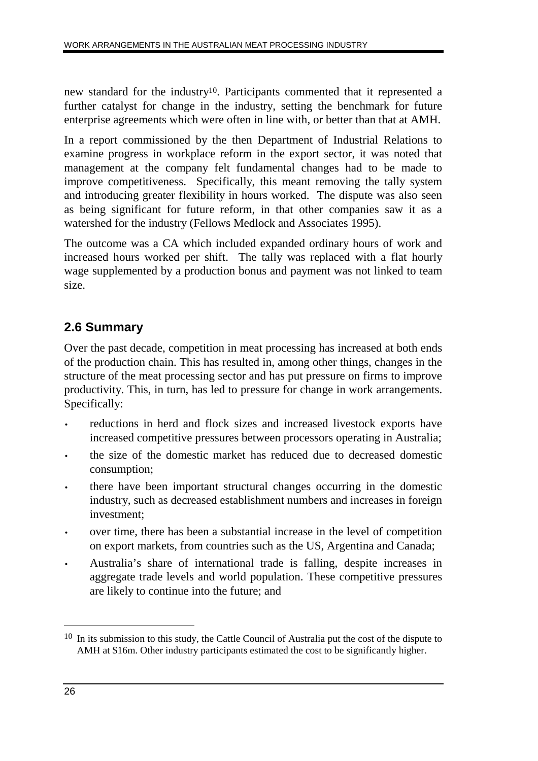new standard for the industry10. Participants commented that it represented a further catalyst for change in the industry, setting the benchmark for future enterprise agreements which were often in line with, or better than that at AMH.

In a report commissioned by the then Department of Industrial Relations to examine progress in workplace reform in the export sector, it was noted that management at the company felt fundamental changes had to be made to improve competitiveness. Specifically, this meant removing the tally system and introducing greater flexibility in hours worked. The dispute was also seen as being significant for future reform, in that other companies saw it as a watershed for the industry (Fellows Medlock and Associates 1995).

The outcome was a CA which included expanded ordinary hours of work and increased hours worked per shift. The tally was replaced with a flat hourly wage supplemented by a production bonus and payment was not linked to team size.

# **2.6 Summary**

Over the past decade, competition in meat processing has increased at both ends of the production chain. This has resulted in, among other things, changes in the structure of the meat processing sector and has put pressure on firms to improve productivity. This, in turn, has led to pressure for change in work arrangements. Specifically:

- reductions in herd and flock sizes and increased livestock exports have increased competitive pressures between processors operating in Australia;
- the size of the domestic market has reduced due to decreased domestic consumption;
- there have been important structural changes occurring in the domestic industry, such as decreased establishment numbers and increases in foreign investment;
- over time, there has been a substantial increase in the level of competition on export markets, from countries such as the US, Argentina and Canada;
- Australia's share of international trade is falling, despite increases in aggregate trade levels and world population. These competitive pressures are likely to continue into the future; and

 $\overline{a}$ 

<sup>&</sup>lt;sup>10</sup> In its submission to this study, the Cattle Council of Australia put the cost of the dispute to AMH at \$16m. Other industry participants estimated the cost to be significantly higher.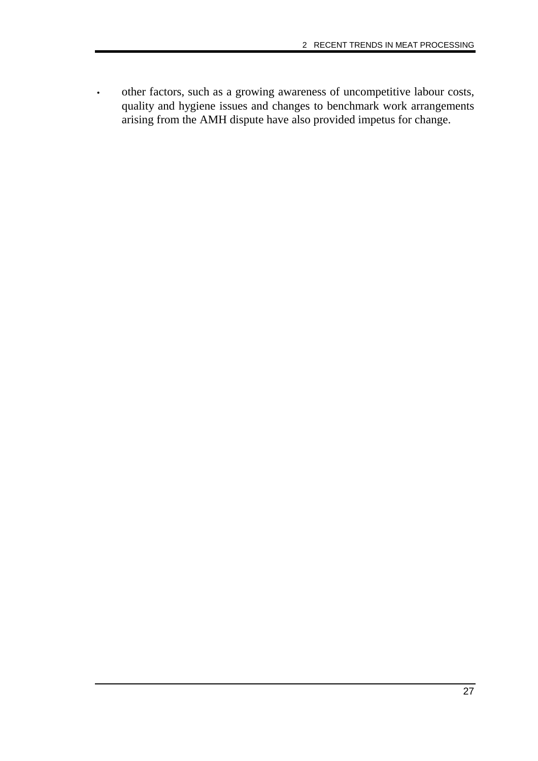• other factors, such as a growing awareness of uncompetitive labour costs, quality and hygiene issues and changes to benchmark work arrangements arising from the AMH dispute have also provided impetus for change.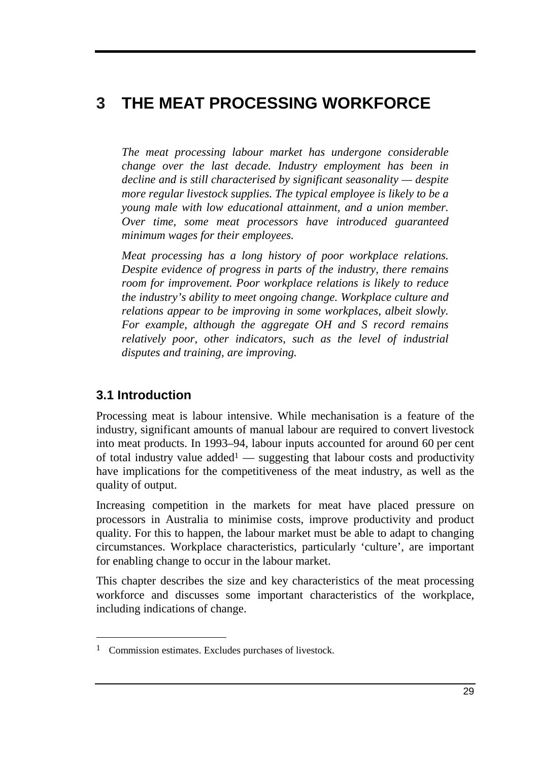# **3 THE MEAT PROCESSING WORKFORCE**

*The meat processing labour market has undergone considerable change over the last decade. Industry employment has been in decline and is still characterised by significant seasonality — despite more regular livestock supplies. The typical employee is likely to be a young male with low educational attainment, and a union member. Over time, some meat processors have introduced guaranteed minimum wages for their employees.*

*Meat processing has a long history of poor workplace relations. Despite evidence of progress in parts of the industry, there remains room for improvement. Poor workplace relations is likely to reduce the industry's ability to meet ongoing change. Workplace culture and relations appear to be improving in some workplaces, albeit slowly. For example, although the aggregate OH and S record remains relatively poor, other indicators, such as the level of industrial disputes and training, are improving.*

# **3.1 Introduction**

-

Processing meat is labour intensive. While mechanisation is a feature of the industry, significant amounts of manual labour are required to convert livestock into meat products. In 1993–94, labour inputs accounted for around 60 per cent of total industry value added<sup>1</sup> — suggesting that labour costs and productivity have implications for the competitiveness of the meat industry, as well as the quality of output.

Increasing competition in the markets for meat have placed pressure on processors in Australia to minimise costs, improve productivity and product quality. For this to happen, the labour market must be able to adapt to changing circumstances. Workplace characteristics, particularly 'culture', are important for enabling change to occur in the labour market.

This chapter describes the size and key characteristics of the meat processing workforce and discusses some important characteristics of the workplace, including indications of change.

<sup>1</sup> Commission estimates. Excludes purchases of livestock.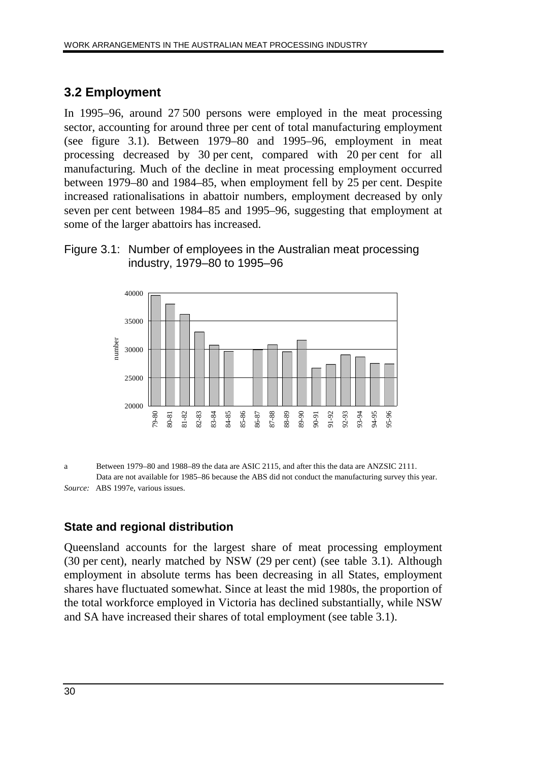## **3.2 Employment**

In 1995–96, around 27 500 persons were employed in the meat processing sector, accounting for around three per cent of total manufacturing employment (see figure 3.1). Between 1979–80 and 1995–96, employment in meat processing decreased by 30 per cent, compared with 20 per cent for all manufacturing. Much of the decline in meat processing employment occurred between 1979–80 and 1984–85, when employment fell by 25 per cent. Despite increased rationalisations in abattoir numbers, employment decreased by only seven per cent between 1984–85 and 1995–96, suggesting that employment at some of the larger abattoirs has increased.

#### Figure 3.1: Number of employees in the Australian meat processing industry, 1979–80 to 1995–96



a Between 1979–80 and 1988–89 the data are ASIC 2115, and after this the data are ANZSIC 2111. Data are not available for 1985–86 because the ABS did not conduct the manufacturing survey this year. *Source:* ABS 1997e, various issues.

### **State and regional distribution**

Queensland accounts for the largest share of meat processing employment (30 per cent), nearly matched by NSW (29 per cent) (see table 3.1). Although employment in absolute terms has been decreasing in all States, employment shares have fluctuated somewhat. Since at least the mid 1980s, the proportion of the total workforce employed in Victoria has declined substantially, while NSW and SA have increased their shares of total employment (see table 3.1).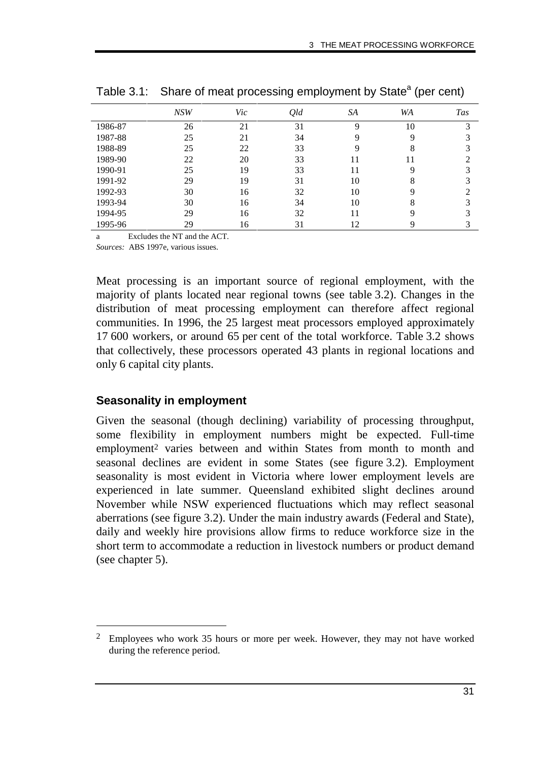|         | NSW | Vic | Qld | SA | <b>WA</b> | <b>Tas</b> |
|---------|-----|-----|-----|----|-----------|------------|
| 1986-87 | 26  | 21  | 31  | Q  | 10        | 3          |
| 1987-88 | 25  | 21  | 34  | Q  | 9         |            |
| 1988-89 | 25  | 22  | 33  | Q  | 8         |            |
| 1989-90 | 22  | 20  | 33  | 11 | 11        |            |
| 1990-91 | 25  | 19  | 33  | 11 | 9         |            |
| 1991-92 | 29  | 19  | 31  | 10 | 8         |            |
| 1992-93 | 30  | 16  | 32  | 10 | 9         |            |
| 1993-94 | 30  | 16  | 34  | 10 | 8         | 3          |
| 1994-95 | 29  | 16  | 32  | 11 | 9         |            |
| 1995-96 | 29  | 16  | 31  | 12 | 9         |            |

Table 3.1: Share of meat processing employment by State<sup>a</sup> (per cent)

a Excludes the NT and the ACT.

*Sources:* ABS 1997e, various issues.

Meat processing is an important source of regional employment, with the majority of plants located near regional towns (see table 3.2). Changes in the distribution of meat processing employment can therefore affect regional communities. In 1996, the 25 largest meat processors employed approximately 17 600 workers, or around 65 per cent of the total workforce. Table 3.2 shows that collectively, these processors operated 43 plants in regional locations and only 6 capital city plants.

#### **Seasonality in employment**

-

Given the seasonal (though declining) variability of processing throughput, some flexibility in employment numbers might be expected. Full-time employment2 varies between and within States from month to month and seasonal declines are evident in some States (see figure 3.2). Employment seasonality is most evident in Victoria where lower employment levels are experienced in late summer. Queensland exhibited slight declines around November while NSW experienced fluctuations which may reflect seasonal aberrations (see figure 3.2). Under the main industry awards (Federal and State), daily and weekly hire provisions allow firms to reduce workforce size in the short term to accommodate a reduction in livestock numbers or product demand (see chapter 5).

<sup>2</sup> Employees who work 35 hours or more per week. However, they may not have worked during the reference period.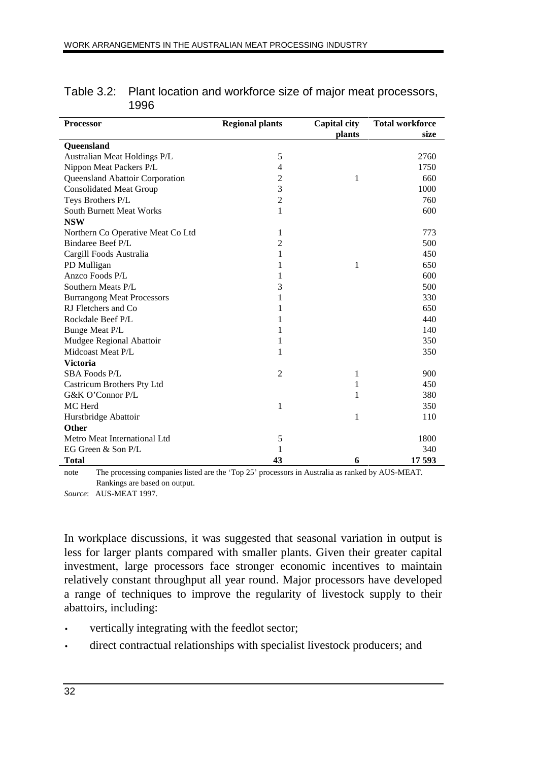| <b>Processor</b>                  | <b>Regional plants</b> | Capital city  | <b>Total workforce</b> |  |
|-----------------------------------|------------------------|---------------|------------------------|--|
| Queensland                        |                        | <b>plants</b> | size                   |  |
| Australian Meat Holdings P/L      | 5                      |               | 2760                   |  |
| Nippon Meat Packers P/L           | 4                      |               | 1750                   |  |
| Queensland Abattoir Corporation   | 2                      | 1             | 660                    |  |
| <b>Consolidated Meat Group</b>    | 3                      |               | 1000                   |  |
| Teys Brothers P/L                 | $\overline{c}$         |               | 760                    |  |
| <b>South Burnett Meat Works</b>   | 1                      |               | 600                    |  |
| <b>NSW</b>                        |                        |               |                        |  |
| Northern Co Operative Meat Co Ltd | 1                      |               | 773                    |  |
| Bindaree Beef P/L                 | 2                      |               | 500                    |  |
| Cargill Foods Australia           | 1                      |               | 450                    |  |
| PD Mulligan                       | 1                      | 1             | 650                    |  |
| Anzco Foods P/L                   |                        |               | 600                    |  |
| Southern Meats P/L                | 3                      |               | 500                    |  |
| <b>Burrangong Meat Processors</b> | 1                      |               | 330                    |  |
| RJ Fletchers and Co               | 1                      |               | 650                    |  |
| Rockdale Beef P/L                 | 1                      |               | 440                    |  |
| Bunge Meat P/L                    | 1                      |               | 140                    |  |
| Mudgee Regional Abattoir          | 1                      |               | 350                    |  |
| Midcoast Meat P/L                 | 1                      |               | 350                    |  |
| <b>Victoria</b>                   |                        |               |                        |  |
| <b>SBA Foods P/L</b>              | $\overline{2}$         | 1             | 900                    |  |
| Castricum Brothers Pty Ltd        |                        | 1             | 450                    |  |
| G&K O'Connor P/L                  |                        | 1             | 380                    |  |
| MC Herd                           | 1                      |               | 350                    |  |
| Hurstbridge Abattoir              |                        | 1             | 110                    |  |
| Other                             |                        |               |                        |  |
| Metro Meat International Ltd      | 5                      |               | 1800                   |  |
| EG Green & Son P/L                | 1                      |               | 340                    |  |
| <b>Total</b>                      | 43                     | 6             | 17 593                 |  |

| Table 3.2: Plant location and workforce size of major meat processors, |
|------------------------------------------------------------------------|
| 1996                                                                   |

note The processing companies listed are the 'Top 25' processors in Australia as ranked by AUS-MEAT. Rankings are based on output.

*Source*: AUS-MEAT 1997.

In workplace discussions, it was suggested that seasonal variation in output is less for larger plants compared with smaller plants. Given their greater capital investment, large processors face stronger economic incentives to maintain relatively constant throughput all year round. Major processors have developed a range of techniques to improve the regularity of livestock supply to their abattoirs, including:

- vertically integrating with the feedlot sector;
- direct contractual relationships with specialist livestock producers; and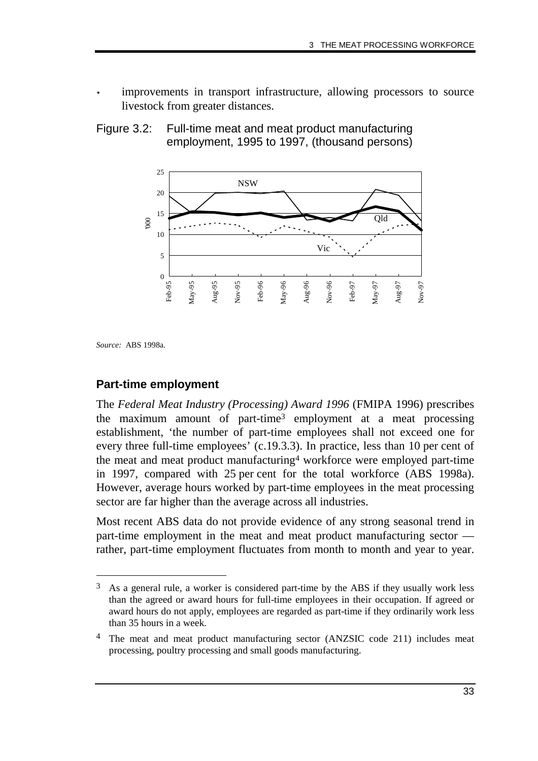improvements in transport infrastructure, allowing processors to source livestock from greater distances.





*Source:* ABS 1998a.

-

#### **Part-time employment**

The *Federal Meat Industry (Processing) Award 1996* (FMIPA 1996) prescribes the maximum amount of part-time3 employment at a meat processing establishment, 'the number of part-time employees shall not exceed one for every three full-time employees' (c.19.3.3). In practice, less than 10 per cent of the meat and meat product manufacturing4 workforce were employed part-time in 1997, compared with 25 per cent for the total workforce (ABS 1998a). However, average hours worked by part-time employees in the meat processing sector are far higher than the average across all industries.

Most recent ABS data do not provide evidence of any strong seasonal trend in part-time employment in the meat and meat product manufacturing sector rather, part-time employment fluctuates from month to month and year to year.

<sup>3</sup> As a general rule, a worker is considered part-time by the ABS if they usually work less than the agreed or award hours for full-time employees in their occupation. If agreed or award hours do not apply, employees are regarded as part-time if they ordinarily work less than 35 hours in a week.

<sup>4</sup> The meat and meat product manufacturing sector (ANZSIC code 211) includes meat processing, poultry processing and small goods manufacturing.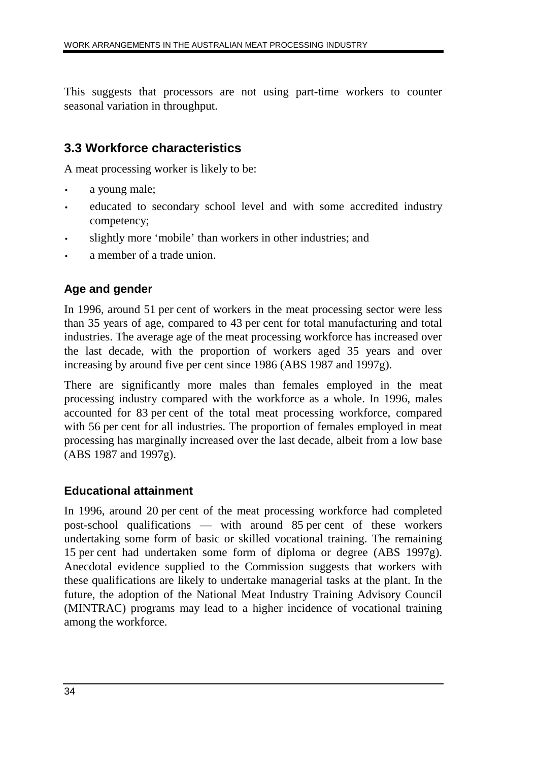This suggests that processors are not using part-time workers to counter seasonal variation in throughput.

# **3.3 Workforce characteristics**

A meat processing worker is likely to be:

- a young male;
- educated to secondary school level and with some accredited industry competency;
- slightly more 'mobile' than workers in other industries; and
- a member of a trade union.

### **Age and gender**

In 1996, around 51 per cent of workers in the meat processing sector were less than 35 years of age, compared to 43 per cent for total manufacturing and total industries. The average age of the meat processing workforce has increased over the last decade, with the proportion of workers aged 35 years and over increasing by around five per cent since 1986 (ABS 1987 and 1997g).

There are significantly more males than females employed in the meat processing industry compared with the workforce as a whole. In 1996, males accounted for 83 per cent of the total meat processing workforce, compared with 56 per cent for all industries. The proportion of females employed in meat processing has marginally increased over the last decade, albeit from a low base (ABS 1987 and 1997g).

#### **Educational attainment**

In 1996, around 20 per cent of the meat processing workforce had completed post-school qualifications — with around 85 per cent of these workers undertaking some form of basic or skilled vocational training. The remaining 15 per cent had undertaken some form of diploma or degree (ABS 1997g). Anecdotal evidence supplied to the Commission suggests that workers with these qualifications are likely to undertake managerial tasks at the plant. In the future, the adoption of the National Meat Industry Training Advisory Council (MINTRAC) programs may lead to a higher incidence of vocational training among the workforce.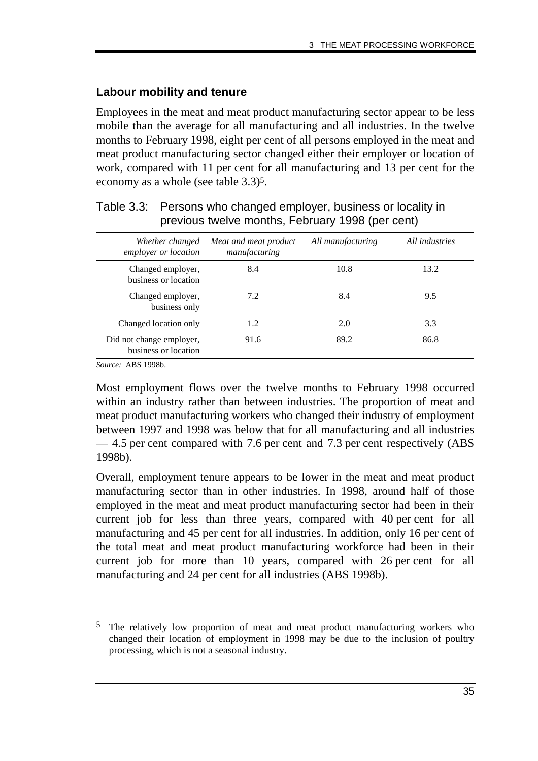#### **Labour mobility and tenure**

Employees in the meat and meat product manufacturing sector appear to be less mobile than the average for all manufacturing and all industries. In the twelve months to February 1998, eight per cent of all persons employed in the meat and meat product manufacturing sector changed either their employer or location of work, compared with 11 per cent for all manufacturing and 13 per cent for the economy as a whole (see table 3.3)5.

| Whether changed<br>employer or location          | Meat and meat product<br>manufacturing | All manufacturing | All industries |
|--------------------------------------------------|----------------------------------------|-------------------|----------------|
| Changed employer,<br>business or location        | 8.4                                    | 10.8              | 13.2           |
| Changed employer,<br>business only               | 7.2                                    | 8.4               | 9.5            |
| Changed location only                            | 1.2                                    | 2.0               | 3.3            |
| Did not change employer,<br>business or location | 91.6                                   | 89.2              | 86.8           |

| Table 3.3: Persons who changed employer, business or locality in |
|------------------------------------------------------------------|
| previous twelve months, February 1998 (per cent)                 |

*Source:* ABS 1998b.

-

Most employment flows over the twelve months to February 1998 occurred within an industry rather than between industries. The proportion of meat and meat product manufacturing workers who changed their industry of employment between 1997 and 1998 was below that for all manufacturing and all industries — 4.5 per cent compared with 7.6 per cent and 7.3 per cent respectively (ABS 1998b).

Overall, employment tenure appears to be lower in the meat and meat product manufacturing sector than in other industries. In 1998, around half of those employed in the meat and meat product manufacturing sector had been in their current job for less than three years, compared with 40 per cent for all manufacturing and 45 per cent for all industries. In addition, only 16 per cent of the total meat and meat product manufacturing workforce had been in their current job for more than 10 years, compared with 26 per cent for all manufacturing and 24 per cent for all industries (ABS 1998b).

<sup>5</sup> The relatively low proportion of meat and meat product manufacturing workers who changed their location of employment in 1998 may be due to the inclusion of poultry processing, which is not a seasonal industry.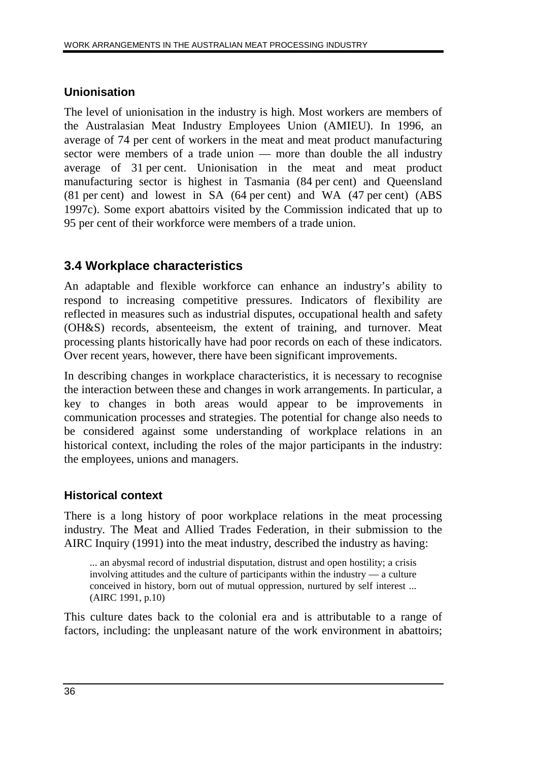#### **Unionisation**

The level of unionisation in the industry is high. Most workers are members of the Australasian Meat Industry Employees Union (AMIEU). In 1996, an average of 74 per cent of workers in the meat and meat product manufacturing sector were members of a trade union — more than double the all industry average of 31 per cent. Unionisation in the meat and meat product manufacturing sector is highest in Tasmania (84 per cent) and Queensland (81 per cent) and lowest in SA (64 per cent) and WA (47 per cent) (ABS 1997c). Some export abattoirs visited by the Commission indicated that up to 95 per cent of their workforce were members of a trade union.

# **3.4 Workplace characteristics**

An adaptable and flexible workforce can enhance an industry's ability to respond to increasing competitive pressures. Indicators of flexibility are reflected in measures such as industrial disputes, occupational health and safety (OH&S) records, absenteeism, the extent of training, and turnover. Meat processing plants historically have had poor records on each of these indicators. Over recent years, however, there have been significant improvements.

In describing changes in workplace characteristics, it is necessary to recognise the interaction between these and changes in work arrangements. In particular, a key to changes in both areas would appear to be improvements in communication processes and strategies. The potential for change also needs to be considered against some understanding of workplace relations in an historical context, including the roles of the major participants in the industry: the employees, unions and managers.

### **Historical context**

There is a long history of poor workplace relations in the meat processing industry. The Meat and Allied Trades Federation, in their submission to the AIRC Inquiry (1991) into the meat industry, described the industry as having:

... an abysmal record of industrial disputation, distrust and open hostility; a crisis involving attitudes and the culture of participants within the industry — a culture conceived in history, born out of mutual oppression, nurtured by self interest ... (AIRC 1991, p.10)

This culture dates back to the colonial era and is attributable to a range of factors, including: the unpleasant nature of the work environment in abattoirs;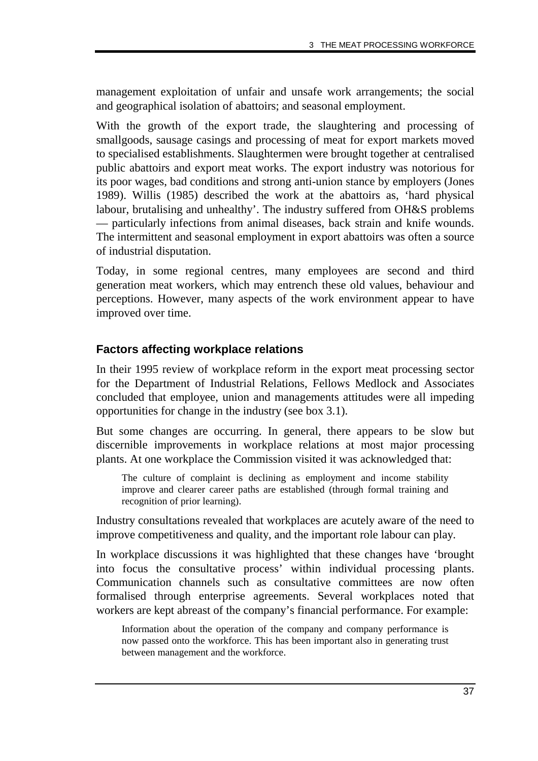management exploitation of unfair and unsafe work arrangements; the social and geographical isolation of abattoirs; and seasonal employment.

With the growth of the export trade, the slaughtering and processing of smallgoods, sausage casings and processing of meat for export markets moved to specialised establishments. Slaughtermen were brought together at centralised public abattoirs and export meat works. The export industry was notorious for its poor wages, bad conditions and strong anti-union stance by employers (Jones 1989). Willis (1985) described the work at the abattoirs as, 'hard physical labour, brutalising and unhealthy'. The industry suffered from OH&S problems — particularly infections from animal diseases, back strain and knife wounds. The intermittent and seasonal employment in export abattoirs was often a source of industrial disputation.

Today, in some regional centres, many employees are second and third generation meat workers, which may entrench these old values, behaviour and perceptions. However, many aspects of the work environment appear to have improved over time.

### **Factors affecting workplace relations**

In their 1995 review of workplace reform in the export meat processing sector for the Department of Industrial Relations, Fellows Medlock and Associates concluded that employee, union and managements attitudes were all impeding opportunities for change in the industry (see box 3.1).

But some changes are occurring. In general, there appears to be slow but discernible improvements in workplace relations at most major processing plants. At one workplace the Commission visited it was acknowledged that:

The culture of complaint is declining as employment and income stability improve and clearer career paths are established (through formal training and recognition of prior learning).

Industry consultations revealed that workplaces are acutely aware of the need to improve competitiveness and quality, and the important role labour can play.

In workplace discussions it was highlighted that these changes have 'brought into focus the consultative process' within individual processing plants. Communication channels such as consultative committees are now often formalised through enterprise agreements. Several workplaces noted that workers are kept abreast of the company's financial performance. For example:

Information about the operation of the company and company performance is now passed onto the workforce. This has been important also in generating trust between management and the workforce.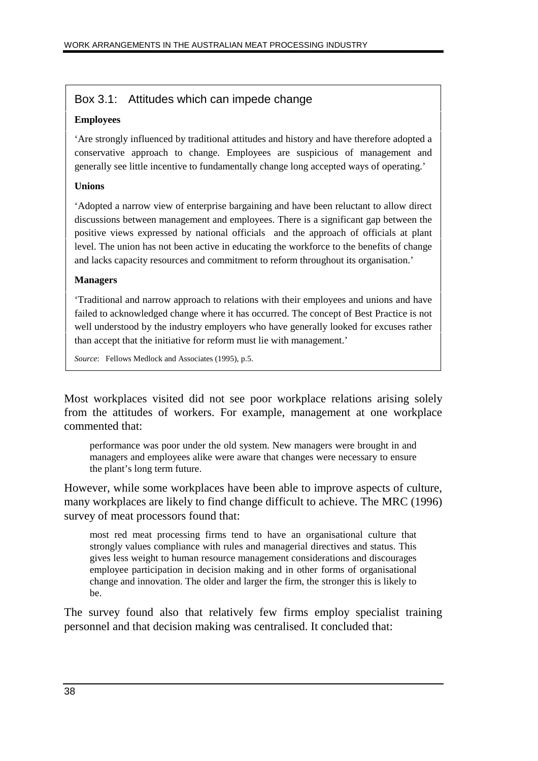#### Box 3.1: Attitudes which can impede change

#### **Employees**

'Are strongly influenced by traditional attitudes and history and have therefore adopted a conservative approach to change. Employees are suspicious of management and generally see little incentive to fundamentally change long accepted ways of operating.'

#### **Unions**

'Adopted a narrow view of enterprise bargaining and have been reluctant to allow direct discussions between management and employees. There is a significant gap between the positive views expressed by national officials and the approach of officials at plant level. The union has not been active in educating the workforce to the benefits of change and lacks capacity resources and commitment to reform throughout its organisation.'

#### **Managers**

'Traditional and narrow approach to relations with their employees and unions and have failed to acknowledged change where it has occurred. The concept of Best Practice is not well understood by the industry employers who have generally looked for excuses rather than accept that the initiative for reform must lie with management.'

*Source*: Fellows Medlock and Associates (1995), p.5.

Most workplaces visited did not see poor workplace relations arising solely from the attitudes of workers. For example, management at one workplace commented that:

performance was poor under the old system. New managers were brought in and managers and employees alike were aware that changes were necessary to ensure the plant's long term future.

However, while some workplaces have been able to improve aspects of culture, many workplaces are likely to find change difficult to achieve. The MRC (1996) survey of meat processors found that:

most red meat processing firms tend to have an organisational culture that strongly values compliance with rules and managerial directives and status. This gives less weight to human resource management considerations and discourages employee participation in decision making and in other forms of organisational change and innovation. The older and larger the firm, the stronger this is likely to be.

The survey found also that relatively few firms employ specialist training personnel and that decision making was centralised. It concluded that: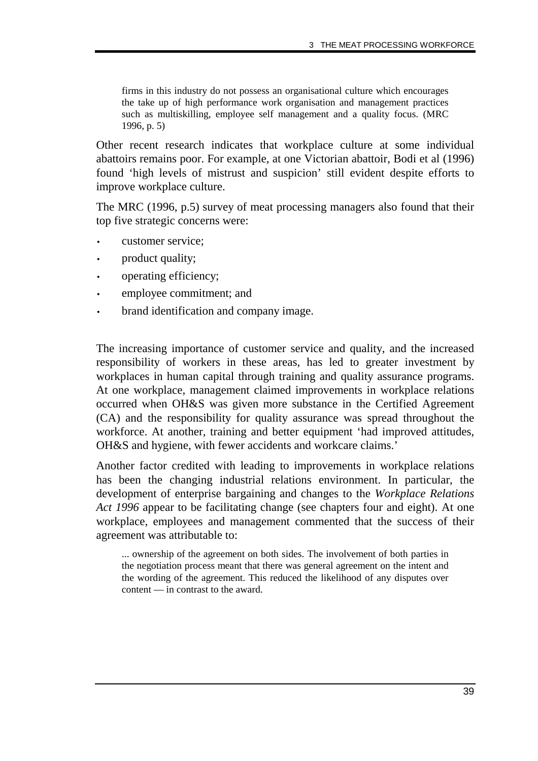firms in this industry do not possess an organisational culture which encourages the take up of high performance work organisation and management practices such as multiskilling, employee self management and a quality focus. (MRC 1996, p. 5)

Other recent research indicates that workplace culture at some individual abattoirs remains poor. For example, at one Victorian abattoir, Bodi et al (1996) found 'high levels of mistrust and suspicion' still evident despite efforts to improve workplace culture.

The MRC (1996, p.5) survey of meat processing managers also found that their top five strategic concerns were:

- customer service:
- product quality;
- operating efficiency;
- employee commitment; and
- brand identification and company image.

The increasing importance of customer service and quality, and the increased responsibility of workers in these areas, has led to greater investment by workplaces in human capital through training and quality assurance programs. At one workplace, management claimed improvements in workplace relations occurred when OH&S was given more substance in the Certified Agreement (CA) and the responsibility for quality assurance was spread throughout the workforce. At another, training and better equipment 'had improved attitudes, OH&S and hygiene, with fewer accidents and workcare claims.'

Another factor credited with leading to improvements in workplace relations has been the changing industrial relations environment. In particular, the development of enterprise bargaining and changes to the *Workplace Relations Act 1996* appear to be facilitating change (see chapters four and eight). At one workplace, employees and management commented that the success of their agreement was attributable to:

... ownership of the agreement on both sides. The involvement of both parties in the negotiation process meant that there was general agreement on the intent and the wording of the agreement. This reduced the likelihood of any disputes over content — in contrast to the award.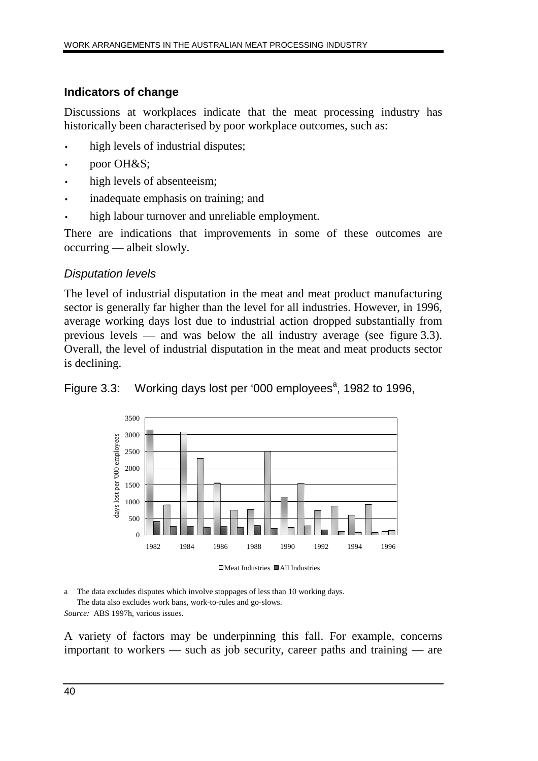## **Indicators of change**

Discussions at workplaces indicate that the meat processing industry has historically been characterised by poor workplace outcomes, such as:

- high levels of industrial disputes;
- poor OH&S;
- high levels of absenteeism;
- inadequate emphasis on training; and
- high labour turnover and unreliable employment.

There are indications that improvements in some of these outcomes are occurring — albeit slowly.

# Disputation levels

The level of industrial disputation in the meat and meat product manufacturing sector is generally far higher than the level for all industries. However, in 1996, average working days lost due to industrial action dropped substantially from previous levels — and was below the all industry average (see figure 3.3). Overall, the level of industrial disputation in the meat and meat products sector is declining.

Figure 3.3: Working days lost per '000 employees<sup>a</sup>, 1982 to 1996,



Meat Industries All Industries

a The data excludes disputes which involve stoppages of less than 10 working days. The data also excludes work bans, work-to-rules and go-slows.

*Source:* ABS 1997h, various issues.

A variety of factors may be underpinning this fall. For example, concerns important to workers — such as job security, career paths and training — are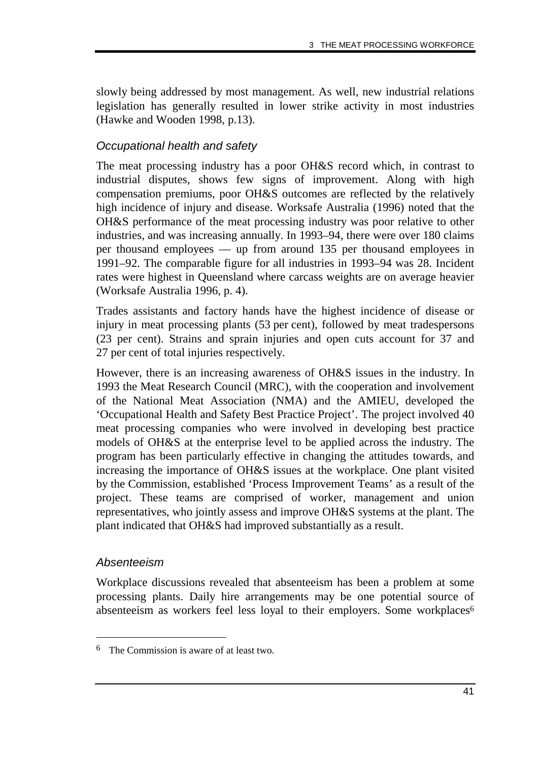slowly being addressed by most management. As well, new industrial relations legislation has generally resulted in lower strike activity in most industries (Hawke and Wooden 1998, p.13).

#### Occupational health and safety

The meat processing industry has a poor OH&S record which, in contrast to industrial disputes, shows few signs of improvement. Along with high compensation premiums, poor OH&S outcomes are reflected by the relatively high incidence of injury and disease. Worksafe Australia (1996) noted that the OH&S performance of the meat processing industry was poor relative to other industries, and was increasing annually. In 1993–94, there were over 180 claims per thousand employees — up from around 135 per thousand employees in 1991–92. The comparable figure for all industries in 1993–94 was 28. Incident rates were highest in Queensland where carcass weights are on average heavier (Worksafe Australia 1996, p. 4).

Trades assistants and factory hands have the highest incidence of disease or injury in meat processing plants (53 per cent), followed by meat tradespersons (23 per cent). Strains and sprain injuries and open cuts account for 37 and 27 per cent of total injuries respectively.

However, there is an increasing awareness of OH&S issues in the industry. In 1993 the Meat Research Council (MRC), with the cooperation and involvement of the National Meat Association (NMA) and the AMIEU, developed the 'Occupational Health and Safety Best Practice Project'. The project involved 40 meat processing companies who were involved in developing best practice models of OH&S at the enterprise level to be applied across the industry. The program has been particularly effective in changing the attitudes towards, and increasing the importance of OH&S issues at the workplace. One plant visited by the Commission, established 'Process Improvement Teams' as a result of the project. These teams are comprised of worker, management and union representatives, who jointly assess and improve OH&S systems at the plant. The plant indicated that OH&S had improved substantially as a result.

#### Absenteeism

-

Workplace discussions revealed that absenteeism has been a problem at some processing plants. Daily hire arrangements may be one potential source of absenteeism as workers feel less loyal to their employers. Some workplaces<sup>6</sup>

<sup>6</sup> The Commission is aware of at least two.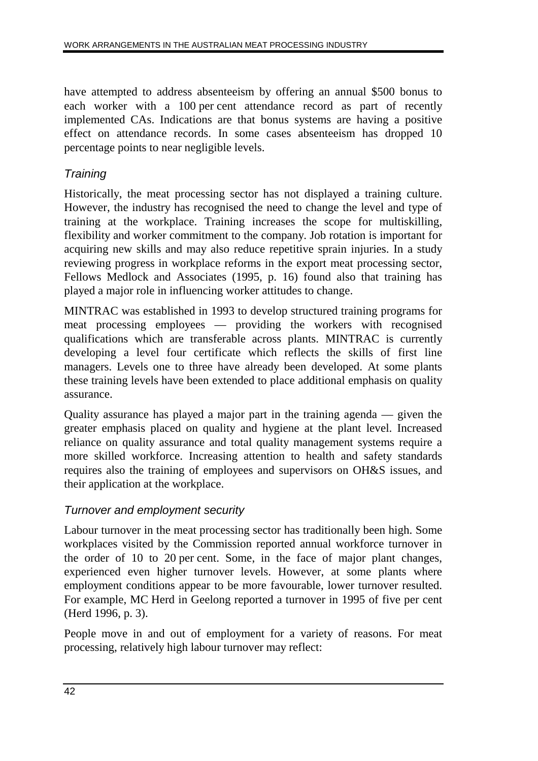have attempted to address absenteeism by offering an annual \$500 bonus to each worker with a 100 per cent attendance record as part of recently implemented CAs. Indications are that bonus systems are having a positive effect on attendance records. In some cases absenteeism has dropped 10 percentage points to near negligible levels.

## **Training**

Historically, the meat processing sector has not displayed a training culture. However, the industry has recognised the need to change the level and type of training at the workplace. Training increases the scope for multiskilling, flexibility and worker commitment to the company. Job rotation is important for acquiring new skills and may also reduce repetitive sprain injuries. In a study reviewing progress in workplace reforms in the export meat processing sector, Fellows Medlock and Associates (1995, p. 16) found also that training has played a major role in influencing worker attitudes to change.

MINTRAC was established in 1993 to develop structured training programs for meat processing employees — providing the workers with recognised qualifications which are transferable across plants. MINTRAC is currently developing a level four certificate which reflects the skills of first line managers. Levels one to three have already been developed. At some plants these training levels have been extended to place additional emphasis on quality assurance.

Quality assurance has played a major part in the training agenda — given the greater emphasis placed on quality and hygiene at the plant level. Increased reliance on quality assurance and total quality management systems require a more skilled workforce. Increasing attention to health and safety standards requires also the training of employees and supervisors on OH&S issues, and their application at the workplace.

### Turnover and employment security

Labour turnover in the meat processing sector has traditionally been high. Some workplaces visited by the Commission reported annual workforce turnover in the order of 10 to 20 per cent. Some, in the face of major plant changes, experienced even higher turnover levels. However, at some plants where employment conditions appear to be more favourable, lower turnover resulted. For example, MC Herd in Geelong reported a turnover in 1995 of five per cent (Herd 1996, p. 3).

People move in and out of employment for a variety of reasons. For meat processing, relatively high labour turnover may reflect: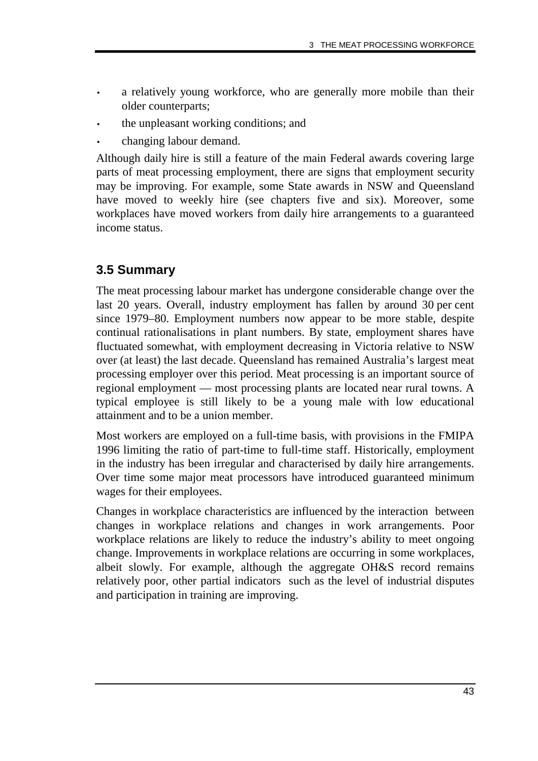- a relatively young workforce, who are generally more mobile than their older counterparts;
- the unpleasant working conditions; and
- changing labour demand.

Although daily hire is still a feature of the main Federal awards covering large parts of meat processing employment, there are signs that employment security may be improving. For example, some State awards in NSW and Queensland have moved to weekly hire (see chapters five and six). Moreover, some workplaces have moved workers from daily hire arrangements to a guaranteed income status.

# **3.5 Summary**

The meat processing labour market has undergone considerable change over the last 20 years. Overall, industry employment has fallen by around 30 per cent since 1979–80. Employment numbers now appear to be more stable, despite continual rationalisations in plant numbers. By state, employment shares have fluctuated somewhat, with employment decreasing in Victoria relative to NSW over (at least) the last decade. Queensland has remained Australia's largest meat processing employer over this period. Meat processing is an important source of regional employment — most processing plants are located near rural towns. A typical employee is still likely to be a young male with low educational attainment and to be a union member.

Most workers are employed on a full-time basis, with provisions in the FMIPA 1996 limiting the ratio of part-time to full-time staff. Historically, employment in the industry has been irregular and characterised by daily hire arrangements. Over time some major meat processors have introduced guaranteed minimum wages for their employees.

Changes in workplace characteristics are influenced by the interaction between changes in workplace relations and changes in work arrangements. Poor workplace relations are likely to reduce the industry's ability to meet ongoing change. Improvements in workplace relations are occurring in some workplaces, albeit slowly. For example, although the aggregate OH&S record remains relatively poor, other partial indicators such as the level of industrial disputes and participation in training are improving.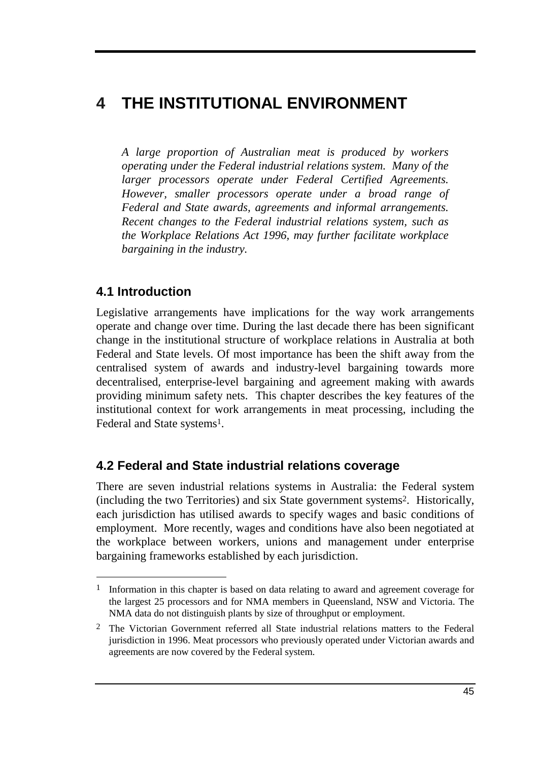# **4 THE INSTITUTIONAL ENVIRONMENT**

*A large proportion of Australian meat is produced by workers operating under the Federal industrial relations system. Many of the larger processors operate under Federal Certified Agreements. However, smaller processors operate under a broad range of Federal and State awards, agreements and informal arrangements. Recent changes to the Federal industrial relations system, such as the Workplace Relations Act 1996, may further facilitate workplace bargaining in the industry.*

# **4.1 Introduction**

-

Legislative arrangements have implications for the way work arrangements operate and change over time. During the last decade there has been significant change in the institutional structure of workplace relations in Australia at both Federal and State levels. Of most importance has been the shift away from the centralised system of awards and industry-level bargaining towards more decentralised, enterprise-level bargaining and agreement making with awards providing minimum safety nets. This chapter describes the key features of the institutional context for work arrangements in meat processing, including the Federal and State systems<sup>1</sup>.

# **4.2 Federal and State industrial relations coverage**

There are seven industrial relations systems in Australia: the Federal system (including the two Territories) and six State government systems2. Historically, each jurisdiction has utilised awards to specify wages and basic conditions of employment. More recently, wages and conditions have also been negotiated at the workplace between workers, unions and management under enterprise bargaining frameworks established by each jurisdiction.

<sup>&</sup>lt;sup>1</sup> Information in this chapter is based on data relating to award and agreement coverage for the largest 25 processors and for NMA members in Queensland, NSW and Victoria. The NMA data do not distinguish plants by size of throughput or employment.

<sup>2</sup> The Victorian Government referred all State industrial relations matters to the Federal jurisdiction in 1996. Meat processors who previously operated under Victorian awards and agreements are now covered by the Federal system.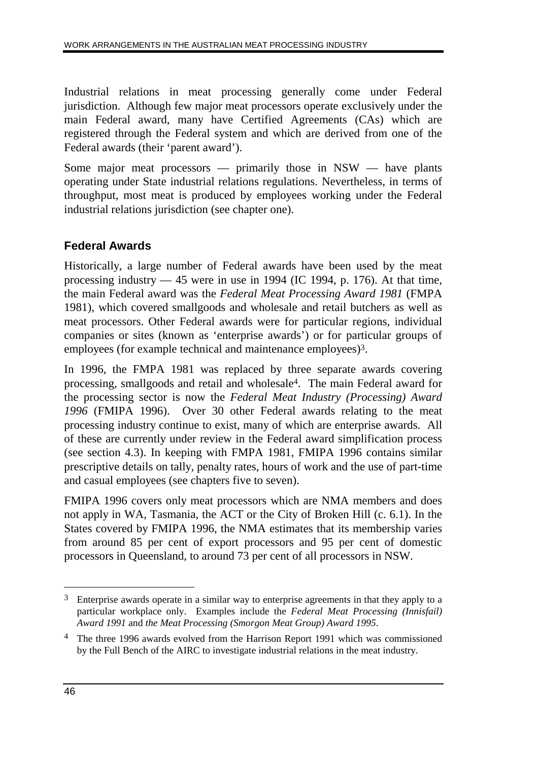Industrial relations in meat processing generally come under Federal jurisdiction. Although few major meat processors operate exclusively under the main Federal award, many have Certified Agreements (CAs) which are registered through the Federal system and which are derived from one of the Federal awards (their 'parent award').

Some major meat processors — primarily those in NSW — have plants operating under State industrial relations regulations. Nevertheless, in terms of throughput, most meat is produced by employees working under the Federal industrial relations jurisdiction (see chapter one).

# **Federal Awards**

Historically, a large number of Federal awards have been used by the meat processing industry  $-45$  were in use in 1994 (IC 1994, p. 176). At that time, the main Federal award was the *Federal Meat Processing Award 1981* (FMPA 1981), which covered smallgoods and wholesale and retail butchers as well as meat processors. Other Federal awards were for particular regions, individual companies or sites (known as 'enterprise awards') or for particular groups of employees (for example technical and maintenance employees)<sup>3</sup>.

In 1996, the FMPA 1981 was replaced by three separate awards covering processing, smallgoods and retail and wholesale4. The main Federal award for the processing sector is now the *Federal Meat Industry (Processing) Award 1996* (FMIPA 1996). Over 30 other Federal awards relating to the meat processing industry continue to exist, many of which are enterprise awards. All of these are currently under review in the Federal award simplification process (see section 4.3). In keeping with FMPA 1981, FMIPA 1996 contains similar prescriptive details on tally, penalty rates, hours of work and the use of part-time and casual employees (see chapters five to seven).

FMIPA 1996 covers only meat processors which are NMA members and does not apply in WA, Tasmania, the ACT or the City of Broken Hill (c. 6.1). In the States covered by FMIPA 1996, the NMA estimates that its membership varies from around 85 per cent of export processors and 95 per cent of domestic processors in Queensland, to around 73 per cent of all processors in NSW.

 $\overline{a}$ 

 $3$  Enterprise awards operate in a similar way to enterprise agreements in that they apply to a particular workplace only. Examples include the *Federal Meat Processing (Innisfail) Award 1991* and *the Meat Processing (Smorgon Meat Group) Award 1995*.

<sup>4</sup> The three 1996 awards evolved from the Harrison Report 1991 which was commissioned by the Full Bench of the AIRC to investigate industrial relations in the meat industry.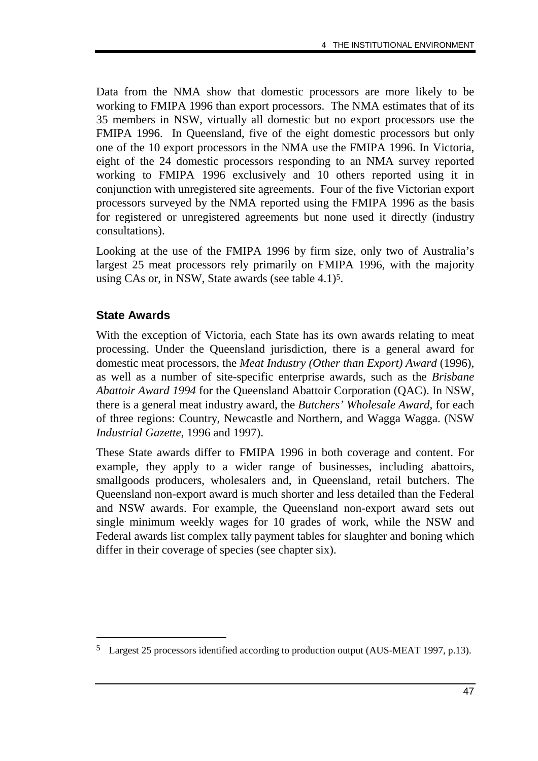Data from the NMA show that domestic processors are more likely to be working to FMIPA 1996 than export processors. The NMA estimates that of its 35 members in NSW, virtually all domestic but no export processors use the FMIPA 1996. In Queensland, five of the eight domestic processors but only one of the 10 export processors in the NMA use the FMIPA 1996. In Victoria, eight of the 24 domestic processors responding to an NMA survey reported working to FMIPA 1996 exclusively and 10 others reported using it in conjunction with unregistered site agreements. Four of the five Victorian export processors surveyed by the NMA reported using the FMIPA 1996 as the basis for registered or unregistered agreements but none used it directly (industry consultations).

Looking at the use of the FMIPA 1996 by firm size, only two of Australia's largest 25 meat processors rely primarily on FMIPA 1996, with the majority using CAs or, in NSW, State awards (see table 4.1)5.

#### **State Awards**

-

With the exception of Victoria, each State has its own awards relating to meat processing. Under the Queensland jurisdiction, there is a general award for domestic meat processors, the *Meat Industry (Other than Export) Award* (1996), as well as a number of site-specific enterprise awards, such as the *Brisbane Abattoir Award 1994* for the Queensland Abattoir Corporation (QAC). In NSW, there is a general meat industry award, the *Butchers' Wholesale Award,* for each of three regions: Country, Newcastle and Northern, and Wagga Wagga. (NSW *Industrial Gazette*, 1996 and 1997).

These State awards differ to FMIPA 1996 in both coverage and content. For example, they apply to a wider range of businesses, including abattoirs, smallgoods producers, wholesalers and, in Queensland, retail butchers. The Queensland non-export award is much shorter and less detailed than the Federal and NSW awards. For example, the Queensland non-export award sets out single minimum weekly wages for 10 grades of work, while the NSW and Federal awards list complex tally payment tables for slaughter and boning which differ in their coverage of species (see chapter six).

<sup>5</sup> Largest 25 processors identified according to production output (AUS-MEAT 1997, p.13).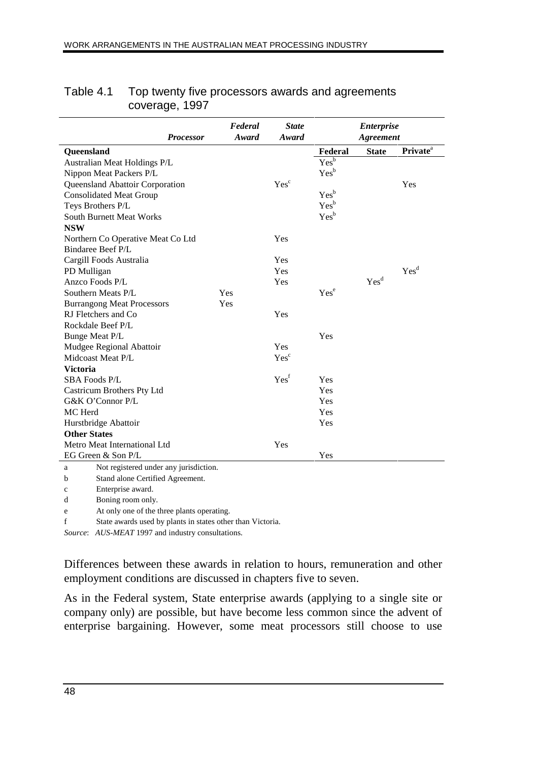| <b>Processor</b>                            | Federal<br>Award | <b>State</b><br>Award |                  | <b>Enterprise</b><br><b>Agreement</b> |                             |
|---------------------------------------------|------------------|-----------------------|------------------|---------------------------------------|-----------------------------|
| Queensland                                  |                  |                       | Federal          | <b>State</b>                          | <b>Private</b> <sup>a</sup> |
| Australian Meat Holdings P/L                |                  |                       | Yes <sup>b</sup> |                                       |                             |
| Nippon Meat Packers P/L                     |                  |                       | Yes <sup>b</sup> |                                       |                             |
| Queensland Abattoir Corporation             |                  | Yes <sup>c</sup>      |                  |                                       | Yes                         |
| <b>Consolidated Meat Group</b>              |                  |                       | Yes <sup>b</sup> |                                       |                             |
| Teys Brothers P/L                           |                  |                       | Yes <sup>b</sup> |                                       |                             |
| <b>South Burnett Meat Works</b>             |                  |                       | Yes <sup>b</sup> |                                       |                             |
| <b>NSW</b>                                  |                  |                       |                  |                                       |                             |
| Northern Co Operative Meat Co Ltd           |                  | Yes                   |                  |                                       |                             |
| Bindaree Beef P/L                           |                  |                       |                  |                                       |                             |
| Cargill Foods Australia                     |                  | Yes                   |                  |                                       |                             |
| PD Mulligan                                 |                  | Yes                   |                  |                                       | Yes <sup>d</sup>            |
| Anzco Foods P/L                             |                  | Yes                   |                  | Yes <sup>d</sup>                      |                             |
| Southern Meats P/L                          | Yes              |                       | Yes <sup>e</sup> |                                       |                             |
| <b>Burrangong Meat Processors</b>           | Yes              |                       |                  |                                       |                             |
| RJ Fletchers and Co                         |                  | Yes                   |                  |                                       |                             |
| Rockdale Beef P/L                           |                  |                       |                  |                                       |                             |
| Bunge Meat P/L                              |                  |                       | Yes              |                                       |                             |
| Mudgee Regional Abattoir                    |                  | <b>Yes</b>            |                  |                                       |                             |
| Midcoast Meat P/L                           |                  | Yes <sup>c</sup>      |                  |                                       |                             |
| <b>Victoria</b>                             |                  |                       |                  |                                       |                             |
| <b>SBA Foods P/L</b>                        |                  | Yes <sup>f</sup>      | Yes              |                                       |                             |
| Castricum Brothers Pty Ltd                  |                  |                       | Yes              |                                       |                             |
| G&K O'Connor P/L                            |                  |                       | Yes              |                                       |                             |
| MC Herd                                     |                  |                       | Yes              |                                       |                             |
| Hurstbridge Abattoir                        |                  |                       | Yes              |                                       |                             |
| <b>Other States</b>                         |                  |                       |                  |                                       |                             |
| Metro Meat International Ltd<br>Yes         |                  |                       |                  |                                       |                             |
| Yes<br>EG Green & Son P/L                   |                  |                       |                  |                                       |                             |
| Not registered under any jurisdiction.<br>a |                  |                       |                  |                                       |                             |
| Stand alone Certified Agreement.<br>b       |                  |                       |                  |                                       |                             |
|                                             |                  |                       |                  |                                       |                             |

#### Table 4.1 Top twenty five processors awards and agreements coverage, 1997

c Enterprise award.

d Boning room only.

e At only one of the three plants operating.

f State awards used by plants in states other than Victoria.

*Source*: *AUS-MEAT* 1997 and industry consultations.

Differences between these awards in relation to hours, remuneration and other employment conditions are discussed in chapters five to seven.

As in the Federal system, State enterprise awards (applying to a single site or company only) are possible, but have become less common since the advent of enterprise bargaining. However, some meat processors still choose to use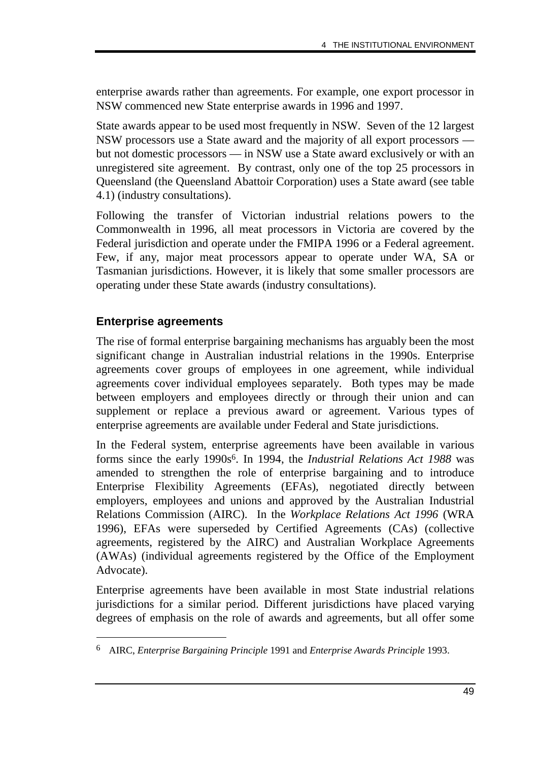enterprise awards rather than agreements. For example, one export processor in NSW commenced new State enterprise awards in 1996 and 1997.

State awards appear to be used most frequently in NSW. Seven of the 12 largest NSW processors use a State award and the majority of all export processors but not domestic processors — in NSW use a State award exclusively or with an unregistered site agreement. By contrast, only one of the top 25 processors in Queensland (the Queensland Abattoir Corporation) uses a State award (see table 4.1) (industry consultations).

Following the transfer of Victorian industrial relations powers to the Commonwealth in 1996, all meat processors in Victoria are covered by the Federal jurisdiction and operate under the FMIPA 1996 or a Federal agreement. Few, if any, major meat processors appear to operate under WA, SA or Tasmanian jurisdictions. However, it is likely that some smaller processors are operating under these State awards (industry consultations).

#### **Enterprise agreements**

-

The rise of formal enterprise bargaining mechanisms has arguably been the most significant change in Australian industrial relations in the 1990s. Enterprise agreements cover groups of employees in one agreement, while individual agreements cover individual employees separately. Both types may be made between employers and employees directly or through their union and can supplement or replace a previous award or agreement. Various types of enterprise agreements are available under Federal and State jurisdictions.

In the Federal system, enterprise agreements have been available in various forms since the early 1990s6. In 1994, the *Industrial Relations Act 1988* was amended to strengthen the role of enterprise bargaining and to introduce Enterprise Flexibility Agreements (EFAs), negotiated directly between employers, employees and unions and approved by the Australian Industrial Relations Commission (AIRC). In the *Workplace Relations Act 1996* (WRA 1996), EFAs were superseded by Certified Agreements (CAs) (collective agreements, registered by the AIRC) and Australian Workplace Agreements (AWAs) (individual agreements registered by the Office of the Employment Advocate).

Enterprise agreements have been available in most State industrial relations jurisdictions for a similar period. Different jurisdictions have placed varying degrees of emphasis on the role of awards and agreements, but all offer some

<sup>6</sup> AIRC, *Enterprise Bargaining Principle* 1991 and *Enterprise Awards Principle* 1993.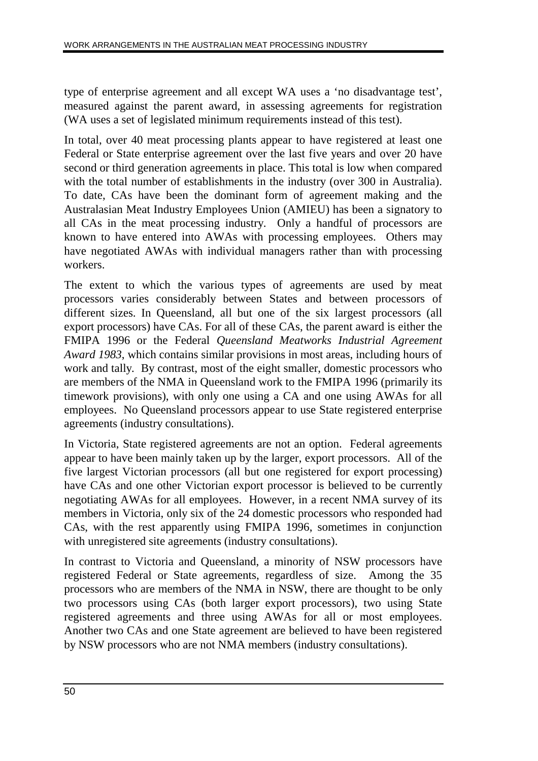type of enterprise agreement and all except WA uses a 'no disadvantage test', measured against the parent award, in assessing agreements for registration (WA uses a set of legislated minimum requirements instead of this test).

In total, over 40 meat processing plants appear to have registered at least one Federal or State enterprise agreement over the last five years and over 20 have second or third generation agreements in place. This total is low when compared with the total number of establishments in the industry (over 300 in Australia). To date, CAs have been the dominant form of agreement making and the Australasian Meat Industry Employees Union (AMIEU) has been a signatory to all CAs in the meat processing industry. Only a handful of processors are known to have entered into AWAs with processing employees. Others may have negotiated AWAs with individual managers rather than with processing workers.

The extent to which the various types of agreements are used by meat processors varies considerably between States and between processors of different sizes. In Queensland, all but one of the six largest processors (all export processors) have CAs. For all of these CAs, the parent award is either the FMIPA 1996 or the Federal *Queensland Meatworks Industrial Agreement Award 1983*, which contains similar provisions in most areas, including hours of work and tally*.* By contrast, most of the eight smaller, domestic processors who are members of the NMA in Queensland work to the FMIPA 1996 (primarily its timework provisions), with only one using a CA and one using AWAs for all employees. No Queensland processors appear to use State registered enterprise agreements (industry consultations).

In Victoria, State registered agreements are not an option. Federal agreements appear to have been mainly taken up by the larger, export processors. All of the five largest Victorian processors (all but one registered for export processing) have CAs and one other Victorian export processor is believed to be currently negotiating AWAs for all employees. However, in a recent NMA survey of its members in Victoria, only six of the 24 domestic processors who responded had CAs, with the rest apparently using FMIPA 1996, sometimes in conjunction with unregistered site agreements (industry consultations).

In contrast to Victoria and Queensland, a minority of NSW processors have registered Federal or State agreements, regardless of size. Among the 35 processors who are members of the NMA in NSW, there are thought to be only two processors using CAs (both larger export processors), two using State registered agreements and three using AWAs for all or most employees. Another two CAs and one State agreement are believed to have been registered by NSW processors who are not NMA members (industry consultations).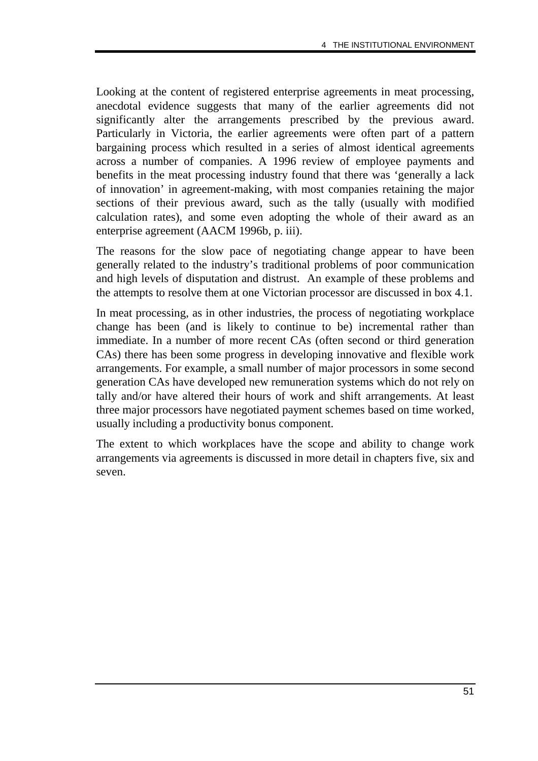Looking at the content of registered enterprise agreements in meat processing, anecdotal evidence suggests that many of the earlier agreements did not significantly alter the arrangements prescribed by the previous award. Particularly in Victoria, the earlier agreements were often part of a pattern bargaining process which resulted in a series of almost identical agreements across a number of companies. A 1996 review of employee payments and benefits in the meat processing industry found that there was 'generally a lack of innovation' in agreement-making, with most companies retaining the major sections of their previous award, such as the tally (usually with modified calculation rates), and some even adopting the whole of their award as an enterprise agreement (AACM 1996b, p. iii).

The reasons for the slow pace of negotiating change appear to have been generally related to the industry's traditional problems of poor communication and high levels of disputation and distrust. An example of these problems and the attempts to resolve them at one Victorian processor are discussed in box 4.1.

In meat processing, as in other industries, the process of negotiating workplace change has been (and is likely to continue to be) incremental rather than immediate. In a number of more recent CAs (often second or third generation CAs) there has been some progress in developing innovative and flexible work arrangements. For example, a small number of major processors in some second generation CAs have developed new remuneration systems which do not rely on tally and/or have altered their hours of work and shift arrangements. At least three major processors have negotiated payment schemes based on time worked, usually including a productivity bonus component.

The extent to which workplaces have the scope and ability to change work arrangements via agreements is discussed in more detail in chapters five, six and seven.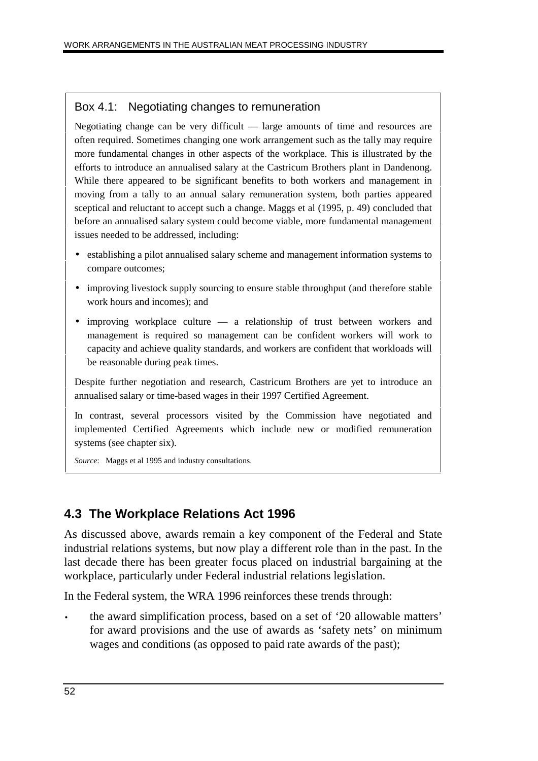#### Box 4.1: Negotiating changes to remuneration

Negotiating change can be very difficult — large amounts of time and resources are often required. Sometimes changing one work arrangement such as the tally may require more fundamental changes in other aspects of the workplace. This is illustrated by the efforts to introduce an annualised salary at the Castricum Brothers plant in Dandenong. While there appeared to be significant benefits to both workers and management in moving from a tally to an annual salary remuneration system, both parties appeared sceptical and reluctant to accept such a change. Maggs et al (1995, p. 49) concluded that before an annualised salary system could become viable, more fundamental management issues needed to be addressed, including:

- establishing a pilot annualised salary scheme and management information systems to compare outcomes;
- improving livestock supply sourcing to ensure stable throughput (and therefore stable work hours and incomes); and
- improving workplace culture a relationship of trust between workers and management is required so management can be confident workers will work to capacity and achieve quality standards, and workers are confident that workloads will be reasonable during peak times.

Despite further negotiation and research, Castricum Brothers are yet to introduce an annualised salary or time-based wages in their 1997 Certified Agreement.

In contrast, several processors visited by the Commission have negotiated and implemented Certified Agreements which include new or modified remuneration systems (see chapter six).

*Source*: Maggs et al 1995 and industry consultations.

## **4.3 The Workplace Relations Act 1996**

As discussed above, awards remain a key component of the Federal and State industrial relations systems, but now play a different role than in the past. In the last decade there has been greater focus placed on industrial bargaining at the workplace, particularly under Federal industrial relations legislation.

In the Federal system, the WRA 1996 reinforces these trends through:

• the award simplification process, based on a set of '20 allowable matters' for award provisions and the use of awards as 'safety nets' on minimum wages and conditions (as opposed to paid rate awards of the past);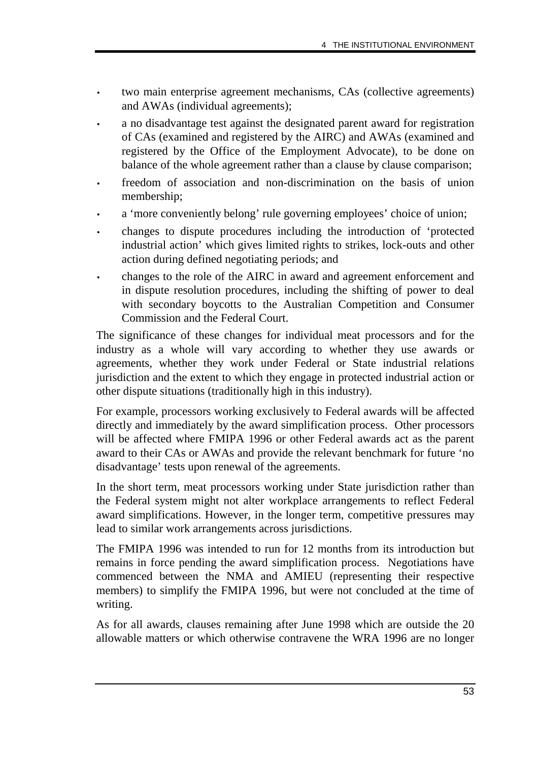- two main enterprise agreement mechanisms, CAs (collective agreements) and AWAs (individual agreements);
- a no disadvantage test against the designated parent award for registration of CAs (examined and registered by the AIRC) and AWAs (examined and registered by the Office of the Employment Advocate), to be done on balance of the whole agreement rather than a clause by clause comparison;
- freedom of association and non-discrimination on the basis of union membership;
- a 'more conveniently belong' rule governing employees' choice of union;
- changes to dispute procedures including the introduction of 'protected industrial action' which gives limited rights to strikes, lock-outs and other action during defined negotiating periods; and
- changes to the role of the AIRC in award and agreement enforcement and in dispute resolution procedures, including the shifting of power to deal with secondary boycotts to the Australian Competition and Consumer Commission and the Federal Court.

The significance of these changes for individual meat processors and for the industry as a whole will vary according to whether they use awards or agreements, whether they work under Federal or State industrial relations jurisdiction and the extent to which they engage in protected industrial action or other dispute situations (traditionally high in this industry).

For example, processors working exclusively to Federal awards will be affected directly and immediately by the award simplification process. Other processors will be affected where FMIPA 1996 or other Federal awards act as the parent award to their CAs or AWAs and provide the relevant benchmark for future 'no disadvantage' tests upon renewal of the agreements.

In the short term, meat processors working under State jurisdiction rather than the Federal system might not alter workplace arrangements to reflect Federal award simplifications. However, in the longer term, competitive pressures may lead to similar work arrangements across jurisdictions.

The FMIPA 1996 was intended to run for 12 months from its introduction but remains in force pending the award simplification process. Negotiations have commenced between the NMA and AMIEU (representing their respective members) to simplify the FMIPA 1996, but were not concluded at the time of writing.

As for all awards, clauses remaining after June 1998 which are outside the 20 allowable matters or which otherwise contravene the WRA 1996 are no longer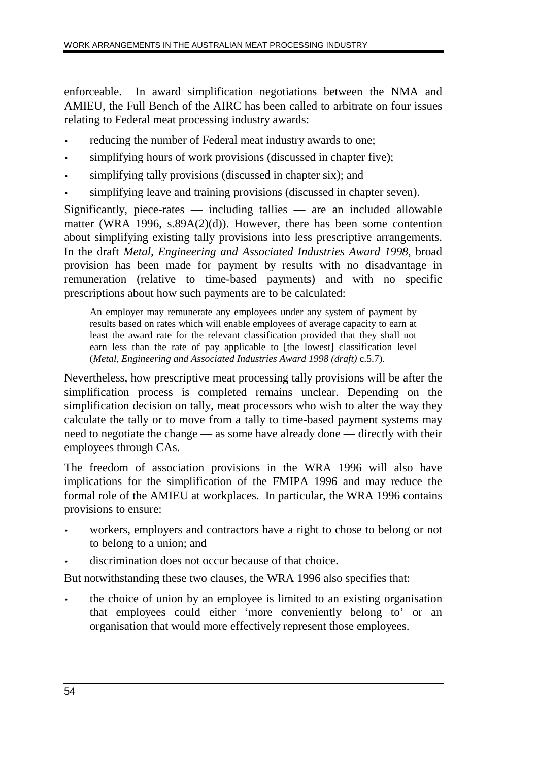enforceable. In award simplification negotiations between the NMA and AMIEU, the Full Bench of the AIRC has been called to arbitrate on four issues relating to Federal meat processing industry awards:

- reducing the number of Federal meat industry awards to one;
- simplifying hours of work provisions (discussed in chapter five);
- simplifying tally provisions (discussed in chapter six); and
- simplifying leave and training provisions (discussed in chapter seven).

Significantly, piece-rates  $-$  including tallies  $-$  are an included allowable matter (WRA 1996, s.89A(2)(d)). However, there has been some contention about simplifying existing tally provisions into less prescriptive arrangements. In the draft *Metal, Engineering and Associated Industries Award 1998,* broad provision has been made for payment by results with no disadvantage in remuneration (relative to time-based payments) and with no specific prescriptions about how such payments are to be calculated:

An employer may remunerate any employees under any system of payment by results based on rates which will enable employees of average capacity to earn at least the award rate for the relevant classification provided that they shall not earn less than the rate of pay applicable to [the lowest] classification level (*Metal, Engineering and Associated Industries Award 1998 (draft)* c.5.7).

Nevertheless, how prescriptive meat processing tally provisions will be after the simplification process is completed remains unclear. Depending on the simplification decision on tally, meat processors who wish to alter the way they calculate the tally or to move from a tally to time-based payment systems may need to negotiate the change — as some have already done — directly with their employees through CAs.

The freedom of association provisions in the WRA 1996 will also have implications for the simplification of the FMIPA 1996 and may reduce the formal role of the AMIEU at workplaces. In particular, the WRA 1996 contains provisions to ensure:

- workers, employers and contractors have a right to chose to belong or not to belong to a union; and
- discrimination does not occur because of that choice.

But notwithstanding these two clauses, the WRA 1996 also specifies that:

• the choice of union by an employee is limited to an existing organisation that employees could either 'more conveniently belong to' or an organisation that would more effectively represent those employees.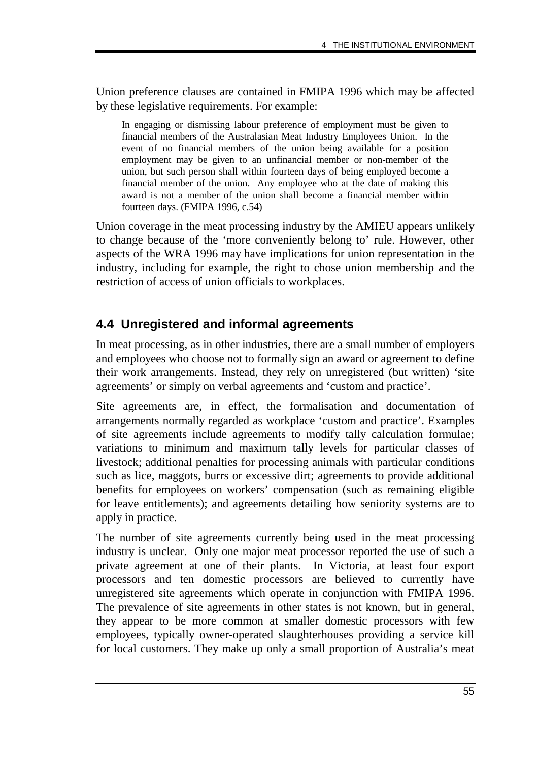Union preference clauses are contained in FMIPA 1996 which may be affected by these legislative requirements. For example:

In engaging or dismissing labour preference of employment must be given to financial members of the Australasian Meat Industry Employees Union. In the event of no financial members of the union being available for a position employment may be given to an unfinancial member or non-member of the union, but such person shall within fourteen days of being employed become a financial member of the union. Any employee who at the date of making this award is not a member of the union shall become a financial member within fourteen days. (FMIPA 1996, c.54)

Union coverage in the meat processing industry by the AMIEU appears unlikely to change because of the 'more conveniently belong to' rule. However, other aspects of the WRA 1996 may have implications for union representation in the industry, including for example, the right to chose union membership and the restriction of access of union officials to workplaces.

## **4.4 Unregistered and informal agreements**

In meat processing, as in other industries, there are a small number of employers and employees who choose not to formally sign an award or agreement to define their work arrangements. Instead, they rely on unregistered (but written) 'site agreements' or simply on verbal agreements and 'custom and practice'.

Site agreements are, in effect, the formalisation and documentation of arrangements normally regarded as workplace 'custom and practice'. Examples of site agreements include agreements to modify tally calculation formulae; variations to minimum and maximum tally levels for particular classes of livestock; additional penalties for processing animals with particular conditions such as lice, maggots, burrs or excessive dirt; agreements to provide additional benefits for employees on workers' compensation (such as remaining eligible for leave entitlements); and agreements detailing how seniority systems are to apply in practice.

The number of site agreements currently being used in the meat processing industry is unclear. Only one major meat processor reported the use of such a private agreement at one of their plants. In Victoria, at least four export processors and ten domestic processors are believed to currently have unregistered site agreements which operate in conjunction with FMIPA 1996. The prevalence of site agreements in other states is not known, but in general, they appear to be more common at smaller domestic processors with few employees, typically owner-operated slaughterhouses providing a service kill for local customers. They make up only a small proportion of Australia's meat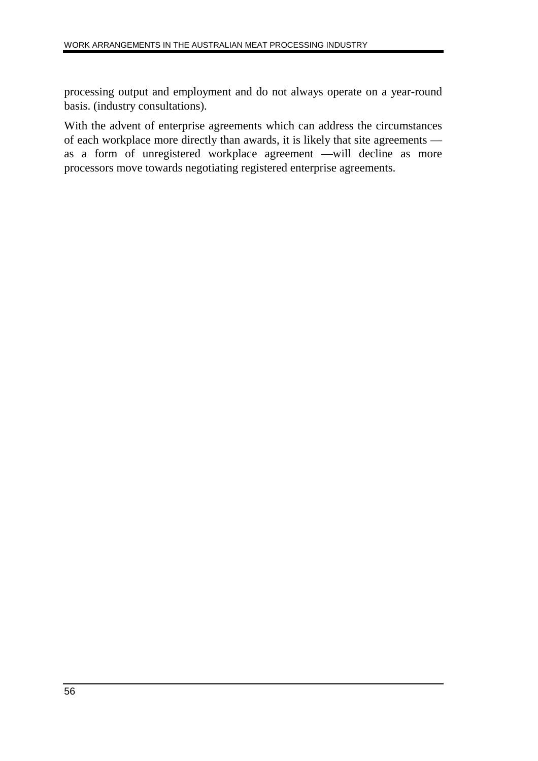processing output and employment and do not always operate on a year-round basis. (industry consultations).

With the advent of enterprise agreements which can address the circumstances of each workplace more directly than awards, it is likely that site agreements as a form of unregistered workplace agreement —will decline as more processors move towards negotiating registered enterprise agreements.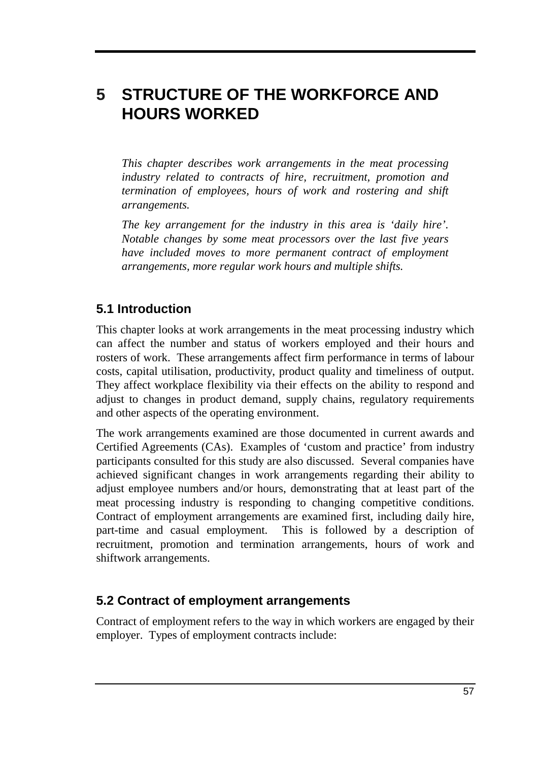# **5 STRUCTURE OF THE WORKFORCE AND HOURS WORKED**

*This chapter describes work arrangements in the meat processing industry related to contracts of hire, recruitment, promotion and termination of employees, hours of work and rostering and shift arrangements.*

*The key arrangement for the industry in this area is 'daily hire'. Notable changes by some meat processors over the last five years have included moves to more permanent contract of employment arrangements, more regular work hours and multiple shifts.*

## **5.1 Introduction**

This chapter looks at work arrangements in the meat processing industry which can affect the number and status of workers employed and their hours and rosters of work. These arrangements affect firm performance in terms of labour costs, capital utilisation, productivity, product quality and timeliness of output. They affect workplace flexibility via their effects on the ability to respond and adjust to changes in product demand, supply chains, regulatory requirements and other aspects of the operating environment.

The work arrangements examined are those documented in current awards and Certified Agreements (CAs). Examples of 'custom and practice' from industry participants consulted for this study are also discussed. Several companies have achieved significant changes in work arrangements regarding their ability to adjust employee numbers and/or hours, demonstrating that at least part of the meat processing industry is responding to changing competitive conditions. Contract of employment arrangements are examined first, including daily hire, part-time and casual employment. This is followed by a description of recruitment, promotion and termination arrangements, hours of work and shiftwork arrangements.

#### **5.2 Contract of employment arrangements**

Contract of employment refers to the way in which workers are engaged by their employer. Types of employment contracts include: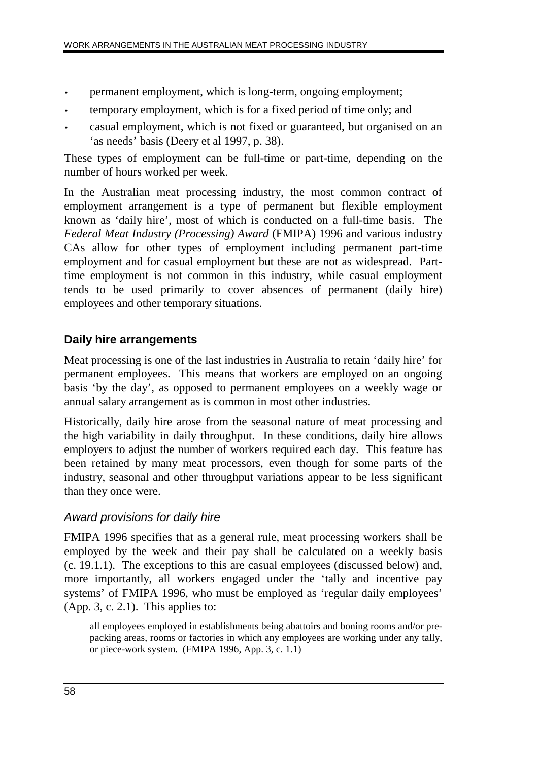- permanent employment, which is long-term, ongoing employment;
- temporary employment, which is for a fixed period of time only; and
- casual employment, which is not fixed or guaranteed, but organised on an 'as needs' basis (Deery et al 1997, p. 38).

These types of employment can be full-time or part-time, depending on the number of hours worked per week.

In the Australian meat processing industry, the most common contract of employment arrangement is a type of permanent but flexible employment known as 'daily hire', most of which is conducted on a full-time basis. The *Federal Meat Industry (Processing) Award* (FMIPA) 1996 and various industry CAs allow for other types of employment including permanent part-time employment and for casual employment but these are not as widespread. Parttime employment is not common in this industry, while casual employment tends to be used primarily to cover absences of permanent (daily hire) employees and other temporary situations.

## **Daily hire arrangements**

Meat processing is one of the last industries in Australia to retain 'daily hire' for permanent employees. This means that workers are employed on an ongoing basis 'by the day', as opposed to permanent employees on a weekly wage or annual salary arrangement as is common in most other industries.

Historically, daily hire arose from the seasonal nature of meat processing and the high variability in daily throughput. In these conditions, daily hire allows employers to adjust the number of workers required each day. This feature has been retained by many meat processors, even though for some parts of the industry, seasonal and other throughput variations appear to be less significant than they once were.

## Award provisions for daily hire

FMIPA 1996 specifies that as a general rule, meat processing workers shall be employed by the week and their pay shall be calculated on a weekly basis (c. 19.1.1). The exceptions to this are casual employees (discussed below) and, more importantly, all workers engaged under the 'tally and incentive pay systems' of FMIPA 1996, who must be employed as 'regular daily employees'  $(App. 3, c. 2.1)$ . This applies to:

all employees employed in establishments being abattoirs and boning rooms and/or prepacking areas, rooms or factories in which any employees are working under any tally, or piece-work system. (FMIPA 1996, App. 3, c. 1.1)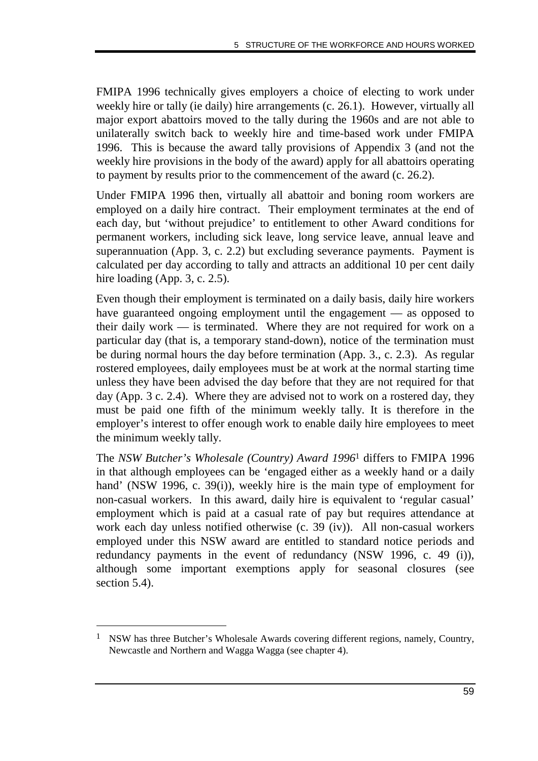FMIPA 1996 technically gives employers a choice of electing to work under weekly hire or tally (ie daily) hire arrangements (c. 26.1). However, virtually all major export abattoirs moved to the tally during the 1960s and are not able to unilaterally switch back to weekly hire and time-based work under FMIPA 1996. This is because the award tally provisions of Appendix 3 (and not the weekly hire provisions in the body of the award) apply for all abattoirs operating to payment by results prior to the commencement of the award (c. 26.2).

Under FMIPA 1996 then, virtually all abattoir and boning room workers are employed on a daily hire contract. Their employment terminates at the end of each day, but 'without prejudice' to entitlement to other Award conditions for permanent workers, including sick leave, long service leave, annual leave and superannuation (App. 3, c. 2.2) but excluding severance payments. Payment is calculated per day according to tally and attracts an additional 10 per cent daily hire loading (App. 3, c. 2.5).

Even though their employment is terminated on a daily basis, daily hire workers have guaranteed ongoing employment until the engagement — as opposed to their daily work — is terminated. Where they are not required for work on a particular day (that is, a temporary stand-down), notice of the termination must be during normal hours the day before termination (App. 3., c. 2.3). As regular rostered employees, daily employees must be at work at the normal starting time unless they have been advised the day before that they are not required for that day (App. 3 c. 2.4). Where they are advised not to work on a rostered day, they must be paid one fifth of the minimum weekly tally. It is therefore in the employer's interest to offer enough work to enable daily hire employees to meet the minimum weekly tally.

The *NSW Butcher's Wholesale (Country) Award 1996*1 differs to FMIPA 1996 in that although employees can be 'engaged either as a weekly hand or a daily hand' (NSW 1996, c. 39(i)), weekly hire is the main type of employment for non-casual workers. In this award, daily hire is equivalent to 'regular casual' employment which is paid at a casual rate of pay but requires attendance at work each day unless notified otherwise (c. 39 (iv)). All non-casual workers employed under this NSW award are entitled to standard notice periods and redundancy payments in the event of redundancy (NSW 1996, c. 49 (i)), although some important exemptions apply for seasonal closures (see section 5.4).

-

<sup>&</sup>lt;sup>1</sup> NSW has three Butcher's Wholesale Awards covering different regions, namely, Country, Newcastle and Northern and Wagga Wagga (see chapter 4).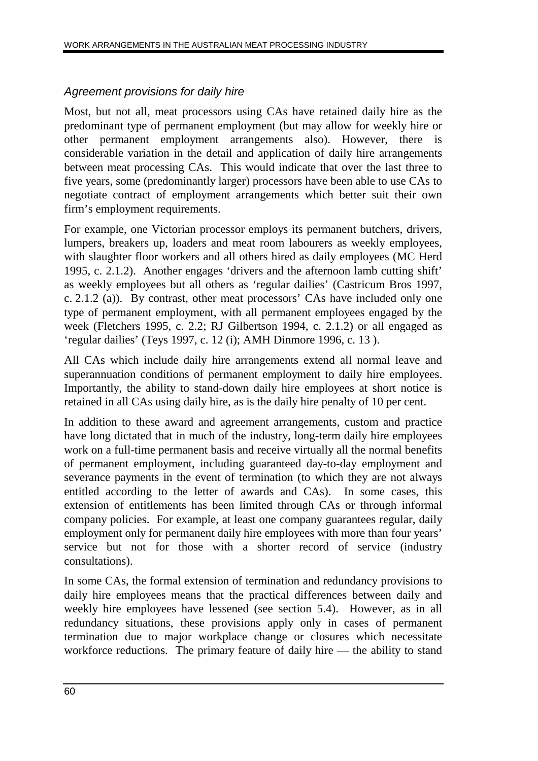#### Agreement provisions for daily hire

Most, but not all, meat processors using CAs have retained daily hire as the predominant type of permanent employment (but may allow for weekly hire or other permanent employment arrangements also). However, there is considerable variation in the detail and application of daily hire arrangements between meat processing CAs. This would indicate that over the last three to five years, some (predominantly larger) processors have been able to use CAs to negotiate contract of employment arrangements which better suit their own firm's employment requirements.

For example, one Victorian processor employs its permanent butchers, drivers, lumpers, breakers up, loaders and meat room labourers as weekly employees, with slaughter floor workers and all others hired as daily employees (MC Herd 1995, c. 2.1.2). Another engages 'drivers and the afternoon lamb cutting shift' as weekly employees but all others as 'regular dailies' (Castricum Bros 1997, c. 2.1.2 (a)). By contrast, other meat processors' CAs have included only one type of permanent employment, with all permanent employees engaged by the week (Fletchers 1995, c. 2.2; RJ Gilbertson 1994, c. 2.1.2) or all engaged as 'regular dailies' (Teys 1997, c. 12 (i); AMH Dinmore 1996, c. 13 ).

All CAs which include daily hire arrangements extend all normal leave and superannuation conditions of permanent employment to daily hire employees. Importantly, the ability to stand-down daily hire employees at short notice is retained in all CAs using daily hire, as is the daily hire penalty of 10 per cent.

In addition to these award and agreement arrangements, custom and practice have long dictated that in much of the industry, long-term daily hire employees work on a full-time permanent basis and receive virtually all the normal benefits of permanent employment, including guaranteed day-to-day employment and severance payments in the event of termination (to which they are not always entitled according to the letter of awards and CAs). In some cases, this extension of entitlements has been limited through CAs or through informal company policies. For example, at least one company guarantees regular, daily employment only for permanent daily hire employees with more than four years' service but not for those with a shorter record of service (industry consultations).

In some CAs, the formal extension of termination and redundancy provisions to daily hire employees means that the practical differences between daily and weekly hire employees have lessened (see section 5.4). However, as in all redundancy situations, these provisions apply only in cases of permanent termination due to major workplace change or closures which necessitate workforce reductions. The primary feature of daily hire — the ability to stand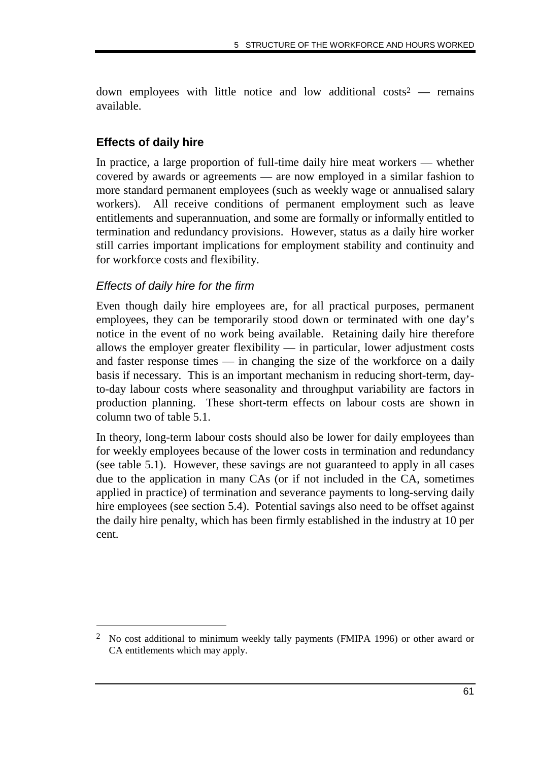down employees with little notice and low additional  $costs^2$  — remains available.

#### **Effects of daily hire**

In practice, a large proportion of full-time daily hire meat workers — whether covered by awards or agreements — are now employed in a similar fashion to more standard permanent employees (such as weekly wage or annualised salary workers). All receive conditions of permanent employment such as leave entitlements and superannuation, and some are formally or informally entitled to termination and redundancy provisions. However, status as a daily hire worker still carries important implications for employment stability and continuity and for workforce costs and flexibility.

#### Effects of daily hire for the firm

-

Even though daily hire employees are, for all practical purposes, permanent employees, they can be temporarily stood down or terminated with one day's notice in the event of no work being available. Retaining daily hire therefore allows the employer greater flexibility — in particular, lower adjustment costs and faster response times — in changing the size of the workforce on a daily basis if necessary. This is an important mechanism in reducing short-term, dayto-day labour costs where seasonality and throughput variability are factors in production planning. These short-term effects on labour costs are shown in column two of table 5.1.

In theory, long-term labour costs should also be lower for daily employees than for weekly employees because of the lower costs in termination and redundancy (see table 5.1). However, these savings are not guaranteed to apply in all cases due to the application in many CAs (or if not included in the CA, sometimes applied in practice) of termination and severance payments to long-serving daily hire employees (see section 5.4). Potential savings also need to be offset against the daily hire penalty, which has been firmly established in the industry at 10 per cent.

<sup>2</sup> No cost additional to minimum weekly tally payments (FMIPA 1996) or other award or CA entitlements which may apply.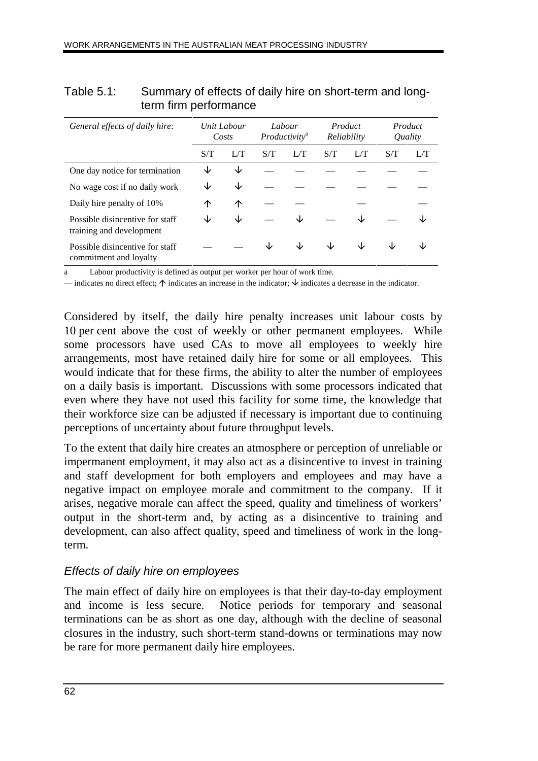| General effects of daily hire:                              |     | Unit Labour<br>Costs |     | Labour<br>Productivity <sup>a</sup> |     | Product<br>Reliability |     | Product<br><i><u><b>Ouality</b></u></i> |  |
|-------------------------------------------------------------|-----|----------------------|-----|-------------------------------------|-----|------------------------|-----|-----------------------------------------|--|
|                                                             | S/T | L/T                  | S/T | L/T                                 | S/T | L/T                    | S/T | L/T                                     |  |
| One day notice for termination                              | ◡   | J∠                   |     |                                     |     |                        |     |                                         |  |
| No wage cost if no daily work                               | ◡   | J∠                   |     |                                     |     |                        |     |                                         |  |
| Daily hire penalty of 10%                                   | ↑   | ↑                    |     |                                     |     |                        |     |                                         |  |
| Possible disincentive for staff<br>training and development | ◡   | J∠                   |     | J∠                                  |     |                        |     |                                         |  |
| Possible disincentive for staff<br>commitment and loyalty   |     |                      |     | ◡                                   | ◡   | ◡                      | ۰IJ |                                         |  |

#### Table 5.1: Summary of effects of daily hire on short-term and longterm firm performance

Labour productivity is defined as output per worker per hour of work time.

— indicates no direct effect;  $\uparrow$  indicates an increase in the indicator;  $\downarrow$  indicates a decrease in the indicator.

Considered by itself, the daily hire penalty increases unit labour costs by 10 per cent above the cost of weekly or other permanent employees. While some processors have used CAs to move all employees to weekly hire arrangements, most have retained daily hire for some or all employees. This would indicate that for these firms, the ability to alter the number of employees on a daily basis is important. Discussions with some processors indicated that even where they have not used this facility for some time, the knowledge that their workforce size can be adjusted if necessary is important due to continuing perceptions of uncertainty about future throughput levels.

To the extent that daily hire creates an atmosphere or perception of unreliable or impermanent employment, it may also act as a disincentive to invest in training and staff development for both employers and employees and may have a negative impact on employee morale and commitment to the company. If it arises, negative morale can affect the speed, quality and timeliness of workers' output in the short-term and, by acting as a disincentive to training and development, can also affect quality, speed and timeliness of work in the longterm.

#### Effects of daily hire on employees

The main effect of daily hire on employees is that their day-to-day employment and income is less secure. Notice periods for temporary and seasonal terminations can be as short as one day, although with the decline of seasonal closures in the industry, such short-term stand-downs or terminations may now be rare for more permanent daily hire employees.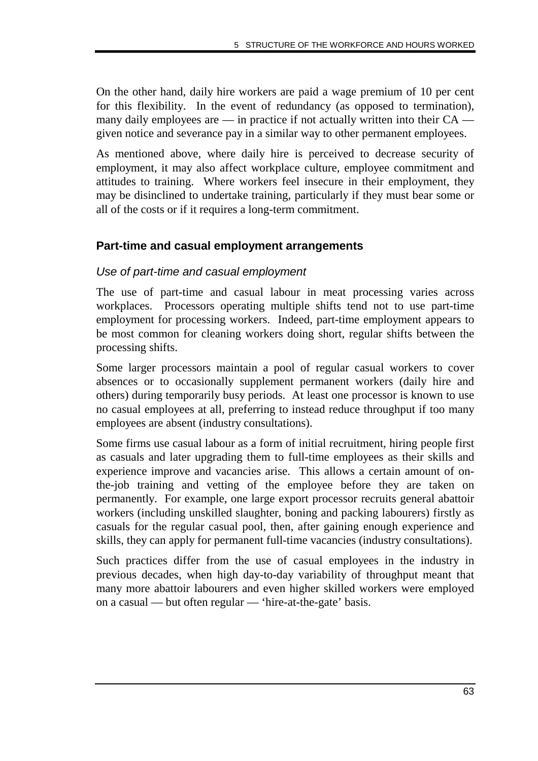On the other hand, daily hire workers are paid a wage premium of 10 per cent for this flexibility. In the event of redundancy (as opposed to termination), many daily employees are  $\frac{1}{2}$  in practice if not actually written into their CA  $\frac{1}{2}$ given notice and severance pay in a similar way to other permanent employees.

As mentioned above, where daily hire is perceived to decrease security of employment, it may also affect workplace culture, employee commitment and attitudes to training. Where workers feel insecure in their employment, they may be disinclined to undertake training, particularly if they must bear some or all of the costs or if it requires a long-term commitment.

#### **Part-time and casual employment arrangements**

#### Use of part-time and casual employment

The use of part-time and casual labour in meat processing varies across workplaces. Processors operating multiple shifts tend not to use part-time employment for processing workers. Indeed, part-time employment appears to be most common for cleaning workers doing short, regular shifts between the processing shifts.

Some larger processors maintain a pool of regular casual workers to cover absences or to occasionally supplement permanent workers (daily hire and others) during temporarily busy periods. At least one processor is known to use no casual employees at all, preferring to instead reduce throughput if too many employees are absent (industry consultations).

Some firms use casual labour as a form of initial recruitment, hiring people first as casuals and later upgrading them to full-time employees as their skills and experience improve and vacancies arise. This allows a certain amount of onthe-job training and vetting of the employee before they are taken on permanently. For example, one large export processor recruits general abattoir workers (including unskilled slaughter, boning and packing labourers) firstly as casuals for the regular casual pool, then, after gaining enough experience and skills, they can apply for permanent full-time vacancies (industry consultations).

Such practices differ from the use of casual employees in the industry in previous decades, when high day-to-day variability of throughput meant that many more abattoir labourers and even higher skilled workers were employed on a casual — but often regular — 'hire-at-the-gate' basis.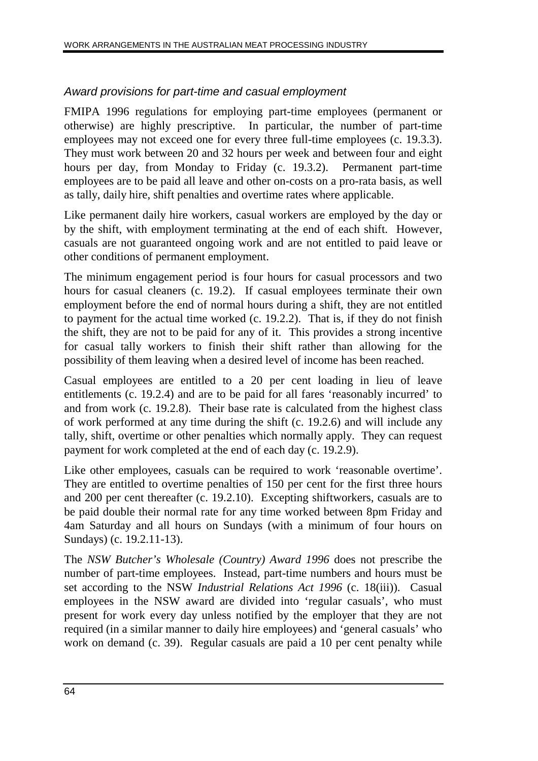## Award provisions for part-time and casual employment

FMIPA 1996 regulations for employing part-time employees (permanent or otherwise) are highly prescriptive. In particular, the number of part-time employees may not exceed one for every three full-time employees (c. 19.3.3). They must work between 20 and 32 hours per week and between four and eight hours per day, from Monday to Friday (c. 19.3.2). Permanent part-time employees are to be paid all leave and other on-costs on a pro-rata basis, as well as tally, daily hire, shift penalties and overtime rates where applicable.

Like permanent daily hire workers, casual workers are employed by the day or by the shift, with employment terminating at the end of each shift. However, casuals are not guaranteed ongoing work and are not entitled to paid leave or other conditions of permanent employment.

The minimum engagement period is four hours for casual processors and two hours for casual cleaners (c. 19.2). If casual employees terminate their own employment before the end of normal hours during a shift, they are not entitled to payment for the actual time worked (c. 19.2.2). That is, if they do not finish the shift, they are not to be paid for any of it. This provides a strong incentive for casual tally workers to finish their shift rather than allowing for the possibility of them leaving when a desired level of income has been reached.

Casual employees are entitled to a 20 per cent loading in lieu of leave entitlements (c. 19.2.4) and are to be paid for all fares 'reasonably incurred' to and from work (c. 19.2.8). Their base rate is calculated from the highest class of work performed at any time during the shift (c. 19.2.6) and will include any tally, shift, overtime or other penalties which normally apply. They can request payment for work completed at the end of each day (c. 19.2.9).

Like other employees, casuals can be required to work 'reasonable overtime'. They are entitled to overtime penalties of 150 per cent for the first three hours and 200 per cent thereafter (c. 19.2.10). Excepting shiftworkers, casuals are to be paid double their normal rate for any time worked between 8pm Friday and 4am Saturday and all hours on Sundays (with a minimum of four hours on Sundays) (c. 19.2.11-13).

The *NSW Butcher's Wholesale (Country) Award 1996* does not prescribe the number of part-time employees. Instead, part-time numbers and hours must be set according to the NSW *Industrial Relations Act 1996* (c. 18(iii)). Casual employees in the NSW award are divided into 'regular casuals', who must present for work every day unless notified by the employer that they are not required (in a similar manner to daily hire employees) and 'general casuals' who work on demand (c. 39). Regular casuals are paid a 10 per cent penalty while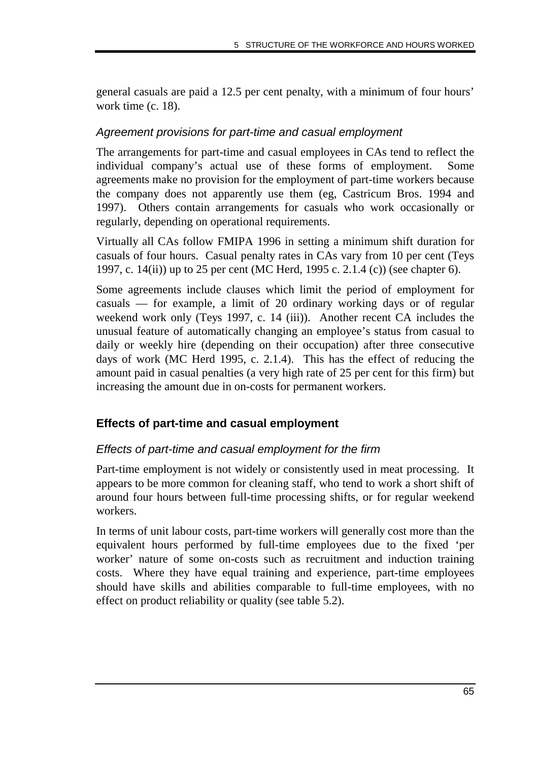general casuals are paid a 12.5 per cent penalty, with a minimum of four hours' work time (c. 18).

#### Agreement provisions for part-time and casual employment

The arrangements for part-time and casual employees in CAs tend to reflect the individual company's actual use of these forms of employment. Some agreements make no provision for the employment of part-time workers because the company does not apparently use them (eg, Castricum Bros. 1994 and 1997). Others contain arrangements for casuals who work occasionally or regularly, depending on operational requirements.

Virtually all CAs follow FMIPA 1996 in setting a minimum shift duration for casuals of four hours. Casual penalty rates in CAs vary from 10 per cent (Teys 1997, c. 14(ii)) up to 25 per cent (MC Herd, 1995 c. 2.1.4 (c)) (see chapter 6).

Some agreements include clauses which limit the period of employment for casuals — for example, a limit of 20 ordinary working days or of regular weekend work only (Teys 1997, c. 14 (iii)). Another recent CA includes the unusual feature of automatically changing an employee's status from casual to daily or weekly hire (depending on their occupation) after three consecutive days of work (MC Herd 1995, c. 2.1.4). This has the effect of reducing the amount paid in casual penalties (a very high rate of 25 per cent for this firm) but increasing the amount due in on-costs for permanent workers.

#### **Effects of part-time and casual employment**

#### Effects of part-time and casual employment for the firm

Part-time employment is not widely or consistently used in meat processing. It appears to be more common for cleaning staff, who tend to work a short shift of around four hours between full-time processing shifts, or for regular weekend workers.

In terms of unit labour costs, part-time workers will generally cost more than the equivalent hours performed by full-time employees due to the fixed 'per worker' nature of some on-costs such as recruitment and induction training costs. Where they have equal training and experience, part-time employees should have skills and abilities comparable to full-time employees, with no effect on product reliability or quality (see table 5.2).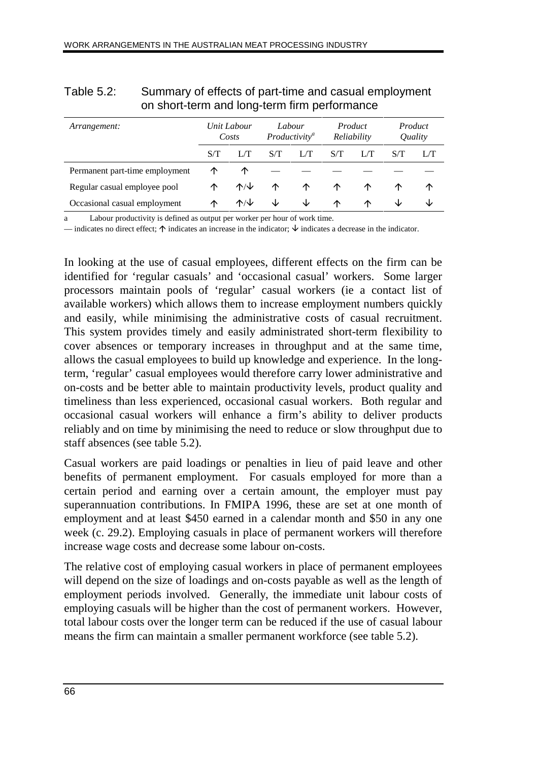|                                |                      | ີ                                   |                                     |     |                        |     |                                  |   |
|--------------------------------|----------------------|-------------------------------------|-------------------------------------|-----|------------------------|-----|----------------------------------|---|
| Arrangement:                   | Unit Labour<br>Costs |                                     | Labour<br>Productivity <sup>a</sup> |     | Product<br>Reliability |     | Product<br><i><u>Ouality</u></i> |   |
|                                | S/T                  | 1/T                                 | S/T                                 | L/T | S/T                    | L/T | S/T                              |   |
| Permanent part-time employment | ↑                    | ↑                                   |                                     |     |                        |     |                                  |   |
| Regular casual employee pool   | ∧                    | $\mathcal{N} \setminus \mathcal{V}$ | ↑                                   | ∧   | ∧                      | ∧   | ∧                                | ↑ |
| Occasional casual employment   | ∧                    | $\uparrow\wedge\downarrow$          | ◡                                   | ◡   | ∧                      | ∧   | ◡                                | ◡ |

| Table 5.2: | Summary of effects of part-time and casual employment |
|------------|-------------------------------------------------------|
|            | on short-term and long-term firm performance          |

Labour productivity is defined as output per worker per hour of work time.

— indicates no direct effect;  $\uparrow$  indicates an increase in the indicator;  $\downarrow$  indicates a decrease in the indicator.

In looking at the use of casual employees, different effects on the firm can be identified for 'regular casuals' and 'occasional casual' workers. Some larger processors maintain pools of 'regular' casual workers (ie a contact list of available workers) which allows them to increase employment numbers quickly and easily, while minimising the administrative costs of casual recruitment. This system provides timely and easily administrated short-term flexibility to cover absences or temporary increases in throughput and at the same time, allows the casual employees to build up knowledge and experience. In the longterm, 'regular' casual employees would therefore carry lower administrative and on-costs and be better able to maintain productivity levels, product quality and timeliness than less experienced, occasional casual workers. Both regular and occasional casual workers will enhance a firm's ability to deliver products reliably and on time by minimising the need to reduce or slow throughput due to staff absences (see table 5.2).

Casual workers are paid loadings or penalties in lieu of paid leave and other benefits of permanent employment. For casuals employed for more than a certain period and earning over a certain amount, the employer must pay superannuation contributions. In FMIPA 1996, these are set at one month of employment and at least \$450 earned in a calendar month and \$50 in any one week (c. 29.2). Employing casuals in place of permanent workers will therefore increase wage costs and decrease some labour on-costs.

The relative cost of employing casual workers in place of permanent employees will depend on the size of loadings and on-costs payable as well as the length of employment periods involved. Generally, the immediate unit labour costs of employing casuals will be higher than the cost of permanent workers. However, total labour costs over the longer term can be reduced if the use of casual labour means the firm can maintain a smaller permanent workforce (see table 5.2).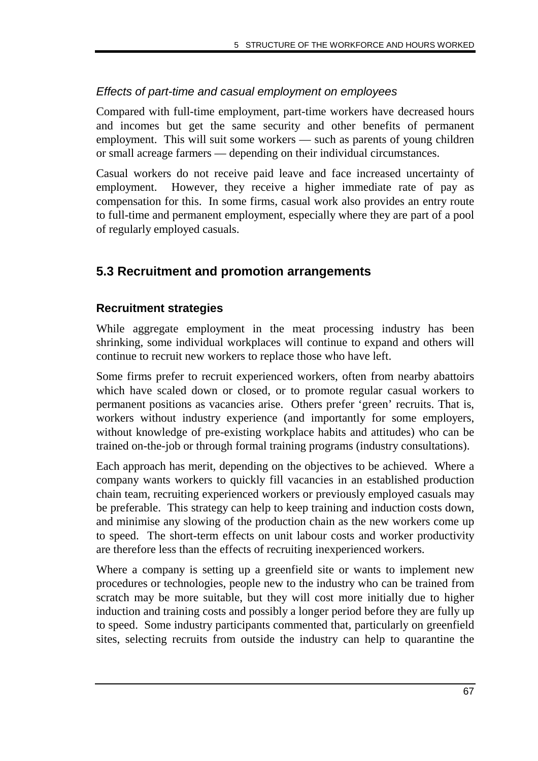#### Effects of part-time and casual employment on employees

Compared with full-time employment, part-time workers have decreased hours and incomes but get the same security and other benefits of permanent employment. This will suit some workers — such as parents of young children or small acreage farmers — depending on their individual circumstances.

Casual workers do not receive paid leave and face increased uncertainty of employment. However, they receive a higher immediate rate of pay as compensation for this. In some firms, casual work also provides an entry route to full-time and permanent employment, especially where they are part of a pool of regularly employed casuals.

# **5.3 Recruitment and promotion arrangements**

## **Recruitment strategies**

While aggregate employment in the meat processing industry has been shrinking, some individual workplaces will continue to expand and others will continue to recruit new workers to replace those who have left.

Some firms prefer to recruit experienced workers, often from nearby abattoirs which have scaled down or closed, or to promote regular casual workers to permanent positions as vacancies arise. Others prefer 'green' recruits. That is, workers without industry experience (and importantly for some employers, without knowledge of pre-existing workplace habits and attitudes) who can be trained on-the-job or through formal training programs (industry consultations).

Each approach has merit, depending on the objectives to be achieved. Where a company wants workers to quickly fill vacancies in an established production chain team, recruiting experienced workers or previously employed casuals may be preferable. This strategy can help to keep training and induction costs down, and minimise any slowing of the production chain as the new workers come up to speed. The short-term effects on unit labour costs and worker productivity are therefore less than the effects of recruiting inexperienced workers.

Where a company is setting up a greenfield site or wants to implement new procedures or technologies, people new to the industry who can be trained from scratch may be more suitable, but they will cost more initially due to higher induction and training costs and possibly a longer period before they are fully up to speed. Some industry participants commented that, particularly on greenfield sites, selecting recruits from outside the industry can help to quarantine the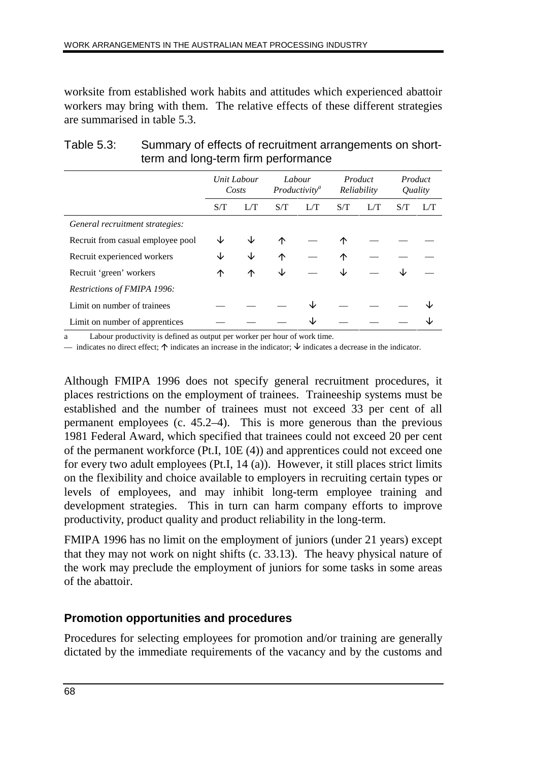worksite from established work habits and attitudes which experienced abattoir workers may bring with them. The relative effects of these different strategies are summarised in table 5.3.

|                                   | Unit Labour<br>Costs |   | Labour<br>Productivity <sup>a</sup> |     | Product<br>Reliability |  | Product<br>Quality |  |
|-----------------------------------|----------------------|---|-------------------------------------|-----|------------------------|--|--------------------|--|
|                                   | S/T                  |   | S/T                                 | L/T | S/T                    |  | S/T                |  |
| General recruitment strategies:   |                      |   |                                     |     |                        |  |                    |  |
| Recruit from casual employee pool |                      |   | ∧                                   |     | ∧                      |  |                    |  |
| Recruit experienced workers       | ◡                    | ◡ | 个                                   |     | ↑                      |  |                    |  |
| Recruit 'green' workers           | ↑                    | ↑ | ↓                                   |     | Jz                     |  |                    |  |
| Restrictions of FMIPA 1996:       |                      |   |                                     |     |                        |  |                    |  |
| Limit on number of trainees       |                      |   |                                     |     |                        |  |                    |  |
| Limit on number of apprentices    |                      |   |                                     |     |                        |  |                    |  |

#### Table 5.3: Summary of effects of recruitment arrangements on shortterm and long-term firm performance

a Labour productivity is defined as output per worker per hour of work time.

— indicates no direct effect;  $\uparrow$  indicates an increase in the indicator;  $\downarrow$  indicates a decrease in the indicator.

Although FMIPA 1996 does not specify general recruitment procedures, it places restrictions on the employment of trainees. Traineeship systems must be established and the number of trainees must not exceed 33 per cent of all permanent employees (c. 45.2–4). This is more generous than the previous 1981 Federal Award, which specified that trainees could not exceed 20 per cent of the permanent workforce (Pt.I, 10E (4)) and apprentices could not exceed one for every two adult employees (Pt.I, 14 (a)). However, it still places strict limits on the flexibility and choice available to employers in recruiting certain types or levels of employees, and may inhibit long-term employee training and development strategies. This in turn can harm company efforts to improve productivity, product quality and product reliability in the long-term.

FMIPA 1996 has no limit on the employment of juniors (under 21 years) except that they may not work on night shifts (c. 33.13). The heavy physical nature of the work may preclude the employment of juniors for some tasks in some areas of the abattoir.

#### **Promotion opportunities and procedures**

Procedures for selecting employees for promotion and/or training are generally dictated by the immediate requirements of the vacancy and by the customs and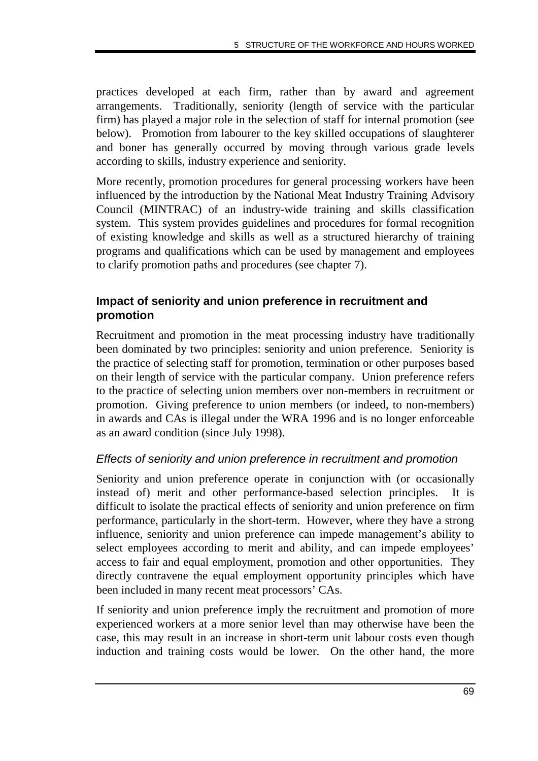practices developed at each firm, rather than by award and agreement arrangements. Traditionally, seniority (length of service with the particular firm) has played a major role in the selection of staff for internal promotion (see below). Promotion from labourer to the key skilled occupations of slaughterer and boner has generally occurred by moving through various grade levels according to skills, industry experience and seniority.

More recently, promotion procedures for general processing workers have been influenced by the introduction by the National Meat Industry Training Advisory Council (MINTRAC) of an industry-wide training and skills classification system. This system provides guidelines and procedures for formal recognition of existing knowledge and skills as well as a structured hierarchy of training programs and qualifications which can be used by management and employees to clarify promotion paths and procedures (see chapter 7).

#### **Impact of seniority and union preference in recruitment and promotion**

Recruitment and promotion in the meat processing industry have traditionally been dominated by two principles: seniority and union preference. Seniority is the practice of selecting staff for promotion, termination or other purposes based on their length of service with the particular company. Union preference refers to the practice of selecting union members over non-members in recruitment or promotion. Giving preference to union members (or indeed, to non-members) in awards and CAs is illegal under the WRA 1996 and is no longer enforceable as an award condition (since July 1998).

#### Effects of seniority and union preference in recruitment and promotion

Seniority and union preference operate in conjunction with (or occasionally instead of) merit and other performance-based selection principles. It is difficult to isolate the practical effects of seniority and union preference on firm performance, particularly in the short-term. However, where they have a strong influence, seniority and union preference can impede management's ability to select employees according to merit and ability, and can impede employees' access to fair and equal employment, promotion and other opportunities. They directly contravene the equal employment opportunity principles which have been included in many recent meat processors' CAs.

If seniority and union preference imply the recruitment and promotion of more experienced workers at a more senior level than may otherwise have been the case, this may result in an increase in short-term unit labour costs even though induction and training costs would be lower. On the other hand, the more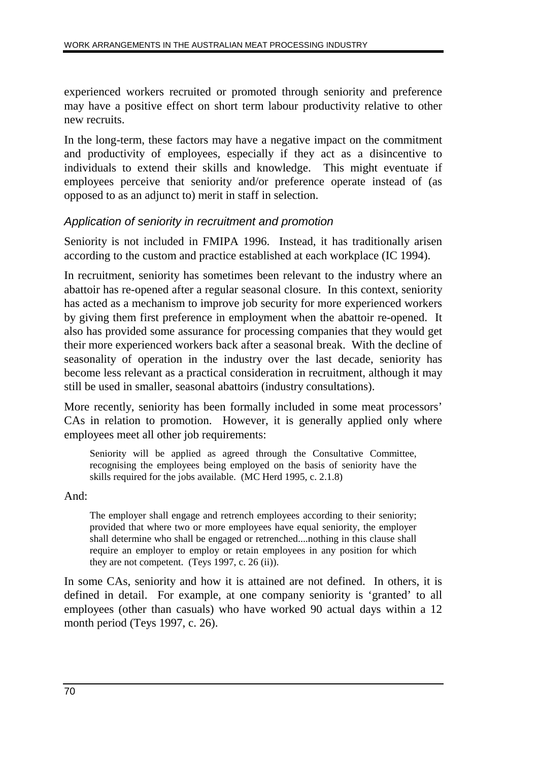experienced workers recruited or promoted through seniority and preference may have a positive effect on short term labour productivity relative to other new recruits.

In the long-term, these factors may have a negative impact on the commitment and productivity of employees, especially if they act as a disincentive to individuals to extend their skills and knowledge. This might eventuate if employees perceive that seniority and/or preference operate instead of (as opposed to as an adjunct to) merit in staff in selection.

## Application of seniority in recruitment and promotion

Seniority is not included in FMIPA 1996. Instead, it has traditionally arisen according to the custom and practice established at each workplace (IC 1994).

In recruitment, seniority has sometimes been relevant to the industry where an abattoir has re-opened after a regular seasonal closure. In this context, seniority has acted as a mechanism to improve job security for more experienced workers by giving them first preference in employment when the abattoir re-opened. It also has provided some assurance for processing companies that they would get their more experienced workers back after a seasonal break. With the decline of seasonality of operation in the industry over the last decade, seniority has become less relevant as a practical consideration in recruitment, although it may still be used in smaller, seasonal abattoirs (industry consultations).

More recently, seniority has been formally included in some meat processors' CAs in relation to promotion. However, it is generally applied only where employees meet all other job requirements:

Seniority will be applied as agreed through the Consultative Committee, recognising the employees being employed on the basis of seniority have the skills required for the jobs available. (MC Herd 1995, c. 2.1.8)

#### And:

The employer shall engage and retrench employees according to their seniority; provided that where two or more employees have equal seniority, the employer shall determine who shall be engaged or retrenched....nothing in this clause shall require an employer to employ or retain employees in any position for which they are not competent. (Teys 1997, c. 26 (ii)).

In some CAs, seniority and how it is attained are not defined. In others, it is defined in detail. For example, at one company seniority is 'granted' to all employees (other than casuals) who have worked 90 actual days within a 12 month period (Teys 1997, c. 26).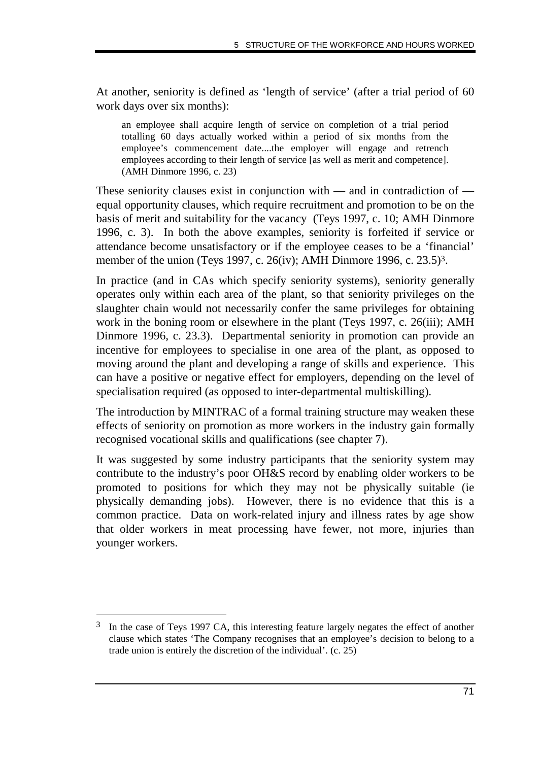At another, seniority is defined as 'length of service' (after a trial period of 60 work days over six months):

an employee shall acquire length of service on completion of a trial period totalling 60 days actually worked within a period of six months from the employee's commencement date....the employer will engage and retrench employees according to their length of service [as well as merit and competence]. (AMH Dinmore 1996, c. 23)

These seniority clauses exist in conjunction with — and in contradiction of equal opportunity clauses, which require recruitment and promotion to be on the basis of merit and suitability for the vacancy (Teys 1997, c. 10; AMH Dinmore 1996, c. 3). In both the above examples, seniority is forfeited if service or attendance become unsatisfactory or if the employee ceases to be a 'financial' member of the union (Teys 1997, c. 26(iv); AMH Dinmore 1996, c. 23.5)<sup>3</sup>.

In practice (and in CAs which specify seniority systems), seniority generally operates only within each area of the plant, so that seniority privileges on the slaughter chain would not necessarily confer the same privileges for obtaining work in the boning room or elsewhere in the plant (Teys 1997, c. 26(iii); AMH Dinmore 1996, c. 23.3). Departmental seniority in promotion can provide an incentive for employees to specialise in one area of the plant, as opposed to moving around the plant and developing a range of skills and experience. This can have a positive or negative effect for employers, depending on the level of specialisation required (as opposed to inter-departmental multiskilling).

The introduction by MINTRAC of a formal training structure may weaken these effects of seniority on promotion as more workers in the industry gain formally recognised vocational skills and qualifications (see chapter 7).

It was suggested by some industry participants that the seniority system may contribute to the industry's poor OH&S record by enabling older workers to be promoted to positions for which they may not be physically suitable (ie physically demanding jobs). However, there is no evidence that this is a common practice. Data on work-related injury and illness rates by age show that older workers in meat processing have fewer, not more, injuries than younger workers.

-

<sup>&</sup>lt;sup>3</sup> In the case of Teys 1997 CA, this interesting feature largely negates the effect of another clause which states 'The Company recognises that an employee's decision to belong to a trade union is entirely the discretion of the individual'. (c. 25)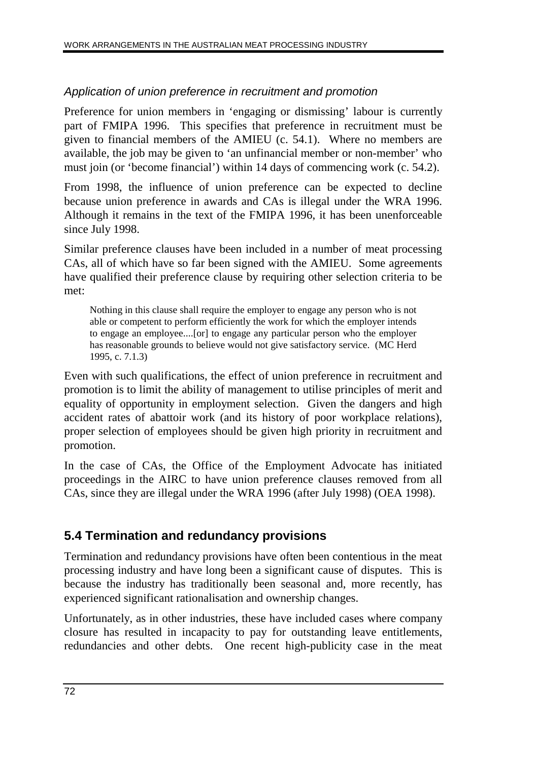## Application of union preference in recruitment and promotion

Preference for union members in 'engaging or dismissing' labour is currently part of FMIPA 1996. This specifies that preference in recruitment must be given to financial members of the AMIEU (c. 54.1). Where no members are available, the job may be given to 'an unfinancial member or non-member' who must join (or 'become financial') within 14 days of commencing work (c. 54.2).

From 1998, the influence of union preference can be expected to decline because union preference in awards and CAs is illegal under the WRA 1996. Although it remains in the text of the FMIPA 1996, it has been unenforceable since July 1998.

Similar preference clauses have been included in a number of meat processing CAs, all of which have so far been signed with the AMIEU. Some agreements have qualified their preference clause by requiring other selection criteria to be met:

Nothing in this clause shall require the employer to engage any person who is not able or competent to perform efficiently the work for which the employer intends to engage an employee....[or] to engage any particular person who the employer has reasonable grounds to believe would not give satisfactory service. (MC Herd 1995, c. 7.1.3)

Even with such qualifications, the effect of union preference in recruitment and promotion is to limit the ability of management to utilise principles of merit and equality of opportunity in employment selection. Given the dangers and high accident rates of abattoir work (and its history of poor workplace relations), proper selection of employees should be given high priority in recruitment and promotion.

In the case of CAs, the Office of the Employment Advocate has initiated proceedings in the AIRC to have union preference clauses removed from all CAs, since they are illegal under the WRA 1996 (after July 1998) (OEA 1998).

# **5.4 Termination and redundancy provisions**

Termination and redundancy provisions have often been contentious in the meat processing industry and have long been a significant cause of disputes. This is because the industry has traditionally been seasonal and, more recently, has experienced significant rationalisation and ownership changes.

Unfortunately, as in other industries, these have included cases where company closure has resulted in incapacity to pay for outstanding leave entitlements, redundancies and other debts. One recent high-publicity case in the meat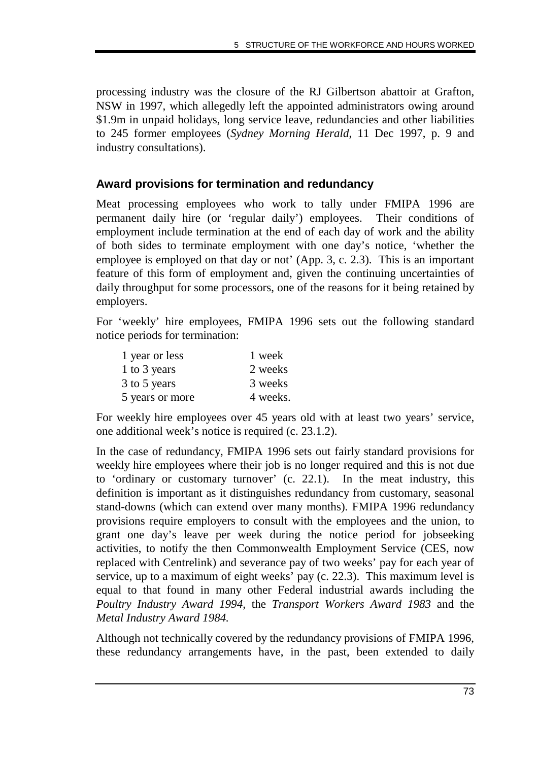processing industry was the closure of the RJ Gilbertson abattoir at Grafton, NSW in 1997, which allegedly left the appointed administrators owing around \$1.9m in unpaid holidays, long service leave, redundancies and other liabilities to 245 former employees (*Sydney Morning Herald*, 11 Dec 1997, p. 9 and industry consultations).

## **Award provisions for termination and redundancy**

Meat processing employees who work to tally under FMIPA 1996 are permanent daily hire (or 'regular daily') employees. Their conditions of employment include termination at the end of each day of work and the ability of both sides to terminate employment with one day's notice, 'whether the employee is employed on that day or not' (App. 3, c. 2.3). This is an important feature of this form of employment and, given the continuing uncertainties of daily throughput for some processors, one of the reasons for it being retained by employers.

For 'weekly' hire employees, FMIPA 1996 sets out the following standard notice periods for termination:

| 1 year or less  | 1 week   |
|-----------------|----------|
| 1 to 3 years    | 2 weeks  |
| 3 to 5 years    | 3 weeks  |
| 5 years or more | 4 weeks. |

For weekly hire employees over 45 years old with at least two years' service, one additional week's notice is required (c. 23.1.2).

In the case of redundancy, FMIPA 1996 sets out fairly standard provisions for weekly hire employees where their job is no longer required and this is not due to 'ordinary or customary turnover' (c. 22.1). In the meat industry, this definition is important as it distinguishes redundancy from customary, seasonal stand-downs (which can extend over many months). FMIPA 1996 redundancy provisions require employers to consult with the employees and the union, to grant one day's leave per week during the notice period for jobseeking activities, to notify the then Commonwealth Employment Service (CES, now replaced with Centrelink) and severance pay of two weeks' pay for each year of service, up to a maximum of eight weeks' pay (c. 22.3). This maximum level is equal to that found in many other Federal industrial awards including the *Poultry Industry Award 1994,* the *Transport Workers Award 1983* and the *Metal Industry Award 1984.*

Although not technically covered by the redundancy provisions of FMIPA 1996, these redundancy arrangements have, in the past, been extended to daily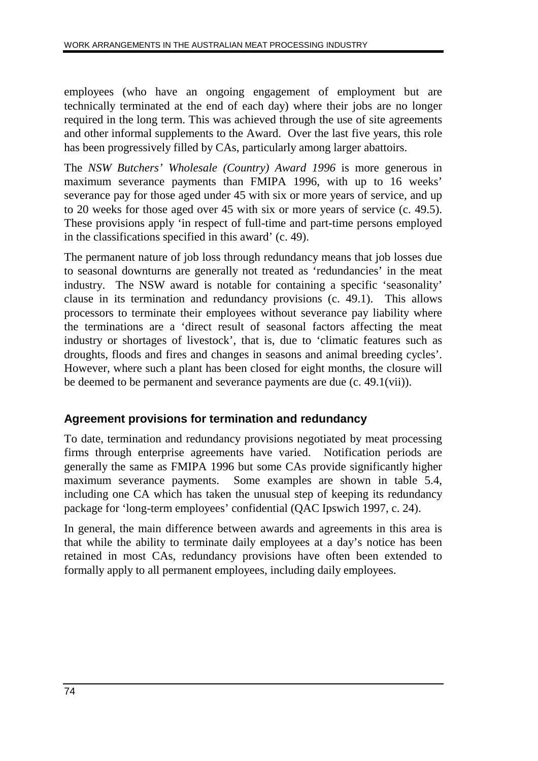employees (who have an ongoing engagement of employment but are technically terminated at the end of each day) where their jobs are no longer required in the long term. This was achieved through the use of site agreements and other informal supplements to the Award. Over the last five years, this role has been progressively filled by CAs, particularly among larger abattoirs.

The *NSW Butchers' Wholesale (Country) Award 1996* is more generous in maximum severance payments than FMIPA 1996, with up to 16 weeks' severance pay for those aged under 45 with six or more years of service, and up to 20 weeks for those aged over 45 with six or more years of service (c. 49.5). These provisions apply 'in respect of full-time and part-time persons employed in the classifications specified in this award' (c. 49).

The permanent nature of job loss through redundancy means that job losses due to seasonal downturns are generally not treated as 'redundancies' in the meat industry. The NSW award is notable for containing a specific 'seasonality' clause in its termination and redundancy provisions (c. 49.1). This allows processors to terminate their employees without severance pay liability where the terminations are a 'direct result of seasonal factors affecting the meat industry or shortages of livestock', that is, due to 'climatic features such as droughts, floods and fires and changes in seasons and animal breeding cycles'. However, where such a plant has been closed for eight months, the closure will be deemed to be permanent and severance payments are due (c. 49.1(vii)).

## **Agreement provisions for termination and redundancy**

To date, termination and redundancy provisions negotiated by meat processing firms through enterprise agreements have varied. Notification periods are generally the same as FMIPA 1996 but some CAs provide significantly higher maximum severance payments. Some examples are shown in table 5.4, including one CA which has taken the unusual step of keeping its redundancy package for 'long-term employees' confidential (QAC Ipswich 1997, c. 24).

In general, the main difference between awards and agreements in this area is that while the ability to terminate daily employees at a day's notice has been retained in most CAs, redundancy provisions have often been extended to formally apply to all permanent employees, including daily employees.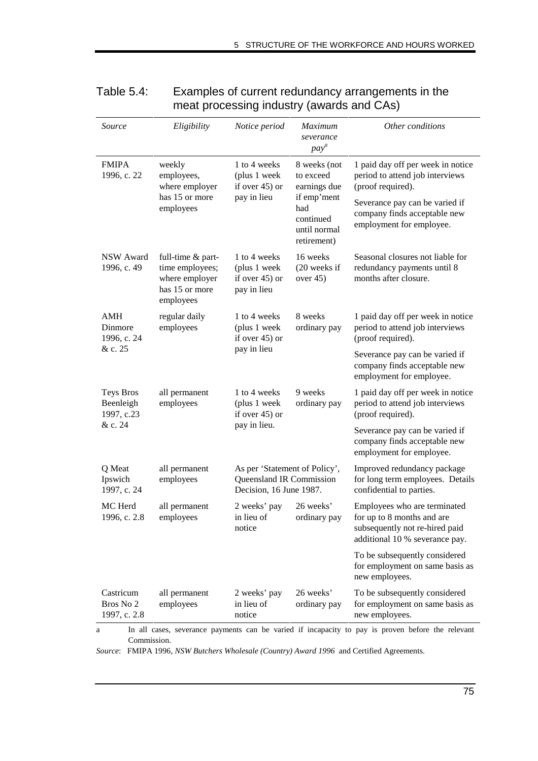| Source                                 | Eligibility                                                                           | Notice period                                                                        | <b>Maximum</b><br>severance<br>$pay^a$    | Other conditions                                                                                                                                                                        |  |  |  |  |
|----------------------------------------|---------------------------------------------------------------------------------------|--------------------------------------------------------------------------------------|-------------------------------------------|-----------------------------------------------------------------------------------------------------------------------------------------------------------------------------------------|--|--|--|--|
| <b>FMIPA</b><br>1996, c. 22            | weekly<br>employees,<br>where employer                                                | 1 to 4 weeks<br>(plus 1 week<br>if over $45$ ) or                                    | 8 weeks (not<br>to exceed<br>earnings due | 1 paid day off per week in notice<br>period to attend job interviews<br>(proof required).                                                                                               |  |  |  |  |
|                                        | has 15 or more<br>employees                                                           | pay in lieu<br>if emp'ment<br>had<br>continued<br>until normal<br>retirement)        |                                           | Severance pay can be varied if<br>company finds acceptable new<br>employment for employee.                                                                                              |  |  |  |  |
| <b>NSW Award</b><br>1996, c. 49        | full-time & part-<br>time employees;<br>where employer<br>has 15 or more<br>employees | 1 to 4 weeks<br>(plus 1 week<br>if over $45$ ) or<br>pay in lieu                     | 16 weeks<br>(20 weeks if<br>over $45$ )   | Seasonal closures not liable for<br>redundancy payments until 8<br>months after closure.                                                                                                |  |  |  |  |
| AMH<br>Dinmore<br>1996, c. 24          | regular daily<br>employees                                                            | 1 to 4 weeks<br>(plus 1 week<br>if over $45$ ) or                                    | 8 weeks<br>ordinary pay                   | 1 paid day off per week in notice<br>period to attend job interviews<br>(proof required).                                                                                               |  |  |  |  |
| & c. 25                                |                                                                                       | pay in lieu                                                                          |                                           | Severance pay can be varied if<br>company finds acceptable new<br>employment for employee.                                                                                              |  |  |  |  |
| Teys Bros<br>Beenleigh<br>1997, c.23   | all permanent<br>employees                                                            | 1 to 4 weeks<br>(plus 1 week<br>if over $45$ ) or                                    | 9 weeks<br>ordinary pay                   | 1 paid day off per week in notice<br>period to attend job interviews<br>(proof required).                                                                                               |  |  |  |  |
| & c. 24                                |                                                                                       | pay in lieu.                                                                         |                                           | Severance pay can be varied if<br>company finds acceptable new<br>employment for employee.                                                                                              |  |  |  |  |
| Q Meat<br>Ipswich<br>1997, c. 24       | all permanent<br>employees                                                            | As per 'Statement of Policy',<br>Queensland IR Commission<br>Decision, 16 June 1987. |                                           | Improved redundancy package<br>for long term employees. Details<br>confidential to parties.                                                                                             |  |  |  |  |
| MC Herd<br>1996, c. 2.8                | all permanent<br>employees                                                            | 2 weeks' pay<br>in lieu of<br>notice                                                 | 26 weeks'<br>ordinary pay                 | Employees who are terminated<br>for up to 8 months and are<br>subsequently not re-hired paid<br>additional 10 % severance pay.                                                          |  |  |  |  |
|                                        |                                                                                       |                                                                                      |                                           | To be subsequently considered<br>for employment on same basis as<br>new employees.                                                                                                      |  |  |  |  |
| Castricum<br>Bros No 2<br>1997, c. 2.8 | all permanent<br>employees                                                            | 2 weeks' pay<br>in lieu of<br>notice                                                 | 26 weeks'<br>ordinary pay                 | To be subsequently considered<br>for employment on same basis as<br>new employees.<br>In all cases, severance payments can be varied if incapacity to pay is proven before the relevant |  |  |  |  |

## Table 5.4: Examples of current redundancy arrangements in the meat processing industry (awards and CAs)

Commission.

*Source*: FMIPA 1996, *NSW Butchers Wholesale (Country) Award 1996* and Certified Agreements.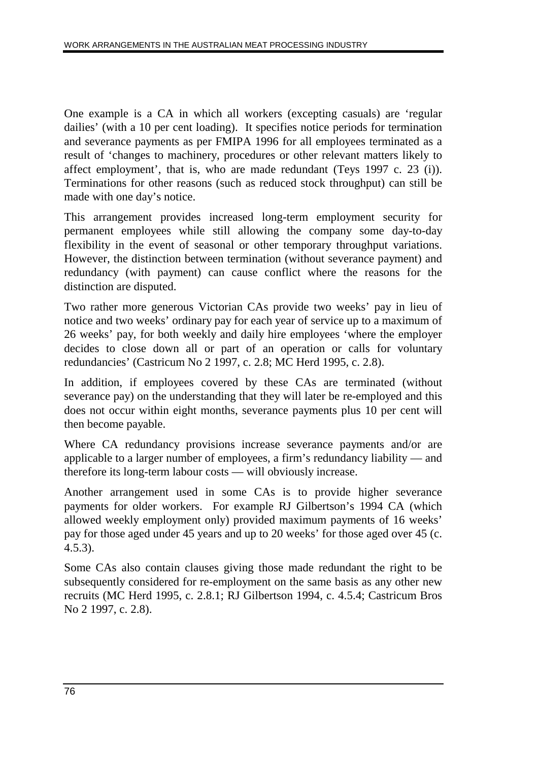One example is a CA in which all workers (excepting casuals) are 'regular dailies' (with a 10 per cent loading). It specifies notice periods for termination and severance payments as per FMIPA 1996 for all employees terminated as a result of 'changes to machinery, procedures or other relevant matters likely to affect employment', that is, who are made redundant (Teys 1997 c. 23 (i)). Terminations for other reasons (such as reduced stock throughput) can still be made with one day's notice.

This arrangement provides increased long-term employment security for permanent employees while still allowing the company some day-to-day flexibility in the event of seasonal or other temporary throughput variations. However, the distinction between termination (without severance payment) and redundancy (with payment) can cause conflict where the reasons for the distinction are disputed.

Two rather more generous Victorian CAs provide two weeks' pay in lieu of notice and two weeks' ordinary pay for each year of service up to a maximum of 26 weeks' pay, for both weekly and daily hire employees 'where the employer decides to close down all or part of an operation or calls for voluntary redundancies' (Castricum No 2 1997, c. 2.8; MC Herd 1995, c. 2.8).

In addition, if employees covered by these CAs are terminated (without severance pay) on the understanding that they will later be re-employed and this does not occur within eight months, severance payments plus 10 per cent will then become payable.

Where CA redundancy provisions increase severance payments and/or are applicable to a larger number of employees, a firm's redundancy liability — and therefore its long-term labour costs — will obviously increase.

Another arrangement used in some CAs is to provide higher severance payments for older workers. For example RJ Gilbertson's 1994 CA (which allowed weekly employment only) provided maximum payments of 16 weeks' pay for those aged under 45 years and up to 20 weeks' for those aged over 45 (c. 4.5.3).

Some CAs also contain clauses giving those made redundant the right to be subsequently considered for re-employment on the same basis as any other new recruits (MC Herd 1995, c. 2.8.1; RJ Gilbertson 1994, c. 4.5.4; Castricum Bros No 2 1997, c. 2.8).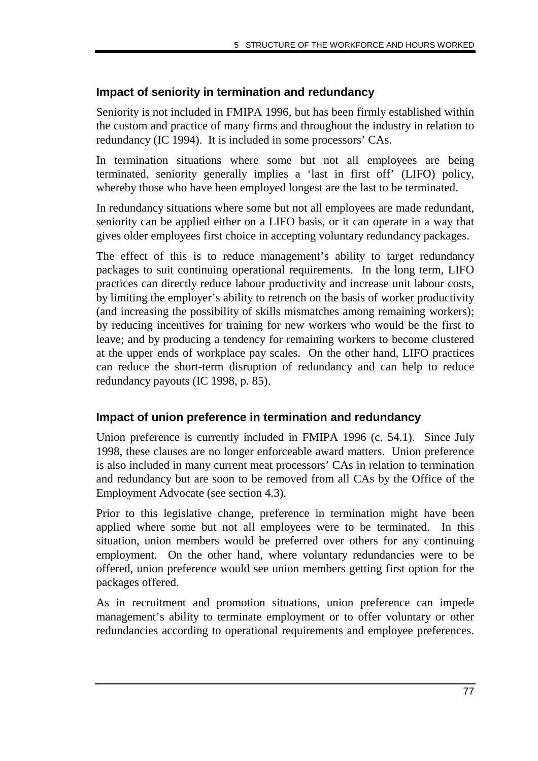#### **Impact of seniority in termination and redundancy**

Seniority is not included in FMIPA 1996, but has been firmly established within the custom and practice of many firms and throughout the industry in relation to redundancy (IC 1994). It is included in some processors' CAs.

In termination situations where some but not all employees are being terminated, seniority generally implies a 'last in first off' (LIFO) policy, whereby those who have been employed longest are the last to be terminated.

In redundancy situations where some but not all employees are made redundant, seniority can be applied either on a LIFO basis, or it can operate in a way that gives older employees first choice in accepting voluntary redundancy packages.

The effect of this is to reduce management's ability to target redundancy packages to suit continuing operational requirements. In the long term, LIFO practices can directly reduce labour productivity and increase unit labour costs, by limiting the employer's ability to retrench on the basis of worker productivity (and increasing the possibility of skills mismatches among remaining workers); by reducing incentives for training for new workers who would be the first to leave; and by producing a tendency for remaining workers to become clustered at the upper ends of workplace pay scales. On the other hand, LIFO practices can reduce the short-term disruption of redundancy and can help to reduce redundancy payouts (IC 1998, p. 85).

#### **Impact of union preference in termination and redundancy**

Union preference is currently included in FMIPA 1996 (c. 54.1). Since July 1998, these clauses are no longer enforceable award matters. Union preference is also included in many current meat processors' CAs in relation to termination and redundancy but are soon to be removed from all CAs by the Office of the Employment Advocate (see section 4.3).

Prior to this legislative change, preference in termination might have been applied where some but not all employees were to be terminated. In this situation, union members would be preferred over others for any continuing employment. On the other hand, where voluntary redundancies were to be offered, union preference would see union members getting first option for the packages offered.

As in recruitment and promotion situations, union preference can impede management's ability to terminate employment or to offer voluntary or other redundancies according to operational requirements and employee preferences.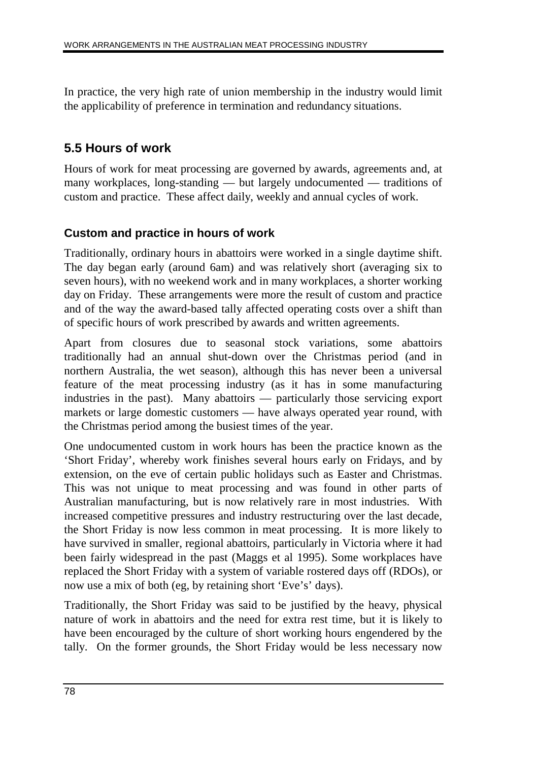In practice, the very high rate of union membership in the industry would limit the applicability of preference in termination and redundancy situations.

# **5.5 Hours of work**

Hours of work for meat processing are governed by awards, agreements and, at many workplaces, long-standing — but largely undocumented — traditions of custom and practice. These affect daily, weekly and annual cycles of work.

#### **Custom and practice in hours of work**

Traditionally, ordinary hours in abattoirs were worked in a single daytime shift. The day began early (around 6am) and was relatively short (averaging six to seven hours), with no weekend work and in many workplaces, a shorter working day on Friday. These arrangements were more the result of custom and practice and of the way the award-based tally affected operating costs over a shift than of specific hours of work prescribed by awards and written agreements.

Apart from closures due to seasonal stock variations, some abattoirs traditionally had an annual shut-down over the Christmas period (and in northern Australia, the wet season), although this has never been a universal feature of the meat processing industry (as it has in some manufacturing industries in the past). Many abattoirs — particularly those servicing export markets or large domestic customers — have always operated year round, with the Christmas period among the busiest times of the year.

One undocumented custom in work hours has been the practice known as the 'Short Friday', whereby work finishes several hours early on Fridays, and by extension, on the eve of certain public holidays such as Easter and Christmas. This was not unique to meat processing and was found in other parts of Australian manufacturing, but is now relatively rare in most industries. With increased competitive pressures and industry restructuring over the last decade, the Short Friday is now less common in meat processing. It is more likely to have survived in smaller, regional abattoirs, particularly in Victoria where it had been fairly widespread in the past (Maggs et al 1995). Some workplaces have replaced the Short Friday with a system of variable rostered days off (RDOs), or now use a mix of both (eg, by retaining short 'Eve's' days).

Traditionally, the Short Friday was said to be justified by the heavy, physical nature of work in abattoirs and the need for extra rest time, but it is likely to have been encouraged by the culture of short working hours engendered by the tally. On the former grounds, the Short Friday would be less necessary now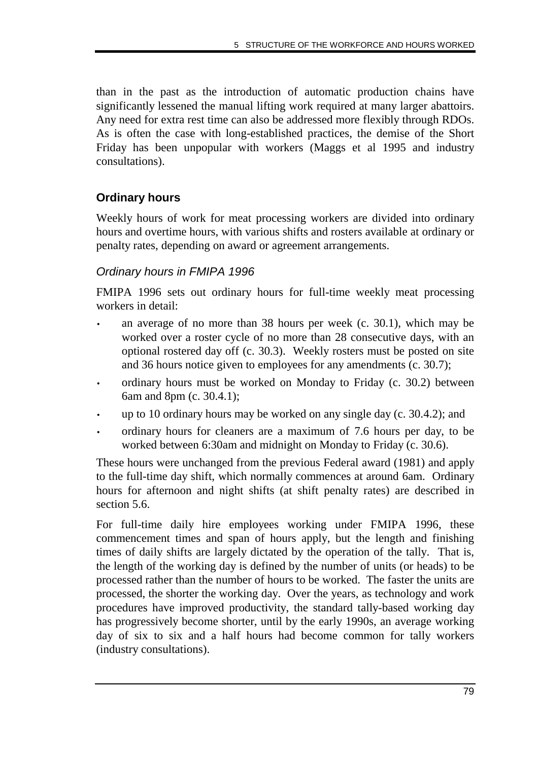than in the past as the introduction of automatic production chains have significantly lessened the manual lifting work required at many larger abattoirs. Any need for extra rest time can also be addressed more flexibly through RDOs. As is often the case with long-established practices, the demise of the Short Friday has been unpopular with workers (Maggs et al 1995 and industry consultations).

# **Ordinary hours**

Weekly hours of work for meat processing workers are divided into ordinary hours and overtime hours, with various shifts and rosters available at ordinary or penalty rates, depending on award or agreement arrangements.

## Ordinary hours in FMIPA 1996

FMIPA 1996 sets out ordinary hours for full-time weekly meat processing workers in detail:

- an average of no more than 38 hours per week (c. 30.1), which may be worked over a roster cycle of no more than 28 consecutive days, with an optional rostered day off (c. 30.3). Weekly rosters must be posted on site and 36 hours notice given to employees for any amendments (c. 30.7);
- ordinary hours must be worked on Monday to Friday (c. 30.2) between 6am and 8pm (c. 30.4.1);
- up to 10 ordinary hours may be worked on any single day (c. 30.4.2); and
- ordinary hours for cleaners are a maximum of 7.6 hours per day, to be worked between 6:30am and midnight on Monday to Friday (c. 30.6).

These hours were unchanged from the previous Federal award (1981) and apply to the full-time day shift, which normally commences at around 6am. Ordinary hours for afternoon and night shifts (at shift penalty rates) are described in section 5.6.

For full-time daily hire employees working under FMIPA 1996, these commencement times and span of hours apply, but the length and finishing times of daily shifts are largely dictated by the operation of the tally. That is, the length of the working day is defined by the number of units (or heads) to be processed rather than the number of hours to be worked. The faster the units are processed, the shorter the working day. Over the years, as technology and work procedures have improved productivity, the standard tally-based working day has progressively become shorter, until by the early 1990s, an average working day of six to six and a half hours had become common for tally workers (industry consultations).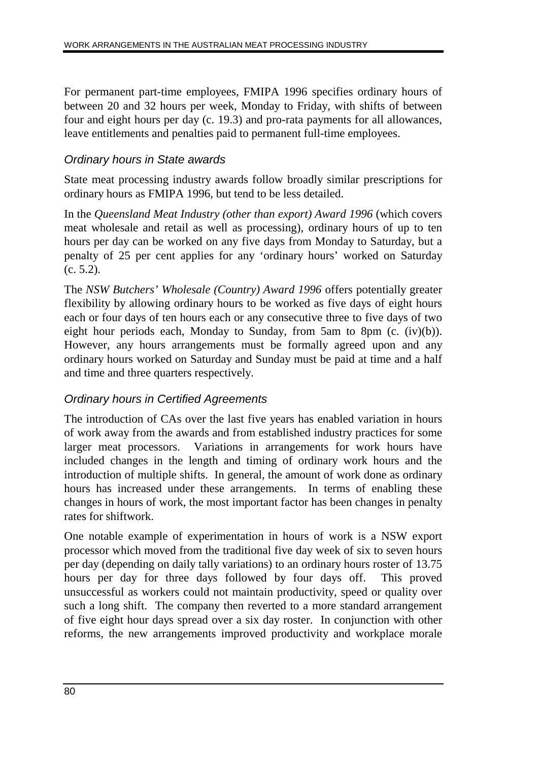For permanent part-time employees, FMIPA 1996 specifies ordinary hours of between 20 and 32 hours per week, Monday to Friday, with shifts of between four and eight hours per day (c. 19.3) and pro-rata payments for all allowances, leave entitlements and penalties paid to permanent full-time employees.

#### Ordinary hours in State awards

State meat processing industry awards follow broadly similar prescriptions for ordinary hours as FMIPA 1996, but tend to be less detailed.

In the *Queensland Meat Industry (other than export) Award 1996* (which covers meat wholesale and retail as well as processing), ordinary hours of up to ten hours per day can be worked on any five days from Monday to Saturday, but a penalty of 25 per cent applies for any 'ordinary hours' worked on Saturday (c. 5.2).

The *NSW Butchers' Wholesale (Country) Award 1996* offers potentially greater flexibility by allowing ordinary hours to be worked as five days of eight hours each or four days of ten hours each or any consecutive three to five days of two eight hour periods each, Monday to Sunday, from 5am to 8pm (c. (iv)(b)). However, any hours arrangements must be formally agreed upon and any ordinary hours worked on Saturday and Sunday must be paid at time and a half and time and three quarters respectively.

## Ordinary hours in Certified Agreements

The introduction of CAs over the last five years has enabled variation in hours of work away from the awards and from established industry practices for some larger meat processors. Variations in arrangements for work hours have included changes in the length and timing of ordinary work hours and the introduction of multiple shifts. In general, the amount of work done as ordinary hours has increased under these arrangements. In terms of enabling these changes in hours of work, the most important factor has been changes in penalty rates for shiftwork.

One notable example of experimentation in hours of work is a NSW export processor which moved from the traditional five day week of six to seven hours per day (depending on daily tally variations) to an ordinary hours roster of 13.75 hours per day for three days followed by four days off. This proved unsuccessful as workers could not maintain productivity, speed or quality over such a long shift. The company then reverted to a more standard arrangement of five eight hour days spread over a six day roster. In conjunction with other reforms, the new arrangements improved productivity and workplace morale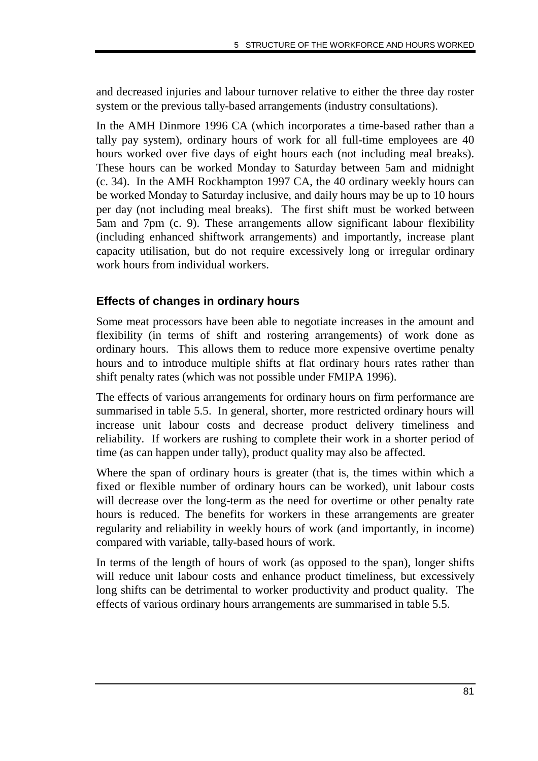and decreased injuries and labour turnover relative to either the three day roster system or the previous tally-based arrangements (industry consultations).

In the AMH Dinmore 1996 CA (which incorporates a time-based rather than a tally pay system), ordinary hours of work for all full-time employees are 40 hours worked over five days of eight hours each (not including meal breaks). These hours can be worked Monday to Saturday between 5am and midnight (c. 34). In the AMH Rockhampton 1997 CA, the 40 ordinary weekly hours can be worked Monday to Saturday inclusive, and daily hours may be up to 10 hours per day (not including meal breaks). The first shift must be worked between 5am and 7pm (c. 9). These arrangements allow significant labour flexibility (including enhanced shiftwork arrangements) and importantly, increase plant capacity utilisation, but do not require excessively long or irregular ordinary work hours from individual workers.

#### **Effects of changes in ordinary hours**

Some meat processors have been able to negotiate increases in the amount and flexibility (in terms of shift and rostering arrangements) of work done as ordinary hours. This allows them to reduce more expensive overtime penalty hours and to introduce multiple shifts at flat ordinary hours rates rather than shift penalty rates (which was not possible under FMIPA 1996).

The effects of various arrangements for ordinary hours on firm performance are summarised in table 5.5. In general, shorter, more restricted ordinary hours will increase unit labour costs and decrease product delivery timeliness and reliability. If workers are rushing to complete their work in a shorter period of time (as can happen under tally), product quality may also be affected.

Where the span of ordinary hours is greater (that is, the times within which a fixed or flexible number of ordinary hours can be worked), unit labour costs will decrease over the long-term as the need for overtime or other penalty rate hours is reduced. The benefits for workers in these arrangements are greater regularity and reliability in weekly hours of work (and importantly, in income) compared with variable, tally-based hours of work.

In terms of the length of hours of work (as opposed to the span), longer shifts will reduce unit labour costs and enhance product timeliness, but excessively long shifts can be detrimental to worker productivity and product quality. The effects of various ordinary hours arrangements are summarised in table 5.5.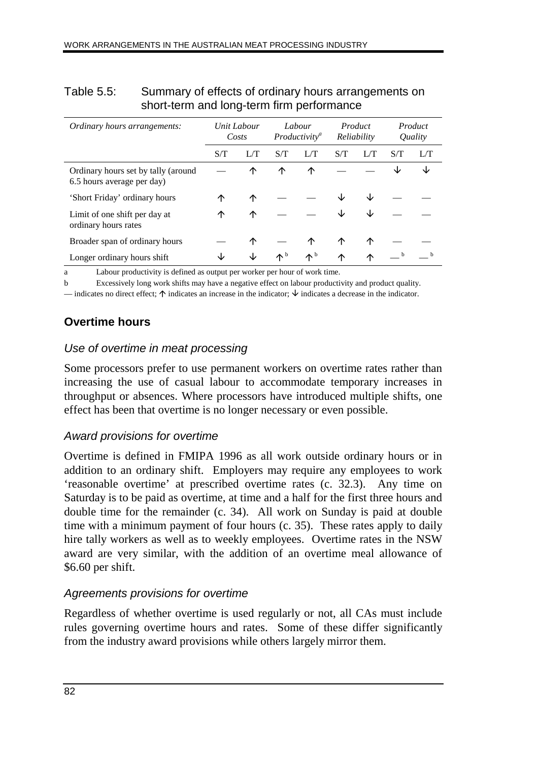| <i>Ordinary hours arrangements:</i>                               | Unit Labour<br>Costs |     | Labour<br>Productivity <sup>a</sup> |                   | Product<br>Reliability |     | Product<br>Quality |     |
|-------------------------------------------------------------------|----------------------|-----|-------------------------------------|-------------------|------------------------|-----|--------------------|-----|
|                                                                   | S/T                  | L/T | S/T                                 | L/T               | S/T                    | L/T | S/T                | L/T |
| Ordinary hours set by tally (around<br>6.5 hours average per day) |                      | ↑   | ↑                                   | ↑                 |                        |     | ◡                  | ↓   |
| 'Short Friday' ordinary hours                                     | ↑                    | ↑   |                                     |                   |                        | J∠  |                    |     |
| Limit of one shift per day at<br>ordinary hours rates             | ↑                    | ↑   |                                     |                   | ◡                      | ◡   |                    |     |
| Broader span of ordinary hours                                    |                      | ↑   |                                     | ∧                 | $\hat{\mathcal{L}}$    | ↑   |                    |     |
| Longer ordinary hours shift                                       |                      |     | $\Lambda^{\rm b}$                   | $\Lambda^{\rm b}$ | ∧                      | ∧   | b                  |     |

#### Table 5.5: Summary of effects of ordinary hours arrangements on short-term and long-term firm performance

a Labour productivity is defined as output per worker per hour of work time.

b Excessively long work shifts may have a negative effect on labour productivity and product quality.

— indicates no direct effect;  $\uparrow$  indicates an increase in the indicator;  $\downarrow$  indicates a decrease in the indicator.

#### **Overtime hours**

#### Use of overtime in meat processing

Some processors prefer to use permanent workers on overtime rates rather than increasing the use of casual labour to accommodate temporary increases in throughput or absences. Where processors have introduced multiple shifts, one effect has been that overtime is no longer necessary or even possible.

#### Award provisions for overtime

Overtime is defined in FMIPA 1996 as all work outside ordinary hours or in addition to an ordinary shift. Employers may require any employees to work 'reasonable overtime' at prescribed overtime rates (c. 32.3). Any time on Saturday is to be paid as overtime, at time and a half for the first three hours and double time for the remainder (c. 34). All work on Sunday is paid at double time with a minimum payment of four hours (c. 35). These rates apply to daily hire tally workers as well as to weekly employees. Overtime rates in the NSW award are very similar, with the addition of an overtime meal allowance of \$6.60 per shift.

#### Agreements provisions for overtime

Regardless of whether overtime is used regularly or not, all CAs must include rules governing overtime hours and rates. Some of these differ significantly from the industry award provisions while others largely mirror them.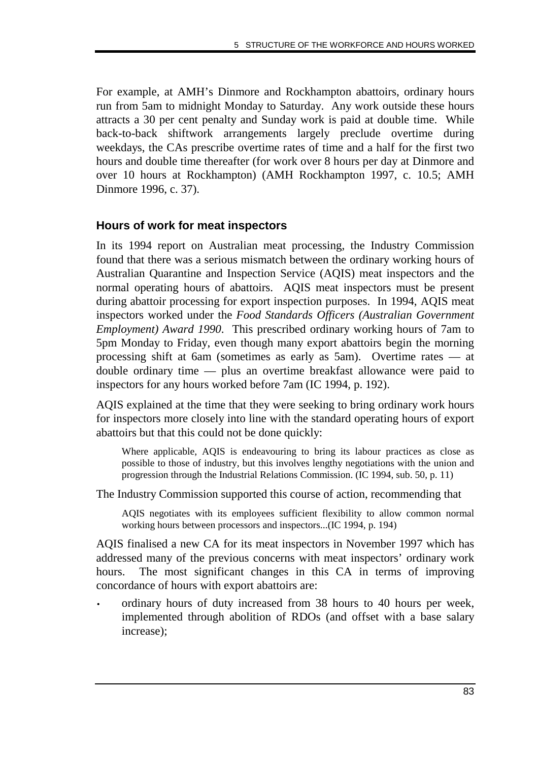For example, at AMH's Dinmore and Rockhampton abattoirs, ordinary hours run from 5am to midnight Monday to Saturday. Any work outside these hours attracts a 30 per cent penalty and Sunday work is paid at double time. While back-to-back shiftwork arrangements largely preclude overtime during weekdays, the CAs prescribe overtime rates of time and a half for the first two hours and double time thereafter (for work over 8 hours per day at Dinmore and over 10 hours at Rockhampton) (AMH Rockhampton 1997, c. 10.5; AMH Dinmore 1996, c. 37).

#### **Hours of work for meat inspectors**

In its 1994 report on Australian meat processing, the Industry Commission found that there was a serious mismatch between the ordinary working hours of Australian Quarantine and Inspection Service (AQIS) meat inspectors and the normal operating hours of abattoirs. AQIS meat inspectors must be present during abattoir processing for export inspection purposes. In 1994, AQIS meat inspectors worked under the *Food Standards Officers (Australian Government Employment) Award 1990*. This prescribed ordinary working hours of 7am to 5pm Monday to Friday, even though many export abattoirs begin the morning processing shift at 6am (sometimes as early as 5am). Overtime rates — at double ordinary time — plus an overtime breakfast allowance were paid to inspectors for any hours worked before 7am (IC 1994, p. 192).

AQIS explained at the time that they were seeking to bring ordinary work hours for inspectors more closely into line with the standard operating hours of export abattoirs but that this could not be done quickly:

Where applicable, AQIS is endeavouring to bring its labour practices as close as possible to those of industry, but this involves lengthy negotiations with the union and progression through the Industrial Relations Commission. (IC 1994, sub. 50, p. 11)

The Industry Commission supported this course of action, recommending that

AQIS negotiates with its employees sufficient flexibility to allow common normal working hours between processors and inspectors...(IC 1994, p. 194)

AQIS finalised a new CA for its meat inspectors in November 1997 which has addressed many of the previous concerns with meat inspectors' ordinary work hours. The most significant changes in this CA in terms of improving concordance of hours with export abattoirs are:

• ordinary hours of duty increased from 38 hours to 40 hours per week, implemented through abolition of RDOs (and offset with a base salary increase);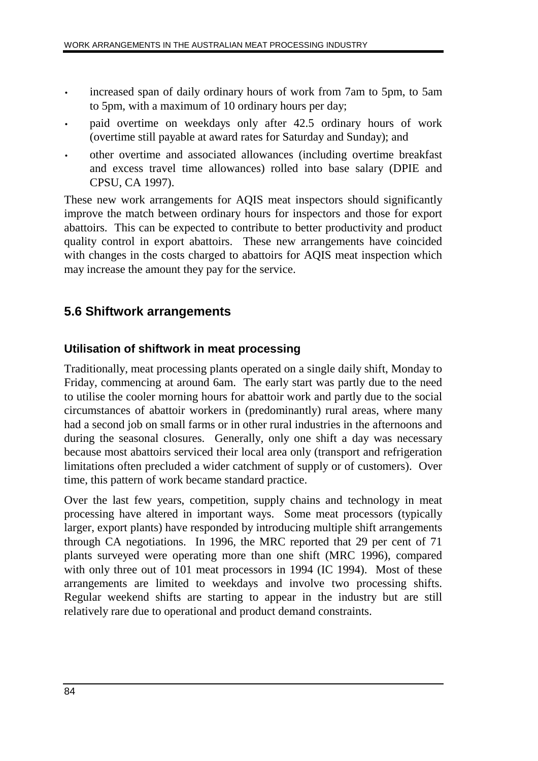- increased span of daily ordinary hours of work from 7am to 5pm, to 5am to 5pm, with a maximum of 10 ordinary hours per day;
- paid overtime on weekdays only after 42.5 ordinary hours of work (overtime still payable at award rates for Saturday and Sunday); and
- other overtime and associated allowances (including overtime breakfast and excess travel time allowances) rolled into base salary (DPIE and CPSU, CA 1997).

These new work arrangements for AQIS meat inspectors should significantly improve the match between ordinary hours for inspectors and those for export abattoirs. This can be expected to contribute to better productivity and product quality control in export abattoirs. These new arrangements have coincided with changes in the costs charged to abattoirs for AQIS meat inspection which may increase the amount they pay for the service.

# **5.6 Shiftwork arrangements**

#### **Utilisation of shiftwork in meat processing**

Traditionally, meat processing plants operated on a single daily shift, Monday to Friday, commencing at around 6am. The early start was partly due to the need to utilise the cooler morning hours for abattoir work and partly due to the social circumstances of abattoir workers in (predominantly) rural areas, where many had a second job on small farms or in other rural industries in the afternoons and during the seasonal closures. Generally, only one shift a day was necessary because most abattoirs serviced their local area only (transport and refrigeration limitations often precluded a wider catchment of supply or of customers). Over time, this pattern of work became standard practice.

Over the last few years, competition, supply chains and technology in meat processing have altered in important ways. Some meat processors (typically larger, export plants) have responded by introducing multiple shift arrangements through CA negotiations. In 1996, the MRC reported that 29 per cent of 71 plants surveyed were operating more than one shift (MRC 1996), compared with only three out of 101 meat processors in 1994 (IC 1994). Most of these arrangements are limited to weekdays and involve two processing shifts. Regular weekend shifts are starting to appear in the industry but are still relatively rare due to operational and product demand constraints.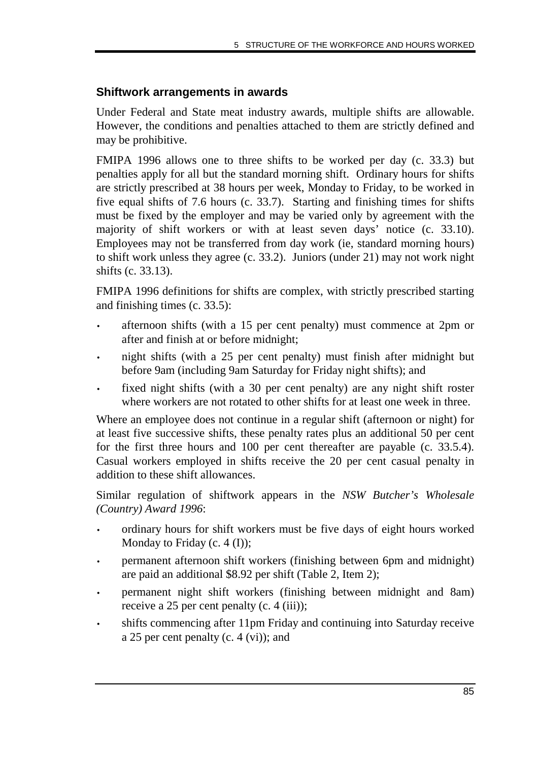### **Shiftwork arrangements in awards**

Under Federal and State meat industry awards, multiple shifts are allowable. However, the conditions and penalties attached to them are strictly defined and may be prohibitive.

FMIPA 1996 allows one to three shifts to be worked per day (c. 33.3) but penalties apply for all but the standard morning shift. Ordinary hours for shifts are strictly prescribed at 38 hours per week, Monday to Friday, to be worked in five equal shifts of 7.6 hours (c. 33.7). Starting and finishing times for shifts must be fixed by the employer and may be varied only by agreement with the majority of shift workers or with at least seven days' notice (c. 33.10). Employees may not be transferred from day work (ie, standard morning hours) to shift work unless they agree (c. 33.2). Juniors (under 21) may not work night shifts (c. 33.13).

FMIPA 1996 definitions for shifts are complex, with strictly prescribed starting and finishing times (c. 33.5):

- afternoon shifts (with a 15 per cent penalty) must commence at 2pm or after and finish at or before midnight;
- night shifts (with a 25 per cent penalty) must finish after midnight but before 9am (including 9am Saturday for Friday night shifts); and
- fixed night shifts (with a 30 per cent penalty) are any night shift roster where workers are not rotated to other shifts for at least one week in three.

Where an employee does not continue in a regular shift (afternoon or night) for at least five successive shifts, these penalty rates plus an additional 50 per cent for the first three hours and 100 per cent thereafter are payable (c. 33.5.4). Casual workers employed in shifts receive the 20 per cent casual penalty in addition to these shift allowances.

Similar regulation of shiftwork appears in the *NSW Butcher's Wholesale (Country) Award 1996*:

- ordinary hours for shift workers must be five days of eight hours worked Monday to Friday (c. 4 (I));
- permanent afternoon shift workers (finishing between 6pm and midnight) are paid an additional \$8.92 per shift (Table 2, Item 2);
- permanent night shift workers (finishing between midnight and 8am) receive a 25 per cent penalty (c. 4 (iii));
- shifts commencing after 11pm Friday and continuing into Saturday receive a 25 per cent penalty (c. 4 (vi)); and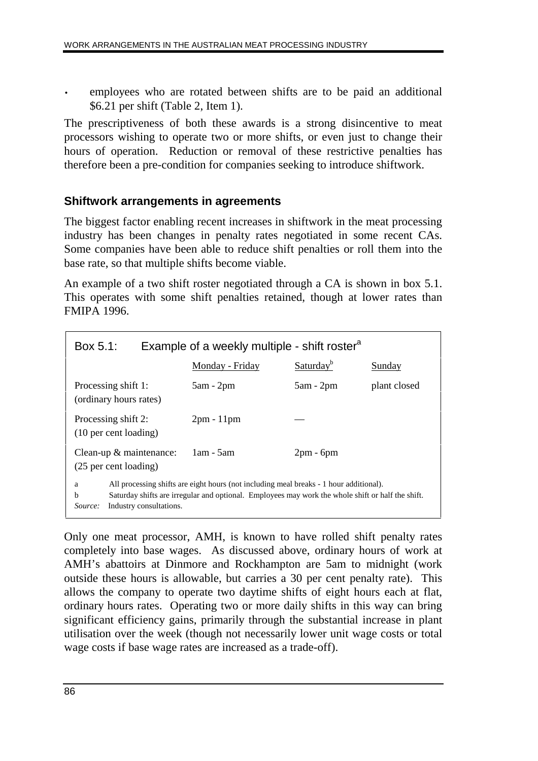• employees who are rotated between shifts are to be paid an additional \$6.21 per shift (Table 2, Item 1).

The prescriptiveness of both these awards is a strong disincentive to meat processors wishing to operate two or more shifts, or even just to change their hours of operation. Reduction or removal of these restrictive penalties has therefore been a pre-condition for companies seeking to introduce shiftwork.

#### **Shiftwork arrangements in agreements**

The biggest factor enabling recent increases in shiftwork in the meat processing industry has been changes in penalty rates negotiated in some recent CAs. Some companies have been able to reduce shift penalties or roll them into the base rate, so that multiple shifts become viable.

An example of a two shift roster negotiated through a CA is shown in box 5.1. This operates with some shift penalties retained, though at lower rates than FMIPA 1996.

|                                                                                                                                                                                                                                                    | Example of a weekly multiple - shift roster <sup>a</sup><br>Box 5.1: |                 |                       |              |  |  |
|----------------------------------------------------------------------------------------------------------------------------------------------------------------------------------------------------------------------------------------------------|----------------------------------------------------------------------|-----------------|-----------------------|--------------|--|--|
|                                                                                                                                                                                                                                                    |                                                                      | Monday - Friday | Saturday <sup>b</sup> | Sunday       |  |  |
|                                                                                                                                                                                                                                                    | Processing shift 1:<br>(ordinary hours rates)                        | $5am - 2pm$     | $5am - 2pm$           | plant closed |  |  |
| Processing shift 2:<br>(10 per cent loading)                                                                                                                                                                                                       |                                                                      | $2pm - 11pm$    |                       |              |  |  |
| Clean-up $&$ maintenance:<br>(25 per cent loading)                                                                                                                                                                                                 |                                                                      | $1am - 5am$     | $2pm - 6pm$           |              |  |  |
| All processing shifts are eight hours (not including meal breaks - 1 hour additional).<br>a<br>Saturday shifts are irregular and optional. Employees may work the whole shift or half the shift.<br>b<br>Industry consultations.<br><i>Source:</i> |                                                                      |                 |                       |              |  |  |

Only one meat processor, AMH, is known to have rolled shift penalty rates completely into base wages. As discussed above, ordinary hours of work at AMH's abattoirs at Dinmore and Rockhampton are 5am to midnight (work outside these hours is allowable, but carries a 30 per cent penalty rate). This allows the company to operate two daytime shifts of eight hours each at flat, ordinary hours rates. Operating two or more daily shifts in this way can bring significant efficiency gains, primarily through the substantial increase in plant utilisation over the week (though not necessarily lower unit wage costs or total wage costs if base wage rates are increased as a trade-off).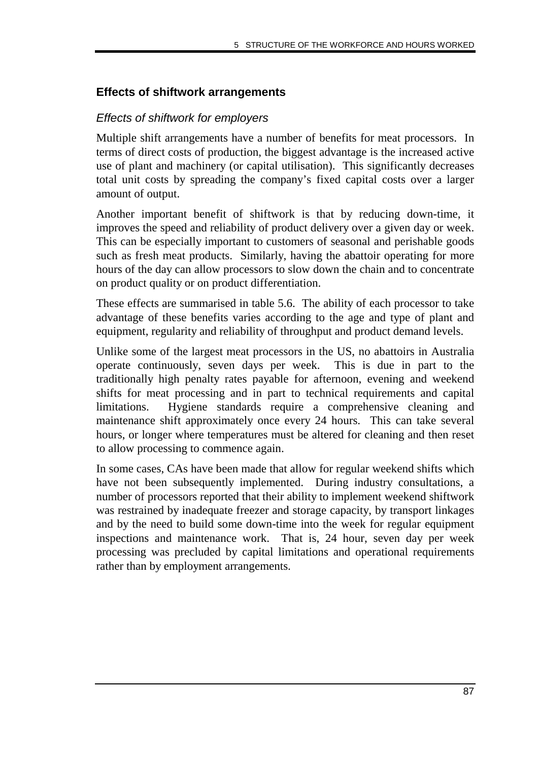### **Effects of shiftwork arrangements**

### Effects of shiftwork for employers

Multiple shift arrangements have a number of benefits for meat processors. In terms of direct costs of production, the biggest advantage is the increased active use of plant and machinery (or capital utilisation). This significantly decreases total unit costs by spreading the company's fixed capital costs over a larger amount of output.

Another important benefit of shiftwork is that by reducing down-time, it improves the speed and reliability of product delivery over a given day or week. This can be especially important to customers of seasonal and perishable goods such as fresh meat products. Similarly, having the abattoir operating for more hours of the day can allow processors to slow down the chain and to concentrate on product quality or on product differentiation.

These effects are summarised in table 5.6. The ability of each processor to take advantage of these benefits varies according to the age and type of plant and equipment, regularity and reliability of throughput and product demand levels.

Unlike some of the largest meat processors in the US, no abattoirs in Australia operate continuously, seven days per week. This is due in part to the traditionally high penalty rates payable for afternoon, evening and weekend shifts for meat processing and in part to technical requirements and capital limitations. Hygiene standards require a comprehensive cleaning and maintenance shift approximately once every 24 hours. This can take several hours, or longer where temperatures must be altered for cleaning and then reset to allow processing to commence again.

In some cases, CAs have been made that allow for regular weekend shifts which have not been subsequently implemented. During industry consultations, a number of processors reported that their ability to implement weekend shiftwork was restrained by inadequate freezer and storage capacity, by transport linkages and by the need to build some down-time into the week for regular equipment inspections and maintenance work. That is, 24 hour, seven day per week processing was precluded by capital limitations and operational requirements rather than by employment arrangements.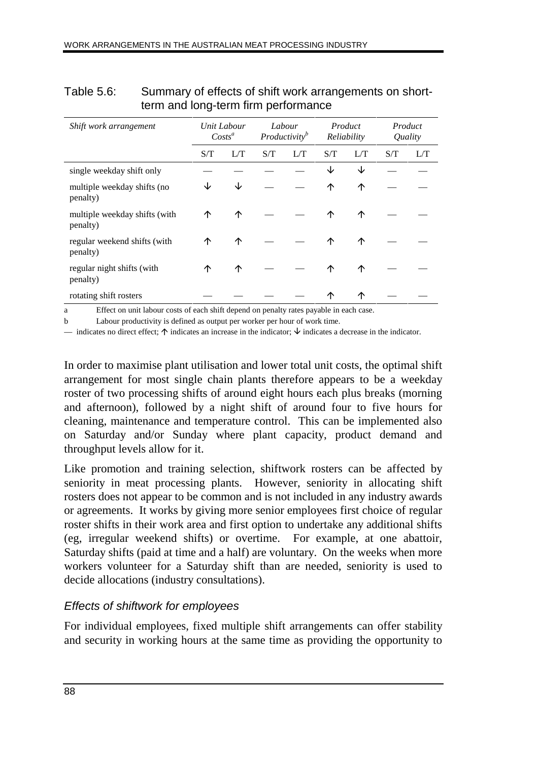|                                           | ັ   |                          |     |                                     |     |                        |     |                    |
|-------------------------------------------|-----|--------------------------|-----|-------------------------------------|-----|------------------------|-----|--------------------|
| Shift work arrangement                    |     | Unit Labour<br>$Costs^a$ |     | Labour<br>Productivity <sup>b</sup> |     | Product<br>Reliability |     | Product<br>Quality |
|                                           | S/T |                          | S/T | L/T                                 | S/T | L/T                    | S/T | L/T                |
| single weekday shift only                 |     |                          |     |                                     | J∠  | ↓                      |     |                    |
| multiple weekday shifts (no<br>penalty)   | ↓   | ↓                        |     |                                     | ↑   | ↑                      |     |                    |
| multiple weekday shifts (with<br>penalty) | ↑   | ↑                        |     |                                     | ↑   | 个                      |     |                    |
| regular weekend shifts (with<br>penalty)  | ↑   | ↑                        |     |                                     | 个   | 个                      |     |                    |
| regular night shifts (with<br>penalty)    | ↑   | ↑                        |     |                                     | ↑   | 个                      |     |                    |
| rotating shift rosters                    |     |                          |     |                                     | ↑   | 个                      |     |                    |

#### Table 5.6: Summary of effects of shift work arrangements on shortterm and long-term firm performance

a Effect on unit labour costs of each shift depend on penalty rates payable in each case.

b Labour productivity is defined as output per worker per hour of work time.

— indicates no direct effect;  $\uparrow$  indicates an increase in the indicator;  $\downarrow$  indicates a decrease in the indicator.

In order to maximise plant utilisation and lower total unit costs, the optimal shift arrangement for most single chain plants therefore appears to be a weekday roster of two processing shifts of around eight hours each plus breaks (morning and afternoon), followed by a night shift of around four to five hours for cleaning, maintenance and temperature control. This can be implemented also on Saturday and/or Sunday where plant capacity, product demand and throughput levels allow for it.

Like promotion and training selection, shiftwork rosters can be affected by seniority in meat processing plants. However, seniority in allocating shift rosters does not appear to be common and is not included in any industry awards or agreements. It works by giving more senior employees first choice of regular roster shifts in their work area and first option to undertake any additional shifts (eg, irregular weekend shifts) or overtime. For example, at one abattoir, Saturday shifts (paid at time and a half) are voluntary. On the weeks when more workers volunteer for a Saturday shift than are needed, seniority is used to decide allocations (industry consultations).

# Effects of shiftwork for employees

For individual employees, fixed multiple shift arrangements can offer stability and security in working hours at the same time as providing the opportunity to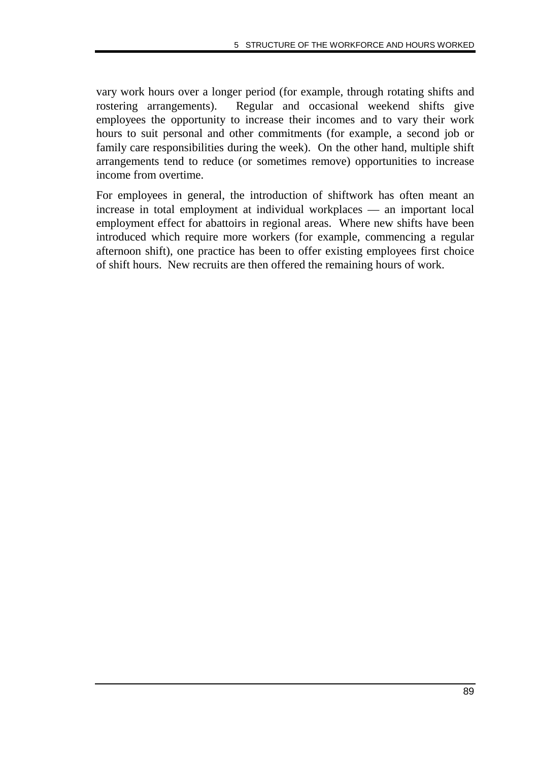vary work hours over a longer period (for example, through rotating shifts and rostering arrangements). Regular and occasional weekend shifts give employees the opportunity to increase their incomes and to vary their work hours to suit personal and other commitments (for example, a second job or family care responsibilities during the week). On the other hand, multiple shift arrangements tend to reduce (or sometimes remove) opportunities to increase income from overtime.

For employees in general, the introduction of shiftwork has often meant an increase in total employment at individual workplaces — an important local employment effect for abattoirs in regional areas. Where new shifts have been introduced which require more workers (for example, commencing a regular afternoon shift), one practice has been to offer existing employees first choice of shift hours. New recruits are then offered the remaining hours of work.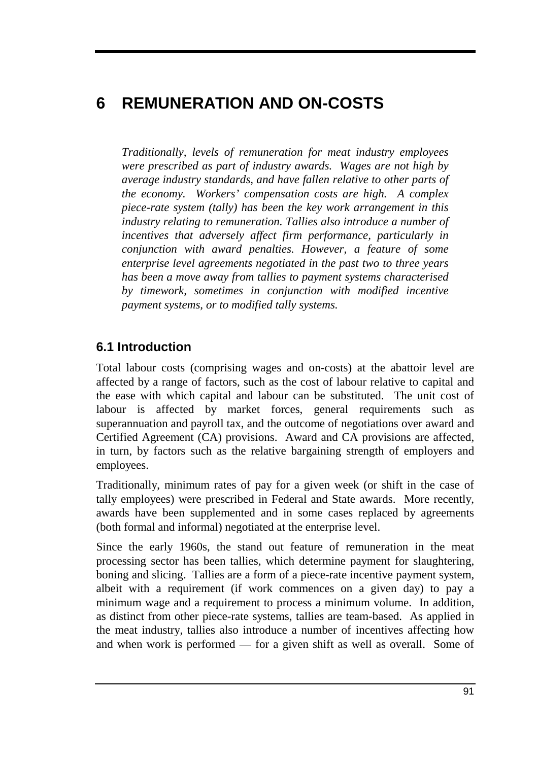# **6 REMUNERATION AND ON-COSTS**

*Traditionally, levels of remuneration for meat industry employees were prescribed as part of industry awards. Wages are not high by average industry standards, and have fallen relative to other parts of the economy. Workers' compensation costs are high. A complex piece-rate system (tally) has been the key work arrangement in this industry relating to remuneration. Tallies also introduce a number of incentives that adversely affect firm performance, particularly in conjunction with award penalties. However, a feature of some enterprise level agreements negotiated in the past two to three years has been a move away from tallies to payment systems characterised by timework, sometimes in conjunction with modified incentive payment systems, or to modified tally systems.*

# **6.1 Introduction**

Total labour costs (comprising wages and on-costs) at the abattoir level are affected by a range of factors, such as the cost of labour relative to capital and the ease with which capital and labour can be substituted. The unit cost of labour is affected by market forces, general requirements such as superannuation and payroll tax, and the outcome of negotiations over award and Certified Agreement (CA) provisions. Award and CA provisions are affected, in turn, by factors such as the relative bargaining strength of employers and employees.

Traditionally, minimum rates of pay for a given week (or shift in the case of tally employees) were prescribed in Federal and State awards. More recently, awards have been supplemented and in some cases replaced by agreements (both formal and informal) negotiated at the enterprise level.

Since the early 1960s, the stand out feature of remuneration in the meat processing sector has been tallies, which determine payment for slaughtering, boning and slicing. Tallies are a form of a piece-rate incentive payment system, albeit with a requirement (if work commences on a given day) to pay a minimum wage and a requirement to process a minimum volume. In addition, as distinct from other piece-rate systems, tallies are team-based. As applied in the meat industry, tallies also introduce a number of incentives affecting how and when work is performed — for a given shift as well as overall. Some of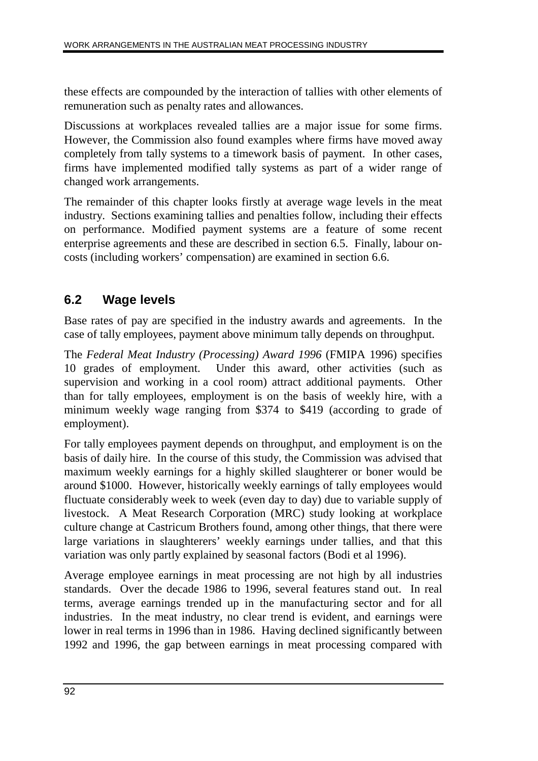these effects are compounded by the interaction of tallies with other elements of remuneration such as penalty rates and allowances.

Discussions at workplaces revealed tallies are a major issue for some firms. However, the Commission also found examples where firms have moved away completely from tally systems to a timework basis of payment. In other cases, firms have implemented modified tally systems as part of a wider range of changed work arrangements.

The remainder of this chapter looks firstly at average wage levels in the meat industry. Sections examining tallies and penalties follow, including their effects on performance. Modified payment systems are a feature of some recent enterprise agreements and these are described in section 6.5. Finally, labour oncosts (including workers' compensation) are examined in section 6.6.

# **6.2 Wage levels**

Base rates of pay are specified in the industry awards and agreements. In the case of tally employees, payment above minimum tally depends on throughput.

The *Federal Meat Industry (Processing) Award 1996* (FMIPA 1996) specifies 10 grades of employment. Under this award, other activities (such as supervision and working in a cool room) attract additional payments. Other than for tally employees, employment is on the basis of weekly hire, with a minimum weekly wage ranging from \$374 to \$419 (according to grade of employment).

For tally employees payment depends on throughput, and employment is on the basis of daily hire. In the course of this study, the Commission was advised that maximum weekly earnings for a highly skilled slaughterer or boner would be around \$1000. However, historically weekly earnings of tally employees would fluctuate considerably week to week (even day to day) due to variable supply of livestock. A Meat Research Corporation (MRC) study looking at workplace culture change at Castricum Brothers found, among other things, that there were large variations in slaughterers' weekly earnings under tallies, and that this variation was only partly explained by seasonal factors (Bodi et al 1996).

Average employee earnings in meat processing are not high by all industries standards. Over the decade 1986 to 1996, several features stand out. In real terms, average earnings trended up in the manufacturing sector and for all industries. In the meat industry, no clear trend is evident, and earnings were lower in real terms in 1996 than in 1986. Having declined significantly between 1992 and 1996, the gap between earnings in meat processing compared with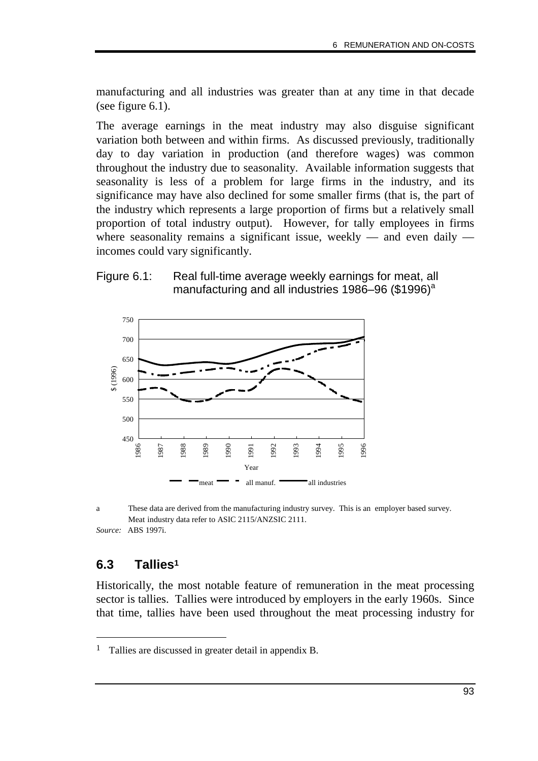manufacturing and all industries was greater than at any time in that decade (see figure 6.1).

The average earnings in the meat industry may also disguise significant variation both between and within firms. As discussed previously, traditionally day to day variation in production (and therefore wages) was common throughout the industry due to seasonality. Available information suggests that seasonality is less of a problem for large firms in the industry, and its significance may have also declined for some smaller firms (that is, the part of the industry which represents a large proportion of firms but a relatively small proportion of total industry output). However, for tally employees in firms where seasonality remains a significant issue, weekly — and even daily incomes could vary significantly.

#### Figure 6.1: Real full-time average weekly earnings for meat, all manufacturing and all industries 1986–96 (\$1996) $^{\circ}$



a These data are derived from the manufacturing industry survey. This is an employer based survey. Meat industry data refer to ASIC 2115/ANZSIC 2111. *Source:* ABS 1997i.

# **6.3 Tallies1**

-

Historically, the most notable feature of remuneration in the meat processing sector is tallies. Tallies were introduced by employers in the early 1960s. Since that time, tallies have been used throughout the meat processing industry for

<sup>1</sup> Tallies are discussed in greater detail in appendix B.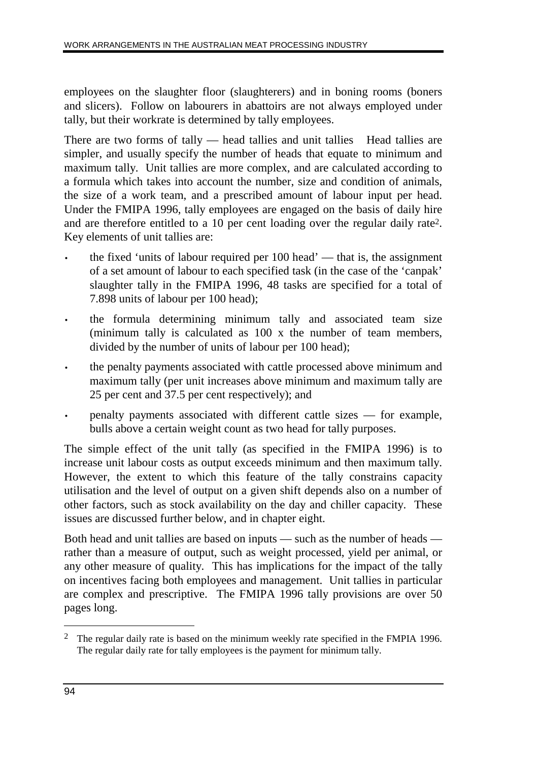employees on the slaughter floor (slaughterers) and in boning rooms (boners and slicers). Follow on labourers in abattoirs are not always employed under tally, but their workrate is determined by tally employees.

There are two forms of tally  $-$  head tallies and unit tallies Head tallies are simpler, and usually specify the number of heads that equate to minimum and maximum tally. Unit tallies are more complex, and are calculated according to a formula which takes into account the number, size and condition of animals, the size of a work team, and a prescribed amount of labour input per head. Under the FMIPA 1996, tally employees are engaged on the basis of daily hire and are therefore entitled to a 10 per cent loading over the regular daily rate2. Key elements of unit tallies are:

- the fixed 'units of labour required per 100 head' that is, the assignment of a set amount of labour to each specified task (in the case of the 'canpak' slaughter tally in the FMIPA 1996, 48 tasks are specified for a total of 7.898 units of labour per 100 head);
- the formula determining minimum tally and associated team size (minimum tally is calculated as 100 x the number of team members, divided by the number of units of labour per 100 head);
- the penalty payments associated with cattle processed above minimum and maximum tally (per unit increases above minimum and maximum tally are 25 per cent and 37.5 per cent respectively); and
- penalty payments associated with different cattle sizes for example, bulls above a certain weight count as two head for tally purposes.

The simple effect of the unit tally (as specified in the FMIPA 1996) is to increase unit labour costs as output exceeds minimum and then maximum tally. However, the extent to which this feature of the tally constrains capacity utilisation and the level of output on a given shift depends also on a number of other factors, such as stock availability on the day and chiller capacity. These issues are discussed further below, and in chapter eight.

Both head and unit tallies are based on inputs — such as the number of heads rather than a measure of output, such as weight processed, yield per animal, or any other measure of quality. This has implications for the impact of the tally on incentives facing both employees and management. Unit tallies in particular are complex and prescriptive. The FMIPA 1996 tally provisions are over 50 pages long.

 $\overline{a}$ 

<sup>2</sup> The regular daily rate is based on the minimum weekly rate specified in the FMPIA 1996. The regular daily rate for tally employees is the payment for minimum tally.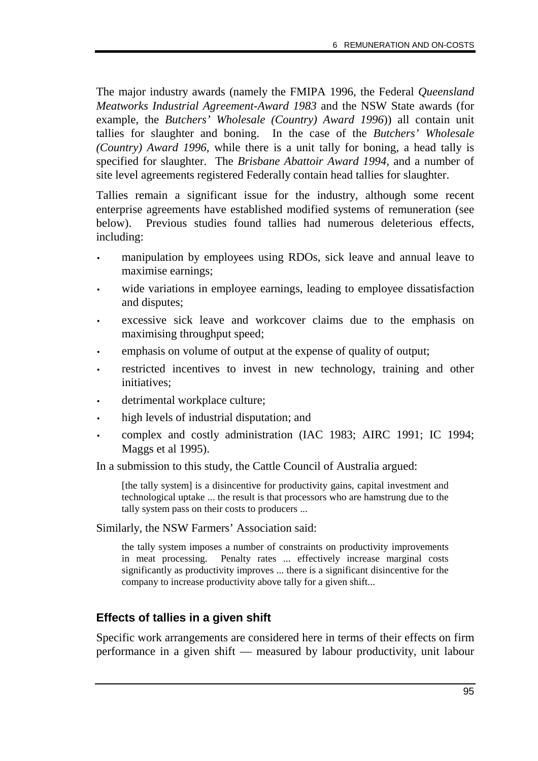The major industry awards (namely the FMIPA 1996, the Federal *Queensland Meatworks Industrial Agreement-Award 1983* and the NSW State awards (for example, the *Butchers' Wholesale (Country) Award 1996*)) all contain unit tallies for slaughter and boning. In the case of the *Butchers' Wholesale (Country) Award 1996*, while there is a unit tally for boning, a head tally is specified for slaughter. The *Brisbane Abattoir Award 1994*, and a number of site level agreements registered Federally contain head tallies for slaughter.

Tallies remain a significant issue for the industry, although some recent enterprise agreements have established modified systems of remuneration (see below). Previous studies found tallies had numerous deleterious effects, including:

- manipulation by employees using RDOs, sick leave and annual leave to maximise earnings;
- wide variations in employee earnings, leading to employee dissatisfaction and disputes;
- excessive sick leave and workcover claims due to the emphasis on maximising throughput speed;
- emphasis on volume of output at the expense of quality of output;
- restricted incentives to invest in new technology, training and other initiatives;
- detrimental workplace culture;
- high levels of industrial disputation; and
- complex and costly administration (IAC 1983; AIRC 1991; IC 1994; Maggs et al 1995).

In a submission to this study, the Cattle Council of Australia argued:

[the tally system] is a disincentive for productivity gains, capital investment and technological uptake ... the result is that processors who are hamstrung due to the tally system pass on their costs to producers ...

Similarly, the NSW Farmers' Association said:

the tally system imposes a number of constraints on productivity improvements in meat processing. Penalty rates ... effectively increase marginal costs significantly as productivity improves ... there is a significant disincentive for the company to increase productivity above tally for a given shift...

# **Effects of tallies in a given shift**

Specific work arrangements are considered here in terms of their effects on firm performance in a given shift — measured by labour productivity, unit labour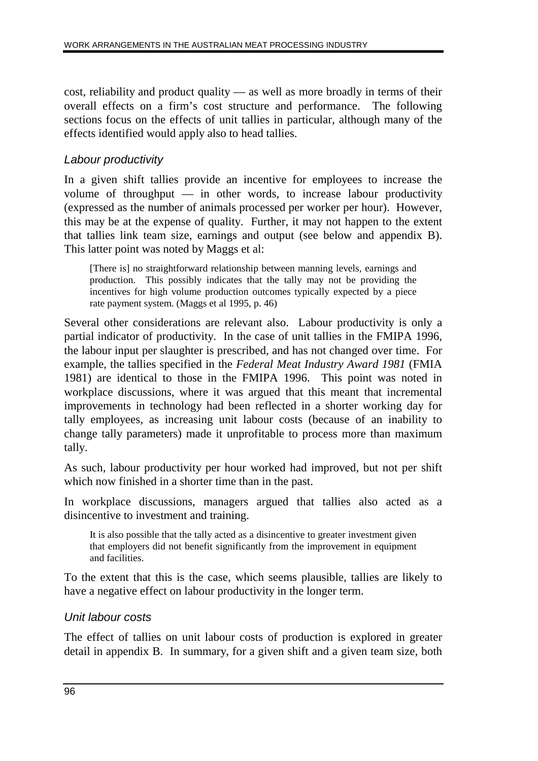cost, reliability and product quality — as well as more broadly in terms of their overall effects on a firm's cost structure and performance. The following sections focus on the effects of unit tallies in particular, although many of the effects identified would apply also to head tallies.

# Labour productivity

In a given shift tallies provide an incentive for employees to increase the volume of throughput — in other words, to increase labour productivity (expressed as the number of animals processed per worker per hour). However, this may be at the expense of quality. Further, it may not happen to the extent that tallies link team size, earnings and output (see below and appendix B). This latter point was noted by Maggs et al:

[There is] no straightforward relationship between manning levels, earnings and production. This possibly indicates that the tally may not be providing the incentives for high volume production outcomes typically expected by a piece rate payment system. (Maggs et al 1995, p. 46)

Several other considerations are relevant also. Labour productivity is only a partial indicator of productivity. In the case of unit tallies in the FMIPA 1996, the labour input per slaughter is prescribed, and has not changed over time. For example, the tallies specified in the *Federal Meat Industry Award 1981* (FMIA 1981) are identical to those in the FMIPA 1996. This point was noted in workplace discussions, where it was argued that this meant that incremental improvements in technology had been reflected in a shorter working day for tally employees, as increasing unit labour costs (because of an inability to change tally parameters) made it unprofitable to process more than maximum tally.

As such, labour productivity per hour worked had improved, but not per shift which now finished in a shorter time than in the past.

In workplace discussions, managers argued that tallies also acted as a disincentive to investment and training.

It is also possible that the tally acted as a disincentive to greater investment given that employers did not benefit significantly from the improvement in equipment and facilities.

To the extent that this is the case, which seems plausible, tallies are likely to have a negative effect on labour productivity in the longer term.

#### Unit labour costs

The effect of tallies on unit labour costs of production is explored in greater detail in appendix B. In summary, for a given shift and a given team size, both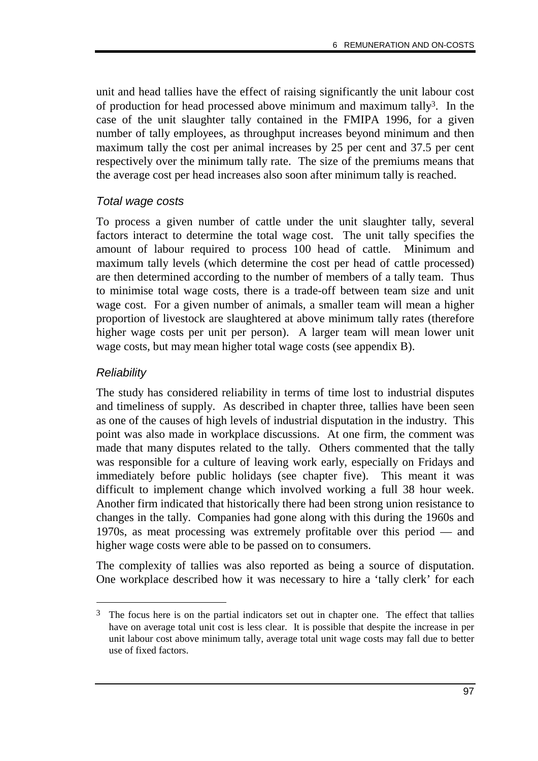unit and head tallies have the effect of raising significantly the unit labour cost of production for head processed above minimum and maximum tally3. In the case of the unit slaughter tally contained in the FMIPA 1996, for a given number of tally employees, as throughput increases beyond minimum and then maximum tally the cost per animal increases by 25 per cent and 37.5 per cent respectively over the minimum tally rate. The size of the premiums means that the average cost per head increases also soon after minimum tally is reached.

### Total wage costs

To process a given number of cattle under the unit slaughter tally, several factors interact to determine the total wage cost. The unit tally specifies the amount of labour required to process 100 head of cattle. Minimum and maximum tally levels (which determine the cost per head of cattle processed) are then determined according to the number of members of a tally team. Thus to minimise total wage costs, there is a trade-off between team size and unit wage cost. For a given number of animals, a smaller team will mean a higher proportion of livestock are slaughtered at above minimum tally rates (therefore higher wage costs per unit per person). A larger team will mean lower unit wage costs, but may mean higher total wage costs (see appendix B).

### Reliability

-

The study has considered reliability in terms of time lost to industrial disputes and timeliness of supply. As described in chapter three, tallies have been seen as one of the causes of high levels of industrial disputation in the industry. This point was also made in workplace discussions. At one firm, the comment was made that many disputes related to the tally. Others commented that the tally was responsible for a culture of leaving work early, especially on Fridays and immediately before public holidays (see chapter five). This meant it was difficult to implement change which involved working a full 38 hour week. Another firm indicated that historically there had been strong union resistance to changes in the tally. Companies had gone along with this during the 1960s and 1970s, as meat processing was extremely profitable over this period — and higher wage costs were able to be passed on to consumers.

The complexity of tallies was also reported as being a source of disputation. One workplace described how it was necessary to hire a 'tally clerk' for each

<sup>&</sup>lt;sup>3</sup> The focus here is on the partial indicators set out in chapter one. The effect that tallies have on average total unit cost is less clear. It is possible that despite the increase in per unit labour cost above minimum tally, average total unit wage costs may fall due to better use of fixed factors.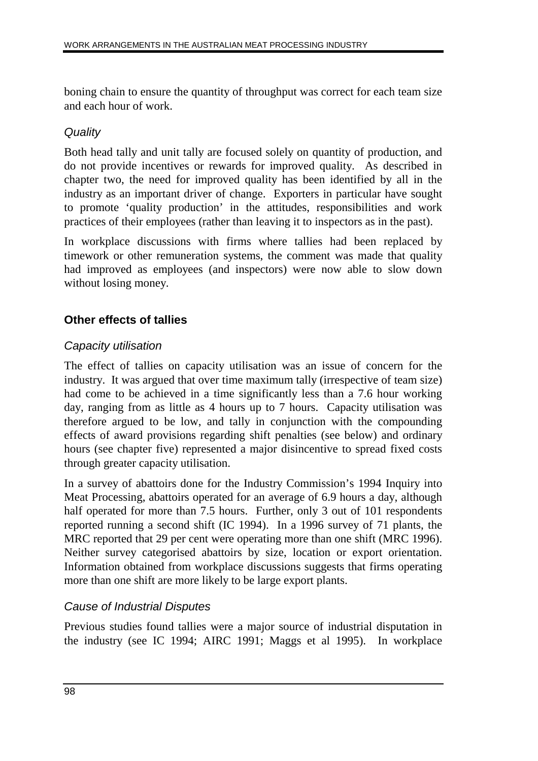boning chain to ensure the quantity of throughput was correct for each team size and each hour of work.

# **Quality**

Both head tally and unit tally are focused solely on quantity of production, and do not provide incentives or rewards for improved quality. As described in chapter two, the need for improved quality has been identified by all in the industry as an important driver of change. Exporters in particular have sought to promote 'quality production' in the attitudes, responsibilities and work practices of their employees (rather than leaving it to inspectors as in the past).

In workplace discussions with firms where tallies had been replaced by timework or other remuneration systems, the comment was made that quality had improved as employees (and inspectors) were now able to slow down without losing money.

# **Other effects of tallies**

# Capacity utilisation

The effect of tallies on capacity utilisation was an issue of concern for the industry. It was argued that over time maximum tally (irrespective of team size) had come to be achieved in a time significantly less than a 7.6 hour working day, ranging from as little as 4 hours up to 7 hours. Capacity utilisation was therefore argued to be low, and tally in conjunction with the compounding effects of award provisions regarding shift penalties (see below) and ordinary hours (see chapter five) represented a major disincentive to spread fixed costs through greater capacity utilisation.

In a survey of abattoirs done for the Industry Commission's 1994 Inquiry into Meat Processing, abattoirs operated for an average of 6.9 hours a day, although half operated for more than 7.5 hours. Further, only 3 out of 101 respondents reported running a second shift (IC 1994). In a 1996 survey of 71 plants, the MRC reported that 29 per cent were operating more than one shift (MRC 1996). Neither survey categorised abattoirs by size, location or export orientation. Information obtained from workplace discussions suggests that firms operating more than one shift are more likely to be large export plants.

# Cause of Industrial Disputes

Previous studies found tallies were a major source of industrial disputation in the industry (see IC 1994; AIRC 1991; Maggs et al 1995). In workplace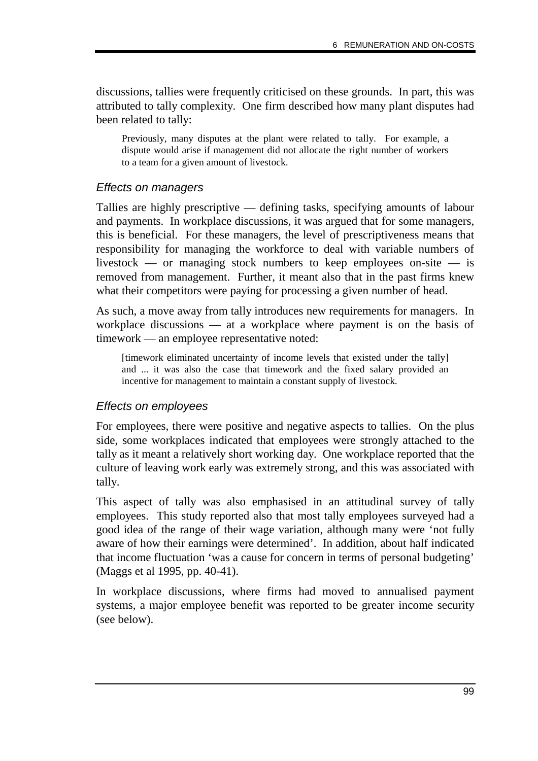discussions, tallies were frequently criticised on these grounds. In part, this was attributed to tally complexity. One firm described how many plant disputes had been related to tally:

Previously, many disputes at the plant were related to tally. For example, a dispute would arise if management did not allocate the right number of workers to a team for a given amount of livestock.

#### Effects on managers

Tallies are highly prescriptive — defining tasks, specifying amounts of labour and payments. In workplace discussions, it was argued that for some managers, this is beneficial. For these managers, the level of prescriptiveness means that responsibility for managing the workforce to deal with variable numbers of livestock — or managing stock numbers to keep employees on-site — is removed from management. Further, it meant also that in the past firms knew what their competitors were paying for processing a given number of head.

As such, a move away from tally introduces new requirements for managers. In workplace discussions — at a workplace where payment is on the basis of timework — an employee representative noted:

[timework eliminated uncertainty of income levels that existed under the tally] and ... it was also the case that timework and the fixed salary provided an incentive for management to maintain a constant supply of livestock.

#### Effects on employees

For employees, there were positive and negative aspects to tallies. On the plus side, some workplaces indicated that employees were strongly attached to the tally as it meant a relatively short working day. One workplace reported that the culture of leaving work early was extremely strong, and this was associated with tally.

This aspect of tally was also emphasised in an attitudinal survey of tally employees. This study reported also that most tally employees surveyed had a good idea of the range of their wage variation, although many were 'not fully aware of how their earnings were determined'. In addition, about half indicated that income fluctuation 'was a cause for concern in terms of personal budgeting' (Maggs et al 1995, pp. 40-41).

In workplace discussions, where firms had moved to annualised payment systems, a major employee benefit was reported to be greater income security (see below).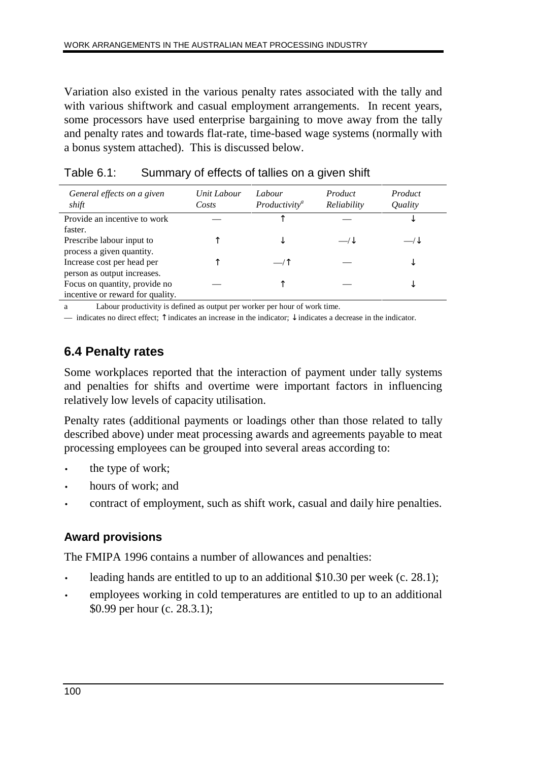Variation also existed in the various penalty rates associated with the tally and with various shiftwork and casual employment arrangements. In recent years, some processors have used enterprise bargaining to move away from the tally and penalty rates and towards flat-rate, time-based wage systems (normally with a bonus system attached). This is discussed below.

| General effects on a given<br>shift | Unit Labour<br>Costs | Labour<br>Productivity <sup>a</sup> | Product<br>Reliability | Product<br>Quality |
|-------------------------------------|----------------------|-------------------------------------|------------------------|--------------------|
| Provide an incentive to work        |                      |                                     |                        | ◡                  |
| faster.                             |                      |                                     |                        |                    |
| Prescribe labour input to           |                      |                                     |                        |                    |
| process a given quantity.           |                      |                                     |                        |                    |
| Increase cost per head per          |                      |                                     |                        | ◡                  |
| person as output increases.         |                      |                                     |                        |                    |
| Focus on quantity, provide no       |                      |                                     |                        |                    |
| incentive or reward for quality.    |                      |                                     |                        |                    |

| Table 6.1: |  | Summary of effects of tallies on a given shift |  |
|------------|--|------------------------------------------------|--|
|            |  |                                                |  |

a Labour productivity is defined as output per worker per hour of work time.

— indicates no direct effect;  $\uparrow$  indicates an increase in the indicator;  $\downarrow$  indicates a decrease in the indicator.

# **6.4 Penalty rates**

Some workplaces reported that the interaction of payment under tally systems and penalties for shifts and overtime were important factors in influencing relatively low levels of capacity utilisation.

Penalty rates (additional payments or loadings other than those related to tally described above) under meat processing awards and agreements payable to meat processing employees can be grouped into several areas according to:

- the type of work;
- hours of work; and
- contract of employment, such as shift work, casual and daily hire penalties.

# **Award provisions**

The FMIPA 1996 contains a number of allowances and penalties:

- leading hands are entitled to up to an additional \$10.30 per week (c. 28.1);
- employees working in cold temperatures are entitled to up to an additional \$0.99 per hour (c. 28.3.1);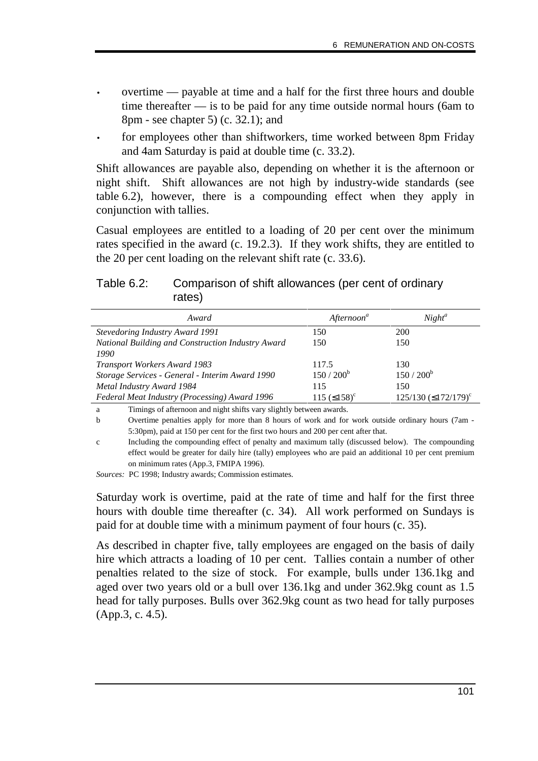- overtime payable at time and a half for the first three hours and double time thereafter — is to be paid for any time outside normal hours (6am to 8pm - see chapter 5) (c. 32.1); and
- for employees other than shiftworkers, time worked between 8pm Friday and 4am Saturday is paid at double time (c. 33.2).

Shift allowances are payable also, depending on whether it is the afternoon or night shift. Shift allowances are not high by industry-wide standards (see table 6.2), however, there is a compounding effect when they apply in conjunction with tallies.

Casual employees are entitled to a loading of 20 per cent over the minimum rates specified in the award (c. 19.2.3). If they work shifts, they are entitled to the 20 per cent loading on the relevant shift rate (c. 33.6).

#### Table 6.2: Comparison of shift allowances (per cent of ordinary rates)

| Award                                                                       | Afternoon <sup>a</sup>    | $Night^a$                                |
|-----------------------------------------------------------------------------|---------------------------|------------------------------------------|
| <b>Stevedoring Industry Award 1991</b>                                      | 150                       | 200                                      |
| National Building and Construction Industry Award                           | 150                       | 150                                      |
| 1990                                                                        |                           |                                          |
| <b>Transport Workers Award 1983</b>                                         | 117.5                     | 130                                      |
| Storage Services - General - Interim Award 1990                             | $150 / 200^b$             | $150/200^{b}$                            |
| Metal Industry Award 1984                                                   | 115                       | 150                                      |
| Federal Meat Industry (Processing) Award 1996                               | 115 $(≤158)$ <sup>c</sup> | $125/130$ ( $\leq$ 172/179) <sup>c</sup> |
| Timings of efternoon and night shifts you slightly between awards<br>$\sim$ |                           |                                          |

a Timings of afternoon and night shifts vary slightly between awards.

b Overtime penalties apply for more than 8 hours of work and for work outside ordinary hours (7am - 5:30pm), paid at 150 per cent for the first two hours and 200 per cent after that.

c Including the compounding effect of penalty and maximum tally (discussed below). The compounding effect would be greater for daily hire (tally) employees who are paid an additional 10 per cent premium on minimum rates (App.3, FMIPA 1996).

*Sources:* PC 1998; Industry awards; Commission estimates.

Saturday work is overtime, paid at the rate of time and half for the first three hours with double time thereafter (c. 34). All work performed on Sundays is paid for at double time with a minimum payment of four hours (c. 35).

As described in chapter five, tally employees are engaged on the basis of daily hire which attracts a loading of 10 per cent. Tallies contain a number of other penalties related to the size of stock. For example, bulls under 136.1kg and aged over two years old or a bull over 136.1kg and under 362.9kg count as 1.5 head for tally purposes. Bulls over 362.9kg count as two head for tally purposes (App.3, c. 4.5).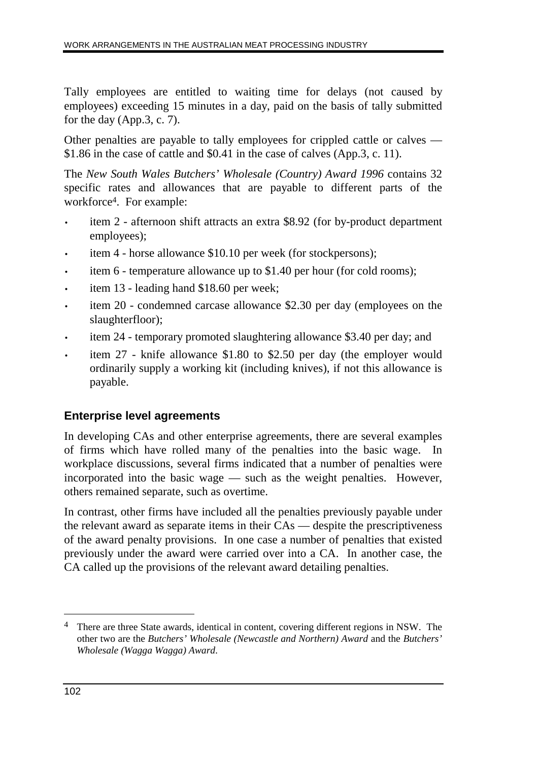Tally employees are entitled to waiting time for delays (not caused by employees) exceeding 15 minutes in a day, paid on the basis of tally submitted for the day (App.3, c. 7).

Other penalties are payable to tally employees for crippled cattle or calves — \$1.86 in the case of cattle and \$0.41 in the case of calves (App.3, c. 11).

The *New South Wales Butchers' Wholesale (Country) Award 1996* contains 32 specific rates and allowances that are payable to different parts of the workforce4. For example:

- item 2 afternoon shift attracts an extra \$8.92 (for by-product department employees);
- item 4 horse allowance \$10.10 per week (for stockpersons);
- item 6 temperature allowance up to \$1.40 per hour (for cold rooms);
- item 13 leading hand \$18.60 per week;
- item 20 condemned carcase allowance \$2.30 per day (employees on the slaughterfloor);
- item 24 temporary promoted slaughtering allowance \$3.40 per day; and
- item 27 knife allowance \$1.80 to \$2.50 per day (the employer would ordinarily supply a working kit (including knives), if not this allowance is payable.

# **Enterprise level agreements**

In developing CAs and other enterprise agreements, there are several examples of firms which have rolled many of the penalties into the basic wage. In workplace discussions, several firms indicated that a number of penalties were incorporated into the basic wage — such as the weight penalties. However, others remained separate, such as overtime.

In contrast, other firms have included all the penalties previously payable under the relevant award as separate items in their CAs — despite the prescriptiveness of the award penalty provisions. In one case a number of penalties that existed previously under the award were carried over into a CA. In another case, the CA called up the provisions of the relevant award detailing penalties.

 $\overline{a}$ 

<sup>&</sup>lt;sup>4</sup> There are three State awards, identical in content, covering different regions in NSW. The other two are the *Butchers' Wholesale (Newcastle and Northern) Award* and the *Butchers' Wholesale (Wagga Wagga) Award*.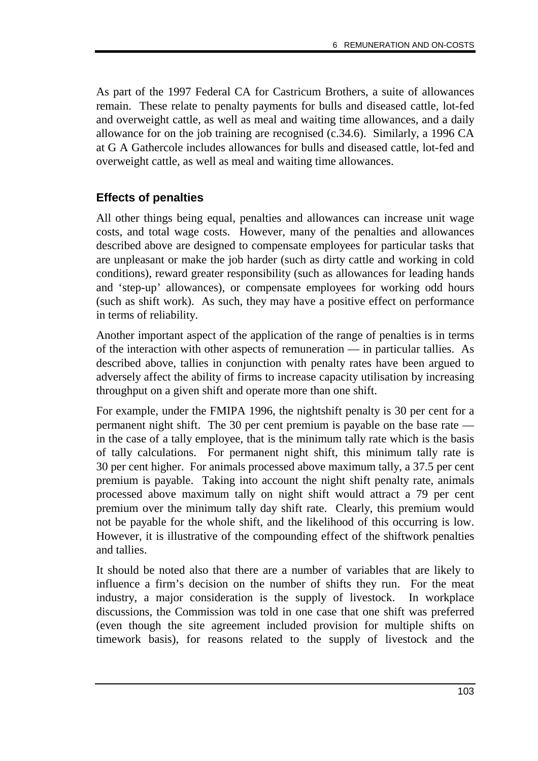As part of the 1997 Federal CA for Castricum Brothers, a suite of allowances remain. These relate to penalty payments for bulls and diseased cattle, lot-fed and overweight cattle, as well as meal and waiting time allowances, and a daily allowance for on the job training are recognised (c.34.6). Similarly, a 1996 CA at G A Gathercole includes allowances for bulls and diseased cattle, lot-fed and overweight cattle, as well as meal and waiting time allowances.

# **Effects of penalties**

All other things being equal, penalties and allowances can increase unit wage costs, and total wage costs. However, many of the penalties and allowances described above are designed to compensate employees for particular tasks that are unpleasant or make the job harder (such as dirty cattle and working in cold conditions), reward greater responsibility (such as allowances for leading hands and 'step-up' allowances), or compensate employees for working odd hours (such as shift work). As such, they may have a positive effect on performance in terms of reliability.

Another important aspect of the application of the range of penalties is in terms of the interaction with other aspects of remuneration — in particular tallies. As described above, tallies in conjunction with penalty rates have been argued to adversely affect the ability of firms to increase capacity utilisation by increasing throughput on a given shift and operate more than one shift.

For example, under the FMIPA 1996, the nightshift penalty is 30 per cent for a permanent night shift. The 30 per cent premium is payable on the base rate in the case of a tally employee, that is the minimum tally rate which is the basis of tally calculations. For permanent night shift, this minimum tally rate is 30 per cent higher. For animals processed above maximum tally, a 37.5 per cent premium is payable. Taking into account the night shift penalty rate, animals processed above maximum tally on night shift would attract a 79 per cent premium over the minimum tally day shift rate. Clearly, this premium would not be payable for the whole shift, and the likelihood of this occurring is low. However, it is illustrative of the compounding effect of the shiftwork penalties and tallies.

It should be noted also that there are a number of variables that are likely to influence a firm's decision on the number of shifts they run. For the meat industry, a major consideration is the supply of livestock. In workplace discussions, the Commission was told in one case that one shift was preferred (even though the site agreement included provision for multiple shifts on timework basis), for reasons related to the supply of livestock and the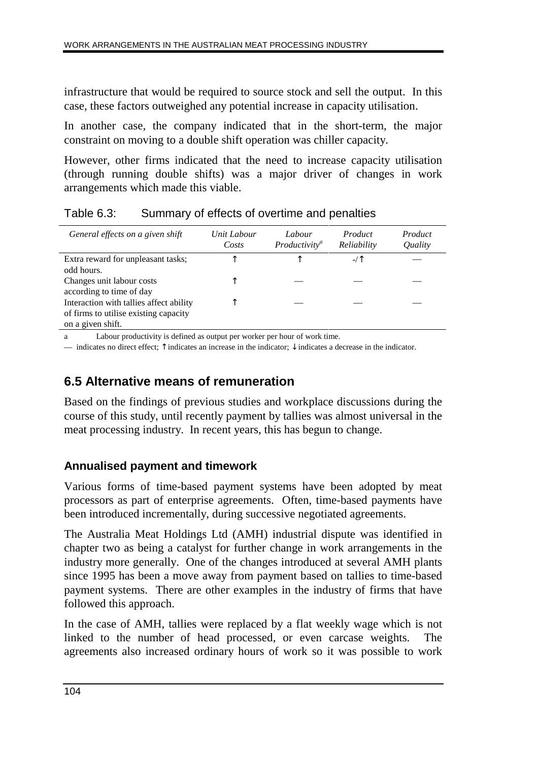infrastructure that would be required to source stock and sell the output. In this case, these factors outweighed any potential increase in capacity utilisation.

In another case, the company indicated that in the short-term, the major constraint on moving to a double shift operation was chiller capacity.

However, other firms indicated that the need to increase capacity utilisation (through running double shifts) was a major driver of changes in work arrangements which made this viable.

| General effects on a given shift        | Unit Labour<br>Costs | Labour<br>Productivity <sup>a</sup> | Product<br>Reliability | Product<br><i><u><b>Ouality</b></u></i> |
|-----------------------------------------|----------------------|-------------------------------------|------------------------|-----------------------------------------|
| Extra reward for unpleasant tasks;      | ᠰ                    |                                     |                        |                                         |
| odd hours.                              |                      |                                     |                        |                                         |
| Changes unit labour costs               |                      |                                     |                        |                                         |
| according to time of day                | ᠰ                    |                                     |                        |                                         |
| Interaction with tallies affect ability |                      |                                     |                        |                                         |
| of firms to utilise existing capacity   |                      |                                     |                        |                                         |
| on a given shift.                       |                      |                                     |                        |                                         |

Table 6.3: Summary of effects of overtime and penalties

a Labour productivity is defined as output per worker per hour of work time.

— indicates no direct effect;  $\uparrow$  indicates an increase in the indicator;  $\downarrow$  indicates a decrease in the indicator.

# **6.5 Alternative means of remuneration**

Based on the findings of previous studies and workplace discussions during the course of this study, until recently payment by tallies was almost universal in the meat processing industry. In recent years, this has begun to change.

# **Annualised payment and timework**

Various forms of time-based payment systems have been adopted by meat processors as part of enterprise agreements. Often, time-based payments have been introduced incrementally, during successive negotiated agreements.

The Australia Meat Holdings Ltd (AMH) industrial dispute was identified in chapter two as being a catalyst for further change in work arrangements in the industry more generally. One of the changes introduced at several AMH plants since 1995 has been a move away from payment based on tallies to time-based payment systems. There are other examples in the industry of firms that have followed this approach.

In the case of AMH, tallies were replaced by a flat weekly wage which is not linked to the number of head processed, or even carcase weights. The agreements also increased ordinary hours of work so it was possible to work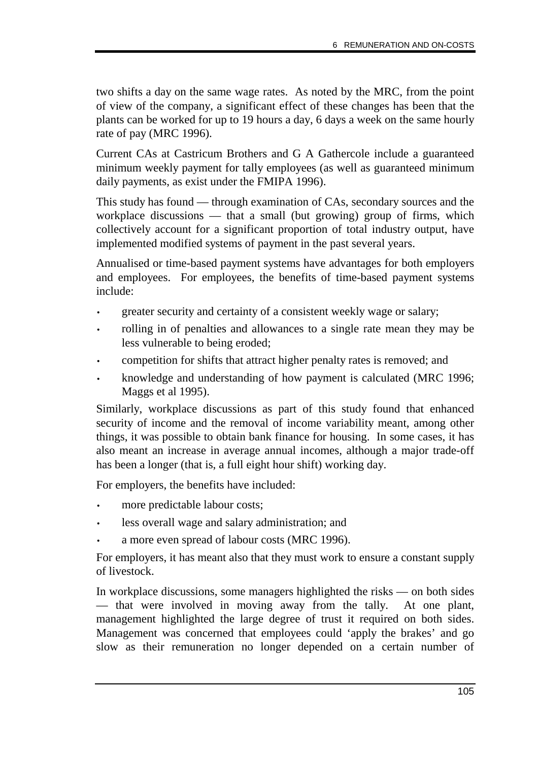two shifts a day on the same wage rates. As noted by the MRC, from the point of view of the company, a significant effect of these changes has been that the plants can be worked for up to 19 hours a day, 6 days a week on the same hourly rate of pay (MRC 1996).

Current CAs at Castricum Brothers and G A Gathercole include a guaranteed minimum weekly payment for tally employees (as well as guaranteed minimum daily payments, as exist under the FMIPA 1996).

This study has found — through examination of CAs, secondary sources and the workplace discussions — that a small (but growing) group of firms, which collectively account for a significant proportion of total industry output, have implemented modified systems of payment in the past several years.

Annualised or time-based payment systems have advantages for both employers and employees. For employees, the benefits of time-based payment systems include:

- greater security and certainty of a consistent weekly wage or salary;
- rolling in of penalties and allowances to a single rate mean they may be less vulnerable to being eroded;
- competition for shifts that attract higher penalty rates is removed; and
- knowledge and understanding of how payment is calculated (MRC 1996; Maggs et al 1995).

Similarly, workplace discussions as part of this study found that enhanced security of income and the removal of income variability meant, among other things, it was possible to obtain bank finance for housing. In some cases, it has also meant an increase in average annual incomes, although a major trade-off has been a longer (that is, a full eight hour shift) working day.

For employers, the benefits have included:

- more predictable labour costs;
- less overall wage and salary administration; and
- a more even spread of labour costs (MRC 1996).

For employers, it has meant also that they must work to ensure a constant supply of livestock.

In workplace discussions, some managers highlighted the risks — on both sides — that were involved in moving away from the tally. At one plant, management highlighted the large degree of trust it required on both sides. Management was concerned that employees could 'apply the brakes' and go slow as their remuneration no longer depended on a certain number of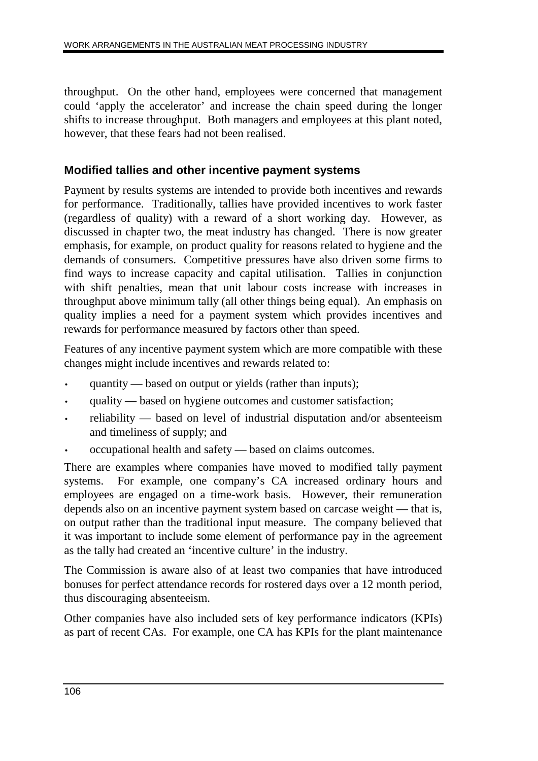throughput. On the other hand, employees were concerned that management could 'apply the accelerator' and increase the chain speed during the longer shifts to increase throughput. Both managers and employees at this plant noted, however, that these fears had not been realised.

# **Modified tallies and other incentive payment systems**

Payment by results systems are intended to provide both incentives and rewards for performance. Traditionally, tallies have provided incentives to work faster (regardless of quality) with a reward of a short working day. However, as discussed in chapter two, the meat industry has changed. There is now greater emphasis, for example, on product quality for reasons related to hygiene and the demands of consumers. Competitive pressures have also driven some firms to find ways to increase capacity and capital utilisation. Tallies in conjunction with shift penalties, mean that unit labour costs increase with increases in throughput above minimum tally (all other things being equal). An emphasis on quality implies a need for a payment system which provides incentives and rewards for performance measured by factors other than speed.

Features of any incentive payment system which are more compatible with these changes might include incentives and rewards related to:

- quantity based on output or yields (rather than inputs);
- quality based on hygiene outcomes and customer satisfaction;
- reliability based on level of industrial disputation and/or absenteeism and timeliness of supply; and
- occupational health and safety based on claims outcomes.

There are examples where companies have moved to modified tally payment systems. For example, one company's CA increased ordinary hours and employees are engaged on a time-work basis. However, their remuneration depends also on an incentive payment system based on carcase weight — that is, on output rather than the traditional input measure. The company believed that it was important to include some element of performance pay in the agreement as the tally had created an 'incentive culture' in the industry.

The Commission is aware also of at least two companies that have introduced bonuses for perfect attendance records for rostered days over a 12 month period, thus discouraging absenteeism.

Other companies have also included sets of key performance indicators (KPIs) as part of recent CAs. For example, one CA has KPIs for the plant maintenance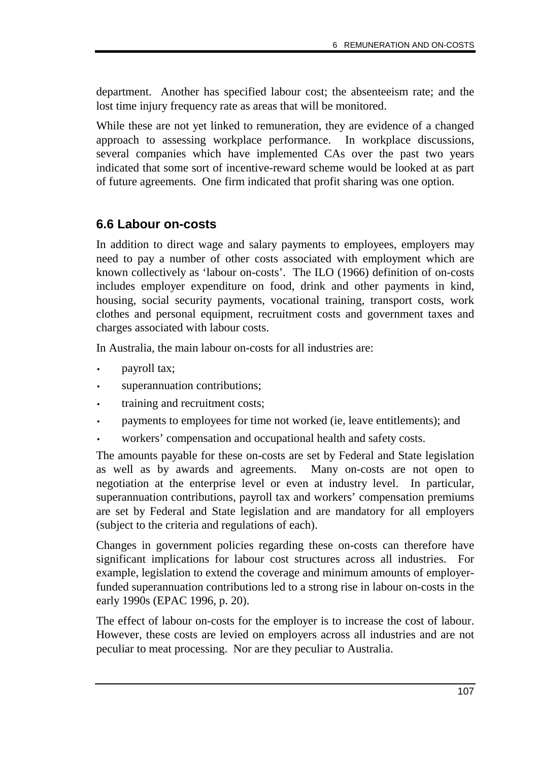department. Another has specified labour cost; the absenteeism rate; and the lost time injury frequency rate as areas that will be monitored.

While these are not yet linked to remuneration, they are evidence of a changed approach to assessing workplace performance. In workplace discussions, several companies which have implemented CAs over the past two years indicated that some sort of incentive-reward scheme would be looked at as part of future agreements. One firm indicated that profit sharing was one option.

# **6.6 Labour on-costs**

In addition to direct wage and salary payments to employees, employers may need to pay a number of other costs associated with employment which are known collectively as 'labour on-costs'. The ILO (1966) definition of on-costs includes employer expenditure on food, drink and other payments in kind, housing, social security payments, vocational training, transport costs, work clothes and personal equipment, recruitment costs and government taxes and charges associated with labour costs.

In Australia, the main labour on-costs for all industries are:

- payroll tax;
- superannuation contributions;
- training and recruitment costs;
- payments to employees for time not worked (ie, leave entitlements); and
- workers' compensation and occupational health and safety costs.

The amounts payable for these on-costs are set by Federal and State legislation as well as by awards and agreements. Many on-costs are not open to negotiation at the enterprise level or even at industry level. In particular, superannuation contributions, payroll tax and workers' compensation premiums are set by Federal and State legislation and are mandatory for all employers (subject to the criteria and regulations of each).

Changes in government policies regarding these on-costs can therefore have significant implications for labour cost structures across all industries. For example, legislation to extend the coverage and minimum amounts of employerfunded superannuation contributions led to a strong rise in labour on-costs in the early 1990s (EPAC 1996, p. 20).

The effect of labour on-costs for the employer is to increase the cost of labour. However, these costs are levied on employers across all industries and are not peculiar to meat processing. Nor are they peculiar to Australia.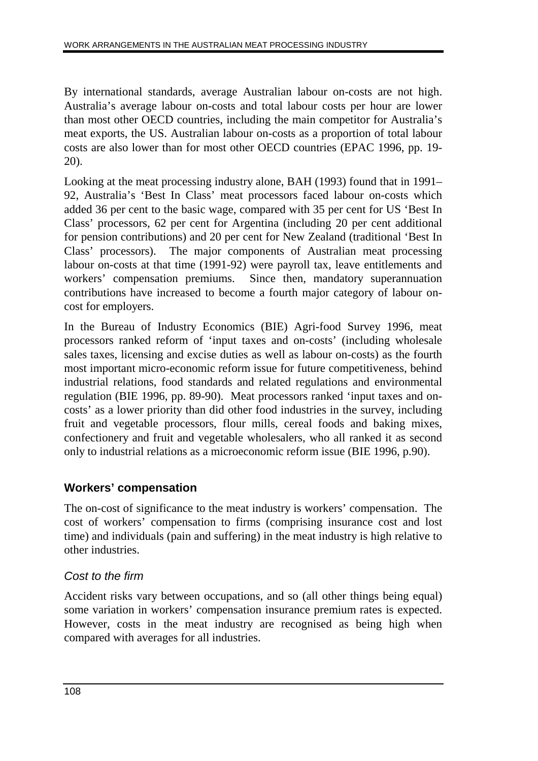By international standards, average Australian labour on-costs are not high. Australia's average labour on-costs and total labour costs per hour are lower than most other OECD countries, including the main competitor for Australia's meat exports, the US. Australian labour on-costs as a proportion of total labour costs are also lower than for most other OECD countries (EPAC 1996, pp. 19- 20).

Looking at the meat processing industry alone, BAH (1993) found that in 1991– 92, Australia's 'Best In Class' meat processors faced labour on-costs which added 36 per cent to the basic wage, compared with 35 per cent for US 'Best In Class' processors, 62 per cent for Argentina (including 20 per cent additional for pension contributions) and 20 per cent for New Zealand (traditional 'Best In Class' processors). The major components of Australian meat processing labour on-costs at that time (1991-92) were payroll tax, leave entitlements and workers' compensation premiums. Since then, mandatory superannuation contributions have increased to become a fourth major category of labour oncost for employers.

In the Bureau of Industry Economics (BIE) Agri-food Survey 1996, meat processors ranked reform of 'input taxes and on-costs' (including wholesale sales taxes, licensing and excise duties as well as labour on-costs) as the fourth most important micro-economic reform issue for future competitiveness, behind industrial relations, food standards and related regulations and environmental regulation (BIE 1996, pp. 89-90). Meat processors ranked 'input taxes and oncosts' as a lower priority than did other food industries in the survey, including fruit and vegetable processors, flour mills, cereal foods and baking mixes, confectionery and fruit and vegetable wholesalers, who all ranked it as second only to industrial relations as a microeconomic reform issue (BIE 1996, p.90).

# **Workers' compensation**

The on-cost of significance to the meat industry is workers' compensation. The cost of workers' compensation to firms (comprising insurance cost and lost time) and individuals (pain and suffering) in the meat industry is high relative to other industries.

# Cost to the firm

Accident risks vary between occupations, and so (all other things being equal) some variation in workers' compensation insurance premium rates is expected. However, costs in the meat industry are recognised as being high when compared with averages for all industries.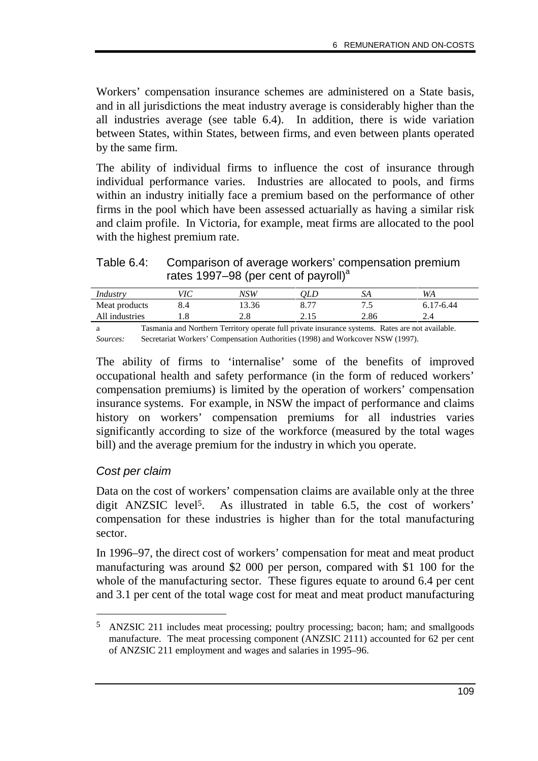Workers' compensation insurance schemes are administered on a State basis, and in all jurisdictions the meat industry average is considerably higher than the all industries average (see table 6.4). In addition, there is wide variation between States, within States, between firms, and even between plants operated by the same firm.

The ability of individual firms to influence the cost of insurance through individual performance varies. Industries are allocated to pools, and firms within an industry initially face a premium based on the performance of other firms in the pool which have been assessed actuarially as having a similar risk and claim profile. In Victoria, for example, meat firms are allocated to the pool with the highest premium rate.

Table 6.4: Comparison of average workers' compensation premium rates 1997–98 (per cent of payroll)<sup>a</sup>

| Industry       | ЛC  | NSW   | QLD             | JА      | WA     |
|----------------|-----|-------|-----------------|---------|--------|
| Meat products  | 8.4 | 13.36 | $Q$ $7^{\circ}$ | $\cdot$ | 7-6.44 |
| All industries | 1.0 | 2.8   | 15 ל<br>$\sim$  | 2.86    | 2.4    |
|                |     |       |                 |         |        |

a Tasmania and Northern Territory operate full private insurance systems. Rates are not available. *Sources:* Secretariat Workers' Compensation Authorities (1998) and Workcover NSW (1997).

The ability of firms to 'internalise' some of the benefits of improved occupational health and safety performance (in the form of reduced workers' compensation premiums) is limited by the operation of workers' compensation insurance systems. For example, in NSW the impact of performance and claims history on workers' compensation premiums for all industries varies significantly according to size of the workforce (measured by the total wages bill) and the average premium for the industry in which you operate.

#### Cost per claim

-

Data on the cost of workers' compensation claims are available only at the three digit ANZSIC level<sup>5</sup>. As illustrated in table 6.5, the cost of workers' compensation for these industries is higher than for the total manufacturing sector.

In 1996–97, the direct cost of workers' compensation for meat and meat product manufacturing was around \$2 000 per person, compared with \$1 100 for the whole of the manufacturing sector. These figures equate to around 6.4 per cent and 3.1 per cent of the total wage cost for meat and meat product manufacturing

<sup>5</sup> ANZSIC 211 includes meat processing; poultry processing; bacon; ham; and smallgoods manufacture. The meat processing component (ANZSIC 2111) accounted for 62 per cent of ANZSIC 211 employment and wages and salaries in 1995–96.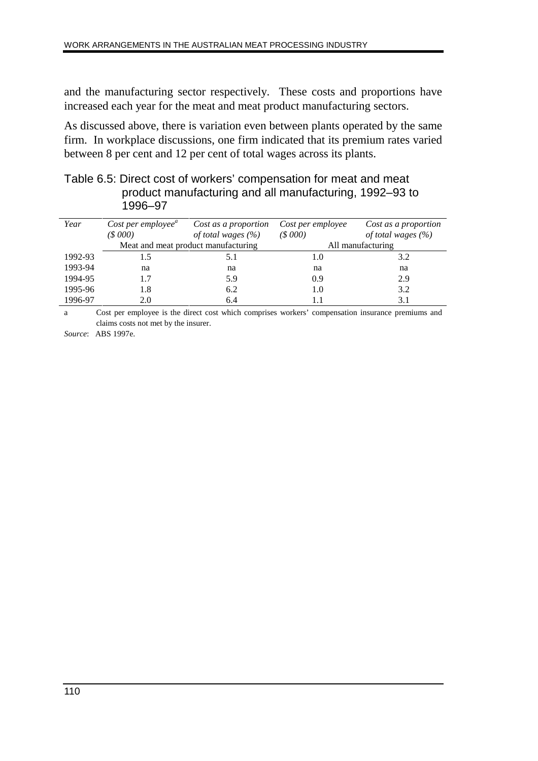and the manufacturing sector respectively. These costs and proportions have increased each year for the meat and meat product manufacturing sectors.

As discussed above, there is variation even between plants operated by the same firm. In workplace discussions, one firm indicated that its premium rates varied between 8 per cent and 12 per cent of total wages across its plants.

| Table 6.5: Direct cost of workers' compensation for meat and meat |  |
|-------------------------------------------------------------------|--|
| product manufacturing and all manufacturing, 1992–93 to           |  |
| 1996–97                                                           |  |

| Year    | Cost per employee <sup><math>a</math></sup><br>(S 000) | Cost as a proportion<br>of total wages $(\% )$ | Cost per employee<br>(8000) | Cost as a proportion<br>of total wages $(\% )$ |
|---------|--------------------------------------------------------|------------------------------------------------|-----------------------------|------------------------------------------------|
|         |                                                        | Meat and meat product manufacturing            |                             | All manufacturing                              |
| 1992-93 | 1.5                                                    |                                                | 1.0                         | 3.2                                            |
| 1993-94 | na                                                     | na                                             | na                          | na                                             |
| 1994-95 | 1.7                                                    | 5.9                                            | 0.9                         | 2.9                                            |
| 1995-96 | 1.8                                                    | 6.2                                            | 1.0                         | 3.2                                            |
| 1996-97 | 2.0                                                    | 6.4                                            |                             | 3.1                                            |

a Cost per employee is the direct cost which comprises workers' compensation insurance premiums and claims costs not met by the insurer.

*Source*: ABS 1997e.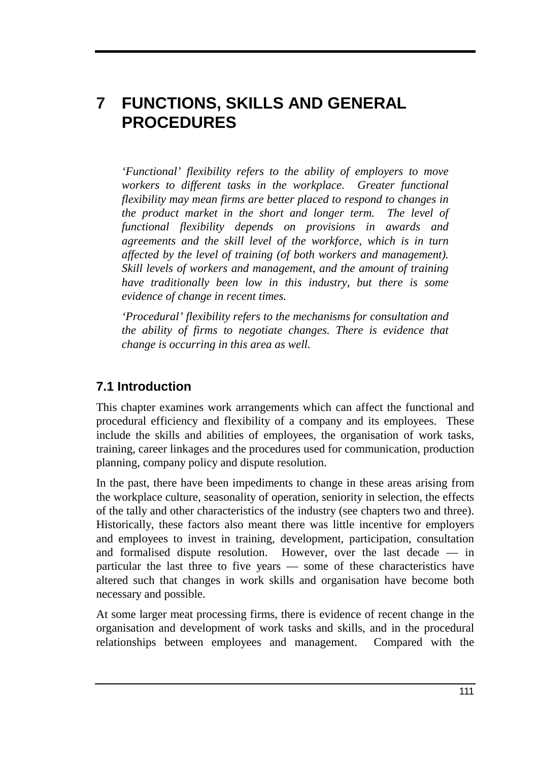# **7 FUNCTIONS, SKILLS AND GENERAL PROCEDURES**

*'Functional' flexibility refers to the ability of employers to move workers to different tasks in the workplace. Greater functional flexibility may mean firms are better placed to respond to changes in the product market in the short and longer term. The level of functional flexibility depends on provisions in awards and agreements and the skill level of the workforce, which is in turn affected by the level of training (of both workers and management). Skill levels of workers and management, and the amount of training have traditionally been low in this industry, but there is some evidence of change in recent times.*

*'Procedural' flexibility refers to the mechanisms for consultation and the ability of firms to negotiate changes. There is evidence that change is occurring in this area as well.*

# **7.1 Introduction**

This chapter examines work arrangements which can affect the functional and procedural efficiency and flexibility of a company and its employees. These include the skills and abilities of employees, the organisation of work tasks, training, career linkages and the procedures used for communication, production planning, company policy and dispute resolution.

In the past, there have been impediments to change in these areas arising from the workplace culture, seasonality of operation, seniority in selection, the effects of the tally and other characteristics of the industry (see chapters two and three). Historically, these factors also meant there was little incentive for employers and employees to invest in training, development, participation, consultation and formalised dispute resolution. However, over the last decade — in particular the last three to five years — some of these characteristics have altered such that changes in work skills and organisation have become both necessary and possible.

At some larger meat processing firms, there is evidence of recent change in the organisation and development of work tasks and skills, and in the procedural relationships between employees and management. Compared with the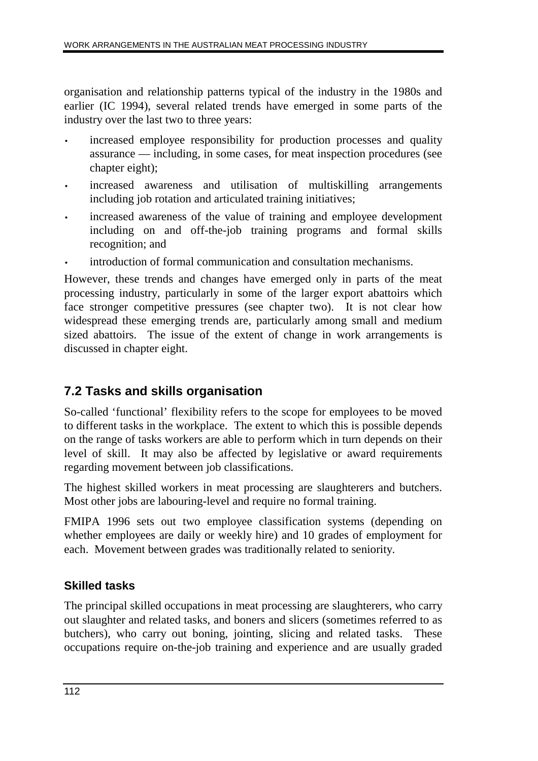organisation and relationship patterns typical of the industry in the 1980s and earlier (IC 1994), several related trends have emerged in some parts of the industry over the last two to three years:

- increased employee responsibility for production processes and quality assurance — including, in some cases, for meat inspection procedures (see chapter eight);
- increased awareness and utilisation of multiskilling arrangements including job rotation and articulated training initiatives;
- increased awareness of the value of training and employee development including on and off-the-job training programs and formal skills recognition; and
- introduction of formal communication and consultation mechanisms.

However, these trends and changes have emerged only in parts of the meat processing industry, particularly in some of the larger export abattoirs which face stronger competitive pressures (see chapter two). It is not clear how widespread these emerging trends are, particularly among small and medium sized abattoirs. The issue of the extent of change in work arrangements is discussed in chapter eight.

# **7.2 Tasks and skills organisation**

So-called 'functional' flexibility refers to the scope for employees to be moved to different tasks in the workplace. The extent to which this is possible depends on the range of tasks workers are able to perform which in turn depends on their level of skill. It may also be affected by legislative or award requirements regarding movement between job classifications.

The highest skilled workers in meat processing are slaughterers and butchers. Most other jobs are labouring-level and require no formal training.

FMIPA 1996 sets out two employee classification systems (depending on whether employees are daily or weekly hire) and 10 grades of employment for each. Movement between grades was traditionally related to seniority.

# **Skilled tasks**

The principal skilled occupations in meat processing are slaughterers, who carry out slaughter and related tasks, and boners and slicers (sometimes referred to as butchers), who carry out boning, jointing, slicing and related tasks. These occupations require on-the-job training and experience and are usually graded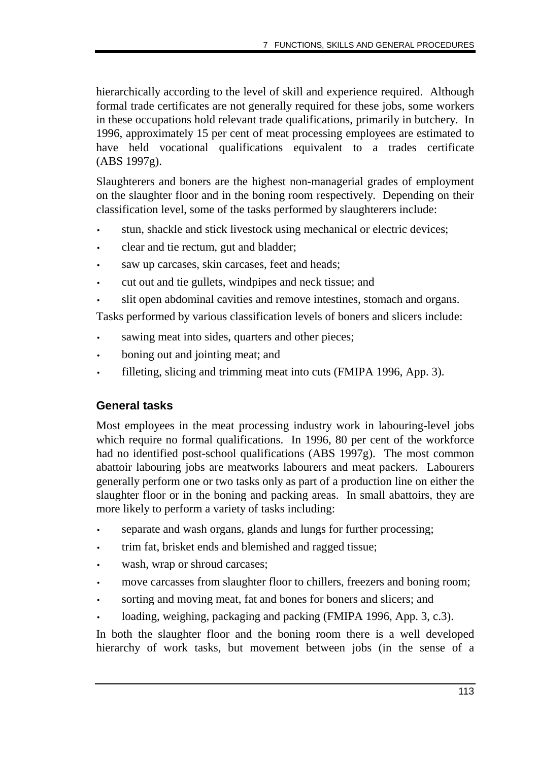hierarchically according to the level of skill and experience required. Although formal trade certificates are not generally required for these jobs, some workers in these occupations hold relevant trade qualifications, primarily in butchery. In 1996, approximately 15 per cent of meat processing employees are estimated to have held vocational qualifications equivalent to a trades certificate (ABS 1997g).

Slaughterers and boners are the highest non-managerial grades of employment on the slaughter floor and in the boning room respectively. Depending on their classification level, some of the tasks performed by slaughterers include:

- stun, shackle and stick livestock using mechanical or electric devices;
- clear and tie rectum, gut and bladder;
- saw up carcases, skin carcases, feet and heads;
- cut out and tie gullets, windpipes and neck tissue; and
- slit open abdominal cavities and remove intestines, stomach and organs.

Tasks performed by various classification levels of boners and slicers include:

- sawing meat into sides, quarters and other pieces;
- boning out and jointing meat; and
- filleting, slicing and trimming meat into cuts (FMIPA 1996, App. 3).

# **General tasks**

Most employees in the meat processing industry work in labouring-level jobs which require no formal qualifications. In 1996, 80 per cent of the workforce had no identified post-school qualifications (ABS 1997g). The most common abattoir labouring jobs are meatworks labourers and meat packers. Labourers generally perform one or two tasks only as part of a production line on either the slaughter floor or in the boning and packing areas. In small abattoirs, they are more likely to perform a variety of tasks including:

- separate and wash organs, glands and lungs for further processing;
- trim fat, brisket ends and blemished and ragged tissue;
- wash, wrap or shroud carcases;
- move carcasses from slaughter floor to chillers, freezers and boning room;
- sorting and moving meat, fat and bones for boners and slicers; and
- loading, weighing, packaging and packing (FMIPA 1996, App. 3, c.3).

In both the slaughter floor and the boning room there is a well developed hierarchy of work tasks, but movement between jobs (in the sense of a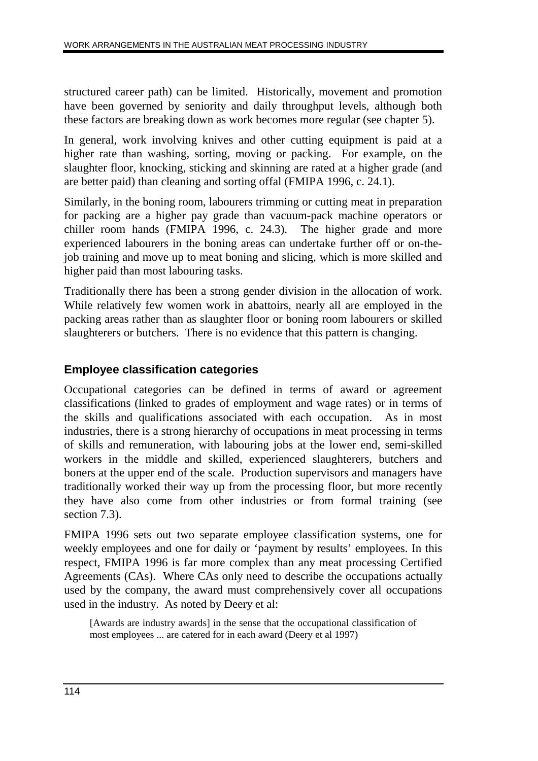structured career path) can be limited. Historically, movement and promotion have been governed by seniority and daily throughput levels, although both these factors are breaking down as work becomes more regular (see chapter 5).

In general, work involving knives and other cutting equipment is paid at a higher rate than washing, sorting, moving or packing. For example, on the slaughter floor, knocking, sticking and skinning are rated at a higher grade (and are better paid) than cleaning and sorting offal (FMIPA 1996, c. 24.1).

Similarly, in the boning room, labourers trimming or cutting meat in preparation for packing are a higher pay grade than vacuum-pack machine operators or chiller room hands (FMIPA 1996, c. 24.3). The higher grade and more experienced labourers in the boning areas can undertake further off or on-thejob training and move up to meat boning and slicing, which is more skilled and higher paid than most labouring tasks.

Traditionally there has been a strong gender division in the allocation of work. While relatively few women work in abattoirs, nearly all are employed in the packing areas rather than as slaughter floor or boning room labourers or skilled slaughterers or butchers. There is no evidence that this pattern is changing.

# **Employee classification categories**

Occupational categories can be defined in terms of award or agreement classifications (linked to grades of employment and wage rates) or in terms of the skills and qualifications associated with each occupation. As in most industries, there is a strong hierarchy of occupations in meat processing in terms of skills and remuneration, with labouring jobs at the lower end, semi-skilled workers in the middle and skilled, experienced slaughterers, butchers and boners at the upper end of the scale. Production supervisors and managers have traditionally worked their way up from the processing floor, but more recently they have also come from other industries or from formal training (see section 7.3).

FMIPA 1996 sets out two separate employee classification systems, one for weekly employees and one for daily or 'payment by results' employees. In this respect, FMIPA 1996 is far more complex than any meat processing Certified Agreements (CAs). Where CAs only need to describe the occupations actually used by the company, the award must comprehensively cover all occupations used in the industry. As noted by Deery et al:

[Awards are industry awards] in the sense that the occupational classification of most employees ... are catered for in each award (Deery et al 1997)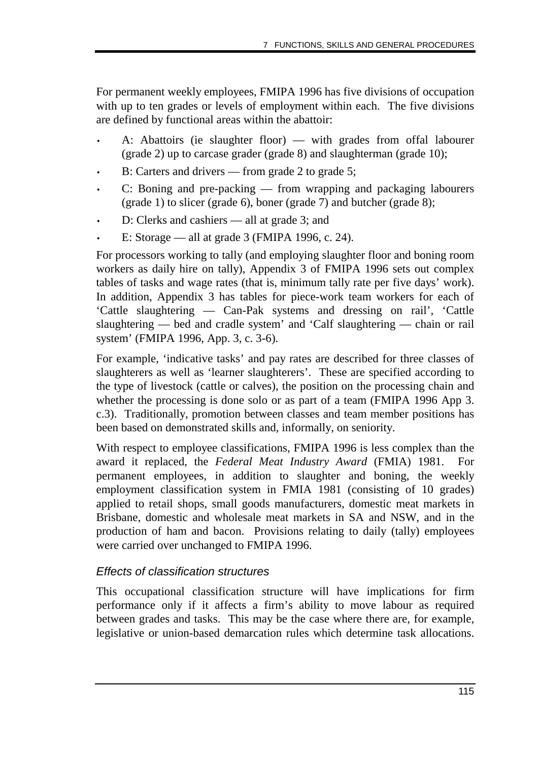For permanent weekly employees, FMIPA 1996 has five divisions of occupation with up to ten grades or levels of employment within each. The five divisions are defined by functional areas within the abattoir:

- A: Abattoirs (ie slaughter floor) with grades from offal labourer (grade 2) up to carcase grader (grade 8) and slaughterman (grade 10);
- B: Carters and drivers from grade 2 to grade 5;
- C: Boning and pre-packing from wrapping and packaging labourers (grade 1) to slicer (grade 6), boner (grade 7) and butcher (grade 8);
- D: Clerks and cashiers all at grade 3; and
- E: Storage all at grade  $3$  (FMIPA 1996, c. 24).

For processors working to tally (and employing slaughter floor and boning room workers as daily hire on tally), Appendix 3 of FMIPA 1996 sets out complex tables of tasks and wage rates (that is, minimum tally rate per five days' work). In addition, Appendix 3 has tables for piece-work team workers for each of 'Cattle slaughtering — Can-Pak systems and dressing on rail', 'Cattle slaughtering — bed and cradle system' and 'Calf slaughtering — chain or rail system' (FMIPA 1996, App. 3, c. 3-6).

For example, 'indicative tasks' and pay rates are described for three classes of slaughterers as well as 'learner slaughterers'. These are specified according to the type of livestock (cattle or calves), the position on the processing chain and whether the processing is done solo or as part of a team (FMIPA 1996 App 3. c.3). Traditionally, promotion between classes and team member positions has been based on demonstrated skills and, informally, on seniority.

With respect to employee classifications, FMIPA 1996 is less complex than the award it replaced, the *Federal Meat Industry Award* (FMIA) 1981. For permanent employees, in addition to slaughter and boning, the weekly employment classification system in FMIA 1981 (consisting of 10 grades) applied to retail shops, small goods manufacturers, domestic meat markets in Brisbane, domestic and wholesale meat markets in SA and NSW, and in the production of ham and bacon. Provisions relating to daily (tally) employees were carried over unchanged to FMIPA 1996.

# Effects of classification structures

This occupational classification structure will have implications for firm performance only if it affects a firm's ability to move labour as required between grades and tasks. This may be the case where there are, for example, legislative or union-based demarcation rules which determine task allocations.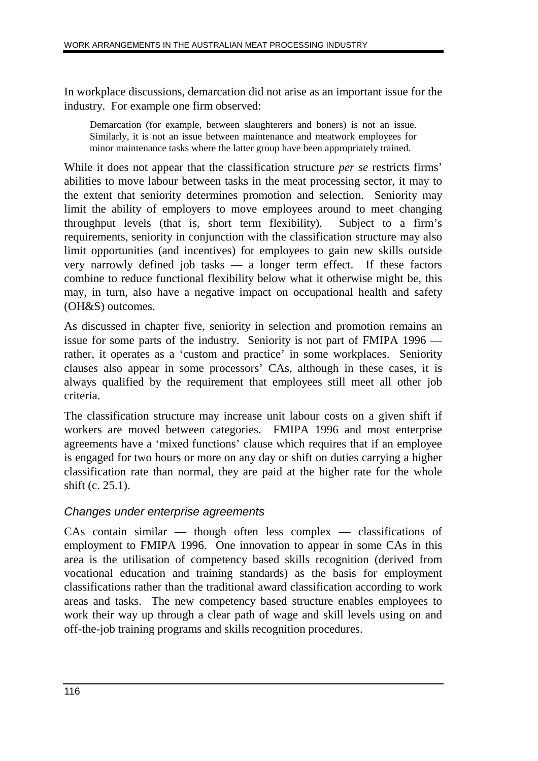In workplace discussions, demarcation did not arise as an important issue for the industry. For example one firm observed:

Demarcation (for example, between slaughterers and boners) is not an issue. Similarly, it is not an issue between maintenance and meatwork employees for minor maintenance tasks where the latter group have been appropriately trained.

While it does not appear that the classification structure *per se* restricts firms' abilities to move labour between tasks in the meat processing sector, it may to the extent that seniority determines promotion and selection. Seniority may limit the ability of employers to move employees around to meet changing throughput levels (that is, short term flexibility). Subject to a firm's requirements, seniority in conjunction with the classification structure may also limit opportunities (and incentives) for employees to gain new skills outside very narrowly defined job tasks — a longer term effect. If these factors combine to reduce functional flexibility below what it otherwise might be, this may, in turn, also have a negative impact on occupational health and safety (OH&S) outcomes.

As discussed in chapter five, seniority in selection and promotion remains an issue for some parts of the industry. Seniority is not part of FMIPA 1996 rather, it operates as a 'custom and practice' in some workplaces. Seniority clauses also appear in some processors' CAs, although in these cases, it is always qualified by the requirement that employees still meet all other job criteria.

The classification structure may increase unit labour costs on a given shift if workers are moved between categories. FMIPA 1996 and most enterprise agreements have a 'mixed functions' clause which requires that if an employee is engaged for two hours or more on any day or shift on duties carrying a higher classification rate than normal, they are paid at the higher rate for the whole shift (c. 25.1).

#### Changes under enterprise agreements

CAs contain similar — though often less complex — classifications of employment to FMIPA 1996. One innovation to appear in some CAs in this area is the utilisation of competency based skills recognition (derived from vocational education and training standards) as the basis for employment classifications rather than the traditional award classification according to work areas and tasks. The new competency based structure enables employees to work their way up through a clear path of wage and skill levels using on and off-the-job training programs and skills recognition procedures.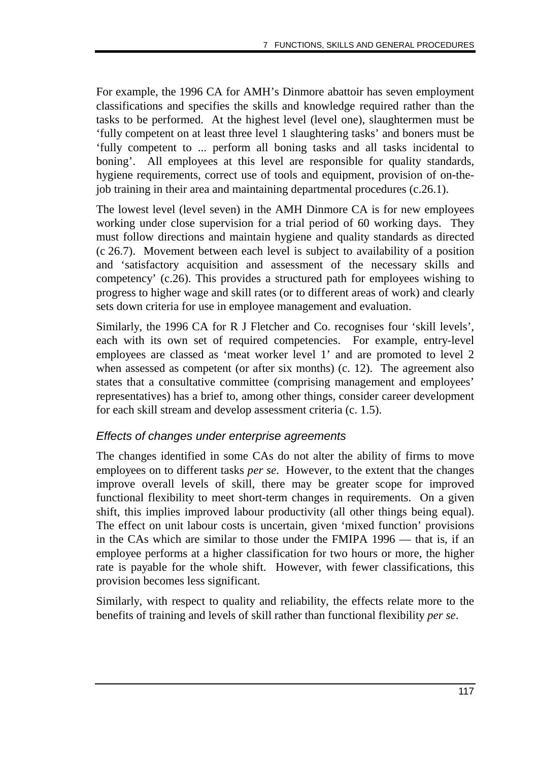For example, the 1996 CA for AMH's Dinmore abattoir has seven employment classifications and specifies the skills and knowledge required rather than the tasks to be performed. At the highest level (level one), slaughtermen must be 'fully competent on at least three level 1 slaughtering tasks' and boners must be 'fully competent to ... perform all boning tasks and all tasks incidental to boning'. All employees at this level are responsible for quality standards, hygiene requirements, correct use of tools and equipment, provision of on-thejob training in their area and maintaining departmental procedures (c.26.1).

The lowest level (level seven) in the AMH Dinmore CA is for new employees working under close supervision for a trial period of 60 working days. They must follow directions and maintain hygiene and quality standards as directed (c 26.7). Movement between each level is subject to availability of a position and 'satisfactory acquisition and assessment of the necessary skills and competency' (c.26). This provides a structured path for employees wishing to progress to higher wage and skill rates (or to different areas of work) and clearly sets down criteria for use in employee management and evaluation.

Similarly, the 1996 CA for R J Fletcher and Co. recognises four 'skill levels', each with its own set of required competencies. For example, entry-level employees are classed as 'meat worker level 1' and are promoted to level 2 when assessed as competent (or after six months) (c. 12). The agreement also states that a consultative committee (comprising management and employees' representatives) has a brief to, among other things, consider career development for each skill stream and develop assessment criteria (c. 1.5).

#### Effects of changes under enterprise agreements

The changes identified in some CAs do not alter the ability of firms to move employees on to different tasks *per se*. However, to the extent that the changes improve overall levels of skill, there may be greater scope for improved functional flexibility to meet short-term changes in requirements. On a given shift, this implies improved labour productivity (all other things being equal). The effect on unit labour costs is uncertain, given 'mixed function' provisions in the CAs which are similar to those under the FMIPA 1996 — that is, if an employee performs at a higher classification for two hours or more, the higher rate is payable for the whole shift. However, with fewer classifications, this provision becomes less significant.

Similarly, with respect to quality and reliability, the effects relate more to the benefits of training and levels of skill rather than functional flexibility *per se*.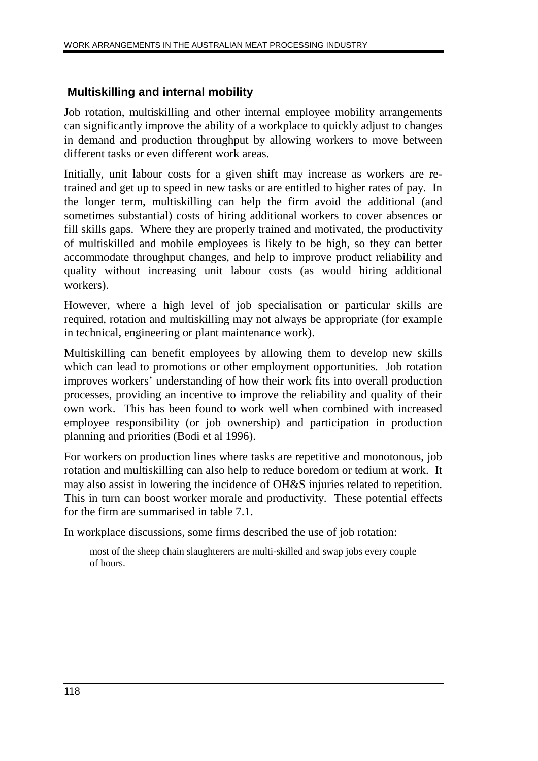### **Multiskilling and internal mobility**

Job rotation, multiskilling and other internal employee mobility arrangements can significantly improve the ability of a workplace to quickly adjust to changes in demand and production throughput by allowing workers to move between different tasks or even different work areas.

Initially, unit labour costs for a given shift may increase as workers are retrained and get up to speed in new tasks or are entitled to higher rates of pay. In the longer term, multiskilling can help the firm avoid the additional (and sometimes substantial) costs of hiring additional workers to cover absences or fill skills gaps. Where they are properly trained and motivated, the productivity of multiskilled and mobile employees is likely to be high, so they can better accommodate throughput changes, and help to improve product reliability and quality without increasing unit labour costs (as would hiring additional workers).

However, where a high level of job specialisation or particular skills are required, rotation and multiskilling may not always be appropriate (for example in technical, engineering or plant maintenance work).

Multiskilling can benefit employees by allowing them to develop new skills which can lead to promotions or other employment opportunities. Job rotation improves workers' understanding of how their work fits into overall production processes, providing an incentive to improve the reliability and quality of their own work. This has been found to work well when combined with increased employee responsibility (or job ownership) and participation in production planning and priorities (Bodi et al 1996).

For workers on production lines where tasks are repetitive and monotonous, job rotation and multiskilling can also help to reduce boredom or tedium at work. It may also assist in lowering the incidence of OH&S injuries related to repetition. This in turn can boost worker morale and productivity. These potential effects for the firm are summarised in table 7.1.

In workplace discussions, some firms described the use of job rotation:

most of the sheep chain slaughterers are multi-skilled and swap jobs every couple of hours.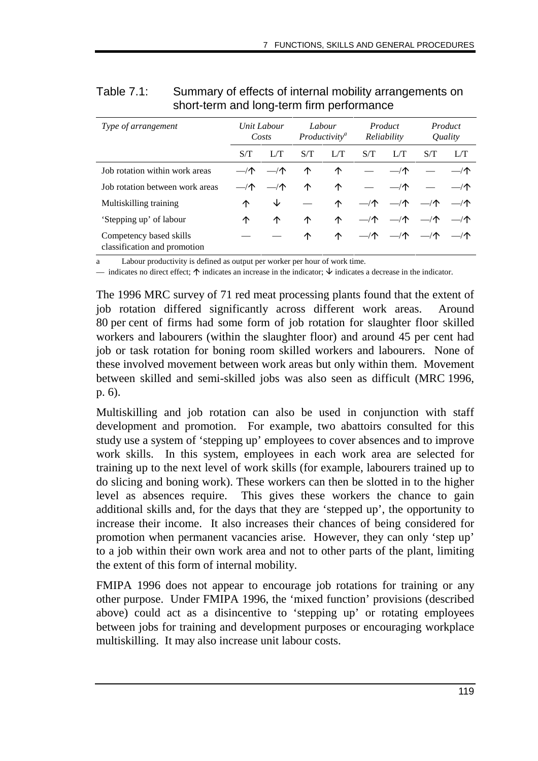| Type of arrangement                                     |     | Unit Labour<br>Costs |     | Labour<br>Productivity <sup>a</sup> |             | Product<br>Reliability  |                         | Product<br>Quality |
|---------------------------------------------------------|-----|----------------------|-----|-------------------------------------|-------------|-------------------------|-------------------------|--------------------|
|                                                         | S/T | L/T                  | S/T | L/T                                 | S/T         | L/T                     | S/T                     | L/T                |
| Job rotation within work areas                          |     | $-\sqrt{2}$          | ↑   | ↑                                   |             |                         |                         | $-\sqrt{\Gamma}$   |
| Job rotation between work areas                         |     | $-\sqrt{2}$          | ↑   | ↑                                   |             | $-\sqrt{2}$             |                         | $-\sqrt{2}$        |
| Multiskilling training                                  | ↑   | ◡                    |     | ∧                                   | $-\sqrt{2}$ |                         | $-\sqrt{1}$ $-\sqrt{1}$ | $-\sqrt{\Gamma}$   |
| 'Stepping up' of labour                                 | ↑   | ↑                    | ↑   | ↑                                   | $-\sqrt{2}$ | $-\sqrt{2}$             | $-\sqrt{2}$             | $-\sqrt{\Gamma}$   |
| Competency based skills<br>classification and promotion |     |                      | ↑   | ∧                                   |             | $-\sqrt{2}$ $-\sqrt{2}$ | —⁄个                     | —⁄个                |

| Table 7.1: | Summary of effects of internal mobility arrangements on |
|------------|---------------------------------------------------------|
|            | short-term and long-term firm performance               |

Labour productivity is defined as output per worker per hour of work time.

— indicates no direct effect;  $\uparrow$  indicates an increase in the indicator;  $\downarrow$  indicates a decrease in the indicator.

The 1996 MRC survey of 71 red meat processing plants found that the extent of job rotation differed significantly across different work areas. Around 80 per cent of firms had some form of job rotation for slaughter floor skilled workers and labourers (within the slaughter floor) and around 45 per cent had job or task rotation for boning room skilled workers and labourers. None of these involved movement between work areas but only within them. Movement between skilled and semi-skilled jobs was also seen as difficult (MRC 1996, p. 6).

Multiskilling and job rotation can also be used in conjunction with staff development and promotion. For example, two abattoirs consulted for this study use a system of 'stepping up' employees to cover absences and to improve work skills. In this system, employees in each work area are selected for training up to the next level of work skills (for example, labourers trained up to do slicing and boning work). These workers can then be slotted in to the higher level as absences require. This gives these workers the chance to gain additional skills and, for the days that they are 'stepped up', the opportunity to increase their income. It also increases their chances of being considered for promotion when permanent vacancies arise. However, they can only 'step up' to a job within their own work area and not to other parts of the plant, limiting the extent of this form of internal mobility.

FMIPA 1996 does not appear to encourage job rotations for training or any other purpose. Under FMIPA 1996, the 'mixed function' provisions (described above) could act as a disincentive to 'stepping up' or rotating employees between jobs for training and development purposes or encouraging workplace multiskilling. It may also increase unit labour costs.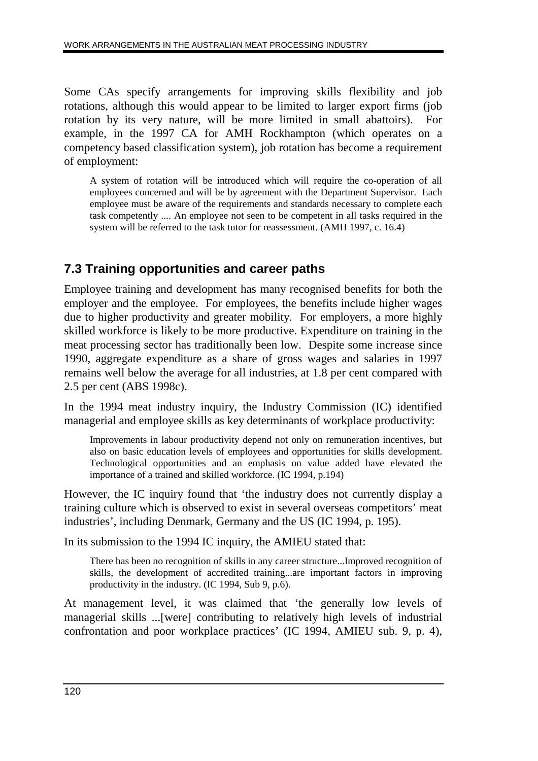Some CAs specify arrangements for improving skills flexibility and job rotations, although this would appear to be limited to larger export firms (job rotation by its very nature, will be more limited in small abattoirs). For example, in the 1997 CA for AMH Rockhampton (which operates on a competency based classification system), job rotation has become a requirement of employment:

A system of rotation will be introduced which will require the co-operation of all employees concerned and will be by agreement with the Department Supervisor. Each employee must be aware of the requirements and standards necessary to complete each task competently .... An employee not seen to be competent in all tasks required in the system will be referred to the task tutor for reassessment. (AMH 1997, c. 16.4)

# **7.3 Training opportunities and career paths**

Employee training and development has many recognised benefits for both the employer and the employee. For employees, the benefits include higher wages due to higher productivity and greater mobility. For employers, a more highly skilled workforce is likely to be more productive. Expenditure on training in the meat processing sector has traditionally been low. Despite some increase since 1990, aggregate expenditure as a share of gross wages and salaries in 1997 remains well below the average for all industries, at 1.8 per cent compared with 2.5 per cent (ABS 1998c).

In the 1994 meat industry inquiry, the Industry Commission (IC) identified managerial and employee skills as key determinants of workplace productivity:

Improvements in labour productivity depend not only on remuneration incentives, but also on basic education levels of employees and opportunities for skills development. Technological opportunities and an emphasis on value added have elevated the importance of a trained and skilled workforce. (IC 1994, p.194)

However, the IC inquiry found that 'the industry does not currently display a training culture which is observed to exist in several overseas competitors' meat industries', including Denmark, Germany and the US (IC 1994, p. 195).

In its submission to the 1994 IC inquiry, the AMIEU stated that:

There has been no recognition of skills in any career structure...Improved recognition of skills, the development of accredited training...are important factors in improving productivity in the industry. (IC 1994, Sub 9, p.6).

At management level, it was claimed that 'the generally low levels of managerial skills ...[were] contributing to relatively high levels of industrial confrontation and poor workplace practices' (IC 1994, AMIEU sub. 9, p. 4),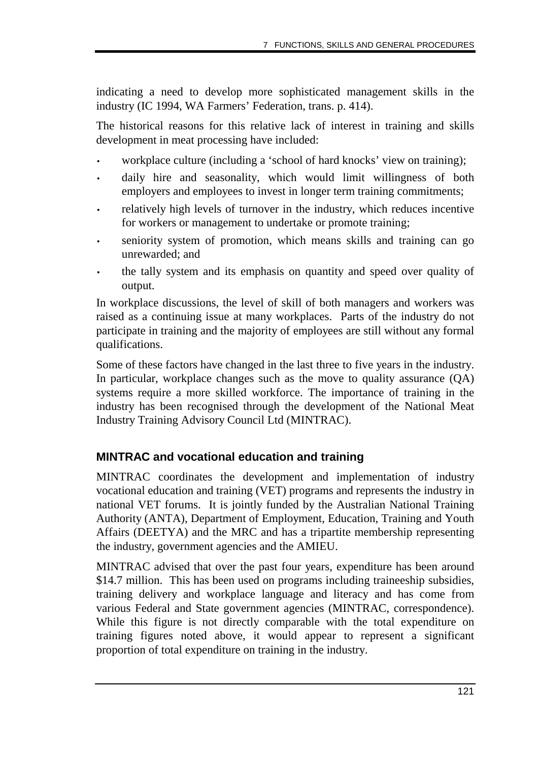indicating a need to develop more sophisticated management skills in the industry (IC 1994, WA Farmers' Federation, trans. p. 414).

The historical reasons for this relative lack of interest in training and skills development in meat processing have included:

- workplace culture (including a 'school of hard knocks' view on training);
- daily hire and seasonality, which would limit willingness of both employers and employees to invest in longer term training commitments;
- relatively high levels of turnover in the industry, which reduces incentive for workers or management to undertake or promote training;
- seniority system of promotion, which means skills and training can go unrewarded; and
- the tally system and its emphasis on quantity and speed over quality of output.

In workplace discussions, the level of skill of both managers and workers was raised as a continuing issue at many workplaces. Parts of the industry do not participate in training and the majority of employees are still without any formal qualifications.

Some of these factors have changed in the last three to five years in the industry. In particular, workplace changes such as the move to quality assurance (QA) systems require a more skilled workforce. The importance of training in the industry has been recognised through the development of the National Meat Industry Training Advisory Council Ltd (MINTRAC).

#### **MINTRAC and vocational education and training**

MINTRAC coordinates the development and implementation of industry vocational education and training (VET) programs and represents the industry in national VET forums. It is jointly funded by the Australian National Training Authority (ANTA), Department of Employment, Education, Training and Youth Affairs (DEETYA) and the MRC and has a tripartite membership representing the industry, government agencies and the AMIEU.

MINTRAC advised that over the past four years, expenditure has been around \$14.7 million. This has been used on programs including traineeship subsidies, training delivery and workplace language and literacy and has come from various Federal and State government agencies (MINTRAC, correspondence). While this figure is not directly comparable with the total expenditure on training figures noted above, it would appear to represent a significant proportion of total expenditure on training in the industry.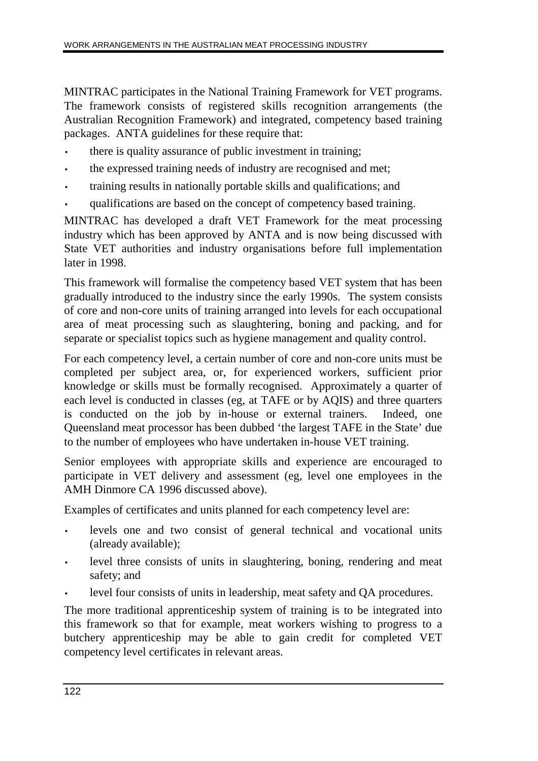MINTRAC participates in the National Training Framework for VET programs. The framework consists of registered skills recognition arrangements (the Australian Recognition Framework) and integrated, competency based training packages. ANTA guidelines for these require that:

- there is quality assurance of public investment in training;
- the expressed training needs of industry are recognised and met;
- training results in nationally portable skills and qualifications; and
- qualifications are based on the concept of competency based training.

MINTRAC has developed a draft VET Framework for the meat processing industry which has been approved by ANTA and is now being discussed with State VET authorities and industry organisations before full implementation later in 1998.

This framework will formalise the competency based VET system that has been gradually introduced to the industry since the early 1990s. The system consists of core and non-core units of training arranged into levels for each occupational area of meat processing such as slaughtering, boning and packing, and for separate or specialist topics such as hygiene management and quality control.

For each competency level, a certain number of core and non-core units must be completed per subject area, or, for experienced workers, sufficient prior knowledge or skills must be formally recognised. Approximately a quarter of each level is conducted in classes (eg, at TAFE or by AQIS) and three quarters is conducted on the job by in-house or external trainers. Indeed, one Queensland meat processor has been dubbed 'the largest TAFE in the State' due to the number of employees who have undertaken in-house VET training.

Senior employees with appropriate skills and experience are encouraged to participate in VET delivery and assessment (eg, level one employees in the AMH Dinmore CA 1996 discussed above).

Examples of certificates and units planned for each competency level are:

- levels one and two consist of general technical and vocational units (already available);
- level three consists of units in slaughtering, boning, rendering and meat safety; and
- level four consists of units in leadership, meat safety and QA procedures.

The more traditional apprenticeship system of training is to be integrated into this framework so that for example, meat workers wishing to progress to a butchery apprenticeship may be able to gain credit for completed VET competency level certificates in relevant areas.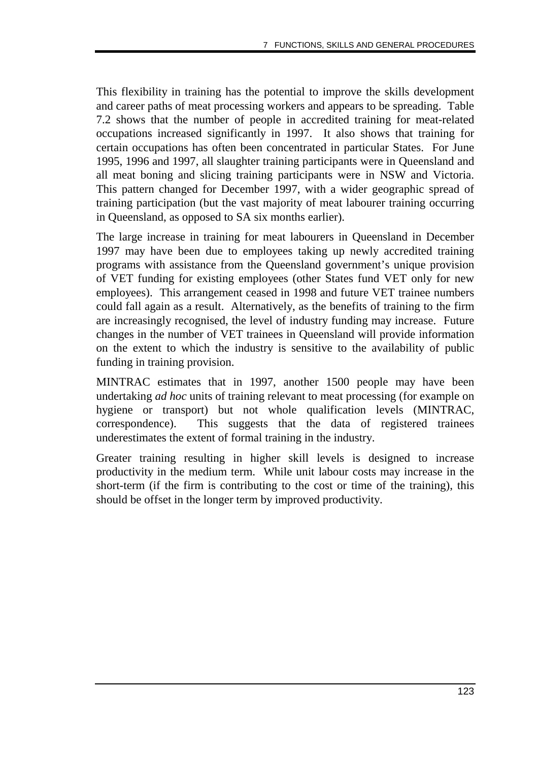This flexibility in training has the potential to improve the skills development and career paths of meat processing workers and appears to be spreading. Table 7.2 shows that the number of people in accredited training for meat-related occupations increased significantly in 1997. It also shows that training for certain occupations has often been concentrated in particular States. For June 1995, 1996 and 1997, all slaughter training participants were in Queensland and all meat boning and slicing training participants were in NSW and Victoria. This pattern changed for December 1997, with a wider geographic spread of training participation (but the vast majority of meat labourer training occurring in Queensland, as opposed to SA six months earlier).

The large increase in training for meat labourers in Queensland in December 1997 may have been due to employees taking up newly accredited training programs with assistance from the Queensland government's unique provision of VET funding for existing employees (other States fund VET only for new employees). This arrangement ceased in 1998 and future VET trainee numbers could fall again as a result. Alternatively, as the benefits of training to the firm are increasingly recognised, the level of industry funding may increase. Future changes in the number of VET trainees in Queensland will provide information on the extent to which the industry is sensitive to the availability of public funding in training provision.

MINTRAC estimates that in 1997, another 1500 people may have been undertaking *ad hoc* units of training relevant to meat processing (for example on hygiene or transport) but not whole qualification levels (MINTRAC, correspondence). This suggests that the data of registered trainees underestimates the extent of formal training in the industry.

Greater training resulting in higher skill levels is designed to increase productivity in the medium term. While unit labour costs may increase in the short-term (if the firm is contributing to the cost or time of the training), this should be offset in the longer term by improved productivity.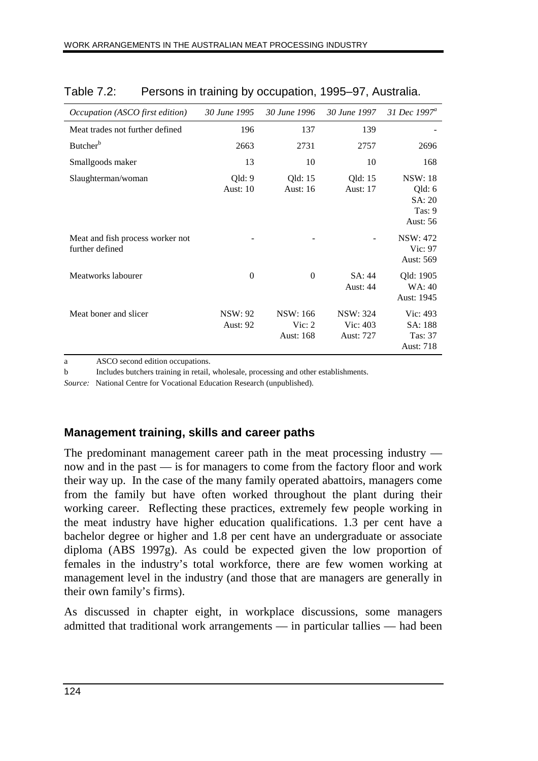| Occupation (ASCO first edition)                     | 30 June 1995                      | 30 June 1996                      | 30 June 1997                             | 31 Dec 1997 <sup>a</sup>                                        |
|-----------------------------------------------------|-----------------------------------|-----------------------------------|------------------------------------------|-----------------------------------------------------------------|
| Meat trades not further defined                     | 196                               | 137                               | 139                                      |                                                                 |
| Butcher <sup>b</sup>                                | 2663                              | 2731                              | 2757                                     | 2696                                                            |
| Smallgoods maker                                    | 13                                | 10                                | 10                                       | 168                                                             |
| Slaughterman/woman                                  | Qld:9<br><b>Aust: 10</b>          | Qld: 15<br><b>Aust: 16</b>        | Qld: 15<br><b>Aust: 17</b>               | <b>NSW: 18</b><br>Qld: 6<br>SA: 20<br>Tas: 9<br><b>Aust: 56</b> |
| Meat and fish process worker not<br>further defined |                                   |                                   |                                          | <b>NSW: 472</b><br>Vic: 97<br>Aust: 569                         |
| Meatworks labourer                                  | $\overline{0}$                    | $\theta$                          | SA: 44<br><b>Aust: 44</b>                | Qld: 1905<br>WA: 40<br>Aust: 1945                               |
| Meat boner and slicer                               | <b>NSW: 92</b><br><b>Aust: 92</b> | NSW: 166<br>Vic: $2$<br>Aust: 168 | <b>NSW: 324</b><br>Vic: 403<br>Aust: 727 | Vic: 493<br>SA: 188<br>Tas: 37<br>Aust: 718                     |

| Table 7.2: |  | Persons in training by occupation, 1995–97, Australia. |  |
|------------|--|--------------------------------------------------------|--|
|            |  |                                                        |  |

a ASCO second edition occupations.

b Includes butchers training in retail, wholesale, processing and other establishments.

*Source:* National Centre for Vocational Education Research (unpublished).

#### **Management training, skills and career paths**

The predominant management career path in the meat processing industry now and in the past — is for managers to come from the factory floor and work their way up. In the case of the many family operated abattoirs, managers come from the family but have often worked throughout the plant during their working career. Reflecting these practices, extremely few people working in the meat industry have higher education qualifications. 1.3 per cent have a bachelor degree or higher and 1.8 per cent have an undergraduate or associate diploma (ABS 1997g). As could be expected given the low proportion of females in the industry's total workforce, there are few women working at management level in the industry (and those that are managers are generally in their own family's firms).

As discussed in chapter eight, in workplace discussions, some managers admitted that traditional work arrangements — in particular tallies — had been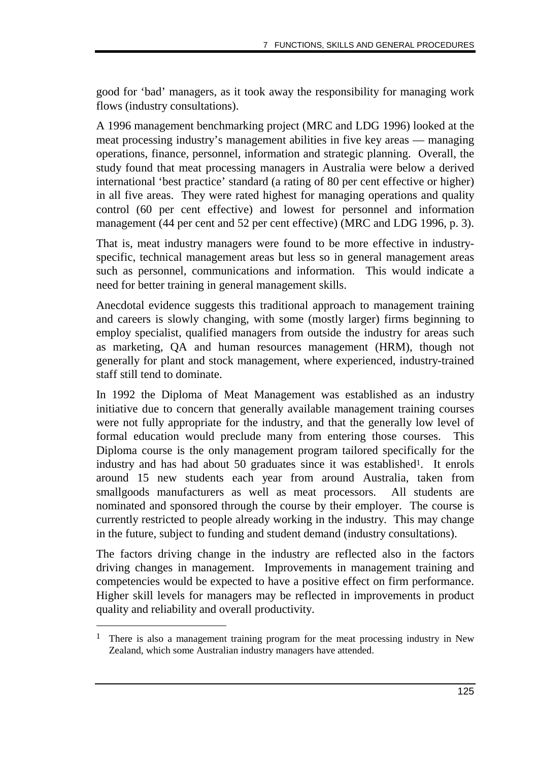good for 'bad' managers, as it took away the responsibility for managing work flows (industry consultations).

A 1996 management benchmarking project (MRC and LDG 1996) looked at the meat processing industry's management abilities in five key areas — managing operations, finance, personnel, information and strategic planning. Overall, the study found that meat processing managers in Australia were below a derived international 'best practice' standard (a rating of 80 per cent effective or higher) in all five areas. They were rated highest for managing operations and quality control (60 per cent effective) and lowest for personnel and information management (44 per cent and 52 per cent effective) (MRC and LDG 1996, p. 3).

That is, meat industry managers were found to be more effective in industryspecific, technical management areas but less so in general management areas such as personnel, communications and information. This would indicate a need for better training in general management skills.

Anecdotal evidence suggests this traditional approach to management training and careers is slowly changing, with some (mostly larger) firms beginning to employ specialist, qualified managers from outside the industry for areas such as marketing, QA and human resources management (HRM), though not generally for plant and stock management, where experienced, industry-trained staff still tend to dominate.

In 1992 the Diploma of Meat Management was established as an industry initiative due to concern that generally available management training courses were not fully appropriate for the industry, and that the generally low level of formal education would preclude many from entering those courses. This Diploma course is the only management program tailored specifically for the industry and has had about 50 graduates since it was established<sup>1</sup>. It enrols around 15 new students each year from around Australia, taken from smallgoods manufacturers as well as meat processors. All students are nominated and sponsored through the course by their employer. The course is currently restricted to people already working in the industry. This may change in the future, subject to funding and student demand (industry consultations).

The factors driving change in the industry are reflected also in the factors driving changes in management. Improvements in management training and competencies would be expected to have a positive effect on firm performance. Higher skill levels for managers may be reflected in improvements in product quality and reliability and overall productivity.

-

<sup>&</sup>lt;sup>1</sup> There is also a management training program for the meat processing industry in New Zealand, which some Australian industry managers have attended.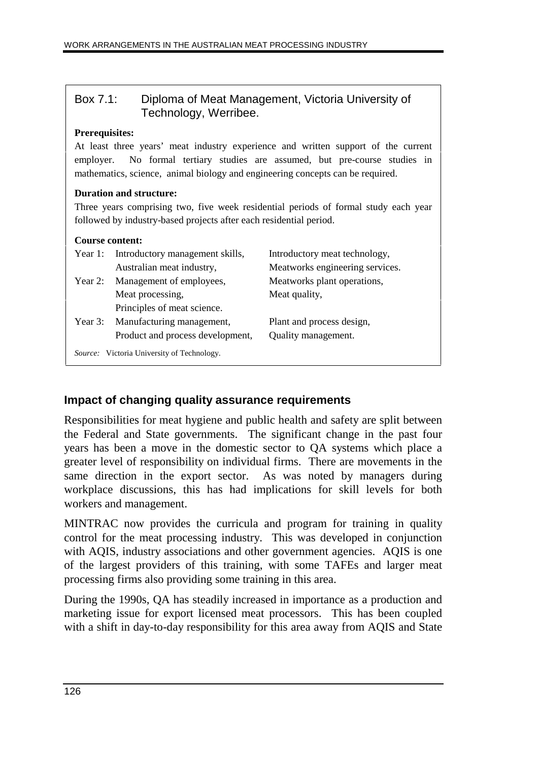|                 | Box 7.1:<br>Diploma of Meat Management, Victoria University of<br>Technology, Werribee.                                                                                                                                                                                        |                                 |  |  |  |  |
|-----------------|--------------------------------------------------------------------------------------------------------------------------------------------------------------------------------------------------------------------------------------------------------------------------------|---------------------------------|--|--|--|--|
|                 | <b>Prerequisites:</b><br>At least three years' meat industry experience and written support of the current<br>No formal tertiary studies are assumed, but pre-course studies in<br>employer.<br>mathematics, science, animal biology and engineering concepts can be required. |                                 |  |  |  |  |
|                 | Duration and structure:<br>Three years comprising two, five week residential periods of formal study each year<br>followed by industry-based projects after each residential period.                                                                                           |                                 |  |  |  |  |
| Course content: |                                                                                                                                                                                                                                                                                |                                 |  |  |  |  |
| Year 1:         | Introductory management skills,                                                                                                                                                                                                                                                | Introductory meat technology,   |  |  |  |  |
|                 | Australian meat industry,                                                                                                                                                                                                                                                      | Meatworks engineering services. |  |  |  |  |
|                 | Year 2: Management of employees,                                                                                                                                                                                                                                               | Meatworks plant operations,     |  |  |  |  |
|                 | Meat processing,                                                                                                                                                                                                                                                               | Meat quality,                   |  |  |  |  |
|                 | Principles of meat science.                                                                                                                                                                                                                                                    |                                 |  |  |  |  |
| Year $3:$       | Manufacturing management,                                                                                                                                                                                                                                                      | Plant and process design,       |  |  |  |  |
|                 | Product and process development,                                                                                                                                                                                                                                               | Quality management.             |  |  |  |  |
|                 | <i>Source:</i> Victoria University of Technology.                                                                                                                                                                                                                              |                                 |  |  |  |  |
|                 |                                                                                                                                                                                                                                                                                |                                 |  |  |  |  |

#### **Impact of changing quality assurance requirements**

Responsibilities for meat hygiene and public health and safety are split between the Federal and State governments. The significant change in the past four years has been a move in the domestic sector to QA systems which place a greater level of responsibility on individual firms. There are movements in the same direction in the export sector. As was noted by managers during workplace discussions, this has had implications for skill levels for both workers and management.

MINTRAC now provides the curricula and program for training in quality control for the meat processing industry. This was developed in conjunction with AQIS, industry associations and other government agencies. AQIS is one of the largest providers of this training, with some TAFEs and larger meat processing firms also providing some training in this area.

During the 1990s, QA has steadily increased in importance as a production and marketing issue for export licensed meat processors. This has been coupled with a shift in day-to-day responsibility for this area away from AQIS and State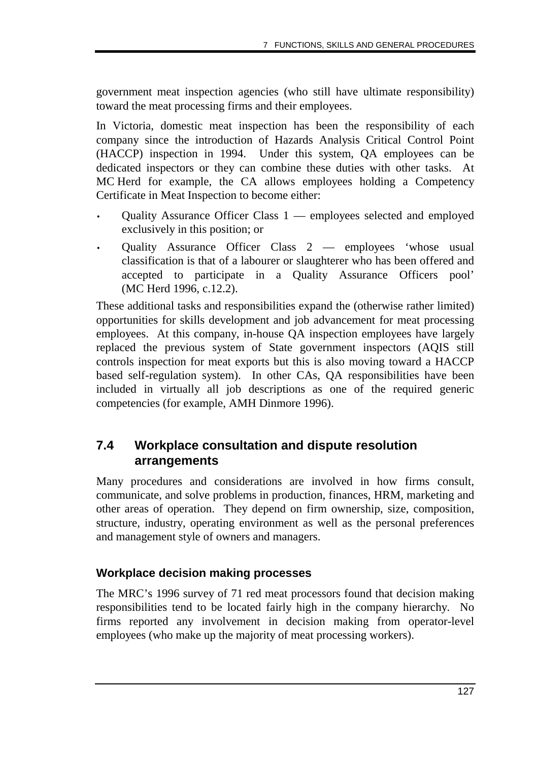government meat inspection agencies (who still have ultimate responsibility) toward the meat processing firms and their employees.

In Victoria, domestic meat inspection has been the responsibility of each company since the introduction of Hazards Analysis Critical Control Point (HACCP) inspection in 1994. Under this system, QA employees can be dedicated inspectors or they can combine these duties with other tasks. At MC Herd for example, the CA allows employees holding a Competency Certificate in Meat Inspection to become either:

- Quality Assurance Officer Class 1 employees selected and employed exclusively in this position; or
- Quality Assurance Officer Class 2 employees 'whose usual classification is that of a labourer or slaughterer who has been offered and accepted to participate in a Quality Assurance Officers pool' (MC Herd 1996, c.12.2).

These additional tasks and responsibilities expand the (otherwise rather limited) opportunities for skills development and job advancement for meat processing employees. At this company, in-house QA inspection employees have largely replaced the previous system of State government inspectors (AQIS still controls inspection for meat exports but this is also moving toward a HACCP based self-regulation system). In other CAs, QA responsibilities have been included in virtually all job descriptions as one of the required generic competencies (for example, AMH Dinmore 1996).

### **7.4 Workplace consultation and dispute resolution arrangements**

Many procedures and considerations are involved in how firms consult, communicate, and solve problems in production, finances, HRM, marketing and other areas of operation. They depend on firm ownership, size, composition, structure, industry, operating environment as well as the personal preferences and management style of owners and managers.

#### **Workplace decision making processes**

The MRC's 1996 survey of 71 red meat processors found that decision making responsibilities tend to be located fairly high in the company hierarchy. No firms reported any involvement in decision making from operator-level employees (who make up the majority of meat processing workers).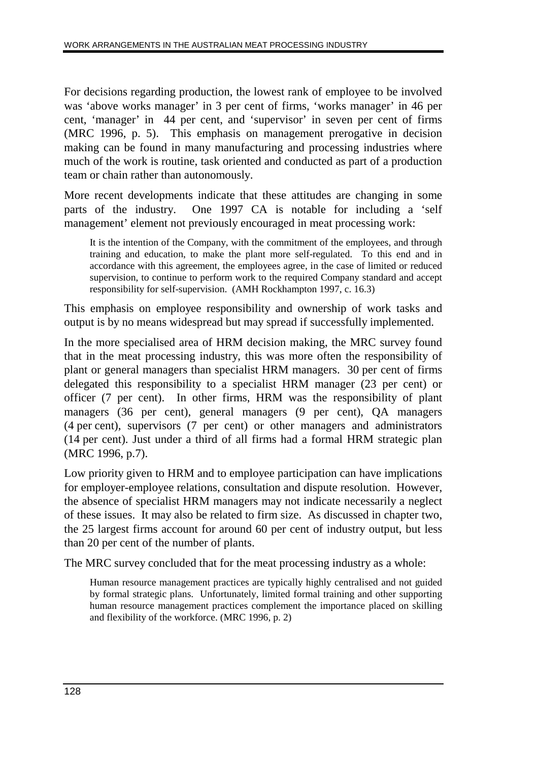For decisions regarding production, the lowest rank of employee to be involved was 'above works manager' in 3 per cent of firms, 'works manager' in 46 per cent, 'manager' in 44 per cent, and 'supervisor' in seven per cent of firms (MRC 1996, p. 5). This emphasis on management prerogative in decision making can be found in many manufacturing and processing industries where much of the work is routine, task oriented and conducted as part of a production team or chain rather than autonomously.

More recent developments indicate that these attitudes are changing in some parts of the industry. One 1997 CA is notable for including a 'self management' element not previously encouraged in meat processing work:

It is the intention of the Company, with the commitment of the employees, and through training and education, to make the plant more self-regulated. To this end and in accordance with this agreement, the employees agree, in the case of limited or reduced supervision, to continue to perform work to the required Company standard and accept responsibility for self-supervision. (AMH Rockhampton 1997, c. 16.3)

This emphasis on employee responsibility and ownership of work tasks and output is by no means widespread but may spread if successfully implemented.

In the more specialised area of HRM decision making, the MRC survey found that in the meat processing industry, this was more often the responsibility of plant or general managers than specialist HRM managers. 30 per cent of firms delegated this responsibility to a specialist HRM manager (23 per cent) or officer (7 per cent). In other firms, HRM was the responsibility of plant managers (36 per cent), general managers (9 per cent), QA managers (4 per cent), supervisors (7 per cent) or other managers and administrators (14 per cent). Just under a third of all firms had a formal HRM strategic plan (MRC 1996, p.7).

Low priority given to HRM and to employee participation can have implications for employer-employee relations, consultation and dispute resolution. However, the absence of specialist HRM managers may not indicate necessarily a neglect of these issues. It may also be related to firm size. As discussed in chapter two, the 25 largest firms account for around 60 per cent of industry output, but less than 20 per cent of the number of plants.

The MRC survey concluded that for the meat processing industry as a whole:

Human resource management practices are typically highly centralised and not guided by formal strategic plans. Unfortunately, limited formal training and other supporting human resource management practices complement the importance placed on skilling and flexibility of the workforce. (MRC 1996, p. 2)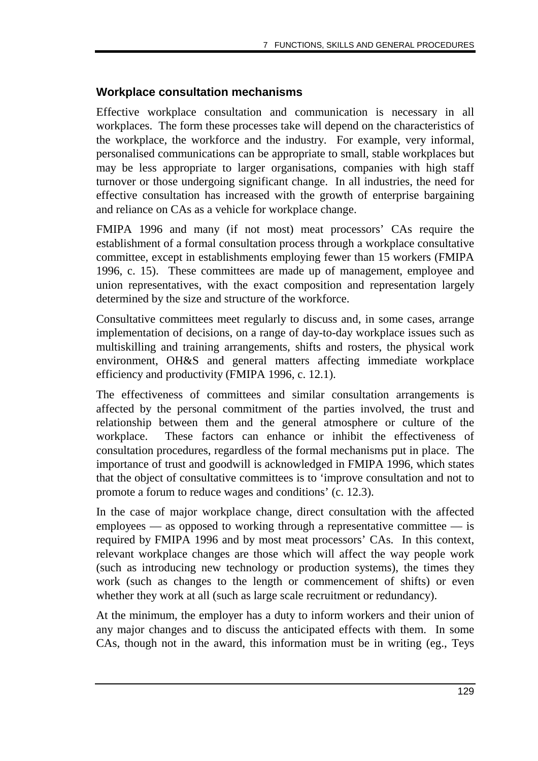#### **Workplace consultation mechanisms**

Effective workplace consultation and communication is necessary in all workplaces. The form these processes take will depend on the characteristics of the workplace, the workforce and the industry. For example, very informal, personalised communications can be appropriate to small, stable workplaces but may be less appropriate to larger organisations, companies with high staff turnover or those undergoing significant change. In all industries, the need for effective consultation has increased with the growth of enterprise bargaining and reliance on CAs as a vehicle for workplace change.

FMIPA 1996 and many (if not most) meat processors' CAs require the establishment of a formal consultation process through a workplace consultative committee, except in establishments employing fewer than 15 workers (FMIPA 1996, c. 15). These committees are made up of management, employee and union representatives, with the exact composition and representation largely determined by the size and structure of the workforce.

Consultative committees meet regularly to discuss and, in some cases, arrange implementation of decisions, on a range of day-to-day workplace issues such as multiskilling and training arrangements, shifts and rosters, the physical work environment, OH&S and general matters affecting immediate workplace efficiency and productivity (FMIPA 1996, c. 12.1).

The effectiveness of committees and similar consultation arrangements is affected by the personal commitment of the parties involved, the trust and relationship between them and the general atmosphere or culture of the workplace. These factors can enhance or inhibit the effectiveness of consultation procedures, regardless of the formal mechanisms put in place. The importance of trust and goodwill is acknowledged in FMIPA 1996, which states that the object of consultative committees is to 'improve consultation and not to promote a forum to reduce wages and conditions' (c. 12.3).

In the case of major workplace change, direct consultation with the affected employees — as opposed to working through a representative committee — is required by FMIPA 1996 and by most meat processors' CAs. In this context, relevant workplace changes are those which will affect the way people work (such as introducing new technology or production systems), the times they work (such as changes to the length or commencement of shifts) or even whether they work at all (such as large scale recruitment or redundancy).

At the minimum, the employer has a duty to inform workers and their union of any major changes and to discuss the anticipated effects with them. In some CAs, though not in the award, this information must be in writing (eg., Teys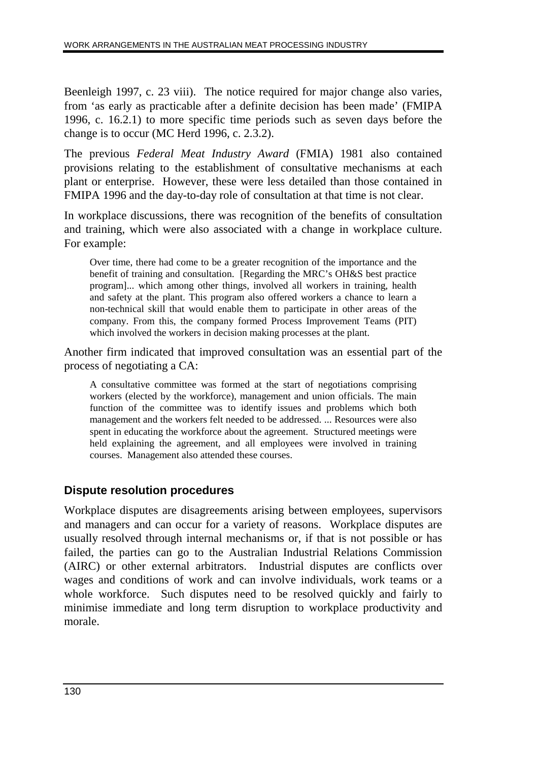Beenleigh 1997, c. 23 viii). The notice required for major change also varies, from 'as early as practicable after a definite decision has been made' (FMIPA 1996, c. 16.2.1) to more specific time periods such as seven days before the change is to occur (MC Herd 1996, c. 2.3.2).

The previous *Federal Meat Industry Award* (FMIA) 1981 also contained provisions relating to the establishment of consultative mechanisms at each plant or enterprise. However, these were less detailed than those contained in FMIPA 1996 and the day-to-day role of consultation at that time is not clear.

In workplace discussions, there was recognition of the benefits of consultation and training, which were also associated with a change in workplace culture. For example:

Over time, there had come to be a greater recognition of the importance and the benefit of training and consultation. [Regarding the MRC's OH&S best practice program]... which among other things, involved all workers in training, health and safety at the plant. This program also offered workers a chance to learn a non-technical skill that would enable them to participate in other areas of the company. From this, the company formed Process Improvement Teams (PIT) which involved the workers in decision making processes at the plant.

Another firm indicated that improved consultation was an essential part of the process of negotiating a CA:

A consultative committee was formed at the start of negotiations comprising workers (elected by the workforce), management and union officials. The main function of the committee was to identify issues and problems which both management and the workers felt needed to be addressed. ... Resources were also spent in educating the workforce about the agreement. Structured meetings were held explaining the agreement, and all employees were involved in training courses. Management also attended these courses.

#### **Dispute resolution procedures**

Workplace disputes are disagreements arising between employees, supervisors and managers and can occur for a variety of reasons. Workplace disputes are usually resolved through internal mechanisms or, if that is not possible or has failed, the parties can go to the Australian Industrial Relations Commission (AIRC) or other external arbitrators. Industrial disputes are conflicts over wages and conditions of work and can involve individuals, work teams or a whole workforce. Such disputes need to be resolved quickly and fairly to minimise immediate and long term disruption to workplace productivity and morale.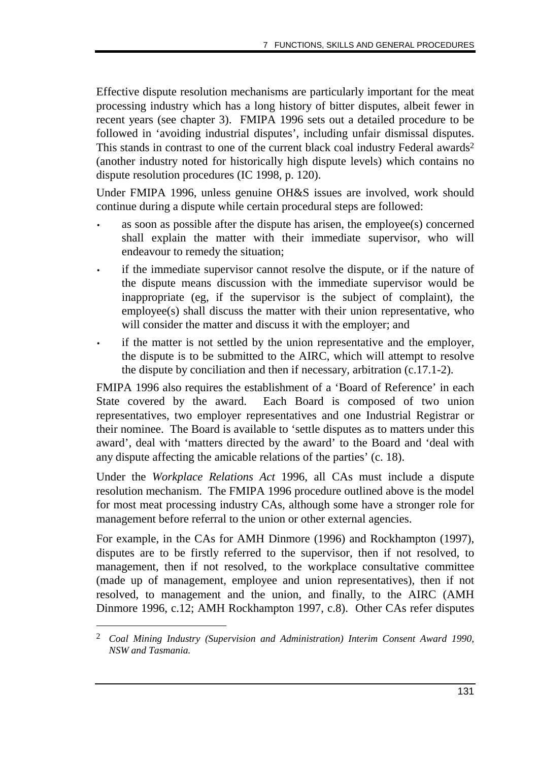Effective dispute resolution mechanisms are particularly important for the meat processing industry which has a long history of bitter disputes, albeit fewer in recent years (see chapter 3). FMIPA 1996 sets out a detailed procedure to be followed in 'avoiding industrial disputes', including unfair dismissal disputes. This stands in contrast to one of the current black coal industry Federal awards<sup>2</sup> (another industry noted for historically high dispute levels) which contains no dispute resolution procedures (IC 1998, p. 120).

Under FMIPA 1996, unless genuine OH&S issues are involved, work should continue during a dispute while certain procedural steps are followed:

- as soon as possible after the dispute has arisen, the employee(s) concerned shall explain the matter with their immediate supervisor, who will endeavour to remedy the situation;
- if the immediate supervisor cannot resolve the dispute, or if the nature of the dispute means discussion with the immediate supervisor would be inappropriate (eg, if the supervisor is the subject of complaint), the employee(s) shall discuss the matter with their union representative, who will consider the matter and discuss it with the employer; and
- if the matter is not settled by the union representative and the employer, the dispute is to be submitted to the AIRC, which will attempt to resolve the dispute by conciliation and then if necessary, arbitration (c.17.1-2).

FMIPA 1996 also requires the establishment of a 'Board of Reference' in each State covered by the award. Each Board is composed of two union representatives, two employer representatives and one Industrial Registrar or their nominee. The Board is available to 'settle disputes as to matters under this award', deal with 'matters directed by the award' to the Board and 'deal with any dispute affecting the amicable relations of the parties' (c. 18).

Under the *Workplace Relations Act* 1996, all CAs must include a dispute resolution mechanism. The FMIPA 1996 procedure outlined above is the model for most meat processing industry CAs, although some have a stronger role for management before referral to the union or other external agencies.

For example, in the CAs for AMH Dinmore (1996) and Rockhampton (1997), disputes are to be firstly referred to the supervisor, then if not resolved, to management, then if not resolved, to the workplace consultative committee (made up of management, employee and union representatives), then if not resolved, to management and the union, and finally, to the AIRC (AMH Dinmore 1996, c.12; AMH Rockhampton 1997, c.8). Other CAs refer disputes

-

<sup>2</sup> *Coal Mining Industry (Supervision and Administration) Interim Consent Award 1990, NSW and Tasmania.*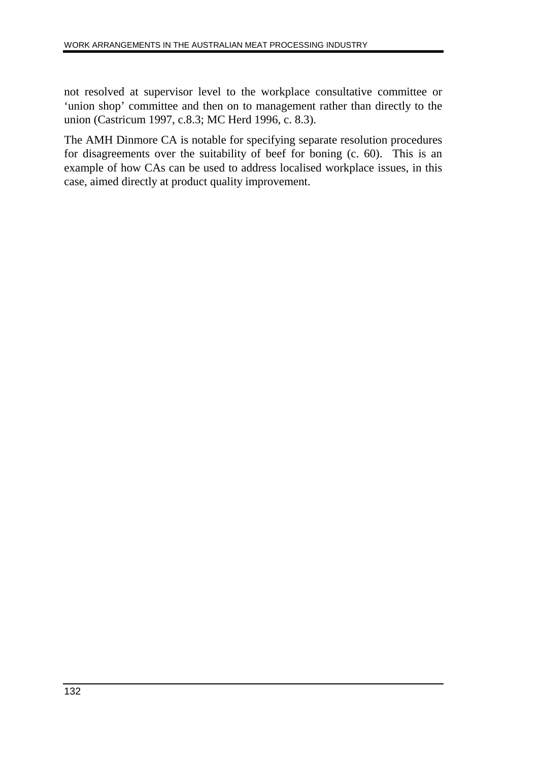not resolved at supervisor level to the workplace consultative committee or 'union shop' committee and then on to management rather than directly to the union (Castricum 1997, c.8.3; MC Herd 1996, c. 8.3).

The AMH Dinmore CA is notable for specifying separate resolution procedures for disagreements over the suitability of beef for boning (c. 60). This is an example of how CAs can be used to address localised workplace issues, in this case, aimed directly at product quality improvement.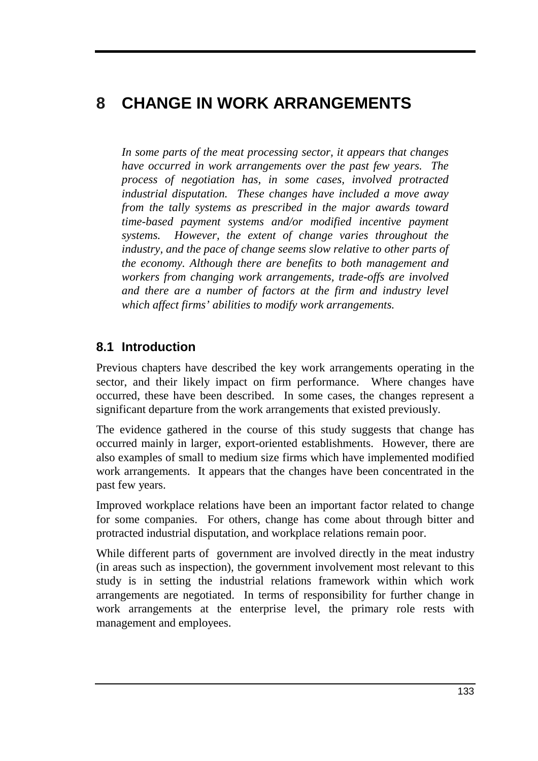# **8 CHANGE IN WORK ARRANGEMENTS**

*In some parts of the meat processing sector, it appears that changes have occurred in work arrangements over the past few years. The process of negotiation has, in some cases, involved protracted industrial disputation. These changes have included a move away from the tally systems as prescribed in the major awards toward time-based payment systems and/or modified incentive payment systems. However, the extent of change varies throughout the industry, and the pace of change seems slow relative to other parts of the economy. Although there are benefits to both management and workers from changing work arrangements, trade-offs are involved and there are a number of factors at the firm and industry level which affect firms' abilities to modify work arrangements.*

## **8.1 Introduction**

Previous chapters have described the key work arrangements operating in the sector, and their likely impact on firm performance. Where changes have occurred, these have been described. In some cases, the changes represent a significant departure from the work arrangements that existed previously.

The evidence gathered in the course of this study suggests that change has occurred mainly in larger, export-oriented establishments. However, there are also examples of small to medium size firms which have implemented modified work arrangements. It appears that the changes have been concentrated in the past few years.

Improved workplace relations have been an important factor related to change for some companies. For others, change has come about through bitter and protracted industrial disputation, and workplace relations remain poor.

While different parts of government are involved directly in the meat industry (in areas such as inspection), the government involvement most relevant to this study is in setting the industrial relations framework within which work arrangements are negotiated. In terms of responsibility for further change in work arrangements at the enterprise level, the primary role rests with management and employees.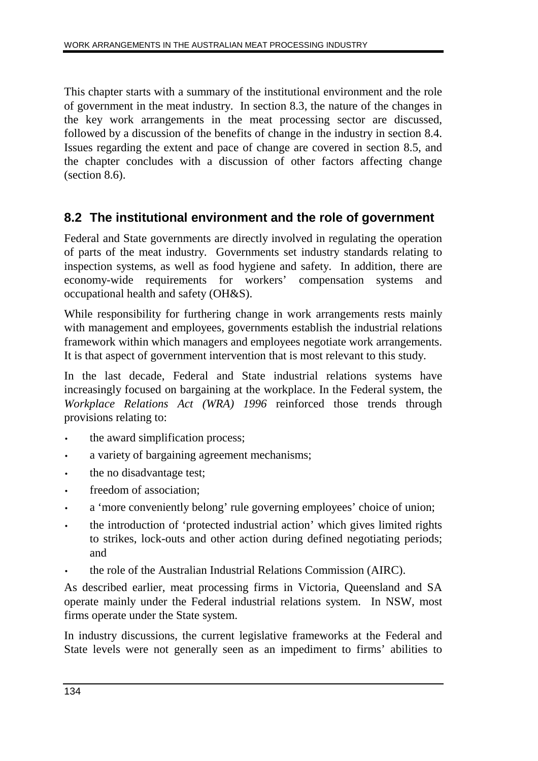This chapter starts with a summary of the institutional environment and the role of government in the meat industry. In section 8.3, the nature of the changes in the key work arrangements in the meat processing sector are discussed, followed by a discussion of the benefits of change in the industry in section 8.4. Issues regarding the extent and pace of change are covered in section 8.5, and the chapter concludes with a discussion of other factors affecting change (section 8.6).

## **8.2 The institutional environment and the role of government**

Federal and State governments are directly involved in regulating the operation of parts of the meat industry. Governments set industry standards relating to inspection systems, as well as food hygiene and safety. In addition, there are economy-wide requirements for workers' compensation systems and occupational health and safety (OH&S).

While responsibility for furthering change in work arrangements rests mainly with management and employees, governments establish the industrial relations framework within which managers and employees negotiate work arrangements. It is that aspect of government intervention that is most relevant to this study.

In the last decade, Federal and State industrial relations systems have increasingly focused on bargaining at the workplace. In the Federal system, the *Workplace Relations Act (WRA) 1996* reinforced those trends through provisions relating to:

- the award simplification process;
- a variety of bargaining agreement mechanisms;
- the no disadvantage test;
- freedom of association:
- a 'more conveniently belong' rule governing employees' choice of union;
- the introduction of 'protected industrial action' which gives limited rights to strikes, lock-outs and other action during defined negotiating periods; and
- the role of the Australian Industrial Relations Commission (AIRC).

As described earlier, meat processing firms in Victoria, Queensland and SA operate mainly under the Federal industrial relations system. In NSW, most firms operate under the State system.

In industry discussions, the current legislative frameworks at the Federal and State levels were not generally seen as an impediment to firms' abilities to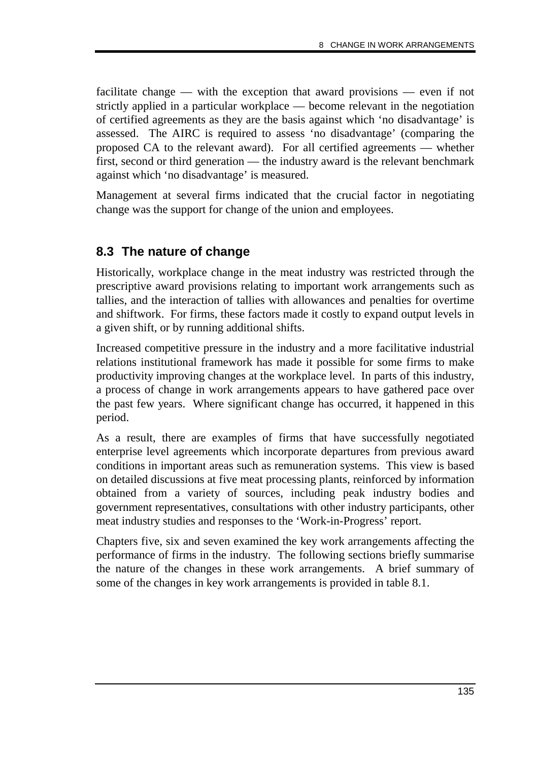facilitate change — with the exception that award provisions — even if not strictly applied in a particular workplace — become relevant in the negotiation of certified agreements as they are the basis against which 'no disadvantage' is assessed. The AIRC is required to assess 'no disadvantage' (comparing the proposed CA to the relevant award). For all certified agreements — whether first, second or third generation — the industry award is the relevant benchmark against which 'no disadvantage' is measured.

Management at several firms indicated that the crucial factor in negotiating change was the support for change of the union and employees.

## **8.3 The nature of change**

Historically, workplace change in the meat industry was restricted through the prescriptive award provisions relating to important work arrangements such as tallies, and the interaction of tallies with allowances and penalties for overtime and shiftwork. For firms, these factors made it costly to expand output levels in a given shift, or by running additional shifts.

Increased competitive pressure in the industry and a more facilitative industrial relations institutional framework has made it possible for some firms to make productivity improving changes at the workplace level. In parts of this industry, a process of change in work arrangements appears to have gathered pace over the past few years. Where significant change has occurred, it happened in this period.

As a result, there are examples of firms that have successfully negotiated enterprise level agreements which incorporate departures from previous award conditions in important areas such as remuneration systems. This view is based on detailed discussions at five meat processing plants, reinforced by information obtained from a variety of sources, including peak industry bodies and government representatives, consultations with other industry participants, other meat industry studies and responses to the 'Work-in-Progress' report.

Chapters five, six and seven examined the key work arrangements affecting the performance of firms in the industry. The following sections briefly summarise the nature of the changes in these work arrangements. A brief summary of some of the changes in key work arrangements is provided in table 8.1.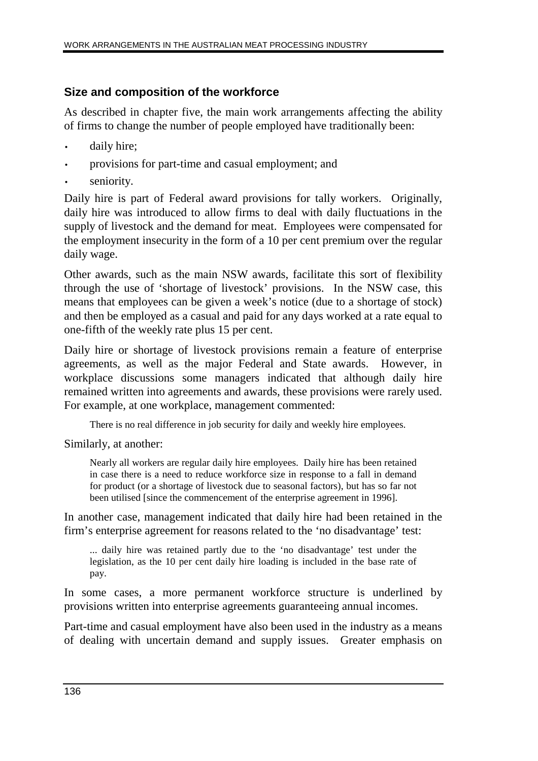#### **Size and composition of the workforce**

As described in chapter five, the main work arrangements affecting the ability of firms to change the number of people employed have traditionally been:

- daily hire;
- provisions for part-time and casual employment; and
- seniority.

Daily hire is part of Federal award provisions for tally workers. Originally, daily hire was introduced to allow firms to deal with daily fluctuations in the supply of livestock and the demand for meat. Employees were compensated for the employment insecurity in the form of a 10 per cent premium over the regular daily wage.

Other awards, such as the main NSW awards, facilitate this sort of flexibility through the use of 'shortage of livestock' provisions. In the NSW case, this means that employees can be given a week's notice (due to a shortage of stock) and then be employed as a casual and paid for any days worked at a rate equal to one-fifth of the weekly rate plus 15 per cent.

Daily hire or shortage of livestock provisions remain a feature of enterprise agreements, as well as the major Federal and State awards. However, in workplace discussions some managers indicated that although daily hire remained written into agreements and awards, these provisions were rarely used. For example, at one workplace, management commented:

There is no real difference in job security for daily and weekly hire employees.

Similarly, at another:

Nearly all workers are regular daily hire employees. Daily hire has been retained in case there is a need to reduce workforce size in response to a fall in demand for product (or a shortage of livestock due to seasonal factors), but has so far not been utilised [since the commencement of the enterprise agreement in 1996].

In another case, management indicated that daily hire had been retained in the firm's enterprise agreement for reasons related to the 'no disadvantage' test:

... daily hire was retained partly due to the 'no disadvantage' test under the legislation, as the 10 per cent daily hire loading is included in the base rate of pay.

In some cases, a more permanent workforce structure is underlined by provisions written into enterprise agreements guaranteeing annual incomes.

Part-time and casual employment have also been used in the industry as a means of dealing with uncertain demand and supply issues. Greater emphasis on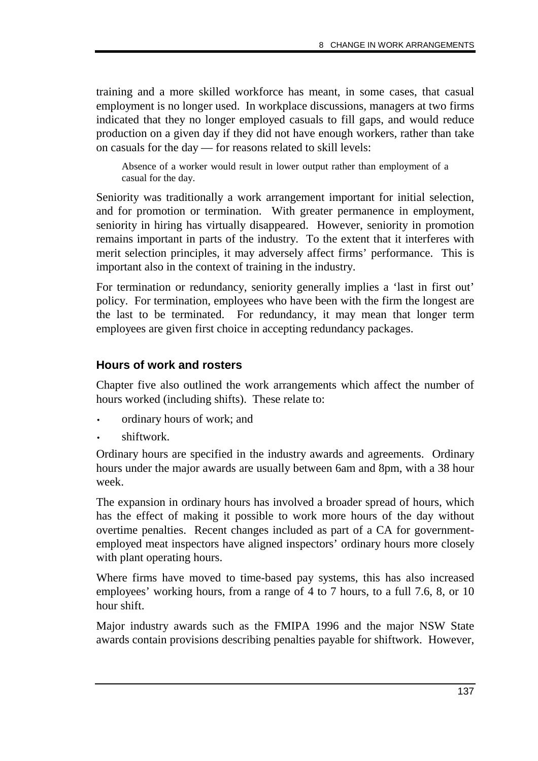training and a more skilled workforce has meant, in some cases, that casual employment is no longer used. In workplace discussions, managers at two firms indicated that they no longer employed casuals to fill gaps, and would reduce production on a given day if they did not have enough workers, rather than take on casuals for the day — for reasons related to skill levels:

Absence of a worker would result in lower output rather than employment of a casual for the day.

Seniority was traditionally a work arrangement important for initial selection, and for promotion or termination. With greater permanence in employment, seniority in hiring has virtually disappeared. However, seniority in promotion remains important in parts of the industry. To the extent that it interferes with merit selection principles, it may adversely affect firms' performance. This is important also in the context of training in the industry.

For termination or redundancy, seniority generally implies a 'last in first out' policy. For termination, employees who have been with the firm the longest are the last to be terminated. For redundancy, it may mean that longer term employees are given first choice in accepting redundancy packages.

#### **Hours of work and rosters**

Chapter five also outlined the work arrangements which affect the number of hours worked (including shifts). These relate to:

- ordinary hours of work; and
- shiftwork.

Ordinary hours are specified in the industry awards and agreements. Ordinary hours under the major awards are usually between 6am and 8pm, with a 38 hour week.

The expansion in ordinary hours has involved a broader spread of hours, which has the effect of making it possible to work more hours of the day without overtime penalties. Recent changes included as part of a CA for governmentemployed meat inspectors have aligned inspectors' ordinary hours more closely with plant operating hours.

Where firms have moved to time-based pay systems, this has also increased employees' working hours, from a range of 4 to 7 hours, to a full 7.6, 8, or 10 hour shift.

Major industry awards such as the FMIPA 1996 and the major NSW State awards contain provisions describing penalties payable for shiftwork. However,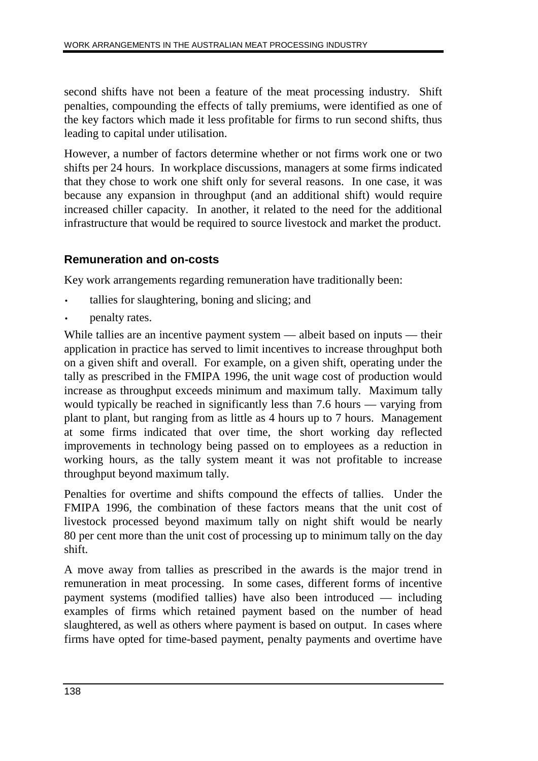second shifts have not been a feature of the meat processing industry. Shift penalties, compounding the effects of tally premiums, were identified as one of the key factors which made it less profitable for firms to run second shifts, thus leading to capital under utilisation.

However, a number of factors determine whether or not firms work one or two shifts per 24 hours. In workplace discussions, managers at some firms indicated that they chose to work one shift only for several reasons. In one case, it was because any expansion in throughput (and an additional shift) would require increased chiller capacity. In another, it related to the need for the additional infrastructure that would be required to source livestock and market the product.

#### **Remuneration and on-costs**

Key work arrangements regarding remuneration have traditionally been:

- tallies for slaughtering, boning and slicing; and
- penalty rates.

While tallies are an incentive payment system — albeit based on inputs — their application in practice has served to limit incentives to increase throughput both on a given shift and overall. For example, on a given shift, operating under the tally as prescribed in the FMIPA 1996, the unit wage cost of production would increase as throughput exceeds minimum and maximum tally. Maximum tally would typically be reached in significantly less than 7.6 hours — varying from plant to plant, but ranging from as little as 4 hours up to 7 hours. Management at some firms indicated that over time, the short working day reflected improvements in technology being passed on to employees as a reduction in working hours, as the tally system meant it was not profitable to increase throughput beyond maximum tally.

Penalties for overtime and shifts compound the effects of tallies. Under the FMIPA 1996, the combination of these factors means that the unit cost of livestock processed beyond maximum tally on night shift would be nearly 80 per cent more than the unit cost of processing up to minimum tally on the day shift.

A move away from tallies as prescribed in the awards is the major trend in remuneration in meat processing. In some cases, different forms of incentive payment systems (modified tallies) have also been introduced — including examples of firms which retained payment based on the number of head slaughtered, as well as others where payment is based on output. In cases where firms have opted for time-based payment, penalty payments and overtime have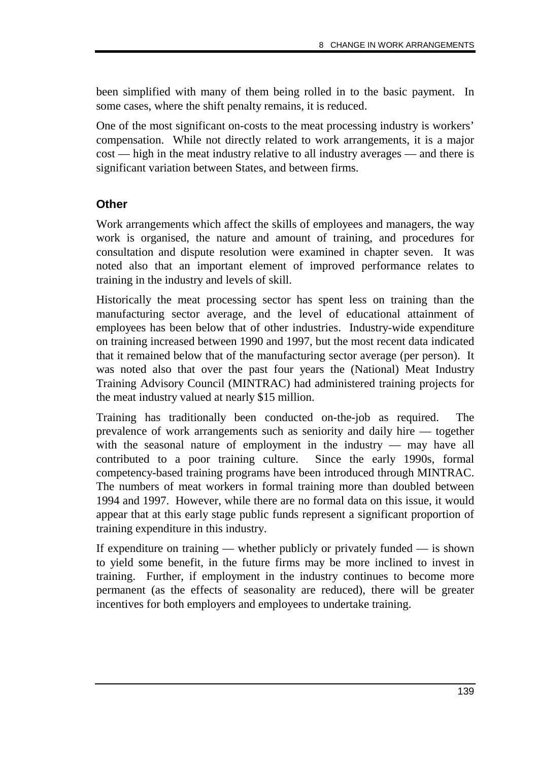been simplified with many of them being rolled in to the basic payment. In some cases, where the shift penalty remains, it is reduced.

One of the most significant on-costs to the meat processing industry is workers' compensation. While not directly related to work arrangements, it is a major cost — high in the meat industry relative to all industry averages — and there is significant variation between States, and between firms.

#### **Other**

Work arrangements which affect the skills of employees and managers, the way work is organised, the nature and amount of training, and procedures for consultation and dispute resolution were examined in chapter seven. It was noted also that an important element of improved performance relates to training in the industry and levels of skill.

Historically the meat processing sector has spent less on training than the manufacturing sector average, and the level of educational attainment of employees has been below that of other industries. Industry-wide expenditure on training increased between 1990 and 1997, but the most recent data indicated that it remained below that of the manufacturing sector average (per person). It was noted also that over the past four years the (National) Meat Industry Training Advisory Council (MINTRAC) had administered training projects for the meat industry valued at nearly \$15 million.

Training has traditionally been conducted on-the-job as required. The prevalence of work arrangements such as seniority and daily hire — together with the seasonal nature of employment in the industry — may have all contributed to a poor training culture. Since the early 1990s, formal competency-based training programs have been introduced through MINTRAC. The numbers of meat workers in formal training more than doubled between 1994 and 1997. However, while there are no formal data on this issue, it would appear that at this early stage public funds represent a significant proportion of training expenditure in this industry.

If expenditure on training — whether publicly or privately funded — is shown to yield some benefit, in the future firms may be more inclined to invest in training. Further, if employment in the industry continues to become more permanent (as the effects of seasonality are reduced), there will be greater incentives for both employers and employees to undertake training.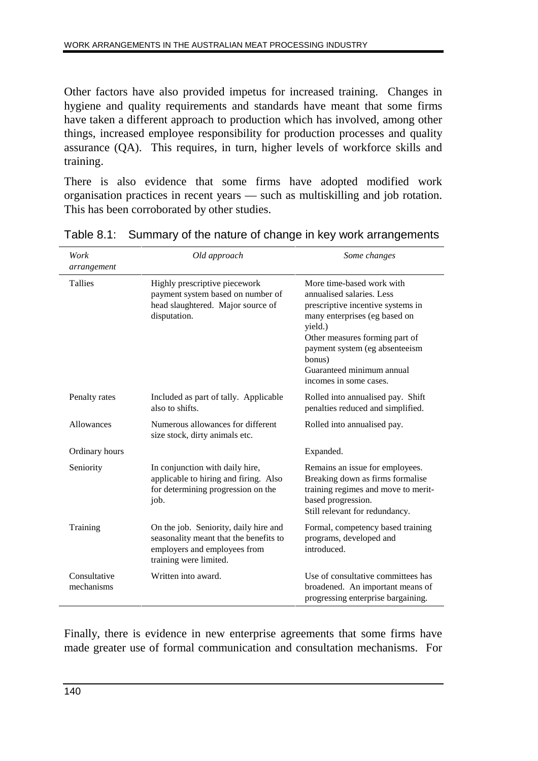Other factors have also provided impetus for increased training. Changes in hygiene and quality requirements and standards have meant that some firms have taken a different approach to production which has involved, among other things, increased employee responsibility for production processes and quality assurance (QA). This requires, in turn, higher levels of workforce skills and training.

There is also evidence that some firms have adopted modified work organisation practices in recent years — such as multiskilling and job rotation. This has been corroborated by other studies.

| Work<br>arrangement        | Old approach                                                                                                                              | Some changes                                                                                                                                                                                                                                                                 |
|----------------------------|-------------------------------------------------------------------------------------------------------------------------------------------|------------------------------------------------------------------------------------------------------------------------------------------------------------------------------------------------------------------------------------------------------------------------------|
| Tallies                    | Highly prescriptive piecework<br>payment system based on number of<br>head slaughtered. Major source of<br>disputation.                   | More time-based work with<br>annualised salaries. Less<br>prescriptive incentive systems in<br>many enterprises (eg based on<br>yield.)<br>Other measures forming part of<br>payment system (eg absenteeism<br>bonus)<br>Guaranteed minimum annual<br>incomes in some cases. |
| Penalty rates              | Included as part of tally. Applicable<br>also to shifts.                                                                                  | Rolled into annualised pay. Shift<br>penalties reduced and simplified.                                                                                                                                                                                                       |
| Allowances                 | Numerous allowances for different<br>size stock, dirty animals etc.                                                                       | Rolled into annualised pay.                                                                                                                                                                                                                                                  |
| Ordinary hours             |                                                                                                                                           | Expanded.                                                                                                                                                                                                                                                                    |
| Seniority                  | In conjunction with daily hire,<br>applicable to hiring and firing. Also<br>for determining progression on the<br>job.                    | Remains an issue for employees.<br>Breaking down as firms formalise<br>training regimes and move to merit-<br>based progression.<br>Still relevant for redundancy.                                                                                                           |
| Training                   | On the job. Seniority, daily hire and<br>seasonality meant that the benefits to<br>employers and employees from<br>training were limited. | Formal, competency based training<br>programs, developed and<br>introduced.                                                                                                                                                                                                  |
| Consultative<br>mechanisms | Written into award.                                                                                                                       | Use of consultative committees has<br>broadened. An important means of<br>progressing enterprise bargaining.                                                                                                                                                                 |

|  |  | Table 8.1: Summary of the nature of change in key work arrangements |  |  |
|--|--|---------------------------------------------------------------------|--|--|
|--|--|---------------------------------------------------------------------|--|--|

Finally, there is evidence in new enterprise agreements that some firms have made greater use of formal communication and consultation mechanisms. For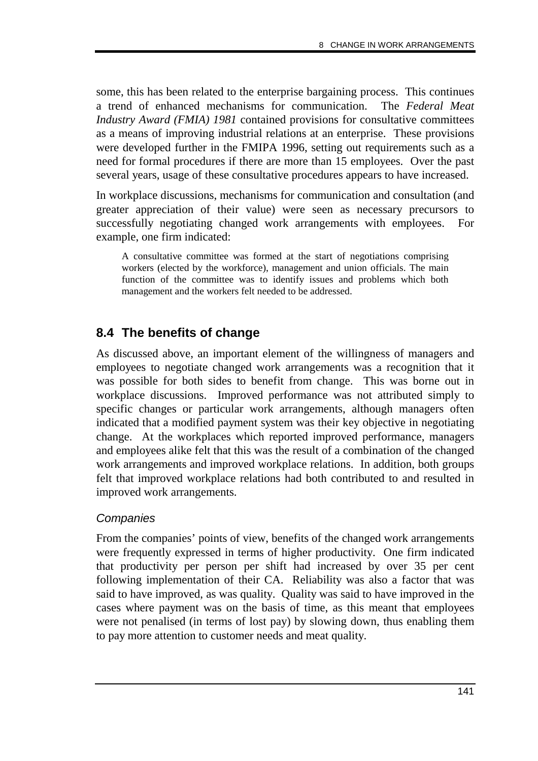some, this has been related to the enterprise bargaining process. This continues a trend of enhanced mechanisms for communication. The *Federal Meat Industry Award (FMIA) 1981* contained provisions for consultative committees as a means of improving industrial relations at an enterprise. These provisions were developed further in the FMIPA 1996, setting out requirements such as a need for formal procedures if there are more than 15 employees. Over the past several years, usage of these consultative procedures appears to have increased.

In workplace discussions, mechanisms for communication and consultation (and greater appreciation of their value) were seen as necessary precursors to successfully negotiating changed work arrangements with employees. For example, one firm indicated:

A consultative committee was formed at the start of negotiations comprising workers (elected by the workforce), management and union officials. The main function of the committee was to identify issues and problems which both management and the workers felt needed to be addressed.

## **8.4 The benefits of change**

As discussed above, an important element of the willingness of managers and employees to negotiate changed work arrangements was a recognition that it was possible for both sides to benefit from change. This was borne out in workplace discussions. Improved performance was not attributed simply to specific changes or particular work arrangements, although managers often indicated that a modified payment system was their key objective in negotiating change. At the workplaces which reported improved performance, managers and employees alike felt that this was the result of a combination of the changed work arrangements and improved workplace relations. In addition, both groups felt that improved workplace relations had both contributed to and resulted in improved work arrangements.

#### **Companies**

From the companies' points of view, benefits of the changed work arrangements were frequently expressed in terms of higher productivity. One firm indicated that productivity per person per shift had increased by over 35 per cent following implementation of their CA. Reliability was also a factor that was said to have improved, as was quality. Quality was said to have improved in the cases where payment was on the basis of time, as this meant that employees were not penalised (in terms of lost pay) by slowing down, thus enabling them to pay more attention to customer needs and meat quality.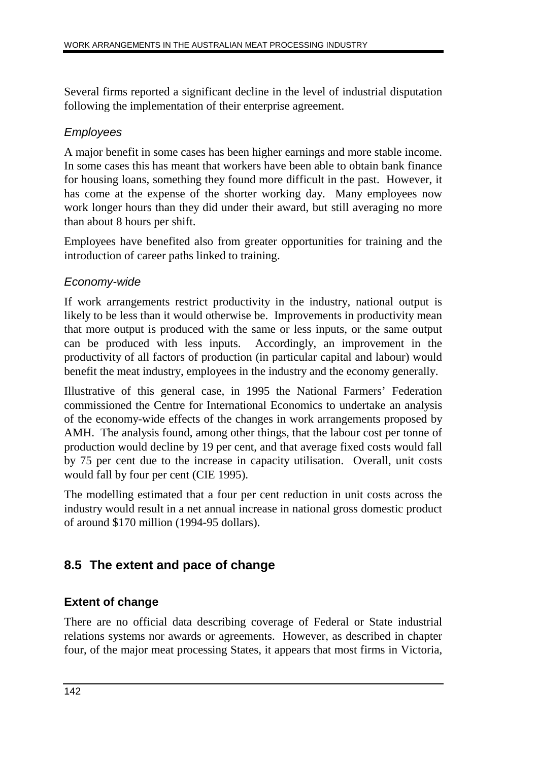Several firms reported a significant decline in the level of industrial disputation following the implementation of their enterprise agreement.

#### Employees

A major benefit in some cases has been higher earnings and more stable income. In some cases this has meant that workers have been able to obtain bank finance for housing loans, something they found more difficult in the past. However, it has come at the expense of the shorter working day. Many employees now work longer hours than they did under their award, but still averaging no more than about 8 hours per shift.

Employees have benefited also from greater opportunities for training and the introduction of career paths linked to training.

#### Economy-wide

If work arrangements restrict productivity in the industry, national output is likely to be less than it would otherwise be. Improvements in productivity mean that more output is produced with the same or less inputs, or the same output can be produced with less inputs. Accordingly, an improvement in the productivity of all factors of production (in particular capital and labour) would benefit the meat industry, employees in the industry and the economy generally.

Illustrative of this general case, in 1995 the National Farmers' Federation commissioned the Centre for International Economics to undertake an analysis of the economy-wide effects of the changes in work arrangements proposed by AMH. The analysis found, among other things, that the labour cost per tonne of production would decline by 19 per cent, and that average fixed costs would fall by 75 per cent due to the increase in capacity utilisation. Overall, unit costs would fall by four per cent (CIE 1995).

The modelling estimated that a four per cent reduction in unit costs across the industry would result in a net annual increase in national gross domestic product of around \$170 million (1994-95 dollars).

### **8.5 The extent and pace of change**

#### **Extent of change**

There are no official data describing coverage of Federal or State industrial relations systems nor awards or agreements. However, as described in chapter four, of the major meat processing States, it appears that most firms in Victoria,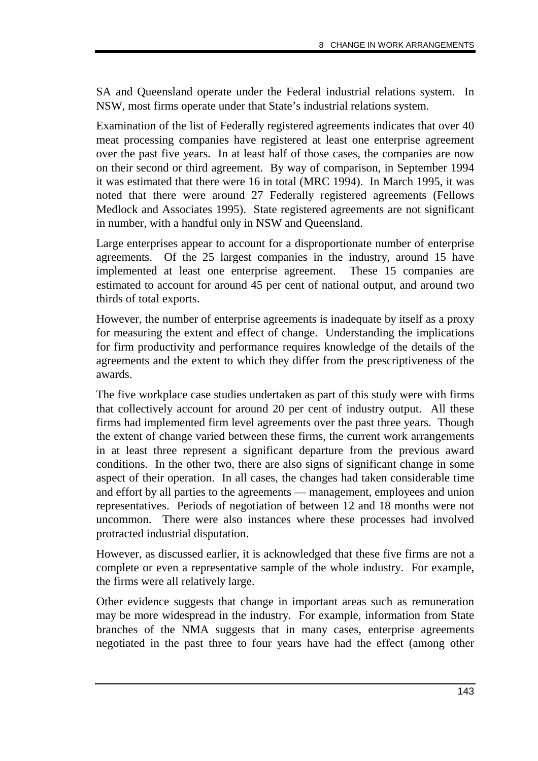SA and Queensland operate under the Federal industrial relations system. In NSW, most firms operate under that State's industrial relations system.

Examination of the list of Federally registered agreements indicates that over 40 meat processing companies have registered at least one enterprise agreement over the past five years. In at least half of those cases, the companies are now on their second or third agreement. By way of comparison, in September 1994 it was estimated that there were 16 in total (MRC 1994). In March 1995, it was noted that there were around 27 Federally registered agreements (Fellows Medlock and Associates 1995). State registered agreements are not significant in number, with a handful only in NSW and Queensland.

Large enterprises appear to account for a disproportionate number of enterprise agreements. Of the 25 largest companies in the industry, around 15 have implemented at least one enterprise agreement. These 15 companies are estimated to account for around 45 per cent of national output, and around two thirds of total exports.

However, the number of enterprise agreements is inadequate by itself as a proxy for measuring the extent and effect of change. Understanding the implications for firm productivity and performance requires knowledge of the details of the agreements and the extent to which they differ from the prescriptiveness of the awards.

The five workplace case studies undertaken as part of this study were with firms that collectively account for around 20 per cent of industry output. All these firms had implemented firm level agreements over the past three years. Though the extent of change varied between these firms, the current work arrangements in at least three represent a significant departure from the previous award conditions. In the other two, there are also signs of significant change in some aspect of their operation. In all cases, the changes had taken considerable time and effort by all parties to the agreements — management, employees and union representatives. Periods of negotiation of between 12 and 18 months were not uncommon. There were also instances where these processes had involved protracted industrial disputation.

However, as discussed earlier, it is acknowledged that these five firms are not a complete or even a representative sample of the whole industry. For example, the firms were all relatively large.

Other evidence suggests that change in important areas such as remuneration may be more widespread in the industry. For example, information from State branches of the NMA suggests that in many cases, enterprise agreements negotiated in the past three to four years have had the effect (among other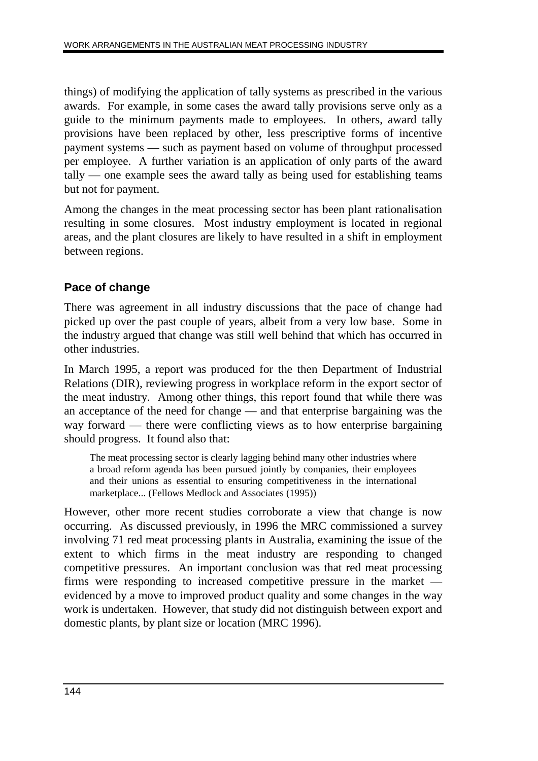things) of modifying the application of tally systems as prescribed in the various awards. For example, in some cases the award tally provisions serve only as a guide to the minimum payments made to employees. In others, award tally provisions have been replaced by other, less prescriptive forms of incentive payment systems — such as payment based on volume of throughput processed per employee. A further variation is an application of only parts of the award tally — one example sees the award tally as being used for establishing teams but not for payment.

Among the changes in the meat processing sector has been plant rationalisation resulting in some closures. Most industry employment is located in regional areas, and the plant closures are likely to have resulted in a shift in employment between regions.

#### **Pace of change**

There was agreement in all industry discussions that the pace of change had picked up over the past couple of years, albeit from a very low base. Some in the industry argued that change was still well behind that which has occurred in other industries.

In March 1995, a report was produced for the then Department of Industrial Relations (DIR), reviewing progress in workplace reform in the export sector of the meat industry. Among other things, this report found that while there was an acceptance of the need for change — and that enterprise bargaining was the way forward — there were conflicting views as to how enterprise bargaining should progress. It found also that:

The meat processing sector is clearly lagging behind many other industries where a broad reform agenda has been pursued jointly by companies, their employees and their unions as essential to ensuring competitiveness in the international marketplace... (Fellows Medlock and Associates (1995))

However, other more recent studies corroborate a view that change is now occurring. As discussed previously, in 1996 the MRC commissioned a survey involving 71 red meat processing plants in Australia, examining the issue of the extent to which firms in the meat industry are responding to changed competitive pressures. An important conclusion was that red meat processing firms were responding to increased competitive pressure in the market evidenced by a move to improved product quality and some changes in the way work is undertaken. However, that study did not distinguish between export and domestic plants, by plant size or location (MRC 1996).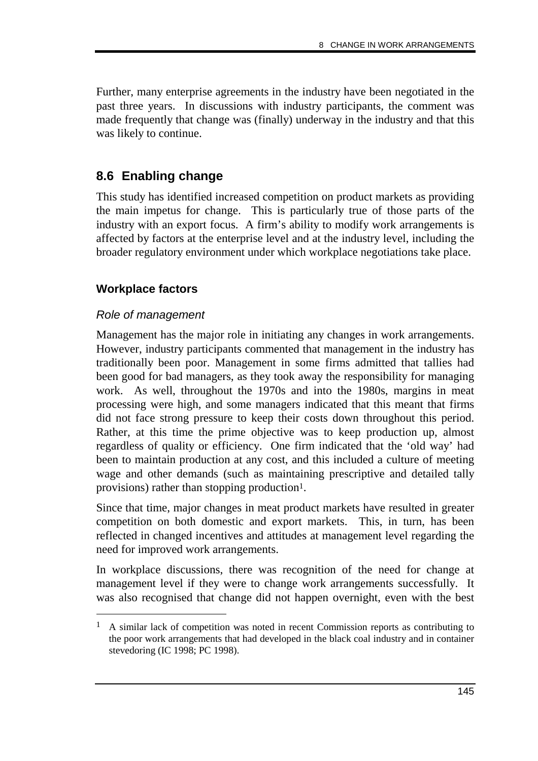Further, many enterprise agreements in the industry have been negotiated in the past three years. In discussions with industry participants, the comment was made frequently that change was (finally) underway in the industry and that this was likely to continue.

## **8.6 Enabling change**

This study has identified increased competition on product markets as providing the main impetus for change. This is particularly true of those parts of the industry with an export focus. A firm's ability to modify work arrangements is affected by factors at the enterprise level and at the industry level, including the broader regulatory environment under which workplace negotiations take place.

#### **Workplace factors**

#### Role of management

-

Management has the major role in initiating any changes in work arrangements. However, industry participants commented that management in the industry has traditionally been poor. Management in some firms admitted that tallies had been good for bad managers, as they took away the responsibility for managing work. As well, throughout the 1970s and into the 1980s, margins in meat processing were high, and some managers indicated that this meant that firms did not face strong pressure to keep their costs down throughout this period. Rather, at this time the prime objective was to keep production up, almost regardless of quality or efficiency. One firm indicated that the 'old way' had been to maintain production at any cost, and this included a culture of meeting wage and other demands (such as maintaining prescriptive and detailed tally provisions) rather than stopping production<sup>1</sup>.

Since that time, major changes in meat product markets have resulted in greater competition on both domestic and export markets. This, in turn, has been reflected in changed incentives and attitudes at management level regarding the need for improved work arrangements.

In workplace discussions, there was recognition of the need for change at management level if they were to change work arrangements successfully. It was also recognised that change did not happen overnight, even with the best

<sup>&</sup>lt;sup>1</sup> A similar lack of competition was noted in recent Commission reports as contributing to the poor work arrangements that had developed in the black coal industry and in container stevedoring (IC 1998; PC 1998).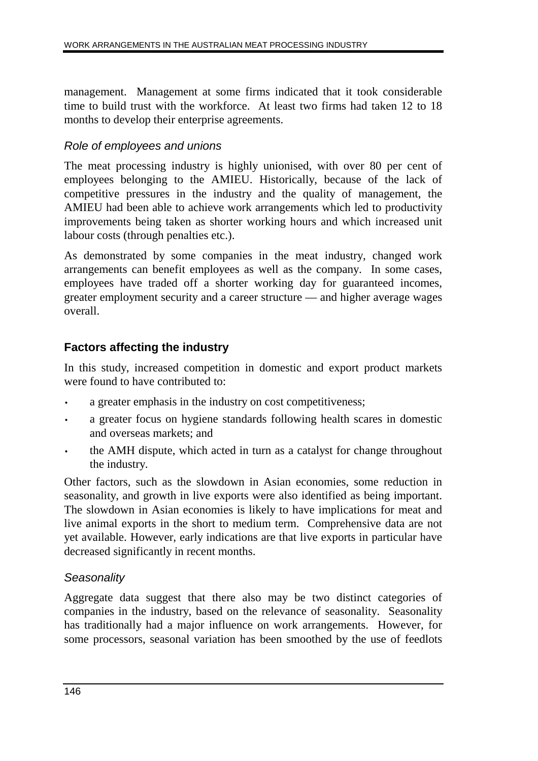management. Management at some firms indicated that it took considerable time to build trust with the workforce. At least two firms had taken 12 to 18 months to develop their enterprise agreements.

#### Role of employees and unions

The meat processing industry is highly unionised, with over 80 per cent of employees belonging to the AMIEU. Historically, because of the lack of competitive pressures in the industry and the quality of management, the AMIEU had been able to achieve work arrangements which led to productivity improvements being taken as shorter working hours and which increased unit labour costs (through penalties etc.).

As demonstrated by some companies in the meat industry, changed work arrangements can benefit employees as well as the company. In some cases, employees have traded off a shorter working day for guaranteed incomes, greater employment security and a career structure — and higher average wages overall.

### **Factors affecting the industry**

In this study, increased competition in domestic and export product markets were found to have contributed to:

- a greater emphasis in the industry on cost competitiveness;
- a greater focus on hygiene standards following health scares in domestic and overseas markets; and
- the AMH dispute, which acted in turn as a catalyst for change throughout the industry.

Other factors, such as the slowdown in Asian economies, some reduction in seasonality, and growth in live exports were also identified as being important. The slowdown in Asian economies is likely to have implications for meat and live animal exports in the short to medium term. Comprehensive data are not yet available. However, early indications are that live exports in particular have decreased significantly in recent months.

#### **Seasonality**

Aggregate data suggest that there also may be two distinct categories of companies in the industry, based on the relevance of seasonality. Seasonality has traditionally had a major influence on work arrangements. However, for some processors, seasonal variation has been smoothed by the use of feedlots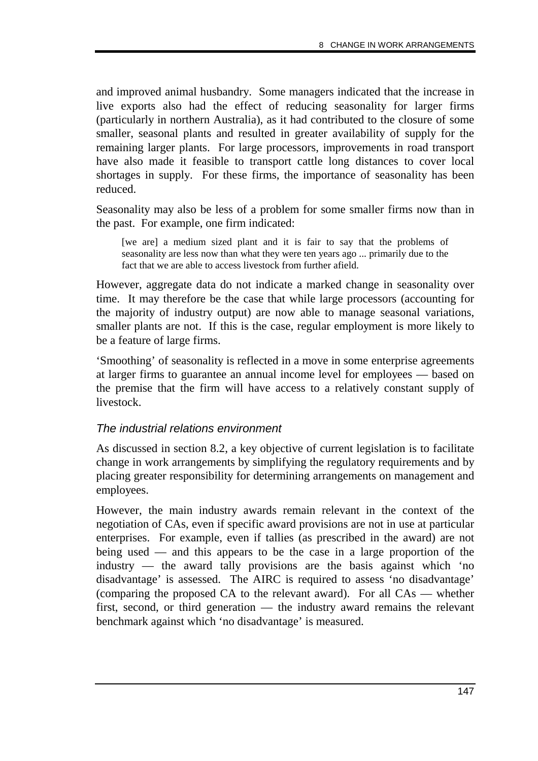and improved animal husbandry. Some managers indicated that the increase in live exports also had the effect of reducing seasonality for larger firms (particularly in northern Australia), as it had contributed to the closure of some smaller, seasonal plants and resulted in greater availability of supply for the remaining larger plants. For large processors, improvements in road transport have also made it feasible to transport cattle long distances to cover local shortages in supply. For these firms, the importance of seasonality has been reduced.

Seasonality may also be less of a problem for some smaller firms now than in the past. For example, one firm indicated:

[we are] a medium sized plant and it is fair to say that the problems of seasonality are less now than what they were ten years ago ... primarily due to the fact that we are able to access livestock from further afield.

However, aggregate data do not indicate a marked change in seasonality over time. It may therefore be the case that while large processors (accounting for the majority of industry output) are now able to manage seasonal variations, smaller plants are not. If this is the case, regular employment is more likely to be a feature of large firms.

'Smoothing' of seasonality is reflected in a move in some enterprise agreements at larger firms to guarantee an annual income level for employees — based on the premise that the firm will have access to a relatively constant supply of livestock.

#### The industrial relations environment

As discussed in section 8.2, a key objective of current legislation is to facilitate change in work arrangements by simplifying the regulatory requirements and by placing greater responsibility for determining arrangements on management and employees.

However, the main industry awards remain relevant in the context of the negotiation of CAs, even if specific award provisions are not in use at particular enterprises. For example, even if tallies (as prescribed in the award) are not being used — and this appears to be the case in a large proportion of the industry — the award tally provisions are the basis against which 'no disadvantage' is assessed. The AIRC is required to assess 'no disadvantage' (comparing the proposed CA to the relevant award). For all CAs — whether first, second, or third generation — the industry award remains the relevant benchmark against which 'no disadvantage' is measured.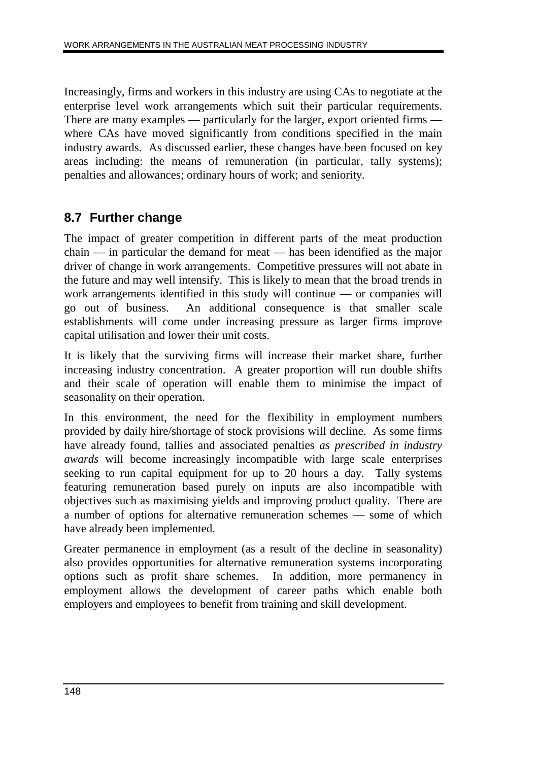Increasingly, firms and workers in this industry are using CAs to negotiate at the enterprise level work arrangements which suit their particular requirements. There are many examples — particularly for the larger, export oriented firms where CAs have moved significantly from conditions specified in the main industry awards. As discussed earlier, these changes have been focused on key areas including: the means of remuneration (in particular, tally systems); penalties and allowances; ordinary hours of work; and seniority.

## **8.7 Further change**

The impact of greater competition in different parts of the meat production chain — in particular the demand for meat — has been identified as the major driver of change in work arrangements. Competitive pressures will not abate in the future and may well intensify. This is likely to mean that the broad trends in work arrangements identified in this study will continue — or companies will go out of business. An additional consequence is that smaller scale establishments will come under increasing pressure as larger firms improve capital utilisation and lower their unit costs.

It is likely that the surviving firms will increase their market share, further increasing industry concentration. A greater proportion will run double shifts and their scale of operation will enable them to minimise the impact of seasonality on their operation.

In this environment, the need for the flexibility in employment numbers provided by daily hire/shortage of stock provisions will decline. As some firms have already found, tallies and associated penalties *as prescribed in industry awards* will become increasingly incompatible with large scale enterprises seeking to run capital equipment for up to 20 hours a day. Tally systems featuring remuneration based purely on inputs are also incompatible with objectives such as maximising yields and improving product quality. There are a number of options for alternative remuneration schemes — some of which have already been implemented.

Greater permanence in employment (as a result of the decline in seasonality) also provides opportunities for alternative remuneration systems incorporating options such as profit share schemes. In addition, more permanency in employment allows the development of career paths which enable both employers and employees to benefit from training and skill development.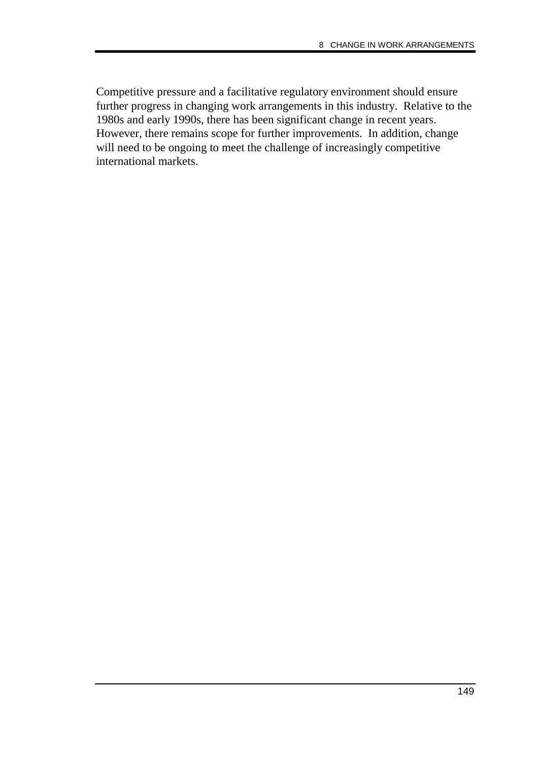Competitive pressure and a facilitative regulatory environment should ensure further progress in changing work arrangements in this industry. Relative to the 1980s and early 1990s, there has been significant change in recent years. However, there remains scope for further improvements. In addition, change will need to be ongoing to meet the challenge of increasingly competitive international markets.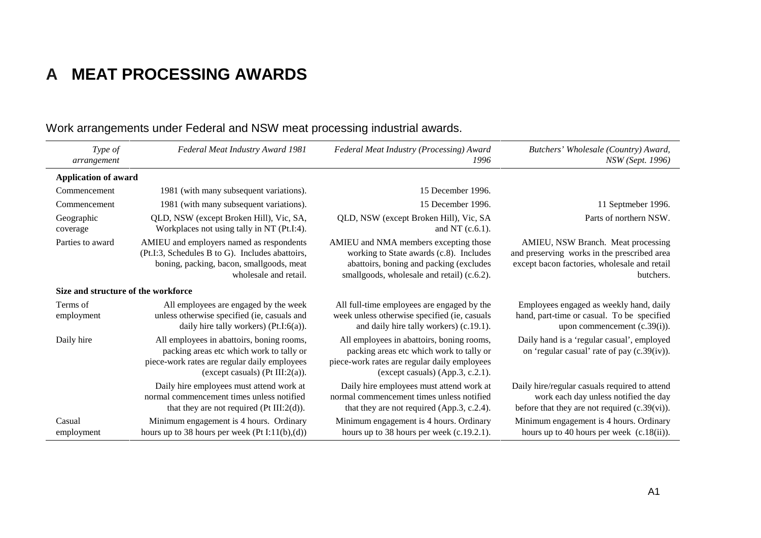# **A MEAT PROCESSING AWARDS**

| Type of<br>arrangement              | Federal Meat Industry Award 1981                                                                                                                                             | Federal Meat Industry (Processing) Award<br>1996                                                                                                                          | Butchers' Wholesale (Country) Award,<br><b>NSW</b> (Sept. 1996)                                                                                |
|-------------------------------------|------------------------------------------------------------------------------------------------------------------------------------------------------------------------------|---------------------------------------------------------------------------------------------------------------------------------------------------------------------------|------------------------------------------------------------------------------------------------------------------------------------------------|
| <b>Application of award</b>         |                                                                                                                                                                              |                                                                                                                                                                           |                                                                                                                                                |
| Commencement                        | 1981 (with many subsequent variations).                                                                                                                                      | 15 December 1996.                                                                                                                                                         |                                                                                                                                                |
| Commencement                        | 1981 (with many subsequent variations).                                                                                                                                      | 15 December 1996.                                                                                                                                                         | 11 Septmeber 1996.                                                                                                                             |
| Geographic<br>coverage              | QLD, NSW (except Broken Hill), Vic, SA,<br>Workplaces not using tally in NT (Pt.I:4).                                                                                        | QLD, NSW (except Broken Hill), Vic, SA<br>and NT $(c.6.1)$ .                                                                                                              | Parts of northern NSW.                                                                                                                         |
| Parties to award                    | AMIEU and employers named as respondents<br>(Pt.I:3, Schedules B to G). Includes abattoirs,<br>boning, packing, bacon, smallgoods, meat<br>wholesale and retail.             | AMIEU and NMA members excepting those<br>working to State awards (c.8). Includes<br>abattoirs, boning and packing (excludes<br>smallgoods, wholesale and retail) (c.6.2). | AMIEU, NSW Branch. Meat processing<br>and preserving works in the prescribed area<br>except bacon factories, wholesale and retail<br>butchers. |
| Size and structure of the workforce |                                                                                                                                                                              |                                                                                                                                                                           |                                                                                                                                                |
| Terms of<br>employment              | All employees are engaged by the week<br>unless otherwise specified (ie, casuals and<br>daily hire tally workers) $(Pt.I:6(a))$ .                                            | All full-time employees are engaged by the<br>week unless otherwise specified (ie, casuals<br>and daily hire tally workers) (c.19.1).                                     | Employees engaged as weekly hand, daily<br>hand, part-time or casual. To be specified<br>upon commencement $(c.39(i))$ .                       |
| Daily hire                          | All employees in abattoirs, boning rooms,<br>packing areas etc which work to tally or<br>piece-work rates are regular daily employees<br>(except casuals) ( $Pt III:2(a)$ ). | All employees in abattoirs, boning rooms,<br>packing areas etc which work to tally or<br>piece-work rates are regular daily employees<br>(except casuals) (App.3, c.2.1). | Daily hand is a 'regular casual', employed<br>on 'regular casual' rate of pay (c.39(iv)).                                                      |
|                                     | Daily hire employees must attend work at<br>normal commencement times unless notified<br>that they are not required ( $Pt III:2(d)$ ).                                       | Daily hire employees must attend work at<br>normal commencement times unless notified<br>that they are not required (App.3, c.2.4).                                       | Daily hire/regular casuals required to attend<br>work each day unless notified the day<br>before that they are not required $(c.39(vi))$ .     |
| Casual<br>employment                | Minimum engagement is 4 hours. Ordinary<br>hours up to 38 hours per week $(Pt I:11(b),(d))$                                                                                  | Minimum engagement is 4 hours. Ordinary<br>hours up to 38 hours per week $(c.19.2.1)$ .                                                                                   | Minimum engagement is 4 hours. Ordinary<br>hours up to 40 hours per week $(c.18(ii))$ .                                                        |

## Work arrangements under Federal and NSW meat processing industrial awards.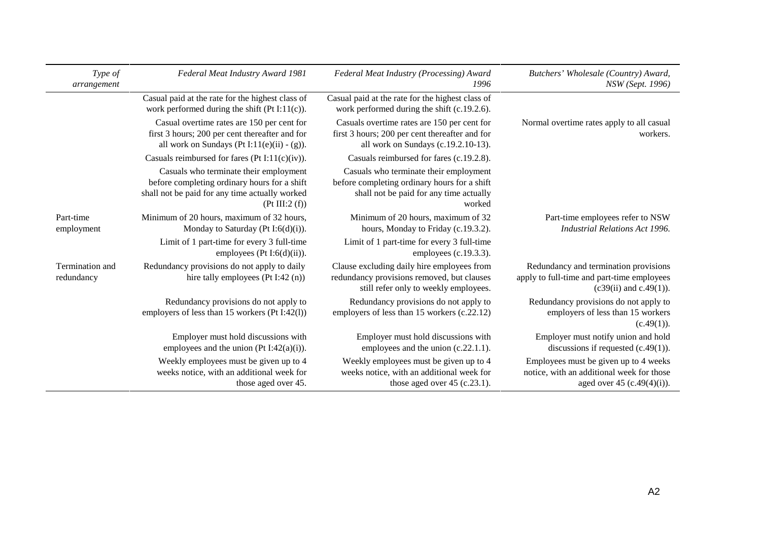| Type of<br>arrangement        | Federal Meat Industry Award 1981                                                                                                                          | Federal Meat Industry (Processing) Award<br>1996                                                                                            | Butchers' Wholesale (Country) Award,<br>NSW (Sept. 1996)                                                            |
|-------------------------------|-----------------------------------------------------------------------------------------------------------------------------------------------------------|---------------------------------------------------------------------------------------------------------------------------------------------|---------------------------------------------------------------------------------------------------------------------|
|                               | Casual paid at the rate for the highest class of<br>work performed during the shift (Pt I:11(c)).                                                         | Casual paid at the rate for the highest class of<br>work performed during the shift (c.19.2.6).                                             |                                                                                                                     |
|                               | Casual overtime rates are 150 per cent for<br>first 3 hours; 200 per cent thereafter and for<br>all work on Sundays (Pt I:11(e)(ii) - (g)).               | Casuals overtime rates are 150 per cent for<br>first 3 hours; 200 per cent thereafter and for<br>all work on Sundays (c.19.2.10-13).        | Normal overtime rates apply to all casual<br>workers.                                                               |
|                               | Casuals reimbursed for fares (Pt I:11(c)(iv)).                                                                                                            | Casuals reimbursed for fares (c.19.2.8).                                                                                                    |                                                                                                                     |
|                               | Casuals who terminate their employment<br>before completing ordinary hours for a shift<br>shall not be paid for any time actually worked<br>(Pt III:2(f)) | Casuals who terminate their employment<br>before completing ordinary hours for a shift<br>shall not be paid for any time actually<br>worked |                                                                                                                     |
| Part-time<br>employment       | Minimum of 20 hours, maximum of 32 hours,<br>Monday to Saturday (Pt I:6(d)(i)).                                                                           | Minimum of 20 hours, maximum of 32<br>hours, Monday to Friday (c.19.3.2).                                                                   | Part-time employees refer to NSW<br><b>Industrial Relations Act 1996.</b>                                           |
|                               | Limit of 1 part-time for every 3 full-time<br>employees (Pt I:6(d)(ii)).                                                                                  | Limit of 1 part-time for every 3 full-time<br>employees $(c.19.3.3)$ .                                                                      |                                                                                                                     |
| Termination and<br>redundancy | Redundancy provisions do not apply to daily<br>hire tally employees (Pt I:42 (n))                                                                         | Clause excluding daily hire employees from<br>redundancy provisions removed, but clauses<br>still refer only to weekly employees.           | Redundancy and termination provisions<br>apply to full-time and part-time employees<br>$(c39(ii)$ and $c.49(1)$ ).  |
|                               | Redundancy provisions do not apply to<br>employers of less than 15 workers (Pt I:42(1))                                                                   | Redundancy provisions do not apply to<br>employers of less than 15 workers (c.22.12)                                                        | Redundancy provisions do not apply to<br>employers of less than 15 workers<br>(c.49(1)).                            |
|                               | Employer must hold discussions with<br>employees and the union (Pt I:42(a)(i)).                                                                           | Employer must hold discussions with<br>employees and the union (c.22.1.1).                                                                  | Employer must notify union and hold<br>discussions if requested $(c.49(1))$ .                                       |
|                               | Weekly employees must be given up to 4<br>weeks notice, with an additional week for<br>those aged over 45.                                                | Weekly employees must be given up to 4<br>weeks notice, with an additional week for<br>those aged over $45$ (c.23.1).                       | Employees must be given up to 4 weeks<br>notice, with an additional week for those<br>aged over 45 $(c.49(4)(i))$ . |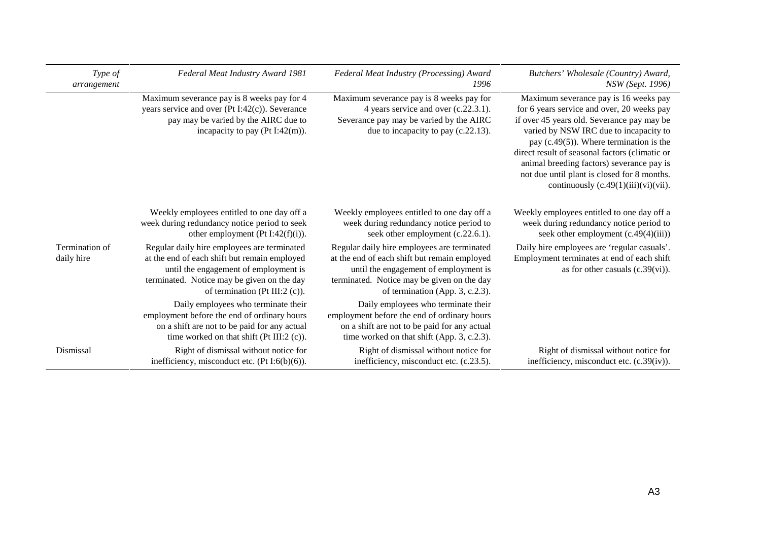| Type of<br>arrangement       | Federal Meat Industry Award 1981                                                                                                                                                                                        | Federal Meat Industry (Processing) Award<br>1996                                                                                                                                                                      | Butchers' Wholesale (Country) Award,<br>NSW (Sept. 1996)                                                                                                                                                                                                                                                                                                                                                           |
|------------------------------|-------------------------------------------------------------------------------------------------------------------------------------------------------------------------------------------------------------------------|-----------------------------------------------------------------------------------------------------------------------------------------------------------------------------------------------------------------------|--------------------------------------------------------------------------------------------------------------------------------------------------------------------------------------------------------------------------------------------------------------------------------------------------------------------------------------------------------------------------------------------------------------------|
|                              | Maximum severance pay is 8 weeks pay for 4<br>years service and over $(Pt I:42(c))$ . Severance<br>pay may be varied by the AIRC due to<br>incapacity to pay (Pt I:42(m)).                                              | Maximum severance pay is 8 weeks pay for<br>4 years service and over (c.22.3.1).<br>Severance pay may be varied by the AIRC<br>due to incapacity to pay (c.22.13).                                                    | Maximum severance pay is 16 weeks pay<br>for 6 years service and over, 20 weeks pay<br>if over 45 years old. Severance pay may be<br>varied by NSW IRC due to incapacity to<br>pay $(c.49(5))$ . Where termination is the<br>direct result of seasonal factors (climatic or<br>animal breeding factors) severance pay is<br>not due until plant is closed for 8 months.<br>continuously $(c.49(1)(iii)(vi)(vii)$ . |
|                              | Weekly employees entitled to one day off a<br>week during redundancy notice period to seek<br>other employment (Pt I:42 $(f)(i)$ ).                                                                                     | Weekly employees entitled to one day off a<br>week during redundancy notice period to<br>seek other employment (c.22.6.1).                                                                                            | Weekly employees entitled to one day off a<br>week during redundancy notice period to<br>seek other employment $(c.49(4)(iii))$                                                                                                                                                                                                                                                                                    |
| Termination of<br>daily hire | Regular daily hire employees are terminated<br>at the end of each shift but remain employed<br>until the engagement of employment is<br>terminated. Notice may be given on the day<br>of termination (Pt III:2 $(c)$ ). | Regular daily hire employees are terminated<br>at the end of each shift but remain employed<br>until the engagement of employment is<br>terminated. Notice may be given on the day<br>of termination (App. 3, c.2.3). | Daily hire employees are 'regular casuals'.<br>Employment terminates at end of each shift<br>as for other casuals $(c.39(vi))$ .                                                                                                                                                                                                                                                                                   |
|                              | Daily employees who terminate their<br>employment before the end of ordinary hours<br>on a shift are not to be paid for any actual<br>time worked on that shift ( $Pt III:2 (c)$ ).                                     | Daily employees who terminate their<br>employment before the end of ordinary hours<br>on a shift are not to be paid for any actual<br>time worked on that shift (App. 3, c.2.3).                                      |                                                                                                                                                                                                                                                                                                                                                                                                                    |
| Dismissal                    | Right of dismissal without notice for<br>inefficiency, misconduct etc. $(Pt I:6(b)(6))$ .                                                                                                                               | Right of dismissal without notice for<br>inefficiency, misconduct etc. (c.23.5).                                                                                                                                      | Right of dismissal without notice for<br>inefficiency, misconduct etc. (c.39(iv)).                                                                                                                                                                                                                                                                                                                                 |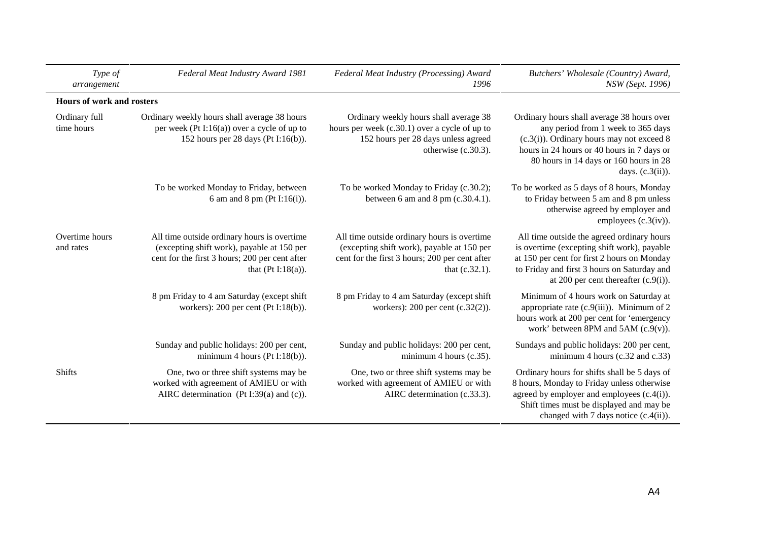| Type of<br>arrangement      | Federal Meat Industry Award 1981                                                                                                                                     | Federal Meat Industry (Processing) Award<br>1996                                                                                                              | Butchers' Wholesale (Country) Award,<br>NSW (Sept. 1996)                                                                                                                                                                                        |
|-----------------------------|----------------------------------------------------------------------------------------------------------------------------------------------------------------------|---------------------------------------------------------------------------------------------------------------------------------------------------------------|-------------------------------------------------------------------------------------------------------------------------------------------------------------------------------------------------------------------------------------------------|
| Hours of work and rosters   |                                                                                                                                                                      |                                                                                                                                                               |                                                                                                                                                                                                                                                 |
| Ordinary full<br>time hours | Ordinary weekly hours shall average 38 hours<br>per week (Pt I:16(a)) over a cycle of up to<br>152 hours per 28 days (Pt I:16(b)).                                   | Ordinary weekly hours shall average 38<br>hours per week (c.30.1) over a cycle of up to<br>152 hours per 28 days unless agreed<br>otherwise (c.30.3).         | Ordinary hours shall average 38 hours over<br>any period from 1 week to 365 days<br>$(c.3(i))$ . Ordinary hours may not exceed 8<br>hours in 24 hours or 40 hours in 7 days or<br>80 hours in 14 days or 160 hours in 28<br>days. $(c.3(ii))$ . |
|                             | To be worked Monday to Friday, between<br>6 am and 8 pm ( $Pt I:16(i)$ ).                                                                                            | To be worked Monday to Friday (c.30.2);<br>between 6 am and 8 pm $(c.30.4.1)$ .                                                                               | To be worked as 5 days of 8 hours, Monday<br>to Friday between 5 am and 8 pm unless<br>otherwise agreed by employer and<br>employees $(c.3(iv))$ .                                                                                              |
| Overtime hours<br>and rates | All time outside ordinary hours is overtime<br>(excepting shift work), payable at 150 per<br>cent for the first 3 hours; 200 per cent after<br>that $(Pt I:18(a))$ . | All time outside ordinary hours is overtime<br>(excepting shift work), payable at 150 per<br>cent for the first 3 hours; 200 per cent after<br>that (c.32.1). | All time outside the agreed ordinary hours<br>is overtime (excepting shift work), payable<br>at 150 per cent for first 2 hours on Monday<br>to Friday and first 3 hours on Saturday and<br>at 200 per cent thereafter $(c.9(i))$ .              |
|                             | 8 pm Friday to 4 am Saturday (except shift<br>workers): $200$ per cent (Pt I:18(b)).                                                                                 | 8 pm Friday to 4 am Saturday (except shift<br>workers): $200$ per cent (c.32(2)).                                                                             | Minimum of 4 hours work on Saturday at<br>appropriate rate $(c.9(iii))$ . Minimum of 2<br>hours work at 200 per cent for 'emergency<br>work' between 8PM and $5AM$ (c.9(v)).                                                                    |
|                             | Sunday and public holidays: 200 per cent,<br>minimum 4 hours ( $Pt I:18(b)$ ).                                                                                       | Sunday and public holidays: 200 per cent,<br>minimum 4 hours (c.35).                                                                                          | Sundays and public holidays: 200 per cent,<br>minimum 4 hours $(c.32$ and $c.33)$                                                                                                                                                               |
| <b>Shifts</b>               | One, two or three shift systems may be<br>worked with agreement of AMIEU or with<br>AIRC determination (Pt I:39(a) and (c)).                                         | One, two or three shift systems may be<br>worked with agreement of AMIEU or with<br>AIRC determination (c.33.3).                                              | Ordinary hours for shifts shall be 5 days of<br>8 hours, Monday to Friday unless otherwise<br>agreed by employer and employees $(c.4(i))$ .<br>Shift times must be displayed and may be<br>changed with 7 days notice $(c.4(ii))$ .             |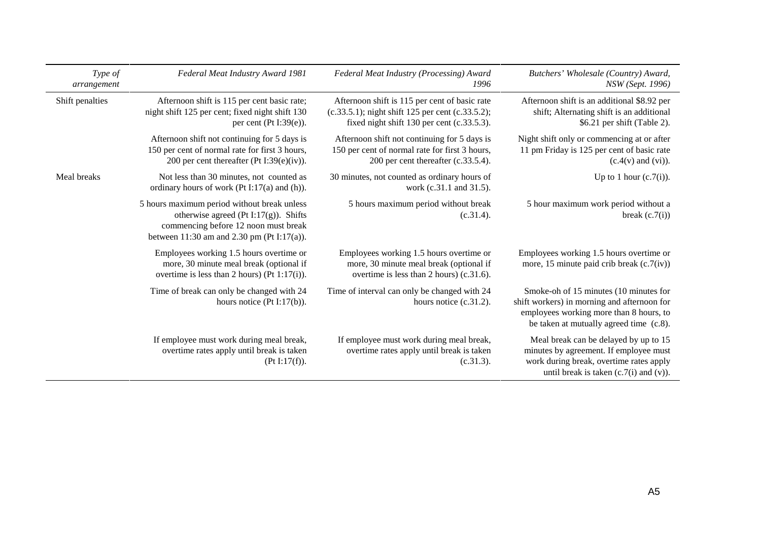| Type of<br>arrangement | Federal Meat Industry Award 1981                                                                                                                                           | Federal Meat Industry (Processing) Award<br>1996                                                                                                | Butchers' Wholesale (Country) Award,<br>NSW (Sept. 1996)                                                                                                                    |
|------------------------|----------------------------------------------------------------------------------------------------------------------------------------------------------------------------|-------------------------------------------------------------------------------------------------------------------------------------------------|-----------------------------------------------------------------------------------------------------------------------------------------------------------------------------|
| Shift penalties        | Afternoon shift is 115 per cent basic rate;<br>night shift 125 per cent; fixed night shift 130<br>per cent (Pt I:39 $(e)$ ).                                               | Afternoon shift is 115 per cent of basic rate<br>(c.33.5.1); night shift 125 per cent (c.33.5.2);<br>fixed night shift 130 per cent (c.33.5.3). | Afternoon shift is an additional \$8.92 per<br>shift; Alternating shift is an additional<br>\$6.21 per shift (Table 2).                                                     |
|                        | Afternoon shift not continuing for 5 days is<br>150 per cent of normal rate for first 3 hours,<br>200 per cent thereafter (Pt I:39 $(e)(iv)$ ).                            | Afternoon shift not continuing for 5 days is<br>150 per cent of normal rate for first 3 hours,<br>200 per cent thereafter (c.33.5.4).           | Night shift only or commencing at or after<br>11 pm Friday is 125 per cent of basic rate<br>$(c.4(v)$ and $(vi)$ ).                                                         |
| Meal breaks            | Not less than 30 minutes, not counted as<br>ordinary hours of work ( $Pt I:17(a)$ and $(h)$ ).                                                                             | 30 minutes, not counted as ordinary hours of<br>work (c.31.1 and 31.5).                                                                         | Up to 1 hour $(c.7(i))$ .                                                                                                                                                   |
|                        | 5 hours maximum period without break unless<br>otherwise agreed (Pt I:17(g)). Shifts<br>commencing before 12 noon must break<br>between 11:30 am and 2.30 pm (Pt I:17(a)). | 5 hours maximum period without break<br>(c.31.4).                                                                                               | 5 hour maximum work period without a<br>break $(c.7(i))$                                                                                                                    |
|                        | Employees working 1.5 hours overtime or<br>more, 30 minute meal break (optional if<br>overtime is less than 2 hours) (Pt $1:17(i)$ ).                                      | Employees working 1.5 hours overtime or<br>more, 30 minute meal break (optional if<br>overtime is less than 2 hours) (c.31.6).                  | Employees working 1.5 hours overtime or<br>more, 15 minute paid crib break $(c.7(iv))$                                                                                      |
|                        | Time of break can only be changed with 24<br>hours notice $(Pt I:17(b)).$                                                                                                  | Time of interval can only be changed with 24<br>hours notice $(c.31.2)$ .                                                                       | Smoke-oh of 15 minutes (10 minutes for<br>shift workers) in morning and afternoon for<br>employees working more than 8 hours, to<br>be taken at mutually agreed time (c.8). |
|                        | If employee must work during meal break,<br>overtime rates apply until break is taken<br>(Pt I:17(f)).                                                                     | If employee must work during meal break,<br>overtime rates apply until break is taken<br>(c.31.3).                                              | Meal break can be delayed by up to 15<br>minutes by agreement. If employee must<br>work during break, overtime rates apply<br>until break is taken $(c.7(i)$ and $(v)$ ).   |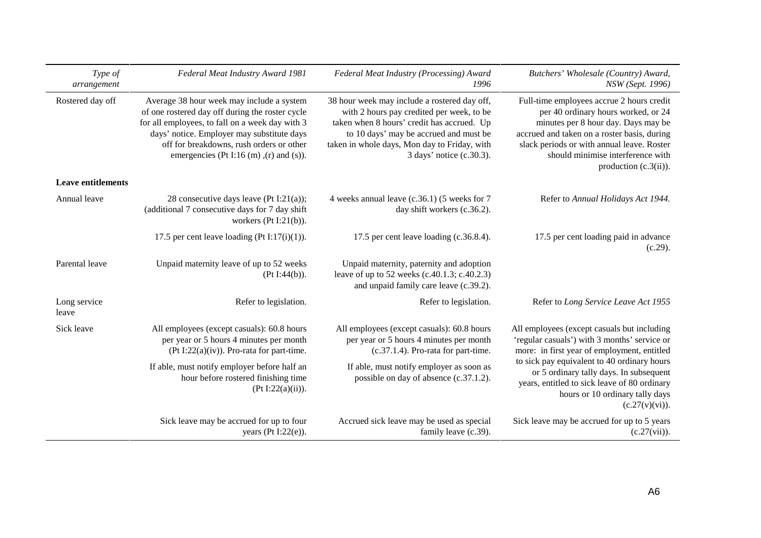| Type of<br>arrangement    | Federal Meat Industry Award 1981                                                                                                                                                                                                                                                          | Federal Meat Industry (Processing) Award<br>1996                                                                                                                                                                                                              | Butchers' Wholesale (Country) Award,<br>NSW (Sept. 1996)                                                                                                                                                                                                                              |
|---------------------------|-------------------------------------------------------------------------------------------------------------------------------------------------------------------------------------------------------------------------------------------------------------------------------------------|---------------------------------------------------------------------------------------------------------------------------------------------------------------------------------------------------------------------------------------------------------------|---------------------------------------------------------------------------------------------------------------------------------------------------------------------------------------------------------------------------------------------------------------------------------------|
| Rostered day off          | Average 38 hour week may include a system<br>of one rostered day off during the roster cycle<br>for all employees, to fall on a week day with 3<br>days' notice. Employer may substitute days<br>off for breakdowns, rush orders or other<br>emergencies (Pt I:16 (m), $(r)$ and $(s)$ ). | 38 hour week may include a rostered day off,<br>with 2 hours pay credited per week, to be<br>taken when 8 hours' credit has accrued. Up<br>to 10 days' may be accrued and must be<br>taken in whole days, Mon day to Friday, with<br>3 days' notice (c.30.3). | Full-time employees accrue 2 hours credit<br>per 40 ordinary hours worked, or 24<br>minutes per 8 hour day. Days may be<br>accrued and taken on a roster basis, during<br>slack periods or with annual leave. Roster<br>should minimise interference with<br>production $(c.3(ii))$ . |
| <b>Leave entitlements</b> |                                                                                                                                                                                                                                                                                           |                                                                                                                                                                                                                                                               |                                                                                                                                                                                                                                                                                       |
| Annual leave              | 28 consecutive days leave (Pt I:21(a));<br>(additional 7 consecutive days for 7 day shift<br>workers $(Pt I:21(b)).$                                                                                                                                                                      | 4 weeks annual leave (c.36.1) (5 weeks for 7<br>day shift workers (c.36.2).                                                                                                                                                                                   | Refer to Annual Holidays Act 1944.                                                                                                                                                                                                                                                    |
|                           | 17.5 per cent leave loading (Pt I:17(i)(1)).                                                                                                                                                                                                                                              | 17.5 per cent leave loading (c.36.8.4).                                                                                                                                                                                                                       | 17.5 per cent loading paid in advance<br>(c.29).                                                                                                                                                                                                                                      |
| Parental leave            | Unpaid maternity leave of up to 52 weeks<br>(Pt I:44(b)).                                                                                                                                                                                                                                 | Unpaid maternity, paternity and adoption<br>leave of up to 52 weeks (c.40.1.3; c.40.2.3)<br>and unpaid family care leave (c.39.2).                                                                                                                            |                                                                                                                                                                                                                                                                                       |
| Long service<br>leave     | Refer to legislation.                                                                                                                                                                                                                                                                     | Refer to legislation.                                                                                                                                                                                                                                         | Refer to Long Service Leave Act 1955                                                                                                                                                                                                                                                  |
| Sick leave                | All employees (except casuals): 60.8 hours<br>per year or 5 hours 4 minutes per month<br>(Pt I:22(a)(iv)). Pro-rata for part-time.                                                                                                                                                        | All employees (except casuals): 60.8 hours<br>per year or 5 hours 4 minutes per month<br>$(c.37.1.4)$ . Pro-rata for part-time.                                                                                                                               | All employees (except casuals but including<br>'regular casuals') with 3 months' service or<br>more: in first year of employment, entitled                                                                                                                                            |
|                           | If able, must notify employer before half an<br>hour before rostered finishing time<br>(Pt I:22(a)(ii)).                                                                                                                                                                                  | If able, must notify employer as soon as<br>possible on day of absence (c.37.1.2).                                                                                                                                                                            | to sick pay equivalent to 40 ordinary hours<br>or 5 ordinary tally days. In subsequent<br>years, entitled to sick leave of 80 ordinary<br>hours or 10 ordinary tally days<br>(c.27(v)(vi)).                                                                                           |
|                           | Sick leave may be accrued for up to four<br>years ( $Pt I:22(e)$ ).                                                                                                                                                                                                                       | Accrued sick leave may be used as special<br>family leave (c.39).                                                                                                                                                                                             | Sick leave may be accrued for up to 5 years<br>$(c.27(vii))$ .                                                                                                                                                                                                                        |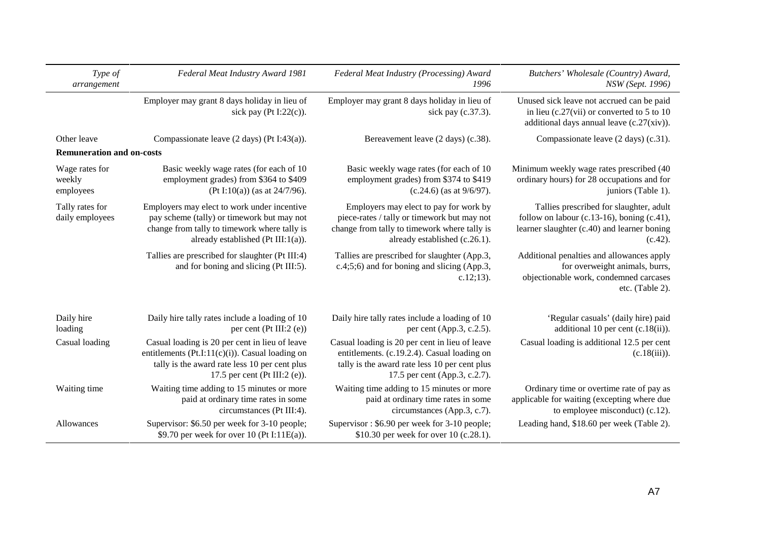| Type of<br>arrangement                | Federal Meat Industry Award 1981                                                                                                                                                       | Federal Meat Industry (Processing) Award<br>1996                                                                                                                                | Butchers' Wholesale (Country) Award,<br>NSW (Sept. 1996)                                                                                        |
|---------------------------------------|----------------------------------------------------------------------------------------------------------------------------------------------------------------------------------------|---------------------------------------------------------------------------------------------------------------------------------------------------------------------------------|-------------------------------------------------------------------------------------------------------------------------------------------------|
|                                       | Employer may grant 8 days holiday in lieu of<br>sick pay (Pt I:22(c)).                                                                                                                 | Employer may grant 8 days holiday in lieu of<br>sick pay (c.37.3).                                                                                                              | Unused sick leave not accrued can be paid<br>in lieu (c.27(vii) or converted to 5 to 10<br>additional days annual leave (c.27(xiv)).            |
| Other leave                           | Compassionate leave $(2 \text{ days})$ (Pt I:43(a)).                                                                                                                                   | Bereavement leave (2 days) (c.38).                                                                                                                                              | Compassionate leave (2 days) (c.31).                                                                                                            |
| <b>Remuneration and on-costs</b>      |                                                                                                                                                                                        |                                                                                                                                                                                 |                                                                                                                                                 |
| Wage rates for<br>weekly<br>employees | Basic weekly wage rates (for each of 10)<br>employment grades) from \$364 to \$409<br>(Pt I:10(a)) (as at $24/7/96$ ).                                                                 | Basic weekly wage rates (for each of 10)<br>employment grades) from \$374 to \$419<br>$(c.24.6)$ (as at $9/6/97$ ).                                                             | Minimum weekly wage rates prescribed (40<br>ordinary hours) for 28 occupations and for<br>juniors (Table 1).                                    |
| Tally rates for<br>daily employees    | Employers may elect to work under incentive<br>pay scheme (tally) or timework but may not<br>change from tally to timework where tally is<br>already established (Pt III:1(a)).        | Employers may elect to pay for work by<br>piece-rates / tally or timework but may not<br>change from tally to timework where tally is<br>already established (c.26.1).          | Tallies prescribed for slaughter, adult<br>follow on labour (c.13-16), boning (c.41),<br>learner slaughter (c.40) and learner boning<br>(c.42). |
|                                       | Tallies are prescribed for slaughter (Pt III:4)<br>and for boning and slicing (Pt III:5).                                                                                              | Tallies are prescribed for slaughter (App.3,<br>c.4;5;6) and for boning and slicing (App.3,<br>$c.12;13$ ).                                                                     | Additional penalties and allowances apply<br>for overweight animals, burrs,<br>objectionable work, condemned carcases<br>etc. (Table 2).        |
| Daily hire<br>loading                 | Daily hire tally rates include a loading of 10<br>per cent ( $Pt III:2 (e)$ )                                                                                                          | Daily hire tally rates include a loading of 10<br>per cent (App.3, c.2.5).                                                                                                      | 'Regular casuals' (daily hire) paid<br>additional 10 per cent $(c.18(ii))$ .                                                                    |
| Casual loading                        | Casual loading is 20 per cent in lieu of leave<br>entitlements (Pt.I:11(c)(i)). Casual loading on<br>tally is the award rate less 10 per cent plus<br>17.5 per cent (Pt III:2 $(e)$ ). | Casual loading is 20 per cent in lieu of leave<br>entitlements. (c.19.2.4). Casual loading on<br>tally is the award rate less 10 per cent plus<br>17.5 per cent (App.3, c.2.7). | Casual loading is additional 12.5 per cent<br>$(c.18(iii))$ .                                                                                   |
| Waiting time                          | Waiting time adding to 15 minutes or more<br>paid at ordinary time rates in some<br>circumstances (Pt III:4).                                                                          | Waiting time adding to 15 minutes or more<br>paid at ordinary time rates in some<br>circumstances (App.3, c.7).                                                                 | Ordinary time or overtime rate of pay as<br>applicable for waiting (excepting where due<br>to employee misconduct) (c.12).                      |
| Allowances                            | Supervisor: \$6.50 per week for 3-10 people;<br>\$9.70 per week for over 10 (Pt I:11E(a)).                                                                                             | Supervisor: \$6.90 per week for 3-10 people;<br>\$10.30 per week for over 10 (c.28.1).                                                                                          | Leading hand, \$18.60 per week (Table 2).                                                                                                       |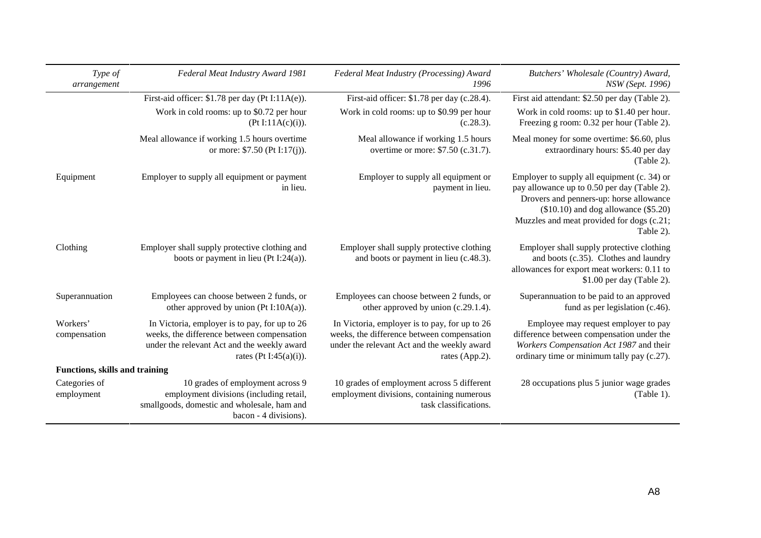| Type of<br>arrangement                | Federal Meat Industry Award 1981                                                                                                                                     | Federal Meat Industry (Processing) Award<br>1996                                                                                                             | Butchers' Wholesale (Country) Award,<br>NSW (Sept. 1996)                                                                                                                                                                                  |
|---------------------------------------|----------------------------------------------------------------------------------------------------------------------------------------------------------------------|--------------------------------------------------------------------------------------------------------------------------------------------------------------|-------------------------------------------------------------------------------------------------------------------------------------------------------------------------------------------------------------------------------------------|
|                                       | First-aid officer: $$1.78$ per day (Pt I: $11A(e)$ ).                                                                                                                | First-aid officer: \$1.78 per day (c.28.4).                                                                                                                  | First aid attendant: \$2.50 per day (Table 2).                                                                                                                                                                                            |
|                                       | Work in cold rooms: up to \$0.72 per hour<br>(Pt I:11A(c)(i)).                                                                                                       | Work in cold rooms: up to \$0.99 per hour<br>(c.28.3).                                                                                                       | Work in cold rooms: up to \$1.40 per hour.<br>Freezing g room: 0.32 per hour (Table 2).                                                                                                                                                   |
|                                       | Meal allowance if working 1.5 hours overtime<br>or more: $$7.50$ (Pt I:17(j)).                                                                                       | Meal allowance if working 1.5 hours<br>overtime or more: \$7.50 (c.31.7).                                                                                    | Meal money for some overtime: \$6.60, plus<br>extraordinary hours: \$5.40 per day<br>(Table 2).                                                                                                                                           |
| Equipment                             | Employer to supply all equipment or payment<br>in lieu.                                                                                                              | Employer to supply all equipment or<br>payment in lieu.                                                                                                      | Employer to supply all equipment (c. 34) or<br>pay allowance up to 0.50 per day (Table 2).<br>Drovers and penners-up: horse allowance<br>$($10.10)$ and dog allowance $($5.20)$<br>Muzzles and meat provided for dogs (c.21;<br>Table 2). |
| Clothing                              | Employer shall supply protective clothing and<br>boots or payment in lieu (Pt I:24(a)).                                                                              | Employer shall supply protective clothing<br>and boots or payment in lieu (c.48.3).                                                                          | Employer shall supply protective clothing<br>and boots (c.35). Clothes and laundry<br>allowances for export meat workers: 0.11 to<br>\$1.00 per day (Table 2).                                                                            |
| Superannuation                        | Employees can choose between 2 funds, or<br>other approved by union (Pt I:10A(a)).                                                                                   | Employees can choose between 2 funds, or<br>other approved by union (c.29.1.4).                                                                              | Superannuation to be paid to an approved<br>fund as per legislation (c.46).                                                                                                                                                               |
| Workers'<br>compensation              | In Victoria, employer is to pay, for up to 26<br>weeks, the difference between compensation<br>under the relevant Act and the weekly award<br>rates (Pt I:45(a)(i)). | In Victoria, employer is to pay, for up to 26<br>weeks, the difference between compensation<br>under the relevant Act and the weekly award<br>rates (App.2). | Employee may request employer to pay<br>difference between compensation under the<br>Workers Compensation Act 1987 and their<br>ordinary time or minimum tally pay (c.27).                                                                |
| <b>Functions, skills and training</b> |                                                                                                                                                                      |                                                                                                                                                              |                                                                                                                                                                                                                                           |
| Categories of<br>employment           | 10 grades of employment across 9<br>employment divisions (including retail,<br>smallgoods, domestic and wholesale, ham and<br>bacon - 4 divisions).                  | 10 grades of employment across 5 different<br>employment divisions, containing numerous<br>task classifications.                                             | 28 occupations plus 5 junior wage grades<br>(Table 1).                                                                                                                                                                                    |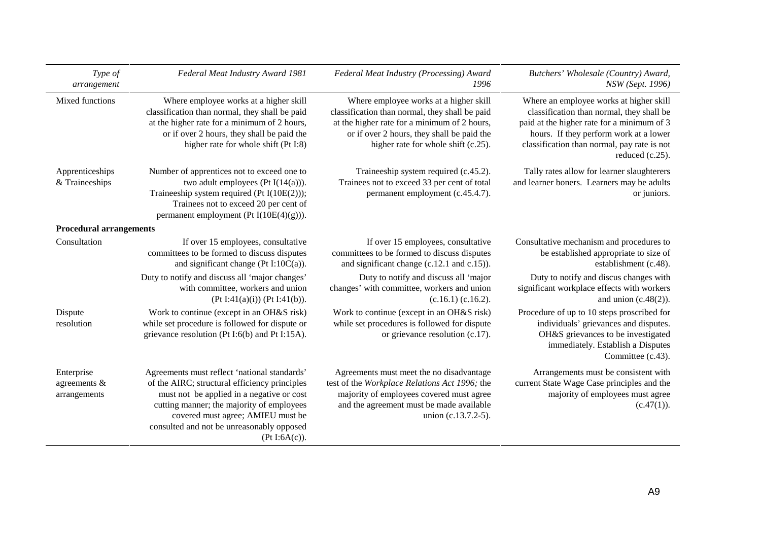| Type of<br>arrangement                        | Federal Meat Industry Award 1981                                                                                                                                                                                                                                                           | Federal Meat Industry (Processing) Award<br>1996                                                                                                                                                                              | Butchers' Wholesale (Country) Award,<br>NSW (Sept. 1996)                                                                                                                                                                                       |
|-----------------------------------------------|--------------------------------------------------------------------------------------------------------------------------------------------------------------------------------------------------------------------------------------------------------------------------------------------|-------------------------------------------------------------------------------------------------------------------------------------------------------------------------------------------------------------------------------|------------------------------------------------------------------------------------------------------------------------------------------------------------------------------------------------------------------------------------------------|
| Mixed functions                               | Where employee works at a higher skill<br>classification than normal, they shall be paid<br>at the higher rate for a minimum of 2 hours,<br>or if over 2 hours, they shall be paid the<br>higher rate for whole shift (Pt I:8)                                                             | Where employee works at a higher skill<br>classification than normal, they shall be paid<br>at the higher rate for a minimum of 2 hours,<br>or if over 2 hours, they shall be paid the<br>higher rate for whole shift (c.25). | Where an employee works at higher skill<br>classification than normal, they shall be<br>paid at the higher rate for a minimum of 3<br>hours. If they perform work at a lower<br>classification than normal, pay rate is not<br>reduced (c.25). |
| Apprenticeships<br>& Traineeships             | Number of apprentices not to exceed one to<br>two adult employees (Pt $I(14(a))$ ).<br>Traineeship system required (Pt $I(10E(2))$ );<br>Trainees not to exceed 20 per cent of<br>permanent employment (Pt $I(10E(4)(g))$ ).                                                               | Traineeship system required (c.45.2).<br>Trainees not to exceed 33 per cent of total<br>permanent employment (c.45.4.7).                                                                                                      | Tally rates allow for learner slaughterers<br>and learner boners. Learners may be adults<br>or juniors.                                                                                                                                        |
| <b>Procedural arrangements</b>                |                                                                                                                                                                                                                                                                                            |                                                                                                                                                                                                                               |                                                                                                                                                                                                                                                |
| Consultation                                  | If over 15 employees, consultative<br>committees to be formed to discuss disputes<br>and significant change (Pt I:10 $C(a)$ ).                                                                                                                                                             | If over 15 employees, consultative<br>committees to be formed to discuss disputes<br>and significant change $(c.12.1$ and $c.15)$ ).                                                                                          | Consultative mechanism and procedures to<br>be established appropriate to size of<br>establishment (c.48).                                                                                                                                     |
|                                               | Duty to notify and discuss all 'major changes'<br>with committee, workers and union<br>(Pt I:41(a)(i)) (Pt I:41(b)).                                                                                                                                                                       | Duty to notify and discuss all 'major<br>changes' with committee, workers and union<br>$(c.16.1)$ $(c.16.2)$ .                                                                                                                | Duty to notify and discus changes with<br>significant workplace effects with workers<br>and union $(c.48(2))$ .                                                                                                                                |
| Dispute<br>resolution                         | Work to continue (except in an OH&S risk)<br>while set procedure is followed for dispute or<br>grievance resolution (Pt I:6(b) and Pt I:15A).                                                                                                                                              | Work to continue (except in an OH&S risk)<br>while set procedures is followed for dispute<br>or grievance resolution (c.17).                                                                                                  | Procedure of up to 10 steps proscribed for<br>individuals' grievances and disputes.<br>OH&S grievances to be investigated<br>immediately. Establish a Disputes<br>Committee (c.43).                                                            |
| Enterprise<br>agreements $\&$<br>arrangements | Agreements must reflect 'national standards'<br>of the AIRC; structural efficiency principles<br>must not be applied in a negative or cost<br>cutting manner; the majority of employees<br>covered must agree; AMIEU must be<br>consulted and not be unreasonably opposed<br>(Pt I:6A(c)). | Agreements must meet the no disadvantage<br>test of the Workplace Relations Act 1996; the<br>majority of employees covered must agree<br>and the agreement must be made available<br>union (c.13.7.2-5).                      | Arrangements must be consistent with<br>current State Wage Case principles and the<br>majority of employees must agree<br>(c.47(1)).                                                                                                           |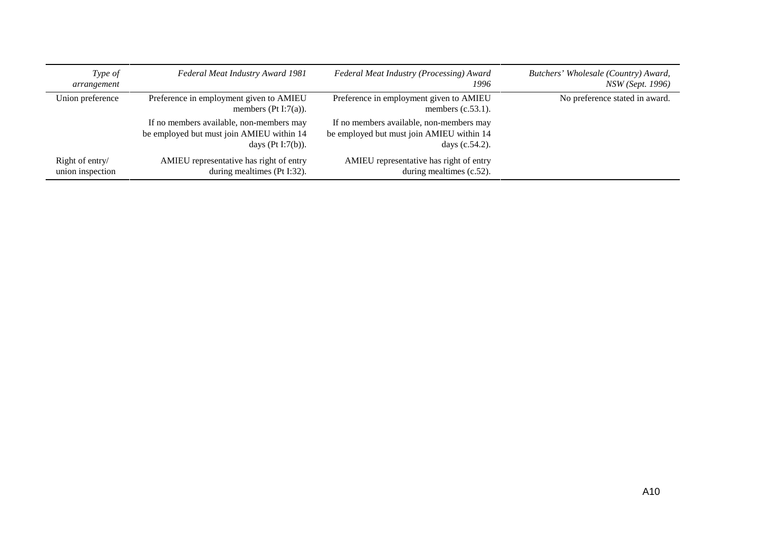| Type of<br>arrangement              | Federal Meat Industry Award 1981                                                                              | Federal Meat Industry (Processing) Award<br>1996                                                           | Butchers' Wholesale (Country) Award,<br><i>NSW</i> ( <i>Sept.</i> 1996) |
|-------------------------------------|---------------------------------------------------------------------------------------------------------------|------------------------------------------------------------------------------------------------------------|-------------------------------------------------------------------------|
| Union preference                    | Preference in employment given to AMIEU<br>members (Pt I:7(a)).                                               | Preference in employment given to AMIEU<br>members $(c.53.1)$ .                                            | No preference stated in award.                                          |
|                                     | If no members available, non-members may<br>be employed but must join AMIEU within 14<br>days $(Pt I:7(b))$ . | If no members available, non-members may<br>be employed but must join AMIEU within 14<br>days $(c.54.2)$ . |                                                                         |
| Right of entry/<br>union inspection | AMIEU representative has right of entry<br>during mealtimes (Pt I:32).                                        | AMIEU representative has right of entry<br>during mealtimes (c.52).                                        |                                                                         |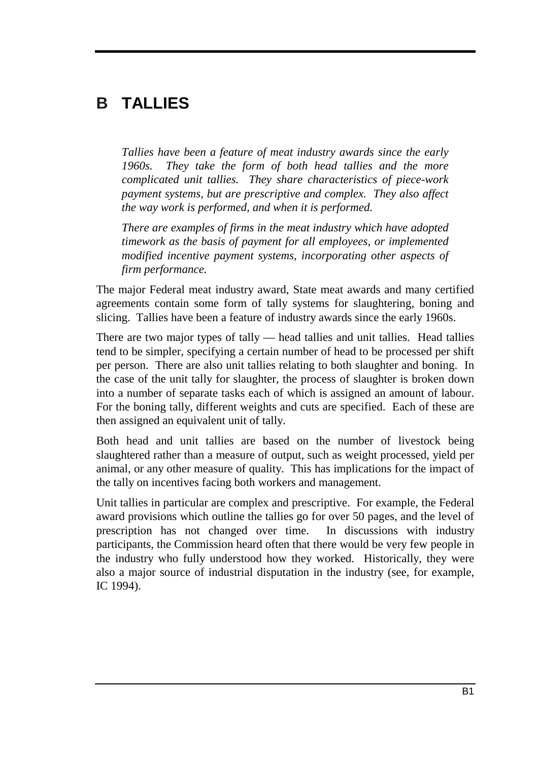# **B TALLIES**

*Tallies have been a feature of meat industry awards since the early 1960s. They take the form of both head tallies and the more complicated unit tallies. They share characteristics of piece-work payment systems, but are prescriptive and complex. They also affect the way work is performed, and when it is performed.*

*There are examples of firms in the meat industry which have adopted timework as the basis of payment for all employees, or implemented modified incentive payment systems, incorporating other aspects of firm performance.*

The major Federal meat industry award, State meat awards and many certified agreements contain some form of tally systems for slaughtering, boning and slicing. Tallies have been a feature of industry awards since the early 1960s.

There are two major types of tally — head tallies and unit tallies. Head tallies tend to be simpler, specifying a certain number of head to be processed per shift per person. There are also unit tallies relating to both slaughter and boning. In the case of the unit tally for slaughter, the process of slaughter is broken down into a number of separate tasks each of which is assigned an amount of labour. For the boning tally, different weights and cuts are specified. Each of these are then assigned an equivalent unit of tally.

Both head and unit tallies are based on the number of livestock being slaughtered rather than a measure of output, such as weight processed, yield per animal, or any other measure of quality. This has implications for the impact of the tally on incentives facing both workers and management.

Unit tallies in particular are complex and prescriptive. For example, the Federal award provisions which outline the tallies go for over 50 pages, and the level of prescription has not changed over time. In discussions with industry participants, the Commission heard often that there would be very few people in the industry who fully understood how they worked. Historically, they were also a major source of industrial disputation in the industry (see, for example, IC 1994).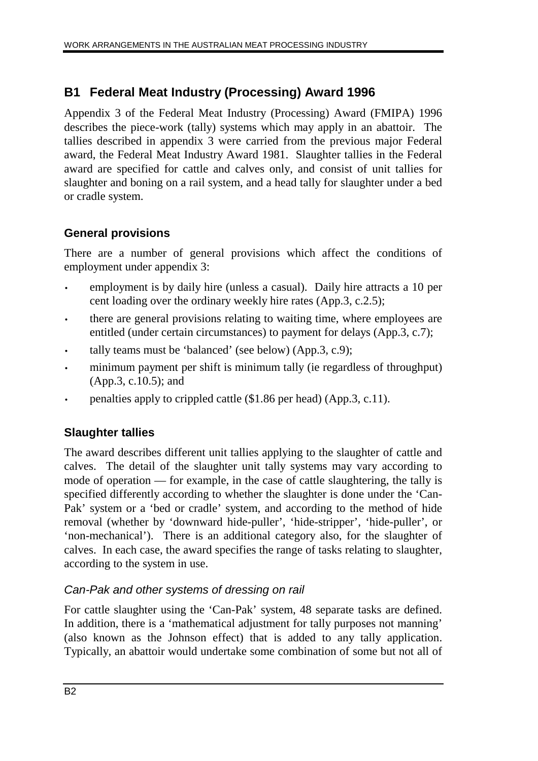# **B1 Federal Meat Industry (Processing) Award 1996**

Appendix 3 of the Federal Meat Industry (Processing) Award (FMIPA) 1996 describes the piece-work (tally) systems which may apply in an abattoir. The tallies described in appendix 3 were carried from the previous major Federal award, the Federal Meat Industry Award 1981. Slaughter tallies in the Federal award are specified for cattle and calves only, and consist of unit tallies for slaughter and boning on a rail system, and a head tally for slaughter under a bed or cradle system.

## **General provisions**

There are a number of general provisions which affect the conditions of employment under appendix 3:

- employment is by daily hire (unless a casual). Daily hire attracts a 10 per cent loading over the ordinary weekly hire rates (App.3, c.2.5);
- there are general provisions relating to waiting time, where employees are entitled (under certain circumstances) to payment for delays (App.3, c.7);
- tally teams must be 'balanced' (see below) (App.3, c.9);
- minimum payment per shift is minimum tally (ie regardless of throughput) (App.3, c.10.5); and
- penalties apply to crippled cattle (\$1.86 per head) (App.3, c.11).

## **Slaughter tallies**

The award describes different unit tallies applying to the slaughter of cattle and calves. The detail of the slaughter unit tally systems may vary according to mode of operation — for example, in the case of cattle slaughtering, the tally is specified differently according to whether the slaughter is done under the 'Can-Pak' system or a 'bed or cradle' system, and according to the method of hide removal (whether by 'downward hide-puller', 'hide-stripper', 'hide-puller', or 'non-mechanical'). There is an additional category also, for the slaughter of calves. In each case, the award specifies the range of tasks relating to slaughter, according to the system in use.

## Can-Pak and other systems of dressing on rail

For cattle slaughter using the 'Can-Pak' system, 48 separate tasks are defined. In addition, there is a 'mathematical adjustment for tally purposes not manning' (also known as the Johnson effect) that is added to any tally application. Typically, an abattoir would undertake some combination of some but not all of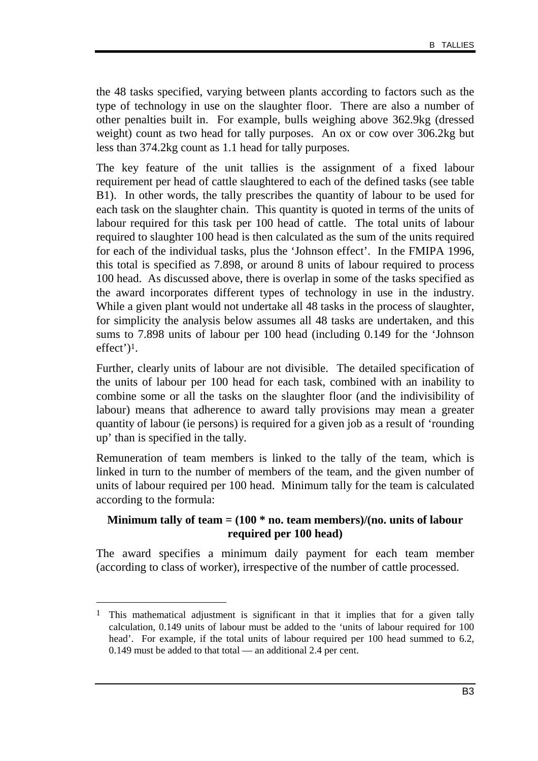the 48 tasks specified, varying between plants according to factors such as the type of technology in use on the slaughter floor. There are also a number of other penalties built in. For example, bulls weighing above 362.9kg (dressed weight) count as two head for tally purposes. An ox or cow over 306.2kg but less than 374.2kg count as 1.1 head for tally purposes.

The key feature of the unit tallies is the assignment of a fixed labour requirement per head of cattle slaughtered to each of the defined tasks (see table B1). In other words, the tally prescribes the quantity of labour to be used for each task on the slaughter chain. This quantity is quoted in terms of the units of labour required for this task per 100 head of cattle. The total units of labour required to slaughter 100 head is then calculated as the sum of the units required for each of the individual tasks, plus the 'Johnson effect'. In the FMIPA 1996, this total is specified as 7.898, or around 8 units of labour required to process 100 head. As discussed above, there is overlap in some of the tasks specified as the award incorporates different types of technology in use in the industry. While a given plant would not undertake all 48 tasks in the process of slaughter, for simplicity the analysis below assumes all 48 tasks are undertaken, and this sums to 7.898 units of labour per 100 head (including 0.149 for the 'Johnson effect')1.

Further, clearly units of labour are not divisible. The detailed specification of the units of labour per 100 head for each task, combined with an inability to combine some or all the tasks on the slaughter floor (and the indivisibility of labour) means that adherence to award tally provisions may mean a greater quantity of labour (ie persons) is required for a given job as a result of 'rounding up' than is specified in the tally.

Remuneration of team members is linked to the tally of the team, which is linked in turn to the number of members of the team, and the given number of units of labour required per 100 head. Minimum tally for the team is calculated according to the formula:

#### **Minimum tally of team = (100 \* no. team members)/(no. units of labour required per 100 head)**

The award specifies a minimum daily payment for each team member (according to class of worker), irrespective of the number of cattle processed.

-

<sup>&</sup>lt;sup>1</sup> This mathematical adjustment is significant in that it implies that for a given tally calculation, 0.149 units of labour must be added to the 'units of labour required for 100 head'. For example, if the total units of labour required per 100 head summed to 6.2, 0.149 must be added to that total — an additional 2.4 per cent.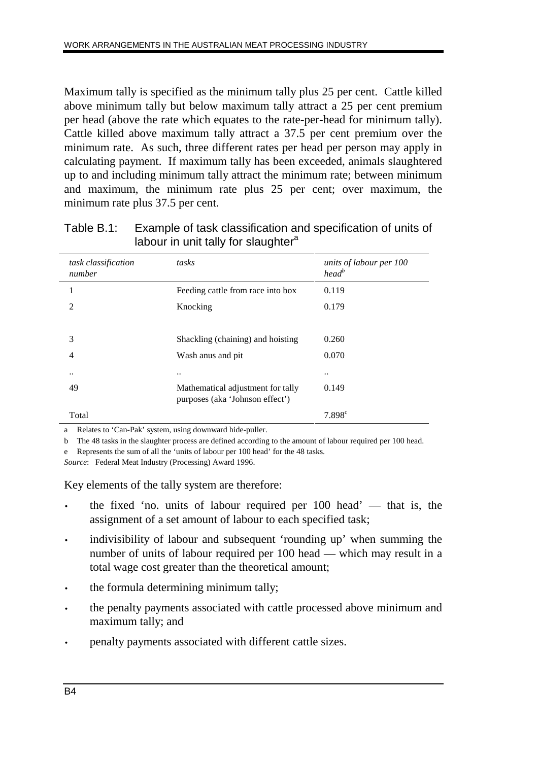Maximum tally is specified as the minimum tally plus 25 per cent. Cattle killed above minimum tally but below maximum tally attract a 25 per cent premium per head (above the rate which equates to the rate-per-head for minimum tally). Cattle killed above maximum tally attract a 37.5 per cent premium over the minimum rate. As such, three different rates per head per person may apply in calculating payment. If maximum tally has been exceeded, animals slaughtered up to and including minimum tally attract the minimum rate; between minimum and maximum, the minimum rate plus 25 per cent; over maximum, the minimum rate plus 37.5 per cent.

| task classification<br>number | tasks                                                                | units of labour per 100<br>$head^b$ |
|-------------------------------|----------------------------------------------------------------------|-------------------------------------|
| 1                             | Feeding cattle from race into box                                    | 0.119                               |
| 2                             | Knocking                                                             | 0.179                               |
|                               |                                                                      |                                     |
| 3                             | Shackling (chaining) and hoisting                                    | 0.260                               |
| 4                             | Wash anus and pit                                                    | 0.070                               |
| $\ddot{\phantom{1}}$ .        |                                                                      |                                     |
| 49                            | Mathematical adjustment for tally<br>purposes (aka 'Johnson effect') | 0.149                               |
| Total                         |                                                                      | $7.898^{c}$                         |

Table B.1: Example of task classification and specification of units of labour in unit tally for slaughter<sup>a</sup>

a Relates to 'Can-Pak' system, using downward hide-puller.

b The 48 tasks in the slaughter process are defined according to the amount of labour required per 100 head.

e Represents the sum of all the 'units of labour per 100 head' for the 48 tasks.

*Source*: Federal Meat Industry (Processing) Award 1996.

Key elements of the tally system are therefore:

- the fixed 'no. units of labour required per  $100$  head' that is, the assignment of a set amount of labour to each specified task;
- indivisibility of labour and subsequent 'rounding up' when summing the number of units of labour required per 100 head — which may result in a total wage cost greater than the theoretical amount;
- the formula determining minimum tally;
- the penalty payments associated with cattle processed above minimum and maximum tally; and
- penalty payments associated with different cattle sizes.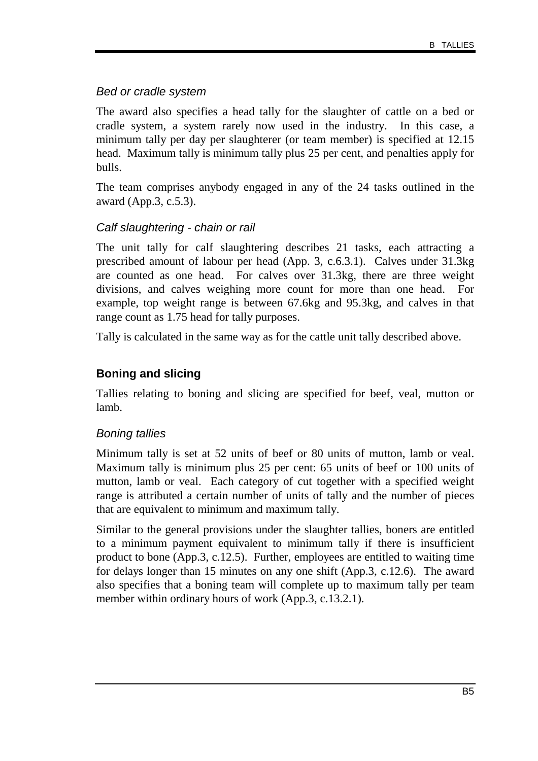#### Bed or cradle system

The award also specifies a head tally for the slaughter of cattle on a bed or cradle system, a system rarely now used in the industry. In this case, a minimum tally per day per slaughterer (or team member) is specified at 12.15 head. Maximum tally is minimum tally plus 25 per cent, and penalties apply for bulls.

The team comprises anybody engaged in any of the 24 tasks outlined in the award (App.3, c.5.3).

#### Calf slaughtering - chain or rail

The unit tally for calf slaughtering describes 21 tasks, each attracting a prescribed amount of labour per head (App. 3, c.6.3.1). Calves under 31.3kg are counted as one head. For calves over 31.3kg, there are three weight divisions, and calves weighing more count for more than one head. For example, top weight range is between 67.6kg and 95.3kg, and calves in that range count as 1.75 head for tally purposes.

Tally is calculated in the same way as for the cattle unit tally described above.

## **Boning and slicing**

Tallies relating to boning and slicing are specified for beef, veal, mutton or lamb.

#### Boning tallies

Minimum tally is set at 52 units of beef or 80 units of mutton, lamb or veal. Maximum tally is minimum plus 25 per cent: 65 units of beef or 100 units of mutton, lamb or veal. Each category of cut together with a specified weight range is attributed a certain number of units of tally and the number of pieces that are equivalent to minimum and maximum tally.

Similar to the general provisions under the slaughter tallies, boners are entitled to a minimum payment equivalent to minimum tally if there is insufficient product to bone (App.3, c.12.5). Further, employees are entitled to waiting time for delays longer than 15 minutes on any one shift (App.3, c.12.6). The award also specifies that a boning team will complete up to maximum tally per team member within ordinary hours of work (App.3, c.13.2.1).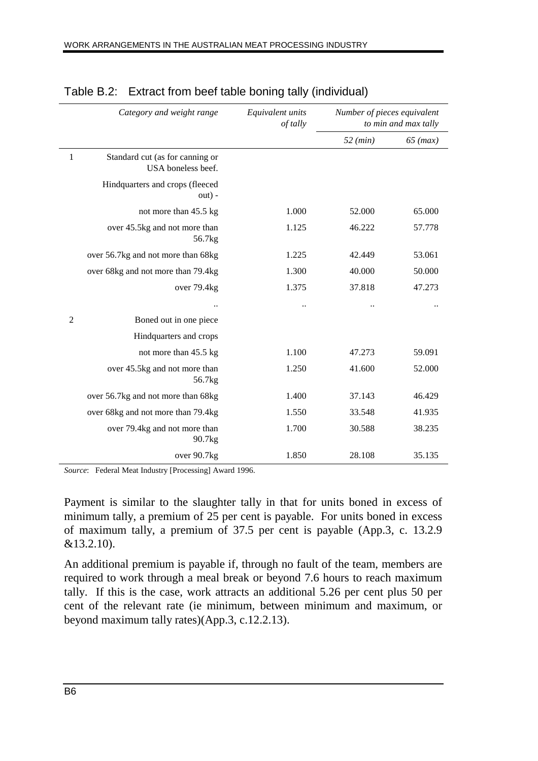|                | Category and weight range                             | Equivalent units<br>of tally | Number of pieces equivalent<br>to min and max tally |            |
|----------------|-------------------------------------------------------|------------------------------|-----------------------------------------------------|------------|
|                |                                                       |                              | 52 (min)                                            | $65$ (max) |
| 1              | Standard cut (as for canning or<br>USA boneless beef. |                              |                                                     |            |
|                | Hindquarters and crops (fleeced<br>$out) -$           |                              |                                                     |            |
|                | not more than 45.5 kg                                 | 1.000                        | 52.000                                              | 65.000     |
|                | over 45.5kg and not more than<br>56.7kg               | 1.125                        | 46.222                                              | 57.778     |
|                | over 56.7kg and not more than 68kg                    | 1.225                        | 42.449                                              | 53.061     |
|                | over 68kg and not more than 79.4kg                    | 1.300                        | 40.000                                              | 50.000     |
|                | over 79.4kg                                           | 1.375                        | 37.818                                              | 47.273     |
|                |                                                       |                              |                                                     |            |
| $\overline{2}$ | Boned out in one piece                                |                              |                                                     |            |
|                | Hindquarters and crops                                |                              |                                                     |            |
|                | not more than 45.5 kg                                 | 1.100                        | 47.273                                              | 59.091     |
|                | over 45.5kg and not more than<br>56.7 <sub>kg</sub>   | 1.250                        | 41.600                                              | 52.000     |
|                | over 56.7kg and not more than 68kg                    | 1.400                        | 37.143                                              | 46.429     |
|                | over 68kg and not more than 79.4kg                    | 1.550                        | 33.548                                              | 41.935     |
|                | over 79.4kg and not more than<br>90.7kg               | 1.700                        | 30.588                                              | 38.235     |
|                | over 90.7kg                                           | 1.850                        | 28.108                                              | 35.135     |

### Table B.2: Extract from beef table boning tally (individual)

*Source*: Federal Meat Industry [Processing] Award 1996.

Payment is similar to the slaughter tally in that for units boned in excess of minimum tally, a premium of 25 per cent is payable. For units boned in excess of maximum tally, a premium of 37.5 per cent is payable (App.3, c. 13.2.9 &13.2.10).

An additional premium is payable if, through no fault of the team, members are required to work through a meal break or beyond 7.6 hours to reach maximum tally. If this is the case, work attracts an additional 5.26 per cent plus 50 per cent of the relevant rate (ie minimum, between minimum and maximum, or beyond maximum tally rates)(App.3, c.12.2.13).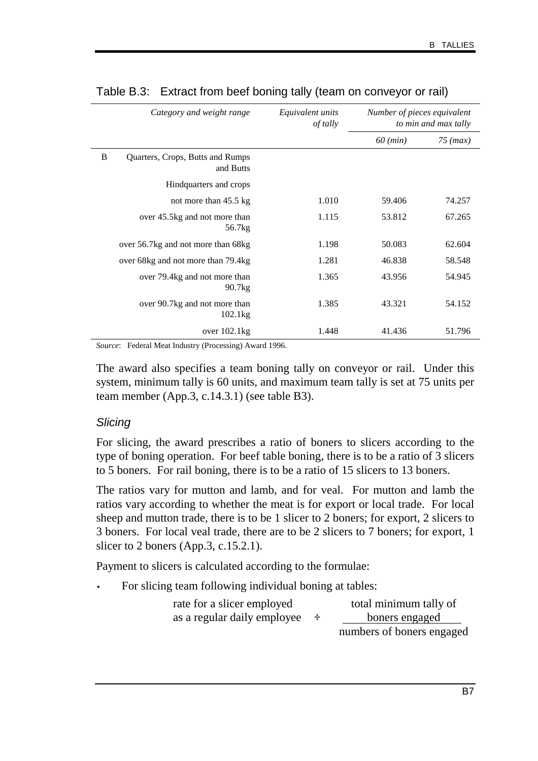|   | Category and weight range                           | Equivalent units<br>of tally | Number of pieces equivalent<br>to min and max tally |            |
|---|-----------------------------------------------------|------------------------------|-----------------------------------------------------|------------|
|   |                                                     |                              | $60$ (min)                                          | $75$ (max) |
| B | Quarters, Crops, Butts and Rumps<br>and Butts       |                              |                                                     |            |
|   | Hindquarters and crops                              |                              |                                                     |            |
|   | not more than 45.5 kg                               | 1.010                        | 59.406                                              | 74.257     |
|   | over 45.5kg and not more than<br>56.7 <sub>kg</sub> | 1.115                        | 53.812                                              | 67.265     |
|   | over 56.7kg and not more than 68kg                  | 1.198                        | 50.083                                              | 62.604     |
|   | over 68kg and not more than 79.4kg                  | 1.281                        | 46.838                                              | 58.548     |
|   | over 79.4kg and not more than<br>90.7 <sub>kg</sub> | 1.365                        | 43.956                                              | 54.945     |
|   | over 90.7kg and not more than<br>102.1kg            | 1.385                        | 43.321                                              | 54.152     |
|   | over $102.1kg$                                      | 1.448                        | 41.436                                              | 51.796     |

#### Table B.3: Extract from beef boning tally (team on conveyor or rail)

*Source*: Federal Meat Industry (Processing) Award 1996.

The award also specifies a team boning tally on conveyor or rail. Under this system, minimum tally is 60 units, and maximum team tally is set at 75 units per team member (App.3, c.14.3.1) (see table B3).

#### **Slicing**

For slicing, the award prescribes a ratio of boners to slicers according to the type of boning operation. For beef table boning, there is to be a ratio of 3 slicers to 5 boners. For rail boning, there is to be a ratio of 15 slicers to 13 boners.

The ratios vary for mutton and lamb, and for veal. For mutton and lamb the ratios vary according to whether the meat is for export or local trade. For local sheep and mutton trade, there is to be 1 slicer to 2 boners; for export, 2 slicers to 3 boners. For local veal trade, there are to be 2 slicers to 7 boners; for export, 1 slicer to 2 boners (App.3, c.15.2.1).

Payment to slicers is calculated according to the formulae:

For slicing team following individual boning at tables:

| rate for a slicer employed  | total minimum tally of    |
|-----------------------------|---------------------------|
| as a regular daily employee | boners engaged            |
|                             | numbers of boners engaged |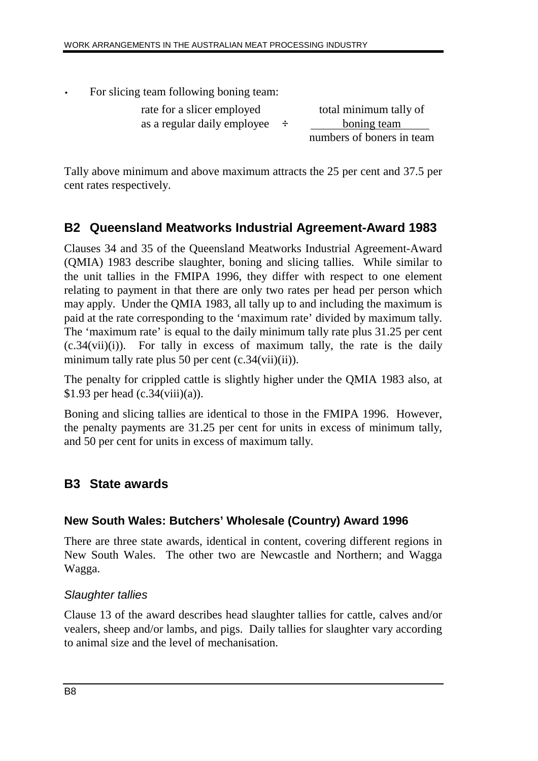For slicing team following boning team:

rate for a slicer employed total minimum tally of as a regular daily employee **÷** boning team

numbers of boners in team

Tally above minimum and above maximum attracts the 25 per cent and 37.5 per cent rates respectively.

# **B2 Queensland Meatworks Industrial Agreement-Award 1983**

Clauses 34 and 35 of the Queensland Meatworks Industrial Agreement-Award (QMIA) 1983 describe slaughter, boning and slicing tallies. While similar to the unit tallies in the FMIPA 1996, they differ with respect to one element relating to payment in that there are only two rates per head per person which may apply. Under the QMIA 1983, all tally up to and including the maximum is paid at the rate corresponding to the 'maximum rate' divided by maximum tally. The 'maximum rate' is equal to the daily minimum tally rate plus 31.25 per cent  $(c.34(vii)(i))$ . For tally in excess of maximum tally, the rate is the daily minimum tally rate plus 50 per cent (c.34(vii)(ii)).

The penalty for crippled cattle is slightly higher under the QMIA 1983 also, at \$1.93 per head  $(c.34(viii)(a))$ .

Boning and slicing tallies are identical to those in the FMIPA 1996. However, the penalty payments are 31.25 per cent for units in excess of minimum tally, and 50 per cent for units in excess of maximum tally.

# **B3 State awards**

## **New South Wales: Butchers' Wholesale (Country) Award 1996**

There are three state awards, identical in content, covering different regions in New South Wales. The other two are Newcastle and Northern; and Wagga Wagga.

## Slaughter tallies

Clause 13 of the award describes head slaughter tallies for cattle, calves and/or vealers, sheep and/or lambs, and pigs. Daily tallies for slaughter vary according to animal size and the level of mechanisation.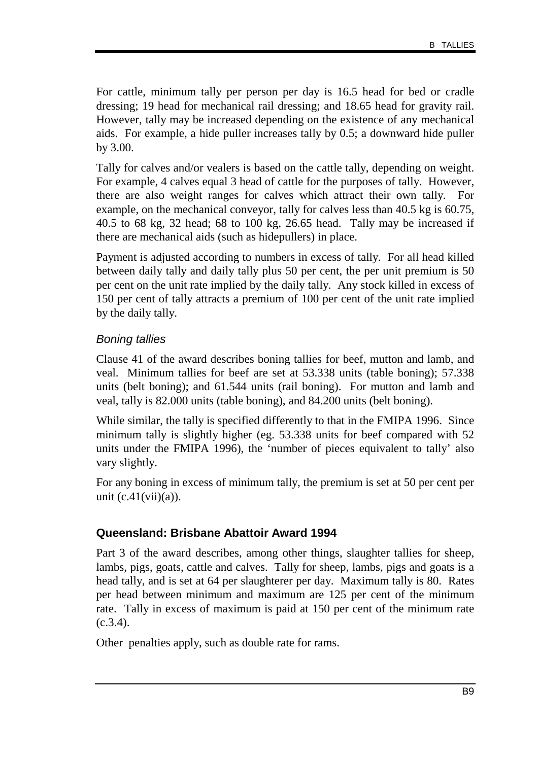For cattle, minimum tally per person per day is 16.5 head for bed or cradle dressing; 19 head for mechanical rail dressing; and 18.65 head for gravity rail. However, tally may be increased depending on the existence of any mechanical aids. For example, a hide puller increases tally by 0.5; a downward hide puller by 3.00.

Tally for calves and/or vealers is based on the cattle tally, depending on weight. For example, 4 calves equal 3 head of cattle for the purposes of tally. However, there are also weight ranges for calves which attract their own tally. For example, on the mechanical conveyor, tally for calves less than 40.5 kg is 60.75, 40.5 to 68 kg, 32 head; 68 to 100 kg, 26.65 head. Tally may be increased if there are mechanical aids (such as hidepullers) in place.

Payment is adjusted according to numbers in excess of tally. For all head killed between daily tally and daily tally plus 50 per cent, the per unit premium is 50 per cent on the unit rate implied by the daily tally. Any stock killed in excess of 150 per cent of tally attracts a premium of 100 per cent of the unit rate implied by the daily tally.

## Boning tallies

Clause 41 of the award describes boning tallies for beef, mutton and lamb, and veal. Minimum tallies for beef are set at 53.338 units (table boning); 57.338 units (belt boning); and 61.544 units (rail boning). For mutton and lamb and veal, tally is 82.000 units (table boning), and 84.200 units (belt boning).

While similar, the tally is specified differently to that in the FMIPA 1996. Since minimum tally is slightly higher (eg. 53.338 units for beef compared with 52 units under the FMIPA 1996), the 'number of pieces equivalent to tally' also vary slightly.

For any boning in excess of minimum tally, the premium is set at 50 per cent per unit  $(c.41(vii)(a))$ .

## **Queensland: Brisbane Abattoir Award 1994**

Part 3 of the award describes, among other things, slaughter tallies for sheep, lambs, pigs, goats, cattle and calves. Tally for sheep, lambs, pigs and goats is a head tally, and is set at 64 per slaughterer per day. Maximum tally is 80. Rates per head between minimum and maximum are 125 per cent of the minimum rate. Tally in excess of maximum is paid at 150 per cent of the minimum rate  $(c.3.4)$ .

Other penalties apply, such as double rate for rams.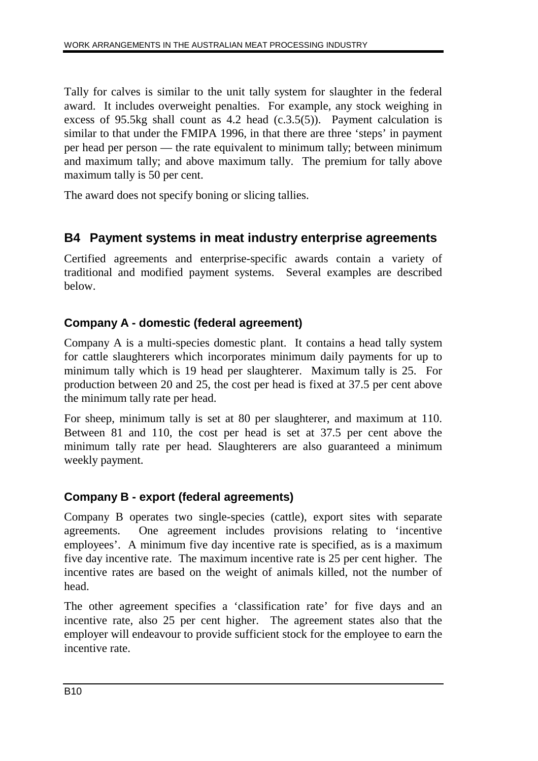Tally for calves is similar to the unit tally system for slaughter in the federal award. It includes overweight penalties. For example, any stock weighing in excess of 95.5kg shall count as  $4.2$  head  $(c.3.5(5))$ . Payment calculation is similar to that under the FMIPA 1996, in that there are three 'steps' in payment per head per person — the rate equivalent to minimum tally; between minimum and maximum tally; and above maximum tally. The premium for tally above maximum tally is 50 per cent.

The award does not specify boning or slicing tallies.

# **B4 Payment systems in meat industry enterprise agreements**

Certified agreements and enterprise-specific awards contain a variety of traditional and modified payment systems. Several examples are described below.

## **Company A - domestic (federal agreement)**

Company A is a multi-species domestic plant. It contains a head tally system for cattle slaughterers which incorporates minimum daily payments for up to minimum tally which is 19 head per slaughterer. Maximum tally is 25. For production between 20 and 25, the cost per head is fixed at 37.5 per cent above the minimum tally rate per head.

For sheep, minimum tally is set at 80 per slaughterer, and maximum at 110. Between 81 and 110, the cost per head is set at 37.5 per cent above the minimum tally rate per head. Slaughterers are also guaranteed a minimum weekly payment.

## **Company B - export (federal agreements)**

Company B operates two single-species (cattle), export sites with separate agreements. One agreement includes provisions relating to 'incentive employees'. A minimum five day incentive rate is specified, as is a maximum five day incentive rate. The maximum incentive rate is 25 per cent higher. The incentive rates are based on the weight of animals killed, not the number of head.

The other agreement specifies a 'classification rate' for five days and an incentive rate, also 25 per cent higher. The agreement states also that the employer will endeavour to provide sufficient stock for the employee to earn the incentive rate.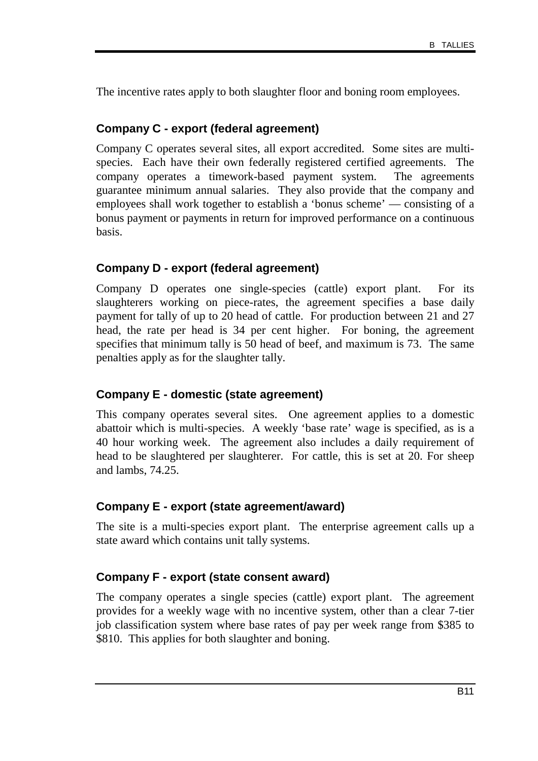The incentive rates apply to both slaughter floor and boning room employees.

### **Company C - export (federal agreement)**

Company C operates several sites, all export accredited. Some sites are multispecies. Each have their own federally registered certified agreements. The company operates a timework-based payment system. The agreements guarantee minimum annual salaries. They also provide that the company and employees shall work together to establish a 'bonus scheme' — consisting of a bonus payment or payments in return for improved performance on a continuous basis.

## **Company D - export (federal agreement)**

Company D operates one single-species (cattle) export plant. For its slaughterers working on piece-rates, the agreement specifies a base daily payment for tally of up to 20 head of cattle. For production between 21 and 27 head, the rate per head is 34 per cent higher. For boning, the agreement specifies that minimum tally is 50 head of beef, and maximum is 73. The same penalties apply as for the slaughter tally.

#### **Company E - domestic (state agreement)**

This company operates several sites. One agreement applies to a domestic abattoir which is multi-species. A weekly 'base rate' wage is specified, as is a 40 hour working week. The agreement also includes a daily requirement of head to be slaughtered per slaughterer. For cattle, this is set at 20. For sheep and lambs, 74.25.

#### **Company E - export (state agreement/award)**

The site is a multi-species export plant. The enterprise agreement calls up a state award which contains unit tally systems.

## **Company F - export (state consent award)**

The company operates a single species (cattle) export plant. The agreement provides for a weekly wage with no incentive system, other than a clear 7-tier job classification system where base rates of pay per week range from \$385 to \$810. This applies for both slaughter and boning.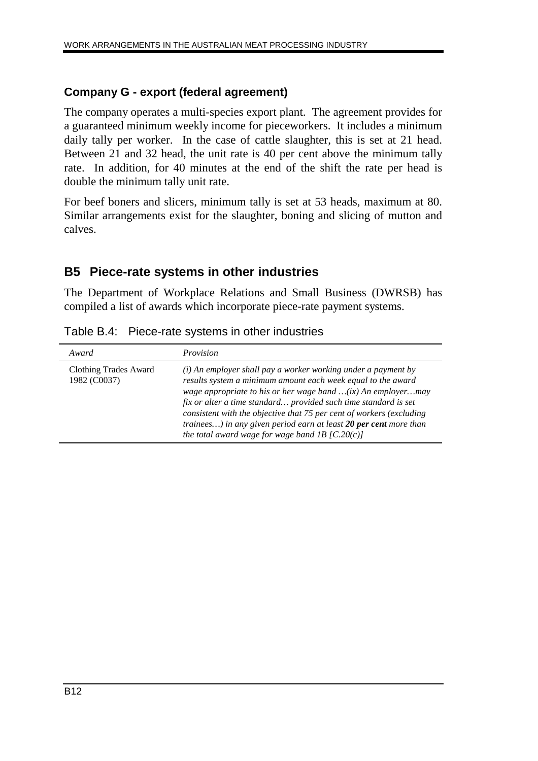### **Company G - export (federal agreement)**

The company operates a multi-species export plant. The agreement provides for a guaranteed minimum weekly income for pieceworkers. It includes a minimum daily tally per worker. In the case of cattle slaughter, this is set at 21 head. Between 21 and 32 head, the unit rate is 40 per cent above the minimum tally rate. In addition, for 40 minutes at the end of the shift the rate per head is double the minimum tally unit rate.

For beef boners and slicers, minimum tally is set at 53 heads, maximum at 80. Similar arrangements exist for the slaughter, boning and slicing of mutton and calves.

## **B5 Piece-rate systems in other industries**

The Department of Workplace Relations and Small Business (DWRSB) has compiled a list of awards which incorporate piece-rate payment systems.

| Table B.4: Piece-rate systems in other industries |
|---------------------------------------------------|
|---------------------------------------------------|

| Award                                 | <i>Provision</i>                                                                                                                                                                                                                                                                                                                                                                                                                                                     |
|---------------------------------------|----------------------------------------------------------------------------------------------------------------------------------------------------------------------------------------------------------------------------------------------------------------------------------------------------------------------------------------------------------------------------------------------------------------------------------------------------------------------|
| Clothing Trades Award<br>1982 (C0037) | (i) An employer shall pay a worker working under a payment by<br>results system a minimum amount each week equal to the award<br>wage appropriate to his or her wage band $(ix)$ An employermay<br>fix or alter a time standard provided such time standard is set<br>consistent with the objective that 75 per cent of workers (excluding<br>trainees) in any given period earn at least 20 per cent more than<br>the total award wage for wage band 1B $[C.20(c)]$ |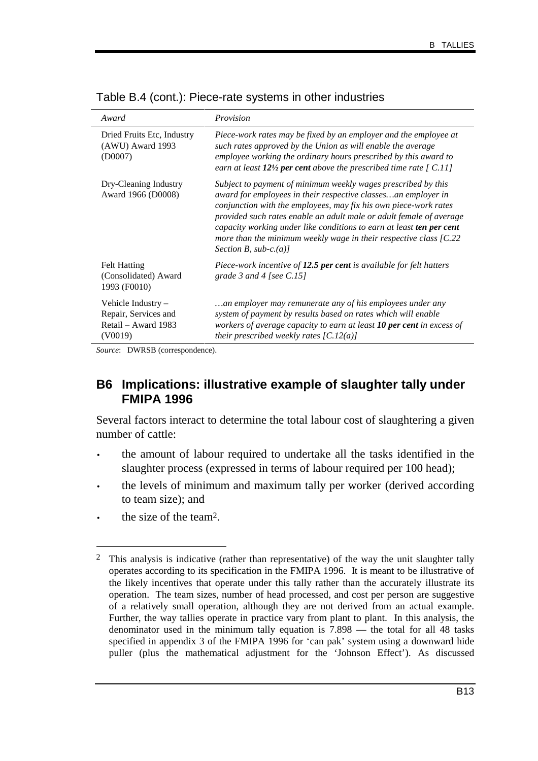| Award                                                                          | Provision                                                                                                                                                                                                                                                                                                                                                                                                                                              |
|--------------------------------------------------------------------------------|--------------------------------------------------------------------------------------------------------------------------------------------------------------------------------------------------------------------------------------------------------------------------------------------------------------------------------------------------------------------------------------------------------------------------------------------------------|
| Dried Fruits Etc, Industry<br>$(AWU)$ Award 1993<br>(D0007)                    | Piece-work rates may be fixed by an employer and the employee at<br>such rates approved by the Union as will enable the average<br>employee working the ordinary hours prescribed by this award to<br>earn at least $12\frac{1}{2}$ per cent above the prescribed time rate [C.11]                                                                                                                                                                     |
| Dry-Cleaning Industry<br>Award 1966 (D0008)                                    | Subject to payment of minimum weekly wages prescribed by this<br>award for employees in their respective classesan employer in<br>conjunction with the employees, may fix his own piece-work rates<br>provided such rates enable an adult male or adult female of average<br>capacity working under like conditions to earn at least ten per cent<br>more than the minimum weekly wage in their respective class $[C.22]$<br>Section B, sub-c. $(a)$ ] |
| <b>Felt Hatting</b><br>(Consolidated) Award<br>1993 (F0010)                    | Piece-work incentive of 12.5 per cent is available for felt hatters<br>grade 3 and 4 [see $C.15$ ]                                                                                                                                                                                                                                                                                                                                                     |
| Vehicle Industry $-$<br>Repair, Services and<br>Retail – Award 1983<br>(V0019) | an employer may remunerate any of his employees under any<br>system of payment by results based on rates which will enable<br>workers of average capacity to earn at least 10 per cent in excess of<br>their prescribed weekly rates $[C.12(a)]$                                                                                                                                                                                                       |

Table B.4 (cont.): Piece-rate systems in other industries

*Source*: DWRSB (correspondence).

## **B6 Implications: illustrative example of slaughter tally under FMIPA 1996**

Several factors interact to determine the total labour cost of slaughtering a given number of cattle:

- the amount of labour required to undertake all the tasks identified in the slaughter process (expressed in terms of labour required per 100 head);
- the levels of minimum and maximum tally per worker (derived according to team size); and
- the size of the team<sup>2</sup>.

-

<sup>&</sup>lt;sup>2</sup> This analysis is indicative (rather than representative) of the way the unit slaughter tally operates according to its specification in the FMIPA 1996. It is meant to be illustrative of the likely incentives that operate under this tally rather than the accurately illustrate its operation. The team sizes, number of head processed, and cost per person are suggestive of a relatively small operation, although they are not derived from an actual example. Further, the way tallies operate in practice vary from plant to plant. In this analysis, the denominator used in the minimum tally equation is 7.898 — the total for all 48 tasks specified in appendix 3 of the FMIPA 1996 for 'can pak' system using a downward hide puller (plus the mathematical adjustment for the 'Johnson Effect'). As discussed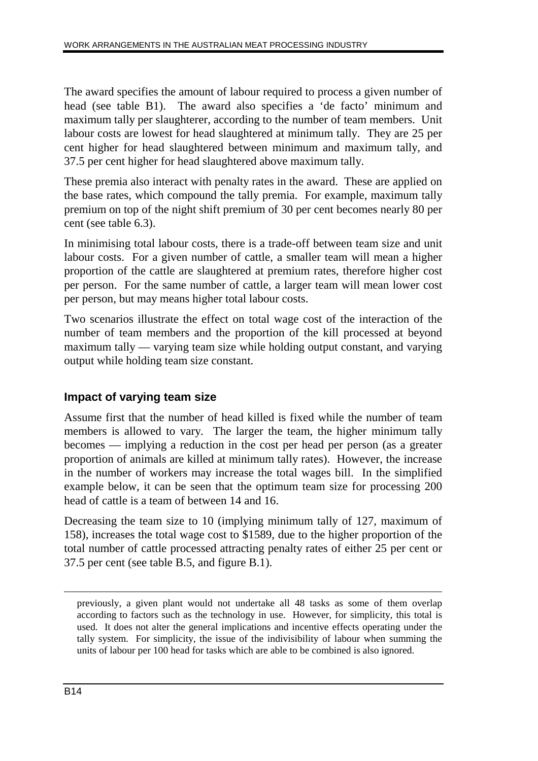The award specifies the amount of labour required to process a given number of head (see table B1). The award also specifies a 'de facto' minimum and maximum tally per slaughterer, according to the number of team members. Unit labour costs are lowest for head slaughtered at minimum tally. They are 25 per cent higher for head slaughtered between minimum and maximum tally, and 37.5 per cent higher for head slaughtered above maximum tally.

These premia also interact with penalty rates in the award. These are applied on the base rates, which compound the tally premia. For example, maximum tally premium on top of the night shift premium of 30 per cent becomes nearly 80 per cent (see table 6.3).

In minimising total labour costs, there is a trade-off between team size and unit labour costs. For a given number of cattle, a smaller team will mean a higher proportion of the cattle are slaughtered at premium rates, therefore higher cost per person. For the same number of cattle, a larger team will mean lower cost per person, but may means higher total labour costs.

Two scenarios illustrate the effect on total wage cost of the interaction of the number of team members and the proportion of the kill processed at beyond maximum tally — varying team size while holding output constant, and varying output while holding team size constant.

## **Impact of varying team size**

Assume first that the number of head killed is fixed while the number of team members is allowed to vary. The larger the team, the higher minimum tally becomes — implying a reduction in the cost per head per person (as a greater proportion of animals are killed at minimum tally rates). However, the increase in the number of workers may increase the total wages bill. In the simplified example below, it can be seen that the optimum team size for processing 200 head of cattle is a team of between 14 and 16.

Decreasing the team size to 10 (implying minimum tally of 127, maximum of 158), increases the total wage cost to \$1589, due to the higher proportion of the total number of cattle processed attracting penalty rates of either 25 per cent or 37.5 per cent (see table B.5, and figure B.1).

 $\overline{a}$ 

previously, a given plant would not undertake all 48 tasks as some of them overlap according to factors such as the technology in use. However, for simplicity, this total is used. It does not alter the general implications and incentive effects operating under the tally system. For simplicity, the issue of the indivisibility of labour when summing the units of labour per 100 head for tasks which are able to be combined is also ignored.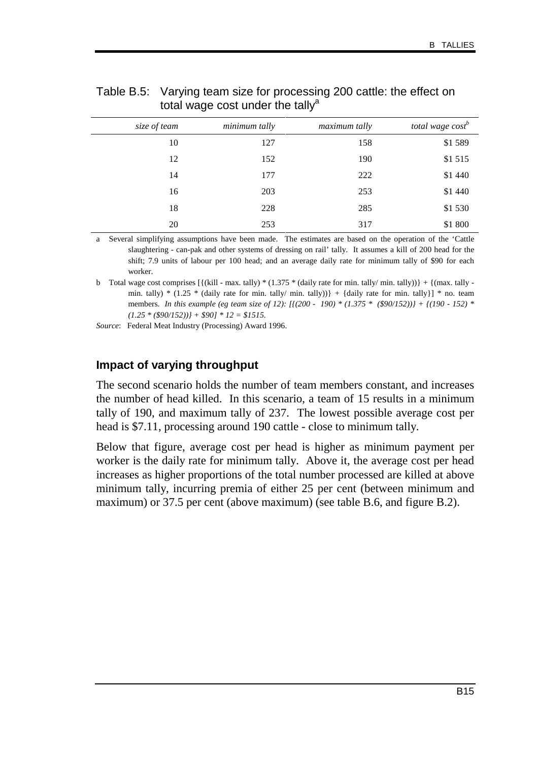| total wage cost <sup>b</sup> | maximum tally | minimum tally | size of team |
|------------------------------|---------------|---------------|--------------|
| \$1589                       | 158           | 127           | 10           |
| \$1515                       | 190           | 152           | 12           |
| \$1 440                      | 222           | 177           | 14           |
| \$1 440                      | 253           | 203           | 16           |
| \$1530                       | 285           | 228           | 18           |
| \$1 800                      | 317           | 253           | 20           |

#### Table B.5: Varying team size for processing 200 cattle: the effect on total wage cost under the tally<sup>a</sup>

a Several simplifying assumptions have been made. The estimates are based on the operation of the 'Cattle slaughtering - can-pak and other systems of dressing on rail' tally. It assumes a kill of 200 head for the shift; 7.9 units of labour per 100 head; and an average daily rate for minimum tally of \$90 for each worker.

b Total wage cost comprises  $\left[ \frac{\dot{\mathbf{k}}}{{\mathbf{k}}} \right]$  + max. tally) \* (1.375 \* (daily rate for min. tally/ min. tally))} +  $\left\{ \left( \frac{\dot{\mathbf{k}}}{{\mathbf{k}}} \right)$ min. tally) \* (1.25 \* (daily rate for min. tally/ min. tally)) + {daily rate for min. tally}] \* no. team members. *In this example (eg team size of 12): [{(200 - 190) \* (1.375 \* (\$90/152))} + {(190 - 152) \* (1.25 \* (\$90/152))} + \$90] \* 12 = \$1515.*

*Source*: Federal Meat Industry (Processing) Award 1996.

#### **Impact of varying throughput**

The second scenario holds the number of team members constant, and increases the number of head killed. In this scenario, a team of 15 results in a minimum tally of 190, and maximum tally of 237. The lowest possible average cost per head is \$7.11, processing around 190 cattle - close to minimum tally.

Below that figure, average cost per head is higher as minimum payment per worker is the daily rate for minimum tally. Above it, the average cost per head increases as higher proportions of the total number processed are killed at above minimum tally, incurring premia of either 25 per cent (between minimum and maximum) or 37.5 per cent (above maximum) (see table B.6, and figure B.2).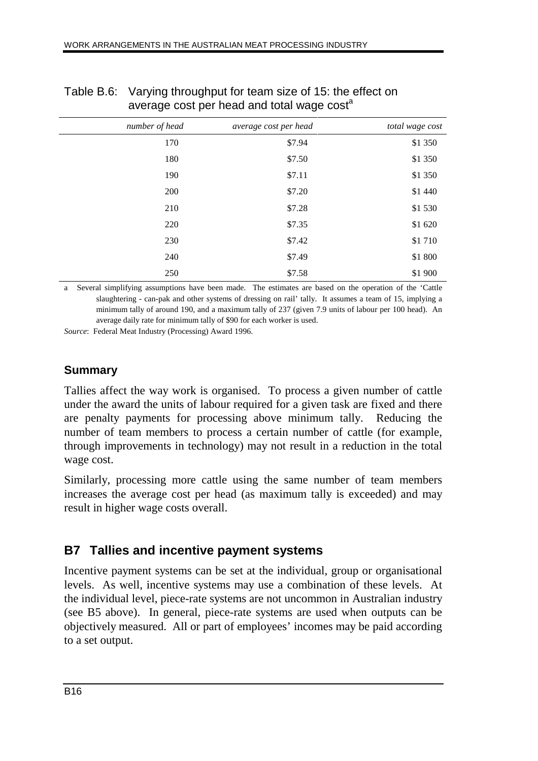| . <i>.</i><br>. |                |                       |                 |
|-----------------|----------------|-----------------------|-----------------|
|                 | number of head | average cost per head | total wage cost |
|                 | 170            | \$7.94                | \$1 350         |
|                 | 180            | \$7.50                | \$1 350         |
|                 | 190            | \$7.11                | \$1 350         |
|                 | 200            | \$7.20                | \$1 440         |
|                 | 210            | \$7.28                | \$1530          |
|                 | 220            | \$7.35                | \$1 620         |
|                 | 230            | \$7.42                | \$1710          |
|                 | 240            | \$7.49                | \$1 800         |
|                 | 250            | \$7.58                | \$1 900         |

## Table B.6: Varying throughput for team size of 15: the effect on average cost per head and total wage cost<sup>a</sup>

Several simplifying assumptions have been made. The estimates are based on the operation of the 'Cattle slaughtering - can-pak and other systems of dressing on rail' tally. It assumes a team of 15, implying a minimum tally of around 190, and a maximum tally of 237 (given 7.9 units of labour per 100 head). An average daily rate for minimum tally of \$90 for each worker is used.

*Source*: Federal Meat Industry (Processing) Award 1996.

## **Summary**

Tallies affect the way work is organised. To process a given number of cattle under the award the units of labour required for a given task are fixed and there are penalty payments for processing above minimum tally. Reducing the number of team members to process a certain number of cattle (for example, through improvements in technology) may not result in a reduction in the total wage cost.

Similarly, processing more cattle using the same number of team members increases the average cost per head (as maximum tally is exceeded) and may result in higher wage costs overall.

## **B7 Tallies and incentive payment systems**

Incentive payment systems can be set at the individual, group or organisational levels. As well, incentive systems may use a combination of these levels. At the individual level, piece-rate systems are not uncommon in Australian industry (see B5 above). In general, piece-rate systems are used when outputs can be objectively measured. All or part of employees' incomes may be paid according to a set output.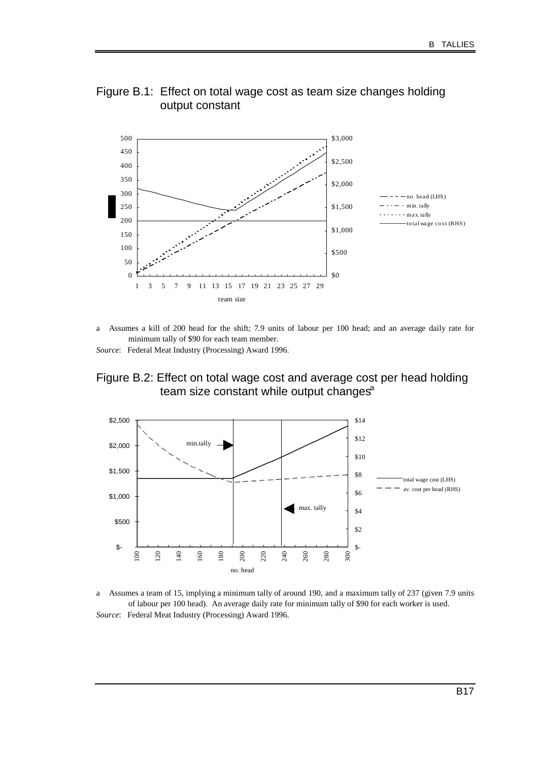



a Assumes a kill of 200 head for the shift; 7.9 units of labour per 100 head; and an average daily rate for minimum tally of \$90 for each team member.

*Source*: Federal Meat Industry (Processing) Award 1996.

Figure B.2: Effect on total wage cost and average cost per head holding team size constant while output changes $a$ 



a Assumes a team of 15, implying a minimum tally of around 190, and a maximum tally of 237 (given 7.9 units of labour per 100 head). An average daily rate for minimum tally of \$90 for each worker is used. *Source*: Federal Meat Industry (Processing) Award 1996.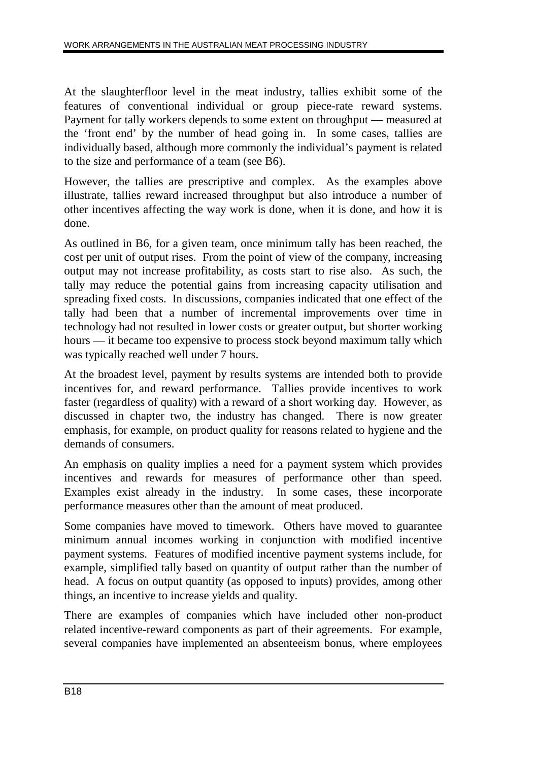At the slaughterfloor level in the meat industry, tallies exhibit some of the features of conventional individual or group piece-rate reward systems. Payment for tally workers depends to some extent on throughput — measured at the 'front end' by the number of head going in. In some cases, tallies are individually based, although more commonly the individual's payment is related to the size and performance of a team (see B6).

However, the tallies are prescriptive and complex. As the examples above illustrate, tallies reward increased throughput but also introduce a number of other incentives affecting the way work is done, when it is done, and how it is done.

As outlined in B6, for a given team, once minimum tally has been reached, the cost per unit of output rises. From the point of view of the company, increasing output may not increase profitability, as costs start to rise also. As such, the tally may reduce the potential gains from increasing capacity utilisation and spreading fixed costs. In discussions, companies indicated that one effect of the tally had been that a number of incremental improvements over time in technology had not resulted in lower costs or greater output, but shorter working hours — it became too expensive to process stock beyond maximum tally which was typically reached well under 7 hours.

At the broadest level, payment by results systems are intended both to provide incentives for, and reward performance. Tallies provide incentives to work faster (regardless of quality) with a reward of a short working day. However, as discussed in chapter two, the industry has changed. There is now greater emphasis, for example, on product quality for reasons related to hygiene and the demands of consumers.

An emphasis on quality implies a need for a payment system which provides incentives and rewards for measures of performance other than speed. Examples exist already in the industry. In some cases, these incorporate performance measures other than the amount of meat produced.

Some companies have moved to timework. Others have moved to guarantee minimum annual incomes working in conjunction with modified incentive payment systems. Features of modified incentive payment systems include, for example, simplified tally based on quantity of output rather than the number of head. A focus on output quantity (as opposed to inputs) provides, among other things, an incentive to increase yields and quality.

There are examples of companies which have included other non-product related incentive-reward components as part of their agreements. For example, several companies have implemented an absenteeism bonus, where employees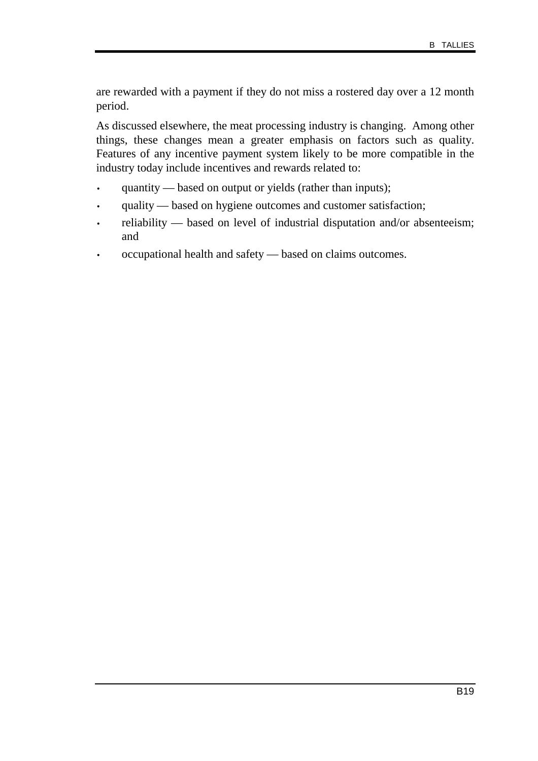are rewarded with a payment if they do not miss a rostered day over a 12 month period.

As discussed elsewhere, the meat processing industry is changing. Among other things, these changes mean a greater emphasis on factors such as quality. Features of any incentive payment system likely to be more compatible in the industry today include incentives and rewards related to:

- quantity based on output or yields (rather than inputs);
- quality based on hygiene outcomes and customer satisfaction;
- reliability based on level of industrial disputation and/or absenteeism; and
- occupational health and safety based on claims outcomes.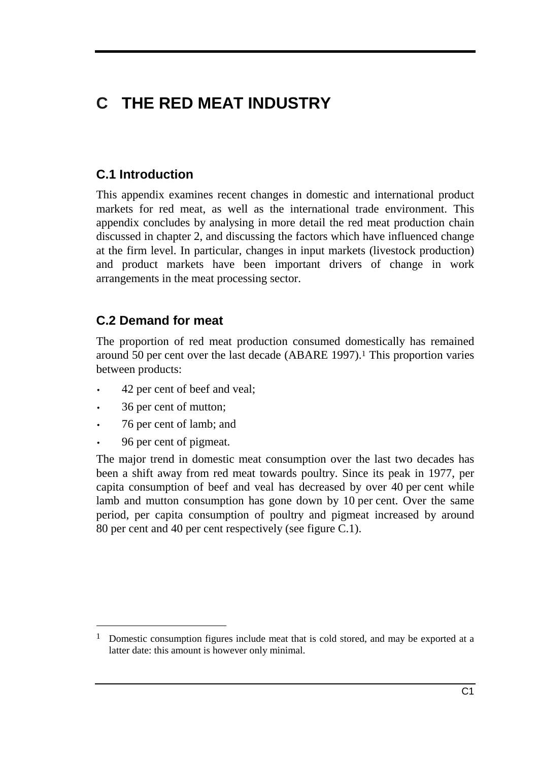# **C THE RED MEAT INDUSTRY**

## **C.1 Introduction**

This appendix examines recent changes in domestic and international product markets for red meat, as well as the international trade environment. This appendix concludes by analysing in more detail the red meat production chain discussed in chapter 2, and discussing the factors which have influenced change at the firm level. In particular, changes in input markets (livestock production) and product markets have been important drivers of change in work arrangements in the meat processing sector.

## **C.2 Demand for meat**

The proportion of red meat production consumed domestically has remained around 50 per cent over the last decade (ABARE 1997).1 This proportion varies between products:

- 42 per cent of beef and veal;
- 36 per cent of mutton;
- 76 per cent of lamb; and
- 96 per cent of pigmeat.

-

The major trend in domestic meat consumption over the last two decades has been a shift away from red meat towards poultry. Since its peak in 1977, per capita consumption of beef and veal has decreased by over 40 per cent while lamb and mutton consumption has gone down by 10 per cent. Over the same period, per capita consumption of poultry and pigmeat increased by around 80 per cent and 40 per cent respectively (see figure C.1).

<sup>&</sup>lt;sup>1</sup> Domestic consumption figures include meat that is cold stored, and may be exported at a latter date: this amount is however only minimal.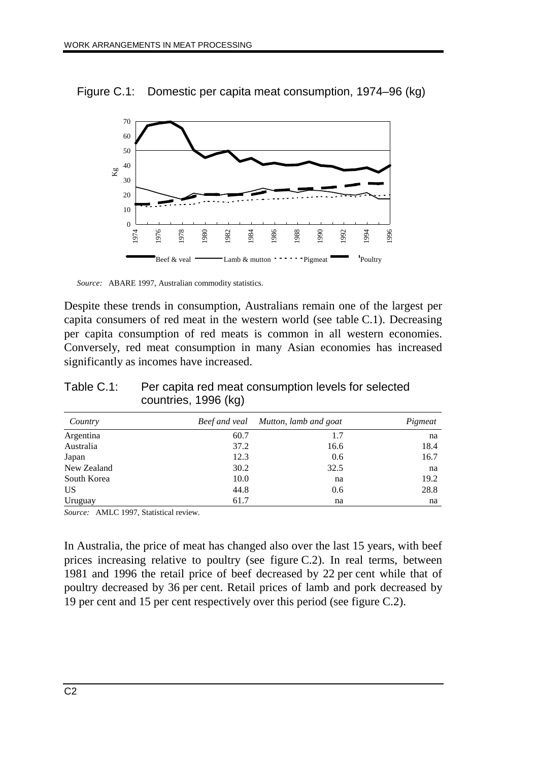Figure C.1: Domestic per capita meat consumption, 1974–96 (kg)



*Source:* ABARE 1997, Australian commodity statistics.

Despite these trends in consumption, Australians remain one of the largest per capita consumers of red meat in the western world (see table C.1). Decreasing per capita consumption of red meats is common in all western economies. Conversely, red meat consumption in many Asian economies has increased significantly as incomes have increased.

| Country     | Beef and veal | Mutton, lamb and goat | Pigmeat |
|-------------|---------------|-----------------------|---------|
| Argentina   | 60.7          | 1.7                   | na      |
| Australia   | 37.2          | 16.6                  | 18.4    |
| Japan       | 12.3          | 0.6                   | 16.7    |
| New Zealand | 30.2          | 32.5                  | na      |
| South Korea | 10.0          | na                    | 19.2    |
| US          | 44.8          | 0.6                   | 28.8    |
| Uruguay     | 61.7          | na                    | na      |

Table C.1: Per capita red meat consumption levels for selected countries, 1996 (kg)

*Source:* AMLC 1997, Statistical review.

In Australia, the price of meat has changed also over the last 15 years, with beef prices increasing relative to poultry (see figure C.2). In real terms, between 1981 and 1996 the retail price of beef decreased by 22 per cent while that of poultry decreased by 36 per cent. Retail prices of lamb and pork decreased by 19 per cent and 15 per cent respectively over this period (see figure C.2).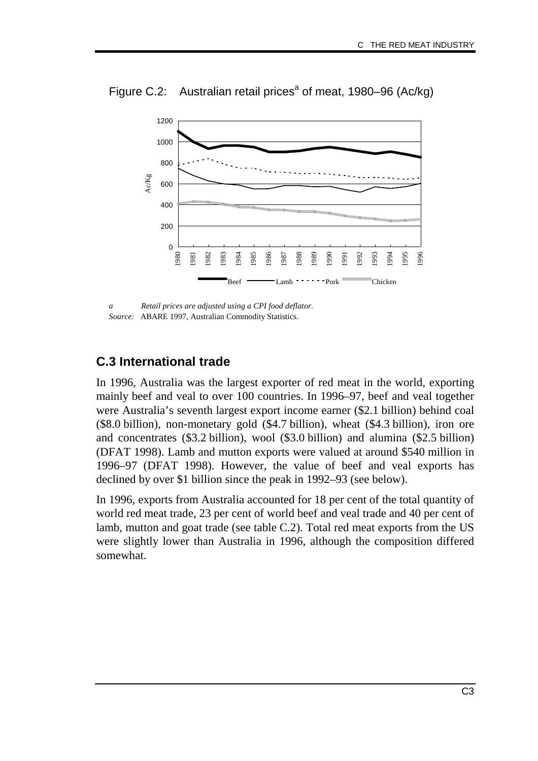

Figure C.2: Australian retail prices<sup>a</sup> of meat, 1980–96 (Ac/kg)

*a Retail prices are adjusted using a CPI food deflator. Source:* ABARE 1997, Australian Commodity Statistics.

## **C.3 International trade**

In 1996, Australia was the largest exporter of red meat in the world, exporting mainly beef and veal to over 100 countries. In 1996–97, beef and veal together were Australia's seventh largest export income earner (\$2.1 billion) behind coal (\$8.0 billion), non-monetary gold (\$4.7 billion), wheat (\$4.3 billion), iron ore and concentrates (\$3.2 billion), wool (\$3.0 billion) and alumina (\$2.5 billion) (DFAT 1998). Lamb and mutton exports were valued at around \$540 million in 1996–97 (DFAT 1998). However, the value of beef and veal exports has declined by over \$1 billion since the peak in 1992–93 (see below).

In 1996, exports from Australia accounted for 18 per cent of the total quantity of world red meat trade, 23 per cent of world beef and veal trade and 40 per cent of lamb, mutton and goat trade (see table C.2). Total red meat exports from the US were slightly lower than Australia in 1996, although the composition differed somewhat.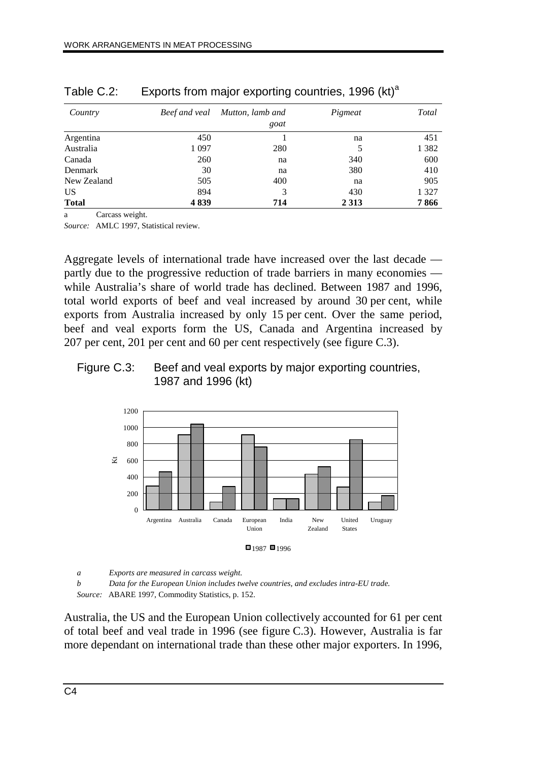| Country      | Beef and veal | Mutton, lamb and | Pigmeat | Total   |
|--------------|---------------|------------------|---------|---------|
|              |               | goat             |         |         |
| Argentina    | 450           |                  | na      | 451     |
| Australia    | 1 0 9 7       | 280              | 5       | 1 3 8 2 |
| Canada       | 260           | na               | 340     | 600     |
| Denmark      | 30            | na               | 380     | 410     |
| New Zealand  | 505           | 400              | na      | 905     |
| US           | 894           | 3                | 430     | 1 3 2 7 |
| <b>Total</b> | 4839          | 714              | 2 3 1 3 | 7866    |

| Table C.2: | Exports from major exporting countries, 1996 (kt) <sup>a</sup> |  |  |  |
|------------|----------------------------------------------------------------|--|--|--|
|            |                                                                |  |  |  |

a Carcass weight.

*Source:* AMLC 1997, Statistical review.

Aggregate levels of international trade have increased over the last decade partly due to the progressive reduction of trade barriers in many economies while Australia's share of world trade has declined. Between 1987 and 1996, total world exports of beef and veal increased by around 30 per cent, while exports from Australia increased by only 15 per cent. Over the same period, beef and veal exports form the US, Canada and Argentina increased by 207 per cent, 201 per cent and 60 per cent respectively (see figure C.3).

#### Figure C.3: Beef and veal exports by major exporting countries, 1987 and 1996 (kt)



*a Exports are measured in carcass weight.*

*b Data for the European Union includes twelve countries, and excludes intra-EU trade. Source:* ABARE 1997, Commodity Statistics, p. 152.

Australia, the US and the European Union collectively accounted for 61 per cent of total beef and veal trade in 1996 (see figure C.3). However, Australia is far more dependant on international trade than these other major exporters. In 1996,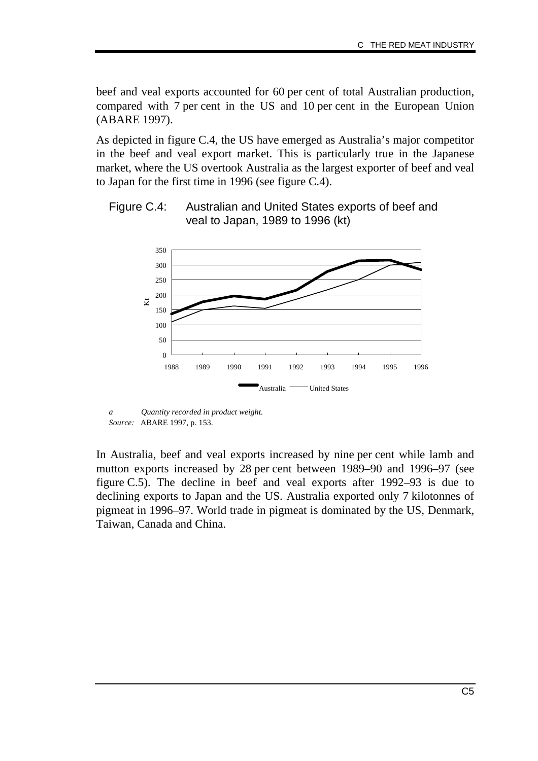beef and veal exports accounted for 60 per cent of total Australian production, compared with 7 per cent in the US and 10 per cent in the European Union (ABARE 1997).

As depicted in figure C.4, the US have emerged as Australia's major competitor in the beef and veal export market. This is particularly true in the Japanese market, where the US overtook Australia as the largest exporter of beef and veal to Japan for the first time in 1996 (see figure C.4).





*a Quantity recorded in product weight. Source:* ABARE 1997, p. 153.

In Australia, beef and veal exports increased by nine per cent while lamb and mutton exports increased by 28 per cent between 1989–90 and 1996–97 (see figure C.5). The decline in beef and veal exports after 1992–93 is due to declining exports to Japan and the US. Australia exported only 7 kilotonnes of pigmeat in 1996–97. World trade in pigmeat is dominated by the US, Denmark, Taiwan, Canada and China.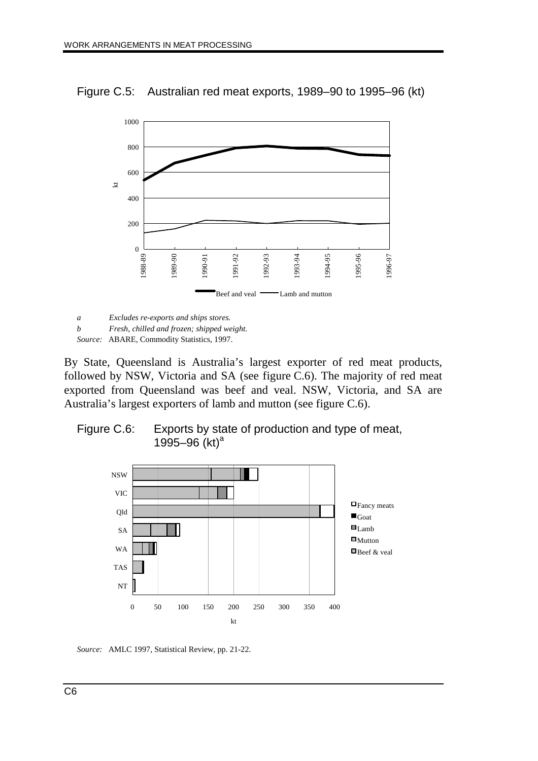Figure C.5: Australian red meat exports, 1989–90 to 1995–96 (kt)



*a Excludes re-exports and ships stores.*

*b Fresh, chilled and frozen; shipped weight. Source:* ABARE, Commodity Statistics, 1997.

By State, Queensland is Australia's largest exporter of red meat products, followed by NSW, Victoria and SA (see figure C.6). The majority of red meat exported from Queensland was beef and veal. NSW, Victoria, and SA are Australia's largest exporters of lamb and mutton (see figure C.6).

#### Figure C.6: Exports by state of production and type of meat, 1995–96  $(kt)^a$



*Source:* AMLC 1997, Statistical Review, pp. 21-22.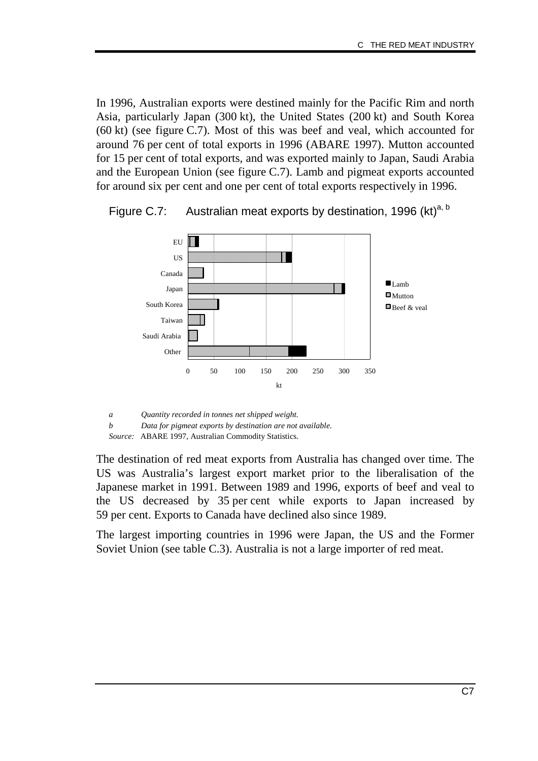In 1996, Australian exports were destined mainly for the Pacific Rim and north Asia, particularly Japan (300 kt), the United States (200 kt) and South Korea (60 kt) (see figure C.7). Most of this was beef and veal, which accounted for around 76 per cent of total exports in 1996 (ABARE 1997). Mutton accounted for 15 per cent of total exports, and was exported mainly to Japan, Saudi Arabia and the European Union (see figure C.7). Lamb and pigmeat exports accounted for around six per cent and one per cent of total exports respectively in 1996.



Figure C.7: Australian meat exports by destination, 1996 (kt)<sup>a, b</sup>

*a Quantity recorded in tonnes net shipped weight. b Data for pigmeat exports by destination are not available. Source:* ABARE 1997, Australian Commodity Statistics.

The destination of red meat exports from Australia has changed over time. The US was Australia's largest export market prior to the liberalisation of the Japanese market in 1991. Between 1989 and 1996, exports of beef and veal to the US decreased by 35 per cent while exports to Japan increased by 59 per cent. Exports to Canada have declined also since 1989.

The largest importing countries in 1996 were Japan, the US and the Former Soviet Union (see table C.3). Australia is not a large importer of red meat.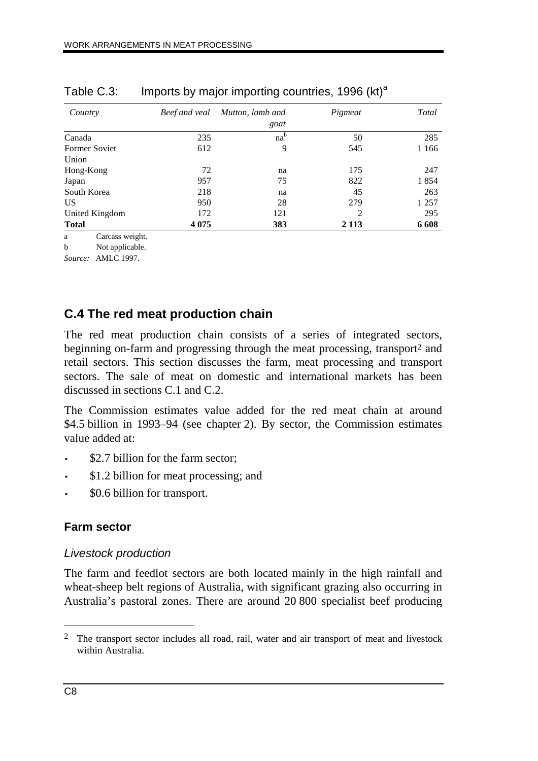| Country              | Beef and veal | Mutton, lamb and | Pigmeat        | Total   |
|----------------------|---------------|------------------|----------------|---------|
|                      |               | goat             |                |         |
| Canada               | 235           | na <sup>b</sup>  | 50             | 285     |
| <b>Former Soviet</b> | 612           | 9                | 545            | 1 1 6 6 |
| Union                |               |                  |                |         |
| Hong-Kong            | 72            | na               | 175            | 247     |
| Japan                | 957           | 75               | 822            | 1854    |
| South Korea          | 218           | na               | 45             | 263     |
| US.                  | 950           | 28               | 279            | 1 2 5 7 |
| United Kingdom       | 172           | 121              | $\overline{c}$ | 295     |
| <b>Total</b>         | 4 0 7 5       | 383              | 2 1 1 3        | 6 6 0 8 |

Table C.3: Imports by major importing countries,  $1996$  (kt)<sup>a</sup>

a Carcass weight.

b Not applicable.

*Source:* AMLC 1997.

## **C.4 The red meat production chain**

The red meat production chain consists of a series of integrated sectors, beginning on-farm and progressing through the meat processing, transport<sup>2</sup> and retail sectors. This section discusses the farm, meat processing and transport sectors. The sale of meat on domestic and international markets has been discussed in sections C.1 and C.2.

The Commission estimates value added for the red meat chain at around \$4.5 billion in 1993–94 (see chapter 2). By sector, the Commission estimates value added at:

- \$2.7 billion for the farm sector;
- \$1.2 billion for meat processing; and
- \$0.6 billion for transport.

## **Farm sector**

#### Livestock production

The farm and feedlot sectors are both located mainly in the high rainfall and wheat-sheep belt regions of Australia, with significant grazing also occurring in Australia's pastoral zones. There are around 20 800 specialist beef producing

 $\overline{a}$ 

<sup>&</sup>lt;sup>2</sup> The transport sector includes all road, rail, water and air transport of meat and livestock within Australia.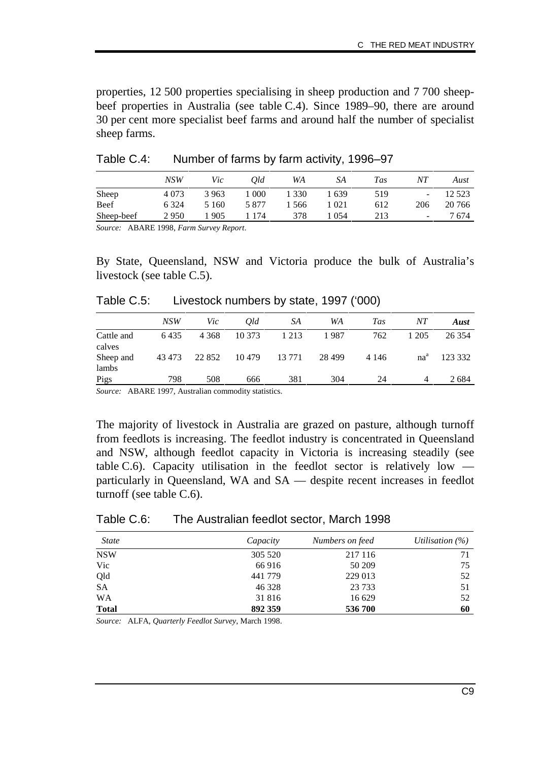properties, 12 500 properties specialising in sheep production and 7 700 sheepbeef properties in Australia (see table C.4). Since 1989–90, there are around 30 per cent more specialist beef farms and around half the number of specialist sheep farms.

|            | NSW     | Vic   | Old   | WA    | SА    | Tas | NΤ                       | Aust    |
|------------|---------|-------|-------|-------|-------|-----|--------------------------|---------|
| Sheep      | 4 0 7 3 | 3 963 | -000  | 1 330 | 1 639 | 519 | ٠                        | 12 5 23 |
| Beef       | 6 3 2 4 | 5 160 | 5 877 | 566   | 1 021 | 612 | 206                      | 20 766  |
| Sheep-beef | 2950    | 905   | 174   | 378   | 054   | 213 | $\overline{\phantom{a}}$ | 7 674   |

Table C.4: Number of farms by farm activity, 1996–97

*Source:* ABARE 1998, *Farm Survey Report*.

By State, Queensland, NSW and Victoria produce the bulk of Australia's livestock (see table C.5).

| Table C.5: | Livestock numbers by state, 1997 ('000) |  |  |  |  |
|------------|-----------------------------------------|--|--|--|--|
|------------|-----------------------------------------|--|--|--|--|

|                      | NSW    | Vic     | Old    | SA      | WA       | <b>Tas</b> | NΤ              | Aust    |
|----------------------|--------|---------|--------|---------|----------|------------|-----------------|---------|
| Cattle and<br>calves | 6435   | 4 3 6 8 | 10 373 | 1 2 1 3 | 1987     | 762        | 1 205           | 26 3 54 |
| Sheep and<br>lambs   | 43 473 | 22 8 52 | 10479  | 13 771  | 28 4 9 9 | 4 1 4 6    | na <sup>a</sup> | 123 332 |
| Pigs                 | 798    | 508     | 666    | 381     | 304      | 24         |                 | 2684    |

*Source:* ABARE 1997, Australian commodity statistics.

The majority of livestock in Australia are grazed on pasture, although turnoff from feedlots is increasing. The feedlot industry is concentrated in Queensland and NSW, although feedlot capacity in Victoria is increasing steadily (see table C.6). Capacity utilisation in the feedlot sector is relatively low  $$ particularly in Queensland, WA and SA — despite recent increases in feedlot turnoff (see table C.6).

| Table C.6:<br>The Australian feedlot sector, March 1998 |
|---------------------------------------------------------|
|---------------------------------------------------------|

| <i>State</i> | Capacity | Numbers on feed | Utilisation $(\%)$ |
|--------------|----------|-----------------|--------------------|
| <b>NSW</b>   | 305 520  | 217 116         | 71                 |
| Vic          | 66 916   | 50 209          | 75                 |
| Qld          | 441 779  | 229 013         | 52                 |
| <b>SA</b>    | 46 328   | 23 7 33         | 51                 |
| <b>WA</b>    | 31 816   | 16 629          | 52                 |
| <b>Total</b> | 892 359  | 536 700         | 60                 |

*Source:* ALFA, *Quarterly Feedlot Survey*, March 1998.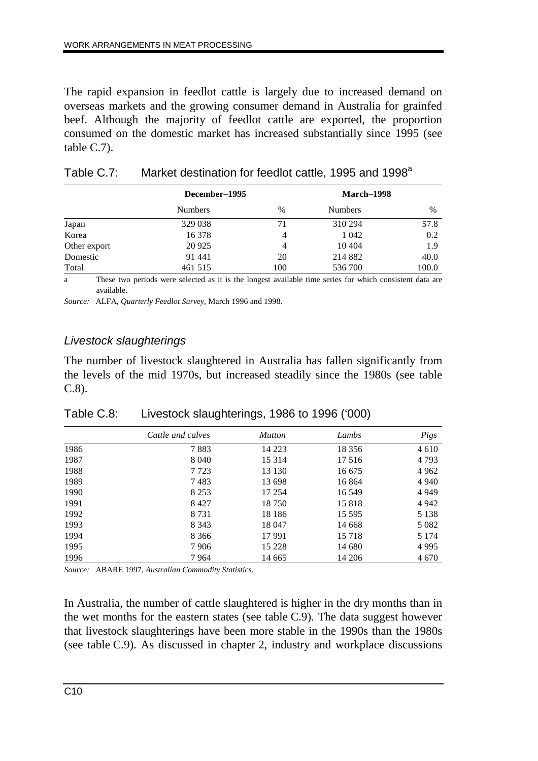The rapid expansion in feedlot cattle is largely due to increased demand on overseas markets and the growing consumer demand in Australia for grainfed beef. Although the majority of feedlot cattle are exported, the proportion consumed on the domestic market has increased substantially since 1995 (see table C.7).

|              | December-1995  |      | March–1998     |       |
|--------------|----------------|------|----------------|-------|
|              | <b>Numbers</b> | $\%$ | <b>Numbers</b> | $\%$  |
| Japan        | 329 038        | 71   | 310 294        | 57.8  |
| Korea        | 16 378         | 4    | 1 0 4 2        | 0.2   |
| Other export | 20 9 25        | 4    | 10 404         | 1.9   |
| Domestic     | 91 441         | 20   | 214 882        | 40.0  |
| Total        | 461 515        | 100  | 536 700        | 100.0 |

| Table C.7: | Market destination for feedlot cattle, 1995 and 1998 <sup>a</sup> |  |  |
|------------|-------------------------------------------------------------------|--|--|
|            |                                                                   |  |  |

a These two periods were selected as it is the longest available time series for which consistent data are available.

*Source:* ALFA, *Quarterly Feedlot Survey*, March 1996 and 1998.

#### Livestock slaughterings

The number of livestock slaughtered in Australia has fallen significantly from the levels of the mid 1970s, but increased steadily since the 1980s (see table C.8).

|      | Cattle and calves | <b>Mutton</b> | Lambs    | Pigs    |
|------|-------------------|---------------|----------|---------|
| 1986 | 7883              | 14 2 23       | 18 3 5 6 | 4 6 1 0 |
| 1987 | 8 0 4 0           | 15 3 14       | 17 516   | 4 7 9 3 |
| 1988 | 7723              | 13 130        | 16 675   | 4 9 6 2 |
| 1989 | 7483              | 13 698        | 16864    | 4 9 4 0 |
| 1990 | 8 2 5 3           | 17 254        | 16 549   | 4 9 4 9 |
| 1991 | 8 4 2 7           | 18750         | 15818    | 4 9 4 2 |
| 1992 | 8 7 3 1           | 18 18 6       | 15 5 95  | 5 1 3 8 |
| 1993 | 8 3 4 3           | 18 047        | 14 668   | 5 0 8 2 |
| 1994 | 8 3 6 6           | 17991         | 15 7 18  | 5 1 7 4 |
| 1995 | 7906              | 15 228        | 14 680   | 4995    |
| 1996 | 7964              | 14 665        | 14 20 6  | 4 6 7 0 |

Table C.8: Livestock slaughterings, 1986 to 1996 ('000)

*Source:* ABARE 1997, *Australian Commodity Statistics*.

In Australia, the number of cattle slaughtered is higher in the dry months than in the wet months for the eastern states (see table C.9). The data suggest however that livestock slaughterings have been more stable in the 1990s than the 1980s (see table C.9). As discussed in chapter 2, industry and workplace discussions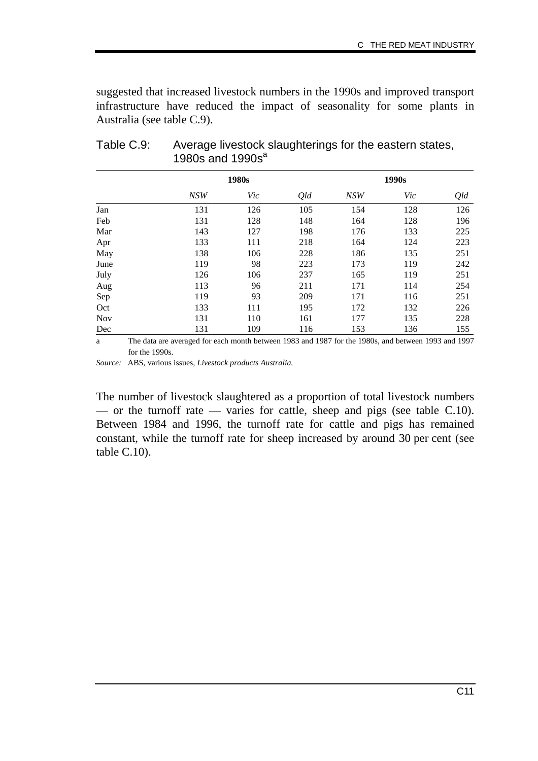suggested that increased livestock numbers in the 1990s and improved transport infrastructure have reduced the impact of seasonality for some plants in Australia (see table C.9).

|            | 1980s      |     | 1990s |            |     |     |
|------------|------------|-----|-------|------------|-----|-----|
|            | <b>NSW</b> | Vic | Qld   | <b>NSW</b> | Vic | Qld |
| Jan        | 131        | 126 | 105   | 154        | 128 | 126 |
| Feb        | 131        | 128 | 148   | 164        | 128 | 196 |
| Mar        | 143        | 127 | 198   | 176        | 133 | 225 |
| Apr        | 133        | 111 | 218   | 164        | 124 | 223 |
| May        | 138        | 106 | 228   | 186        | 135 | 251 |
| June       | 119        | 98  | 223   | 173        | 119 | 242 |
| July       | 126        | 106 | 237   | 165        | 119 | 251 |
| Aug        | 113        | 96  | 211   | 171        | 114 | 254 |
| Sep        | 119        | 93  | 209   | 171        | 116 | 251 |
| Oct        | 133        | 111 | 195   | 172        | 132 | 226 |
| <b>Nov</b> | 131        | 110 | 161   | 177        | 135 | 228 |
| Dec        | 131        | 109 | 116   | 153        | 136 | 155 |

Table C.9: Average livestock slaughterings for the eastern states, 1980s and  $1990s^a$ 

a The data are averaged for each month between 1983 and 1987 for the 1980s, and between 1993 and 1997 for the 1990s.

*Source:* ABS, various issues, *Livestock products Australia.*

The number of livestock slaughtered as a proportion of total livestock numbers — or the turnoff rate — varies for cattle, sheep and pigs (see table  $C.10$ ). Between 1984 and 1996, the turnoff rate for cattle and pigs has remained constant, while the turnoff rate for sheep increased by around 30 per cent (see table C.10).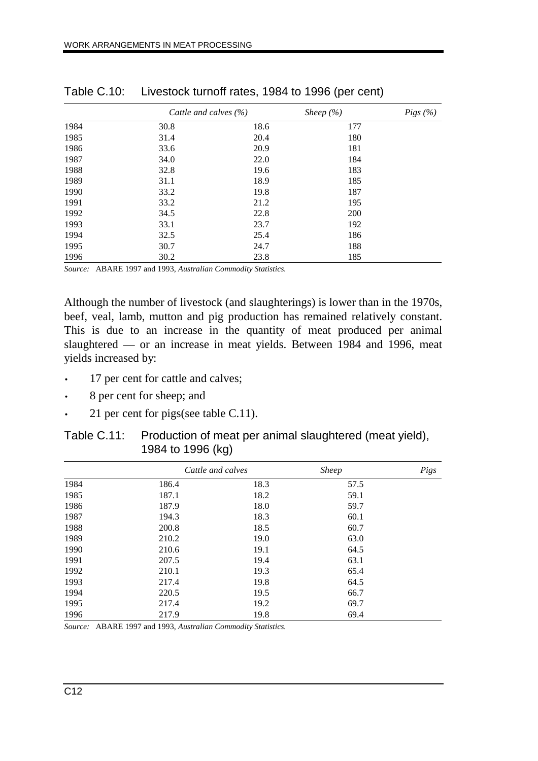|      | Cattle and calves $(\% )$ |      | Sheep $(\% )$ | Pigs (%) |
|------|---------------------------|------|---------------|----------|
| 1984 | 30.8                      | 18.6 | 177           |          |
| 1985 | 31.4                      | 20.4 | 180           |          |
| 1986 | 33.6                      | 20.9 | 181           |          |
| 1987 | 34.0                      | 22.0 | 184           |          |
| 1988 | 32.8                      | 19.6 | 183           |          |
| 1989 | 31.1                      | 18.9 | 185           |          |
| 1990 | 33.2                      | 19.8 | 187           |          |
| 1991 | 33.2                      | 21.2 | 195           |          |
| 1992 | 34.5                      | 22.8 | 200           |          |
| 1993 | 33.1                      | 23.7 | 192           |          |
| 1994 | 32.5                      | 25.4 | 186           |          |
| 1995 | 30.7                      | 24.7 | 188           |          |
| 1996 | 30.2                      | 23.8 | 185           |          |

Table C.10: Livestock turnoff rates, 1984 to 1996 (per cent)

*Source:* ABARE 1997 and 1993, *Australian Commodity Statistics.*

Although the number of livestock (and slaughterings) is lower than in the 1970s, beef, veal, lamb, mutton and pig production has remained relatively constant. This is due to an increase in the quantity of meat produced per animal slaughtered — or an increase in meat yields. Between 1984 and 1996, meat yields increased by:

- 17 per cent for cattle and calves;
- 8 per cent for sheep; and
- 21 per cent for pigs(see table C.11).

| Table C.11: Production of meat per animal slaughtered (meat yield), |
|---------------------------------------------------------------------|
| 1984 to 1996 (kg)                                                   |

|      |       | Cattle and calves | <b>Sheep</b> | Pigs |
|------|-------|-------------------|--------------|------|
| 1984 | 186.4 | 18.3              | 57.5         |      |
| 1985 | 187.1 | 18.2              | 59.1         |      |
| 1986 | 187.9 | 18.0              | 59.7         |      |
| 1987 | 194.3 | 18.3              | 60.1         |      |
| 1988 | 200.8 | 18.5              | 60.7         |      |
| 1989 | 210.2 | 19.0              | 63.0         |      |
| 1990 | 210.6 | 19.1              | 64.5         |      |
| 1991 | 207.5 | 19.4              | 63.1         |      |
| 1992 | 210.1 | 19.3              | 65.4         |      |
| 1993 | 217.4 | 19.8              | 64.5         |      |
| 1994 | 220.5 | 19.5              | 66.7         |      |
| 1995 | 217.4 | 19.2              | 69.7         |      |
| 1996 | 217.9 | 19.8              | 69.4         |      |

*Source:* ABARE 1997 and 1993, *Australian Commodity Statistics.*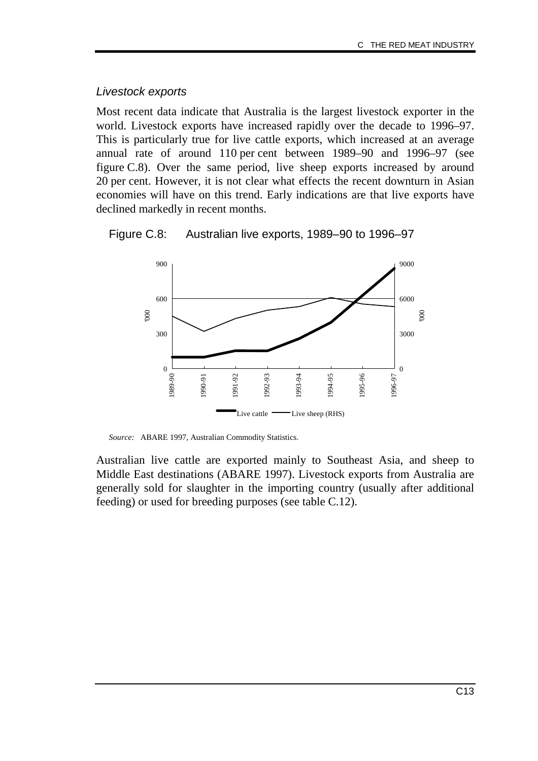#### Livestock exports

Most recent data indicate that Australia is the largest livestock exporter in the world. Livestock exports have increased rapidly over the decade to 1996–97. This is particularly true for live cattle exports, which increased at an average annual rate of around 110 per cent between 1989–90 and 1996–97 (see figure C.8). Over the same period, live sheep exports increased by around 20 per cent. However, it is not clear what effects the recent downturn in Asian economies will have on this trend. Early indications are that live exports have declined markedly in recent months.





*Source:* ABARE 1997, Australian Commodity Statistics.

Australian live cattle are exported mainly to Southeast Asia, and sheep to Middle East destinations (ABARE 1997). Livestock exports from Australia are generally sold for slaughter in the importing country (usually after additional feeding) or used for breeding purposes (see table C.12).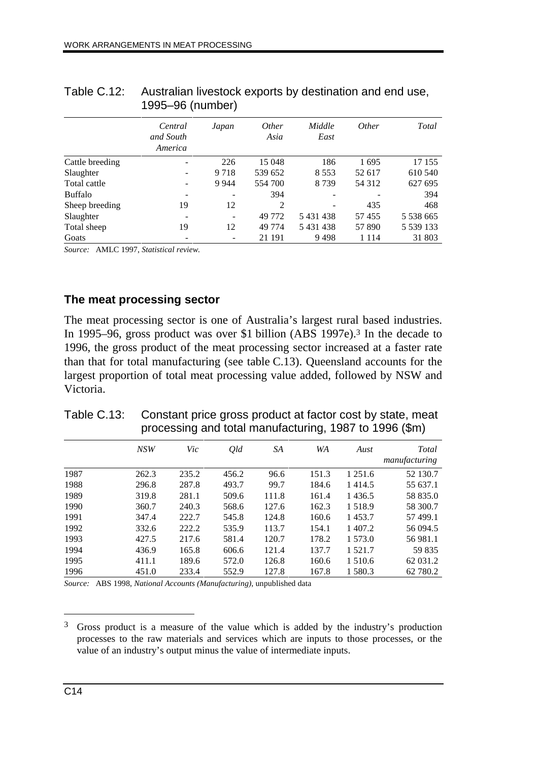|                 | Central<br>and South<br>America | Japan   | <i>Other</i><br>Asia | Middle<br>East | <i>Other</i> | Total         |
|-----------------|---------------------------------|---------|----------------------|----------------|--------------|---------------|
| Cattle breeding | $\qquad \qquad \blacksquare$    | 226     | 15 048               | 186            | 1695         | 17 155        |
| Slaughter       | $\overline{\phantom{a}}$        | 9 7 1 8 | 539 652              | 8 5 5 3        | 52 617       | 610 540       |
| Total cattle    | $\qquad \qquad -$               | 9 9 4 4 | 554 700              | 8739           | 54 3 12      | 627 695       |
| <b>Buffalo</b>  | -                               |         | 394                  |                |              | 394           |
| Sheep breeding  | 19                              | 12      | 2                    |                | 435          | 468           |
| Slaughter       | -                               |         | 49 772               | 5431438        | 57455        | 5 538 665     |
| Total sheep     | 19                              | 12      | 49 7 74              | 5431438        | 57 890       | 5 5 3 9 1 3 3 |
| Goats           | $\overline{\phantom{a}}$        |         | 21 191               | 9498           | 1 1 1 4      | 31 803        |

| Table C.12: Australian livestock exports by destination and end use, |
|----------------------------------------------------------------------|
| 1995–96 (number)                                                     |

*Source:* AMLC 1997, *Statistical review.*

### **The meat processing sector**

The meat processing sector is one of Australia's largest rural based industries. In 1995–96, gross product was over \$1 billion (ABS 1997e).<sup>3</sup> In the decade to 1996, the gross product of the meat processing sector increased at a faster rate than that for total manufacturing (see table C.13). Queensland accounts for the largest proportion of total meat processing value added, followed by NSW and Victoria.

|      |       | processing and total mandiactumly, 1907 to 1990 (will) |       |       |       |             |                        |  |
|------|-------|--------------------------------------------------------|-------|-------|-------|-------------|------------------------|--|
|      | NSW   | Vic                                                    | Qld   | SA    | WA    | Aust        | Total<br>manufacturing |  |
| 1987 | 262.3 | 235.2                                                  | 456.2 | 96.6  | 151.3 | 1 2 5 1 .6  | 52 130.7               |  |
| 1988 | 296.8 | 287.8                                                  | 493.7 | 99.7  | 184.6 | 1414.5      | 55 637.1               |  |
| 1989 | 319.8 | 281.1                                                  | 509.6 | 111.8 | 161.4 | 1436.5      | 58 835.0               |  |
| 1990 | 360.7 | 240.3                                                  | 568.6 | 127.6 | 162.3 | 1518.9      | 58 300.7               |  |
| 1991 | 347.4 | 222.7                                                  | 545.8 | 124.8 | 160.6 | 1453.7      | 57 499.1               |  |
| 1992 | 332.6 | 222.2                                                  | 535.9 | 113.7 | 154.1 | 1 407.2     | 56 094.5               |  |
| 1993 | 427.5 | 217.6                                                  | 581.4 | 120.7 | 178.2 | 1 573.0     | 56 981.1               |  |
| 1994 | 436.9 | 165.8                                                  | 606.6 | 121.4 | 137.7 | 1 5 2 1 . 7 | 59 835                 |  |
| 1995 | 411.1 | 189.6                                                  | 572.0 | 126.8 | 160.6 | 1 5 1 0 .6  | 62 031.2               |  |
| 1996 | 451.0 | 233.4                                                  | 552.9 | 127.8 | 167.8 | 1 580.3     | 62 780.2               |  |

Table C.13: Constant price gross product at factor cost by state, meat processing and total manufacturing, 1987 to 1996 (\$m)

*Source:* ABS 1998, *National Accounts (Manufacturing)*, unpublished data

 $\overline{a}$ 

<sup>3</sup> Gross product is a measure of the value which is added by the industry's production processes to the raw materials and services which are inputs to those processes, or the value of an industry's output minus the value of intermediate inputs.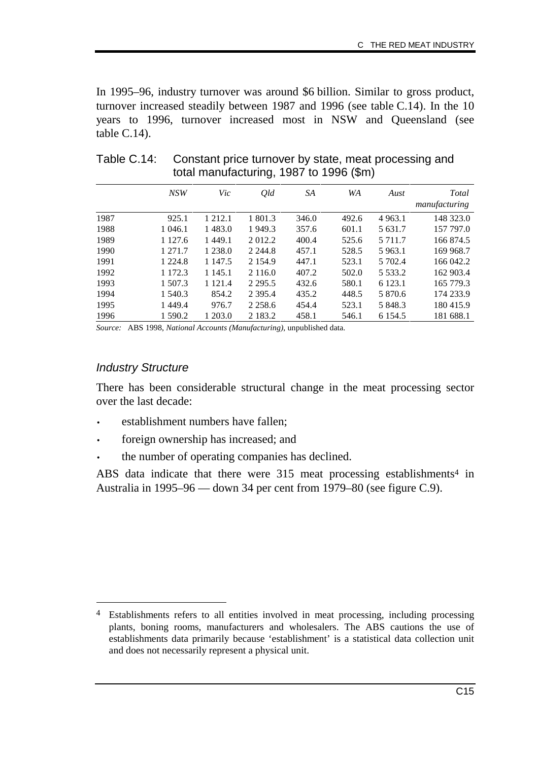In 1995–96, industry turnover was around \$6 billion. Similar to gross product, turnover increased steadily between 1987 and 1996 (see table C.14). In the 10 years to 1996, turnover increased most in NSW and Queensland (see table C.14).

|      | <b>NSW</b>  | Vic         | Qld         | SA    | WA    | Aust        | Total<br>manufacturing |
|------|-------------|-------------|-------------|-------|-------|-------------|------------------------|
| 1987 | 925.1       | 1 2 1 2 . 1 | 1 801.3     | 346.0 | 492.6 | 4 9 6 3 .1  | 148 323.0              |
| 1988 | 1 046.1     | 1483.0      | 1 949.3     | 357.6 | 601.1 | 5 631.7     | 157 797.0              |
| 1989 | 1 1 2 7 . 6 | 1449.1      | 2 012.2     | 400.4 | 525.6 | 5 7 1 1 . 7 | 166 874.5              |
| 1990 | 1 271.7     | 1 2 3 8 .0  | 2 2 4 4 .8  | 457.1 | 528.5 | 5 963.1     | 169 968.7              |
| 1991 | 1 2 2 4 .8  | 1 147.5     | 2 1 5 4 9   | 447.1 | 523.1 | 5 702.4     | 166 042.2              |
| 1992 | 1 1 7 2 . 3 | 1 1 4 5 .1  | 2 1 1 6 .0  | 407.2 | 502.0 | 5 5 3 3 . 2 | 162 903.4              |
| 1993 | 1 507.3     | 1 1 2 1 .4  | 2 2 9 5 .5  | 432.6 | 580.1 | 6 1 2 3 .1  | 165 779.3              |
| 1994 | 1 540.3     | 854.2       | 2 3 9 5 .4  | 435.2 | 448.5 | 5 870.6     | 174 233.9              |
| 1995 | 1449.4      | 976.7       | 2 2 5 8 . 6 | 454.4 | 523.1 | 5 848.3     | 180415.9               |
| 1996 | 1 590.2     | 1 203.0     | 2 1 8 3 .2  | 458.1 | 546.1 | 6 1 5 4 .5  | 181 688.1              |

Table C.14: Constant price turnover by state, meat processing and total manufacturing, 1987 to 1996 (\$m)

*Source:* ABS 1998, *National Accounts (Manufacturing)*, unpublished data.

## Industry Structure

-

There has been considerable structural change in the meat processing sector over the last decade:

- establishment numbers have fallen;
- foreign ownership has increased; and
- the number of operating companies has declined.

ABS data indicate that there were 315 meat processing establishments<sup>4</sup> in Australia in 1995–96 — down 34 per cent from 1979–80 (see figure C.9).

<sup>4</sup> Establishments refers to all entities involved in meat processing, including processing plants, boning rooms, manufacturers and wholesalers. The ABS cautions the use of establishments data primarily because 'establishment' is a statistical data collection unit and does not necessarily represent a physical unit.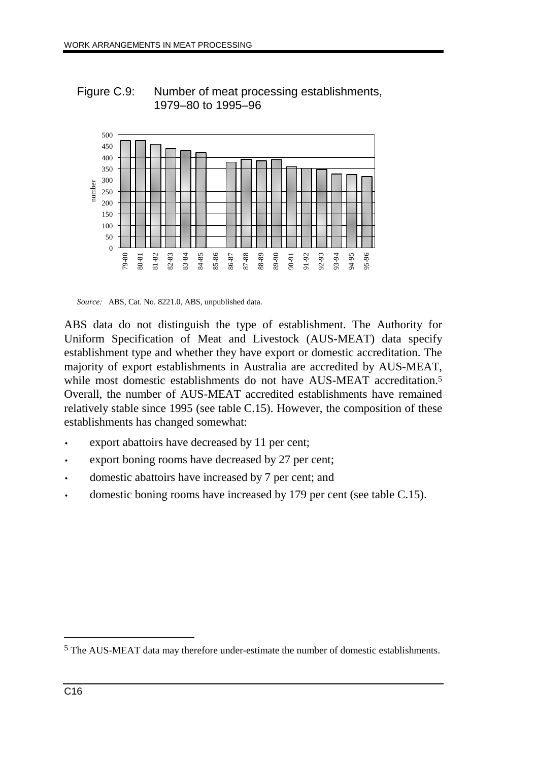

Figure C.9: Number of meat processing establishments, 1979–80 to 1995–96



ABS data do not distinguish the type of establishment. The Authority for Uniform Specification of Meat and Livestock (AUS-MEAT) data specify establishment type and whether they have export or domestic accreditation. The majority of export establishments in Australia are accredited by AUS-MEAT, while most domestic establishments do not have AUS-MEAT accreditation.<sup>5</sup> Overall, the number of AUS-MEAT accredited establishments have remained relatively stable since 1995 (see table C.15). However, the composition of these establishments has changed somewhat:

- export abattoirs have decreased by 11 per cent;
- export boning rooms have decreased by 27 per cent;
- domestic abattoirs have increased by 7 per cent; and
- domestic boning rooms have increased by 179 per cent (see table C.15).

 $\overline{a}$ 

<sup>5</sup> The AUS-MEAT data may therefore under-estimate the number of domestic establishments.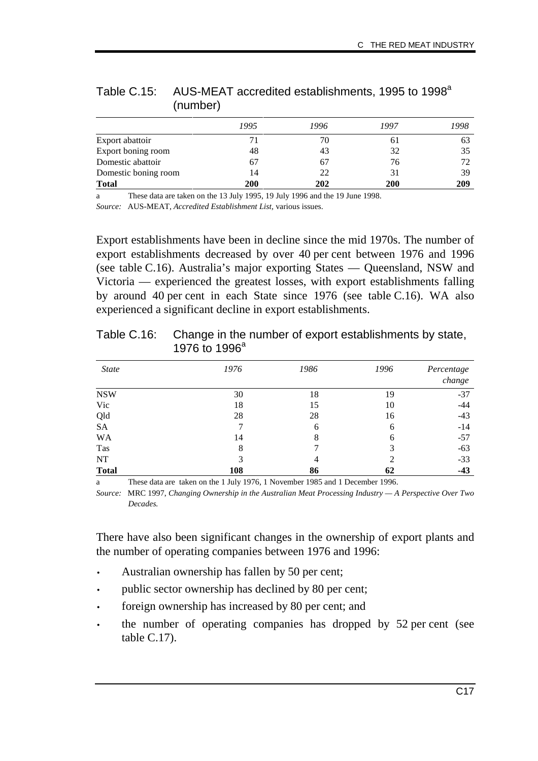|                      | 1995 | 1996 | 1997 | 1998 |
|----------------------|------|------|------|------|
| Export abattoir      | 71   | 70   | 61   | 63   |
| Export boning room   | 48   | 43   | 32   | 35   |
| Domestic abattoir    | 67   | 67   | 76   |      |
| Domestic boning room | 14   | 22   | 31   | 39   |
| <b>Total</b>         | 200  | 202  | 200  | 209  |

Table C.15: AUS-MEAT accredited establishments, 1995 to 1998<sup>a</sup> (number)

a These data are taken on the 13 July 1995, 19 July 1996 and the 19 June 1998.

*Source:* AUS-MEAT, *Accredited Establishment List,* various issues.

Export establishments have been in decline since the mid 1970s. The number of export establishments decreased by over 40 per cent between 1976 and 1996 (see table C.16). Australia's major exporting States — Queensland, NSW and Victoria — experienced the greatest losses, with export establishments falling by around 40 per cent in each State since 1976 (see table C.16). WA also experienced a significant decline in export establishments.

| <b>State</b> | 1976 | 1986 | 1996 | Percentage<br>change |
|--------------|------|------|------|----------------------|
| <b>NSW</b>   | 30   | 18   | 19   | $-37$                |
| Vic          | 18   | 15   | 10   | $-44$                |
| Qld          | 28   | 28   | 16   | $-43$                |
| <b>SA</b>    |      | 6    | 6    | $-14$                |
| WA           | 14   | 8    | 6    | $-57$                |
| Tas          | 8    |      | 3    | $-63$                |
| NT           | 3    | 4    |      | $-33$                |
| <b>Total</b> | 108  | 86   | 62   | $-43$                |

Table C.16: Change in the number of export establishments by state, 1976 to 1996<sup>a</sup>

a These data are taken on the 1 July 1976, 1 November 1985 and 1 December 1996.

*Source:* MRC 1997, *Changing Ownership in the Australian Meat Processing Industry — A Perspective Over Two Decades.*

There have also been significant changes in the ownership of export plants and the number of operating companies between 1976 and 1996:

- Australian ownership has fallen by 50 per cent;
- public sector ownership has declined by 80 per cent;
- foreign ownership has increased by 80 per cent; and
- the number of operating companies has dropped by 52 per cent (see table C.17).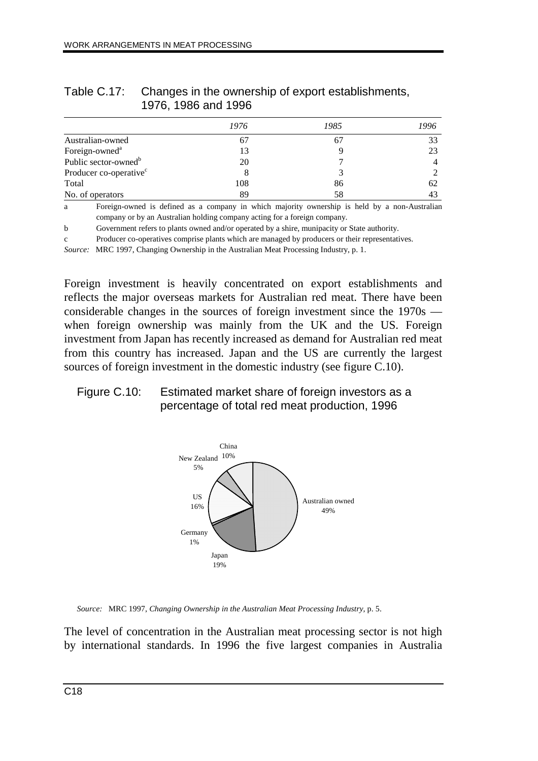|                                    | 1976 | 1985 | 1996 |
|------------------------------------|------|------|------|
| Australian-owned                   | 67   | 67   | 33   |
| Foreign-owned <sup>a</sup>         | 13   |      | 23   |
| Public sector-owned <sup>b</sup>   | 20   |      |      |
| Producer co-operative <sup>c</sup> | 8    |      |      |
| Total                              | 108  | 86   | 62   |
| No. of operators                   | 89   | 58   | 43   |

### Table C.17: Changes in the ownership of export establishments, 1976, 1986 and 1996

a Foreign-owned is defined as a company in which majority ownership is held by a non-Australian company or by an Australian holding company acting for a foreign company.

b Government refers to plants owned and/or operated by a shire, munipacity or State authority.

c Producer co-operatives comprise plants which are managed by producers or their representatives.

*Source:* MRC 1997, Changing Ownership in the Australian Meat Processing Industry, p. 1.

Foreign investment is heavily concentrated on export establishments and reflects the major overseas markets for Australian red meat. There have been considerable changes in the sources of foreign investment since the 1970s when foreign ownership was mainly from the UK and the US. Foreign investment from Japan has recently increased as demand for Australian red meat from this country has increased. Japan and the US are currently the largest sources of foreign investment in the domestic industry (see figure C.10).

### Figure C.10: Estimated market share of foreign investors as a percentage of total red meat production, 1996



*Source:* MRC 1997, *Changing Ownership in the Australian Meat Processing Industry,* p. 5.

The level of concentration in the Australian meat processing sector is not high by international standards. In 1996 the five largest companies in Australia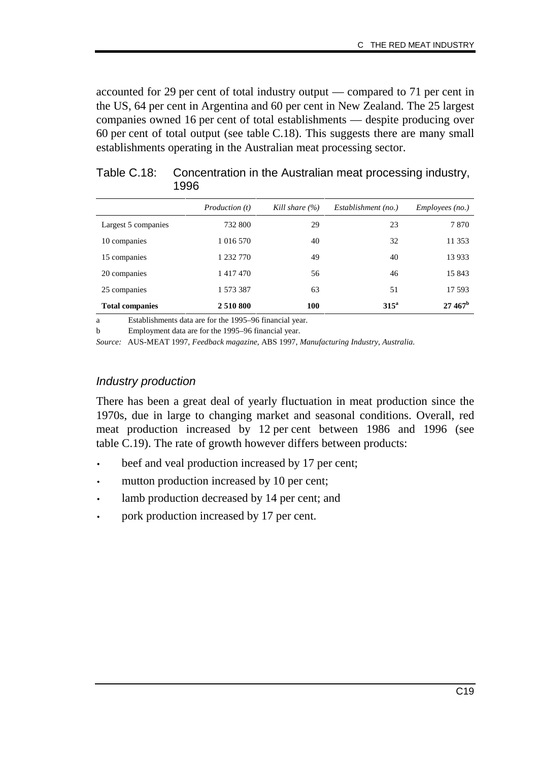accounted for 29 per cent of total industry output — compared to 71 per cent in the US, 64 per cent in Argentina and 60 per cent in New Zealand. The 25 largest companies owned 16 per cent of total establishments — despite producing over 60 per cent of total output (see table C.18). This suggests there are many small establishments operating in the Australian meat processing sector.

|                        | <i>Production</i> ( <i>t</i> ) | Kill share $(\% )$ | Establishment (no.) | <i>Employees (no.)</i> |
|------------------------|--------------------------------|--------------------|---------------------|------------------------|
| Largest 5 companies    | 732 800                        | 29                 | 23                  | 7870                   |
| 10 companies           | 1 016 570                      | 40                 | 32                  | 11 353                 |
| 15 companies           | 1 232 770                      | 49                 | 40                  | 13 9 33                |
| 20 companies           | 1417470                        | 56                 | 46                  | 15 843                 |
| 25 companies           | 1 573 387                      | 63                 | 51                  | 17 593                 |
| <b>Total companies</b> | 2 5 10 8 00                    | 100                | 315 <sup>a</sup>    | $27.467^{\rm b}$       |

## Table C.18: Concentration in the Australian meat processing industry, 1996

a Establishments data are for the 1995–96 financial year.

b Employment data are for the 1995–96 financial year.

*Source:* AUS-MEAT 1997, *Feedback magazine,* ABS 1997, *Manufacturing Industry, Australia.*

#### Industry production

There has been a great deal of yearly fluctuation in meat production since the 1970s, due in large to changing market and seasonal conditions. Overall, red meat production increased by 12 per cent between 1986 and 1996 (see table C.19). The rate of growth however differs between products:

- beef and veal production increased by 17 per cent;
- mutton production increased by 10 per cent;
- lamb production decreased by 14 per cent; and
- pork production increased by 17 per cent.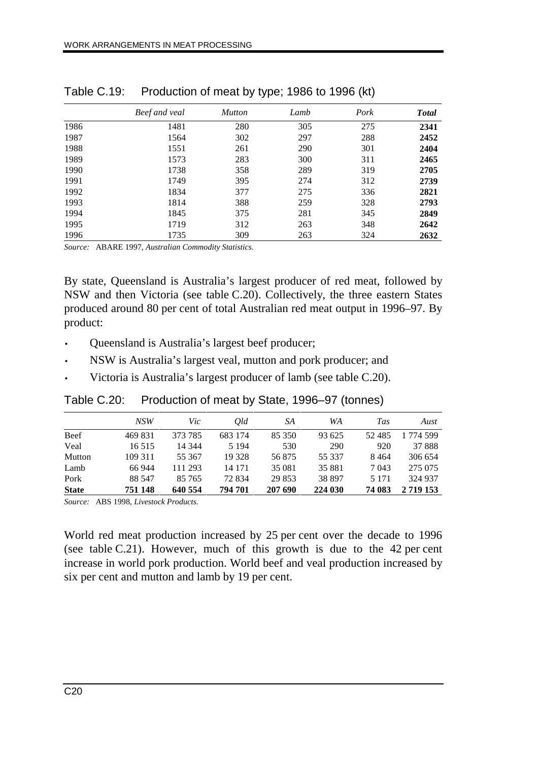|      | Beef and veal | <b>Mutton</b> | Lamb | Pork | <b>Total</b> |
|------|---------------|---------------|------|------|--------------|
| 1986 | 1481          | 280           | 305  | 275  | 2341         |
| 1987 | 1564          | 302           | 297  | 288  | 2452         |
| 1988 | 1551          | 261           | 290  | 301  | 2404         |
| 1989 | 1573          | 283           | 300  | 311  | 2465         |
| 1990 | 1738          | 358           | 289  | 319  | 2705         |
| 1991 | 1749          | 395           | 274  | 312  | 2739         |
| 1992 | 1834          | 377           | 275  | 336  | 2821         |
| 1993 | 1814          | 388           | 259  | 328  | 2793         |
| 1994 | 1845          | 375           | 281  | 345  | 2849         |
| 1995 | 1719          | 312           | 263  | 348  | 2642         |
| 1996 | 1735          | 309           | 263  | 324  | 2632         |

| Table C.19: | Production of meat by type; 1986 to 1996 (kt) |  |
|-------------|-----------------------------------------------|--|
|-------------|-----------------------------------------------|--|

*Source:* ABARE 1997, *Australian Commodity Statistics.*

By state, Queensland is Australia's largest producer of red meat, followed by NSW and then Victoria (see table C.20). Collectively, the three eastern States produced around 80 per cent of total Australian red meat output in 1996–97. By product:

- Queensland is Australia's largest beef producer;
- NSW is Australia's largest veal, mutton and pork producer; and
- Victoria is Australia's largest producer of lamb (see table C.20).

Table C.20: Production of meat by State, 1996–97 (tonnes)

|              | NSW     | Vic     | Old     | SA      | WA      | <b>Tas</b> | Aust         |
|--------------|---------|---------|---------|---------|---------|------------|--------------|
| Beef         | 469 831 | 373 785 | 683 174 | 85 350  | 93 625  | 52485      | 1 774 599    |
| Veal         | 16 5 15 | 14 344  | 5 1 9 4 | 530     | 290     | 920        | 37888        |
| Mutton       | 109 311 | 55 367  | 19 328  | 56875   | 55 337  | 8464       | 306 654      |
| Lamb         | 66 944  | 111 293 | 14 171  | 35 081  | 35 881  | 7 0 4 3    | 275 075      |
| Pork         | 88 547  | 85 765  | 72834   | 29 853  | 38 897  | 5 1 7 1    | 324 937      |
| <b>State</b> | 751 148 | 640 554 | 794 701 | 207 690 | 224 030 | 74 083     | 2 7 19 1 5 3 |
|              |         |         |         |         |         |            |              |

*Source:* ABS 1998, *Livestock Products.*

World red meat production increased by 25 per cent over the decade to 1996 (see table C.21). However, much of this growth is due to the 42 per cent increase in world pork production. World beef and veal production increased by six per cent and mutton and lamb by 19 per cent.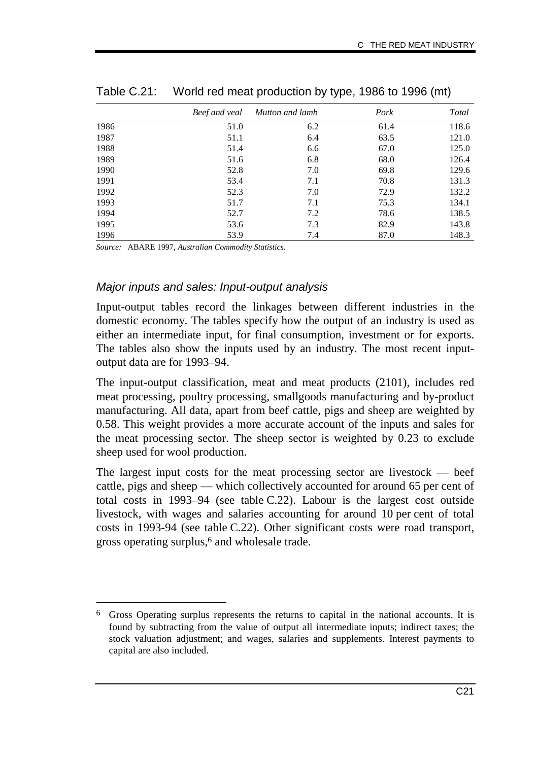|      | Beef and veal | Mutton and lamb | Pork | Total |
|------|---------------|-----------------|------|-------|
| 1986 | 51.0          | 6.2             | 61.4 | 118.6 |
| 1987 | 51.1          | 6.4             | 63.5 | 121.0 |
| 1988 | 51.4          | 6.6             | 67.0 | 125.0 |
| 1989 | 51.6          | 6.8             | 68.0 | 126.4 |
| 1990 | 52.8          | 7.0             | 69.8 | 129.6 |
| 1991 | 53.4          | 7.1             | 70.8 | 131.3 |
| 1992 | 52.3          | 7.0             | 72.9 | 132.2 |
| 1993 | 51.7          | 7.1             | 75.3 | 134.1 |
| 1994 | 52.7          | 7.2             | 78.6 | 138.5 |
| 1995 | 53.6          | 7.3             | 82.9 | 143.8 |
| 1996 | 53.9          | 7.4             | 87.0 | 148.3 |

Table C.21: World red meat production by type, 1986 to 1996 (mt)

*Source:* ABARE 1997, *Australian Commodity Statistics.*

-

### Major inputs and sales: Input-output analysis

Input-output tables record the linkages between different industries in the domestic economy. The tables specify how the output of an industry is used as either an intermediate input, for final consumption, investment or for exports. The tables also show the inputs used by an industry. The most recent inputoutput data are for 1993–94.

The input-output classification, meat and meat products (2101), includes red meat processing, poultry processing, smallgoods manufacturing and by-product manufacturing. All data, apart from beef cattle, pigs and sheep are weighted by 0.58. This weight provides a more accurate account of the inputs and sales for the meat processing sector. The sheep sector is weighted by 0.23 to exclude sheep used for wool production.

The largest input costs for the meat processing sector are livestock — beef cattle, pigs and sheep — which collectively accounted for around 65 per cent of total costs in 1993–94 (see table C.22). Labour is the largest cost outside livestock, with wages and salaries accounting for around 10 per cent of total costs in 1993-94 (see table C.22). Other significant costs were road transport, gross operating surplus,6 and wholesale trade.

<sup>6</sup> Gross Operating surplus represents the returns to capital in the national accounts. It is found by subtracting from the value of output all intermediate inputs; indirect taxes; the stock valuation adjustment; and wages, salaries and supplements. Interest payments to capital are also included.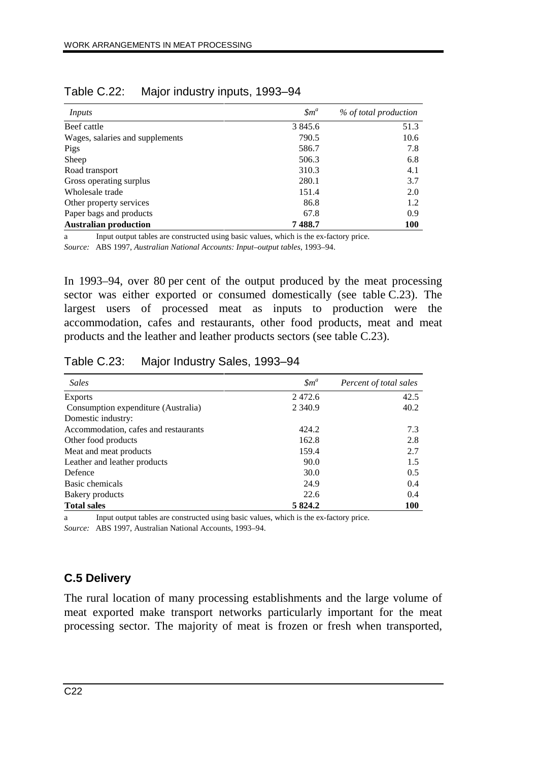| Inputs                          | $\mathfrak{Sm}^a$ | % of total production |
|---------------------------------|-------------------|-----------------------|
| Beef cattle                     | 3 845.6           | 51.3                  |
| Wages, salaries and supplements | 790.5             | 10.6                  |
| Pigs                            | 586.7             | 7.8                   |
| Sheep                           | 506.3             | 6.8                   |
| Road transport                  | 310.3             | 4.1                   |
| Gross operating surplus         | 280.1             | 3.7                   |
| Wholesale trade                 | 151.4             | 2.0                   |
| Other property services         | 86.8              | 1.2                   |
| Paper bags and products         | 67.8              | 0.9                   |
| <b>Australian production</b>    | 7488.7            | <b>100</b>            |

Table C.22: Major industry inputs, 1993–94

a Input output tables are constructed using basic values, which is the ex-factory price. *Source:* ABS 1997, *Australian National Accounts: Input–output tables*, 1993–94.

In 1993–94, over 80 per cent of the output produced by the meat processing sector was either exported or consumed domestically (see table C.23). The largest users of processed meat as inputs to production were the accommodation, cafes and restaurants, other food products, meat and meat products and the leather and leather products sectors (see table C.23).

| Table C.23:<br>Major Industry Sales, 1993–94 |                  |                        |
|----------------------------------------------|------------------|------------------------|
| <b>Sales</b>                                 | $\mathfrak{m}^a$ | Percent of total sales |
| <b>Exports</b>                               | 2472.6           | 42.5                   |
| Consumption expenditure (Australia)          | 2 3 4 0.9        | 40.2                   |
| Domestic industry:                           |                  |                        |
| Accommodation, cafes and restaurants         | 424.2            | 7.3                    |
| Other food products                          | 162.8            | 2.8                    |
| Meat and meat products                       | 159.4            | 2.7                    |
| Leather and leather products                 | 90.0             | 1.5                    |
| Defence                                      | 30.0             | 0.5                    |
| Basic chemicals                              | 24.9             | 0.4                    |

Table C.23: Major Industry Sales, 1993–94

a Input output tables are constructed using basic values, which is the ex-factory price.

Bakery products and the control of the control of the control of the control of the control of the control of the control of the control of the control of the control of the control of the control of the control of the con **Total sales** 5 824.2 100

*Source:* ABS 1997, Australian National Accounts, 1993–94.

# **C.5 Delivery**

The rural location of many processing establishments and the large volume of meat exported make transport networks particularly important for the meat processing sector. The majority of meat is frozen or fresh when transported,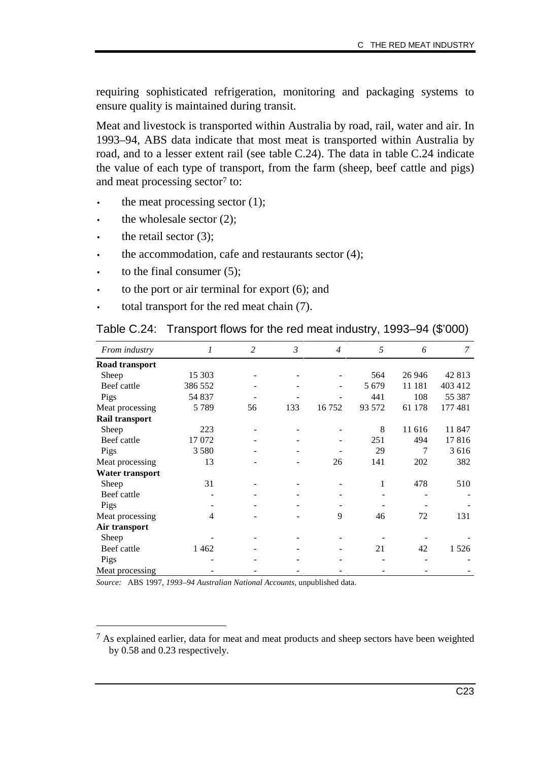requiring sophisticated refrigeration, monitoring and packaging systems to ensure quality is maintained during transit.

Meat and livestock is transported within Australia by road, rail, water and air. In 1993–94, ABS data indicate that most meat is transported within Australia by road, and to a lesser extent rail (see table C.24). The data in table C.24 indicate the value of each type of transport, from the farm (sheep, beef cattle and pigs) and meat processing sector<sup>7</sup> to:

- the meat processing sector  $(1)$ ;
- the wholesale sector  $(2)$ ;
- the retail sector  $(3)$ ;

-

- the accommodation, cafe and restaurants sector  $(4)$ ;
- to the final consumer  $(5)$ :
- to the port or air terminal for export  $(6)$ ; and
- total transport for the red meat chain (7).

| From industry          | 1       | 2  | $\mathfrak{Z}$ | $\overline{4}$ | 5       | 6       | 7       |
|------------------------|---------|----|----------------|----------------|---------|---------|---------|
| Road transport         |         |    |                |                |         |         |         |
| Sheep                  | 15 303  |    |                |                | 564     | 26 94 6 | 42813   |
| Beef cattle            | 386 552 |    |                |                | 5 6 7 9 | 11 181  | 403 412 |
| Pigs                   | 54 837  |    |                |                | 441     | 108     | 55 387  |
| Meat processing        | 5789    | 56 | 133            | 16752          | 93 572  | 61 178  | 177 481 |
| Rail transport         |         |    |                |                |         |         |         |
| Sheep                  | 223     |    |                |                | 8       | 11 616  | 11 847  |
| Beef cattle            | 17 072  |    |                |                | 251     | 494     | 17816   |
| Pigs                   | 3 5 8 0 |    |                |                | 29      | 7       | 3616    |
| Meat processing        | 13      |    |                | 26             | 141     | 202     | 382     |
| <b>Water transport</b> |         |    |                |                |         |         |         |
| Sheep                  | 31      |    |                |                | 1       | 478     | 510     |
| Beef cattle            |         |    |                |                |         |         |         |
| Pigs                   |         |    |                |                |         |         |         |
| Meat processing        | 4       |    |                | 9              | 46      | 72      | 131     |
| Air transport          |         |    |                |                |         |         |         |
| Sheep                  |         |    |                |                |         |         |         |
| Beef cattle            | 1462    |    |                |                | 21      | 42      | 1 5 2 6 |
| Pigs                   |         |    |                |                |         |         |         |
| Meat processing        |         |    |                |                |         |         |         |

Table C.24: Transport flows for the red meat industry, 1993–94 (\$'000)

*Source:* ABS 1997, *1993–94 Australian National Accounts,* unpublished data.

<sup>7</sup> As explained earlier, data for meat and meat products and sheep sectors have been weighted by 0.58 and 0.23 respectively.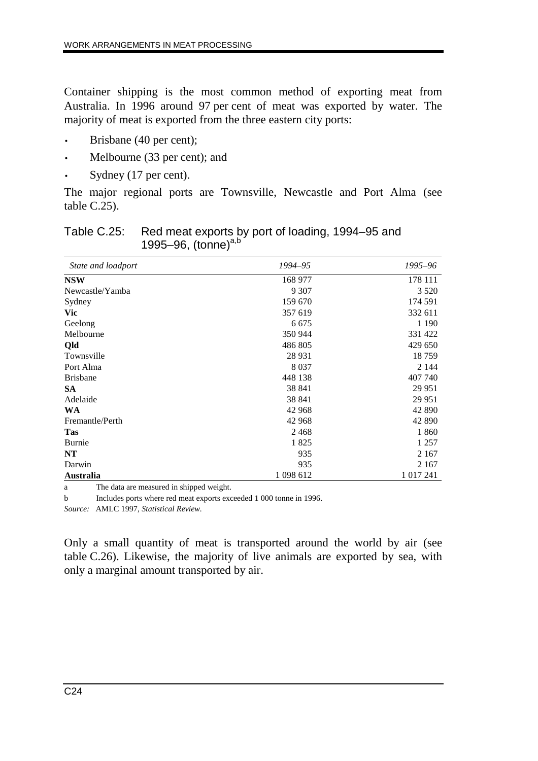Container shipping is the most common method of exporting meat from Australia. In 1996 around 97 per cent of meat was exported by water. The majority of meat is exported from the three eastern city ports:

- Brisbane (40 per cent);
- Melbourne (33 per cent); and
- Sydney (17 per cent).

The major regional ports are Townsville, Newcastle and Port Alma (see table C.25).

| Table C.25: Red meat exports by port of loading, 1994–95 and |
|--------------------------------------------------------------|
| 1995–96, (tonne) <sup>a,b</sup>                              |

| State and loadport | 1994–95   | 1995–96       |
|--------------------|-----------|---------------|
| <b>NSW</b>         | 168 977   | 178 111       |
| Newcastle/Yamba    | 9 3 0 7   | 3 5 2 0       |
| Sydney             | 159 670   | 174 591       |
| Vic                | 357 619   | 332 611       |
| Geelong            | 6 6 7 5   | 1 1 9 0       |
| Melbourne          | 350 944   | 331 422       |
| Qld                | 486 805   | 429 650       |
| Townsville         | 28 9 31   | 18759         |
| Port Alma          | 8 0 3 7   | 2 1 4 4       |
| <b>Brisbane</b>    | 448 138   | 407 740       |
| <b>SA</b>          | 38 841    | 29 951        |
| Adelaide           | 38 841    | 29 951        |
| <b>WA</b>          | 42 968    | 42 890        |
| Fremantle/Perth    | 42 968    | 42 890        |
| <b>Tas</b>         | 2468      | 1860          |
| Burnie             | 1825      | 1 2 5 7       |
| NT                 | 935       | 2 1 6 7       |
| Darwin             | 935       | 2 1 6 7       |
| <b>Australia</b>   | 1 098 612 | 1 0 1 7 2 4 1 |

a The data are measured in shipped weight.

b Includes ports where red meat exports exceeded 1 000 tonne in 1996.

*Source:* AMLC 1997, *Statistical Review.*

Only a small quantity of meat is transported around the world by air (see table C.26). Likewise, the majority of live animals are exported by sea, with only a marginal amount transported by air.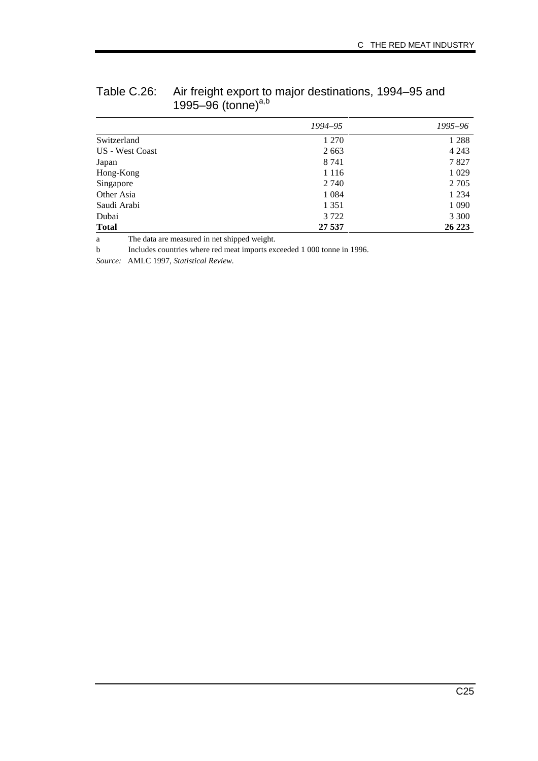|                 | 1994–95 | 1995–96 |
|-----------------|---------|---------|
| Switzerland     | 1 2 7 0 | 1 2 8 8 |
| US - West Coast | 2663    | 4 2 4 3 |
| Japan           | 8 7 4 1 | 7827    |
| Hong-Kong       | 1 1 1 6 | 1 0 29  |
| Singapore       | 2 740   | 2 7 0 5 |
| Other Asia      | 1 0 8 4 | 1 2 3 4 |
| Saudi Arabi     | 1 3 5 1 | 1 0 9 0 |
| Dubai           | 3 7 2 2 | 3 3 0 0 |
| <b>Total</b>    | 27 537  | 26 223  |

| Table C.26: Air freight export to major destinations, 1994–95 and |  |
|-------------------------------------------------------------------|--|
| 1995–96 (tonne) <sup>a,b</sup>                                    |  |

a The data are measured in net shipped weight.

b Includes countries where red meat imports exceeded 1 000 tonne in 1996.

*Source:* AMLC 1997, *Statistical Review.*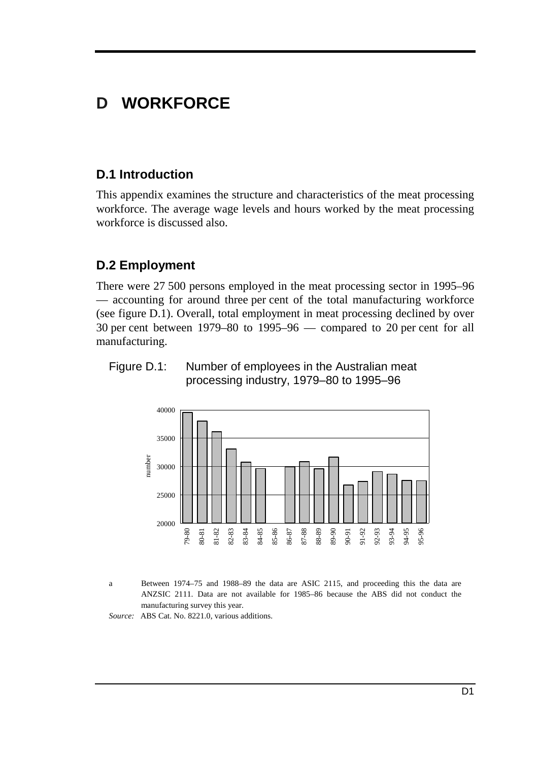# **D WORKFORCE**

# **D.1 Introduction**

This appendix examines the structure and characteristics of the meat processing workforce. The average wage levels and hours worked by the meat processing workforce is discussed also.

# **D.2 Employment**

There were 27 500 persons employed in the meat processing sector in 1995–96 — accounting for around three per cent of the total manufacturing workforce (see figure D.1). Overall, total employment in meat processing declined by over 30 per cent between 1979–80 to 1995–96 — compared to 20 per cent for all manufacturing.





a Between 1974–75 and 1988–89 the data are ASIC 2115, and proceeding this the data are ANZSIC 2111. Data are not available for 1985–86 because the ABS did not conduct the manufacturing survey this year.

*Source:* ABS Cat. No. 8221.0, various additions.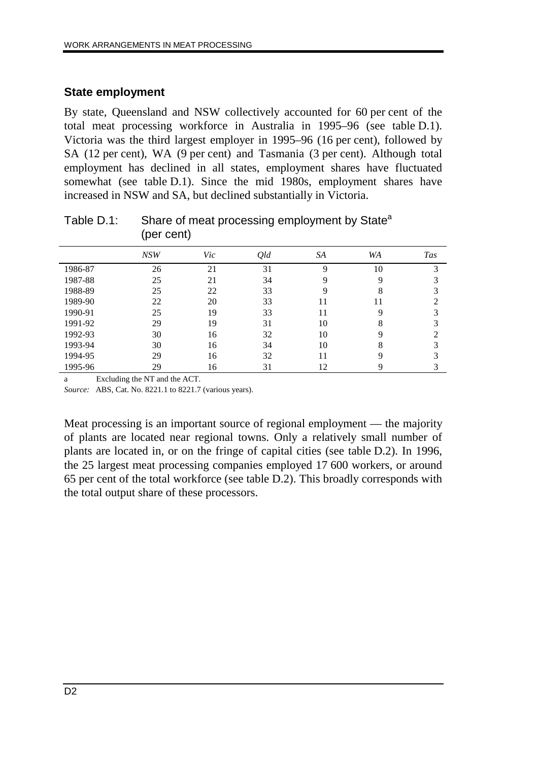### **State employment**

By state, Queensland and NSW collectively accounted for 60 per cent of the total meat processing workforce in Australia in 1995–96 (see table D.1). Victoria was the third largest employer in 1995–96 (16 per cent), followed by SA (12 per cent), WA (9 per cent) and Tasmania (3 per cent). Although total employment has declined in all states, employment shares have fluctuated somewhat (see table D.1). Since the mid 1980s, employment shares have increased in NSW and SA, but declined substantially in Victoria.

|         | $\mathbf{u}$ |     |     |          |           |            |
|---------|--------------|-----|-----|----------|-----------|------------|
|         | NSW          | Vic | Qld | SA       | <b>WA</b> | <b>Tas</b> |
| 1986-87 | 26           | 21  | 31  | $\Omega$ | 10        | 3          |
| 1987-88 | 25           | 21  | 34  | 9        | 9         |            |
| 1988-89 | 25           | 22  | 33  | 9        | 8         |            |
| 1989-90 | 22           | 20  | 33  | 11       | 11        |            |
| 1990-91 | 25           | 19  | 33  | 11       | 9         |            |
| 1991-92 | 29           | 19  | 31  | 10       | 8         |            |
| 1992-93 | 30           | 16  | 32  | 10       | 9         |            |
| 1993-94 | 30           | 16  | 34  | 10       | 8         |            |
| 1994-95 | 29           | 16  | 32  | 11       | Q         |            |
| 1995-96 | 29           | 16  | 31  | 12       | 9         |            |

Table D.1: Share of meat processing employment by State<sup>a</sup> (per cent)

a Excluding the NT and the ACT.

*Source:* ABS, Cat. No. 8221.1 to 8221.7 (various years).

Meat processing is an important source of regional employment — the majority of plants are located near regional towns. Only a relatively small number of plants are located in, or on the fringe of capital cities (see table D.2). In 1996, the 25 largest meat processing companies employed 17 600 workers, or around 65 per cent of the total workforce (see table D.2). This broadly corresponds with the total output share of these processors.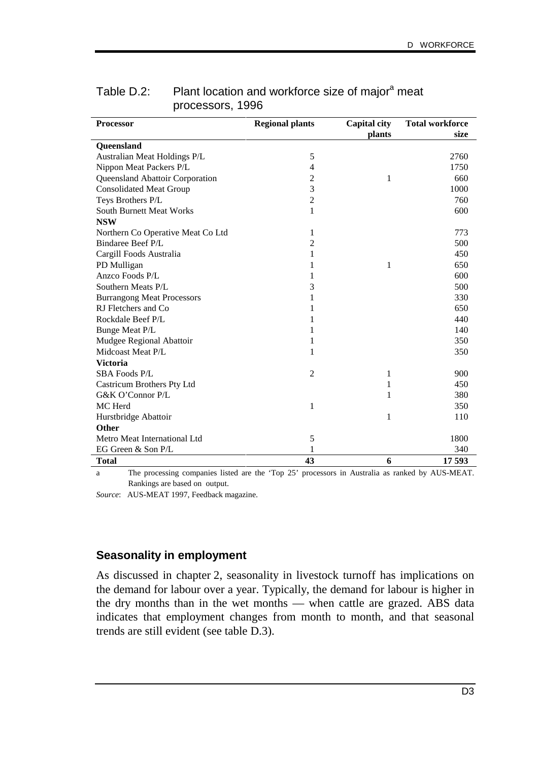| <b>Processor</b>                  | <b>Regional plants</b> | <b>Capital city</b> | <b>Total workforce</b> |
|-----------------------------------|------------------------|---------------------|------------------------|
|                                   |                        | plants              | size                   |
| Queensland                        |                        |                     |                        |
| Australian Meat Holdings P/L      | 5                      |                     | 2760                   |
| Nippon Meat Packers P/L           | 4                      |                     | 1750                   |
| Queensland Abattoir Corporation   | 2                      | 1                   | 660                    |
| <b>Consolidated Meat Group</b>    | 3                      |                     | 1000                   |
| Teys Brothers P/L                 | $\overline{2}$         |                     | 760                    |
| <b>South Burnett Meat Works</b>   | 1                      |                     | 600                    |
| <b>NSW</b>                        |                        |                     |                        |
| Northern Co Operative Meat Co Ltd | 1                      |                     | 773                    |
| Bindaree Beef P/L                 | 2                      |                     | 500                    |
| Cargill Foods Australia           | 1                      |                     | 450                    |
| PD Mulligan                       | 1                      | 1                   | 650                    |
| Anzco Foods P/L                   | 1                      |                     | 600                    |
| Southern Meats P/L                | 3                      |                     | 500                    |
| <b>Burrangong Meat Processors</b> | 1                      |                     | 330                    |
| RJ Fletchers and Co               | 1                      |                     | 650                    |
| Rockdale Beef P/L                 | 1                      |                     | 440                    |
| Bunge Meat P/L                    | 1                      |                     | 140                    |
| Mudgee Regional Abattoir          | 1                      |                     | 350                    |
| Midcoast Meat P/L                 | 1                      |                     | 350                    |
| <b>Victoria</b>                   |                        |                     |                        |
| <b>SBA Foods P/L</b>              | $\overline{2}$         | 1                   | 900                    |
| Castricum Brothers Pty Ltd        |                        | 1                   | 450                    |
| G&K O'Connor P/L                  |                        | 1                   | 380                    |
| MC Herd                           | 1                      |                     | 350                    |
| Hurstbridge Abattoir              |                        | 1                   | 110                    |
| <b>Other</b>                      |                        |                     |                        |
| Metro Meat International Ltd      | 5                      |                     | 1800                   |
| EG Green & Son P/L                | 1                      |                     | 340                    |
| Total                             | 43                     | 6                   | 17593                  |

## Table D.2: Plant location and workforce size of major<sup>a</sup> meat processors, 1996

a The processing companies listed are the 'Top 25' processors in Australia as ranked by AUS-MEAT. Rankings are based on output.

*Source*: AUS-MEAT 1997, Feedback magazine.

#### **Seasonality in employment**

As discussed in chapter 2, seasonality in livestock turnoff has implications on the demand for labour over a year. Typically, the demand for labour is higher in the dry months than in the wet months — when cattle are grazed. ABS data indicates that employment changes from month to month, and that seasonal trends are still evident (see table D.3).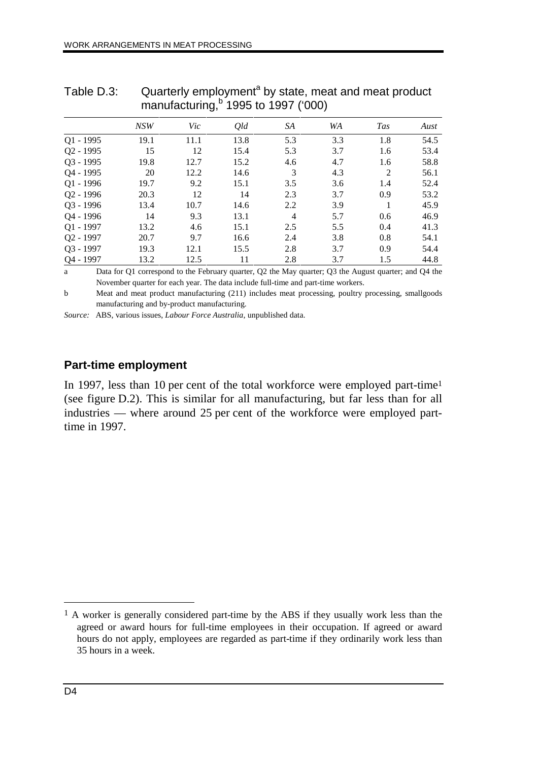|                       | 11101101000011119<br>10001011001 |      |      |                |     |            |      |
|-----------------------|----------------------------------|------|------|----------------|-----|------------|------|
|                       | NSW                              | Vic  | Qld  | SA             | WA  | <b>Tas</b> | Aust |
| $Q1 - 1995$           | 19.1                             | 11.1 | 13.8 | 5.3            | 3.3 | 1.8        | 54.5 |
| $Q2 - 1995$           | 15                               | 12   | 15.4 | 5.3            | 3.7 | 1.6        | 53.4 |
| $Q3 - 1995$           | 19.8                             | 12.7 | 15.2 | 4.6            | 4.7 | 1.6        | 58.8 |
| Q4 - 1995             | 20                               | 12.2 | 14.6 | 3              | 4.3 | 2          | 56.1 |
| $Q1 - 1996$           | 19.7                             | 9.2  | 15.1 | 3.5            | 3.6 | 1.4        | 52.4 |
| $Q2 - 1996$           | 20.3                             | 12   | 14   | 2.3            | 3.7 | 0.9        | 53.2 |
| $Q3 - 1996$           | 13.4                             | 10.7 | 14.6 | 2.2            | 3.9 |            | 45.9 |
| Q4 - 1996             | 14                               | 9.3  | 13.1 | $\overline{4}$ | 5.7 | 0.6        | 46.9 |
| $Q1 - 1997$           | 13.2                             | 4.6  | 15.1 | 2.5            | 5.5 | 0.4        | 41.3 |
| Q <sub>2</sub> - 1997 | 20.7                             | 9.7  | 16.6 | 2.4            | 3.8 | 0.8        | 54.1 |
| $Q3 - 1997$           | 19.3                             | 12.1 | 15.5 | 2.8            | 3.7 | 0.9        | 54.4 |
| Q4 - 1997             | 13.2                             | 12.5 | 11   | 2.8            | 3.7 | 1.5        | 44.8 |

Table D.3: Cuarterly employment<sup>a</sup> by state, meat and meat product manufacturing, $b$  1995 to 1997 ('000)

a Data for Q1 correspond to the February quarter, Q2 the May quarter; Q3 the August quarter; and Q4 the November quarter for each year. The data include full-time and part-time workers.

b Meat and meat product manufacturing (211) includes meat processing, poultry processing, smallgoods manufacturing and by-product manufacturing.

*Source:* ABS, various issues, *Labour Force Australia*, unpublished data.

## **Part-time employment**

In 1997, less than 10 per cent of the total workforce were employed part-time<sup>1</sup> (see figure D.2). This is similar for all manufacturing, but far less than for all industries — where around 25 per cent of the workforce were employed parttime in 1997.

 $\overline{a}$ 

<sup>1</sup> A worker is generally considered part-time by the ABS if they usually work less than the agreed or award hours for full-time employees in their occupation. If agreed or award hours do not apply, employees are regarded as part-time if they ordinarily work less than 35 hours in a week.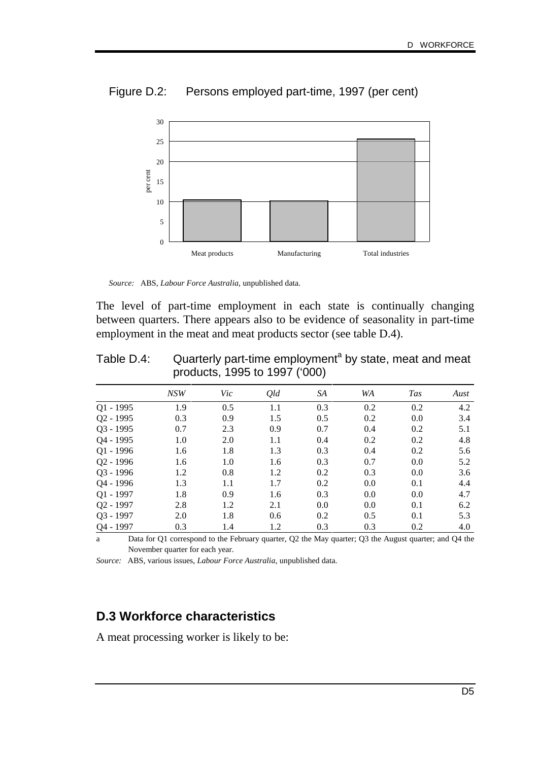

Figure D.2: Persons employed part-time, 1997 (per cent)

The level of part-time employment in each state is continually changing between quarters. There appears also to be evidence of seasonality in part-time employment in the meat and meat products sector (see table D.4).

| Table D.4: | Quarterly part-time employment <sup>a</sup> by state, meat and meat |
|------------|---------------------------------------------------------------------|
|            | products, 1995 to 1997 ('000)                                       |

|                       | NSW | Vic | Qld | SA  | WA  | <b>Tas</b> | Aust |
|-----------------------|-----|-----|-----|-----|-----|------------|------|
| $Q1 - 1995$           | 1.9 | 0.5 | 1.1 | 0.3 | 0.2 | 0.2        | 4.2  |
| Q <sub>2</sub> - 1995 | 0.3 | 0.9 | 1.5 | 0.5 | 0.2 | 0.0        | 3.4  |
| $Q3 - 1995$           | 0.7 | 2.3 | 0.9 | 0.7 | 0.4 | 0.2        | 5.1  |
| Q4 - 1995             | 1.0 | 2.0 | 1.1 | 0.4 | 0.2 | 0.2        | 4.8  |
| Q1 - 1996             | 1.6 | 1.8 | 1.3 | 0.3 | 0.4 | 0.2        | 5.6  |
| Q <sub>2</sub> - 1996 | 1.6 | 1.0 | 1.6 | 0.3 | 0.7 | 0.0        | 5.2  |
| Q3 - 1996             | 1.2 | 0.8 | 1.2 | 0.2 | 0.3 | 0.0        | 3.6  |
| Q4 - 1996             | 1.3 | 1.1 | 1.7 | 0.2 | 0.0 | 0.1        | 4.4  |
| $Q1 - 1997$           | 1.8 | 0.9 | 1.6 | 0.3 | 0.0 | 0.0        | 4.7  |
| Q <sub>2</sub> - 1997 | 2.8 | 1.2 | 2.1 | 0.0 | 0.0 | 0.1        | 6.2  |
| Q3 - 1997             | 2.0 | 1.8 | 0.6 | 0.2 | 0.5 | 0.1        | 5.3  |
| Q4 - 1997             | 0.3 | 1.4 | 1.2 | 0.3 | 0.3 | 0.2        | 4.0  |

a Data for Q1 correspond to the February quarter, Q2 the May quarter; Q3 the August quarter; and Q4 the November quarter for each year.

*Source:* ABS, various issues, *Labour Force Australia*, unpublished data.

# **D.3 Workforce characteristics**

A meat processing worker is likely to be:

*Source:* ABS, *Labour Force Australia*, unpublished data.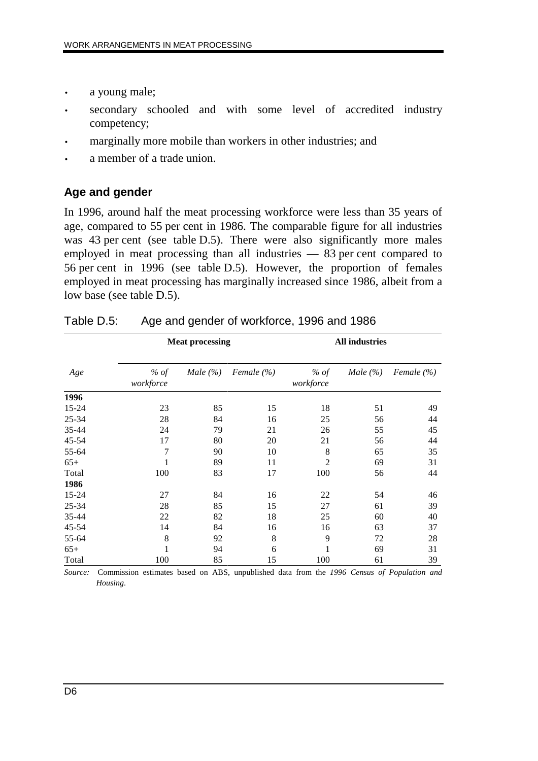- a young male;
- secondary schooled and with some level of accredited industry competency;
- marginally more mobile than workers in other industries; and
- a member of a trade union.

## **Age and gender**

In 1996, around half the meat processing workforce were less than 35 years of age, compared to 55 per cent in 1986. The comparable figure for all industries was 43 per cent (see table D.5). There were also significantly more males employed in meat processing than all industries — 83 per cent compared to 56 per cent in 1996 (see table D.5). However, the proportion of females employed in meat processing has marginally increased since 1986, albeit from a low base (see table D.5).

|       |                     | <b>Meat processing</b> |                |                     | <b>All industries</b> |                |  |
|-------|---------------------|------------------------|----------------|---------------------|-----------------------|----------------|--|
| Age   | $%$ of<br>workforce | Male $(\% )$           | Female $(\% )$ | $%$ of<br>workforce | Male $(\% )$          | Female $(\% )$ |  |
| 1996  |                     |                        |                |                     |                       |                |  |
| 15-24 | 23                  | 85                     | 15             | 18                  | 51                    | 49             |  |
| 25-34 | 28                  | 84                     | 16             | 25                  | 56                    | 44             |  |
| 35-44 | 24                  | 79                     | 21             | 26                  | 55                    | 45             |  |
| 45-54 | 17                  | 80                     | 20             | 21                  | 56                    | 44             |  |
| 55-64 | 7                   | 90                     | 10             | 8                   | 65                    | 35             |  |
| $65+$ | 1                   | 89                     | 11             | $\overline{2}$      | 69                    | 31             |  |
| Total | 100                 | 83                     | 17             | 100                 | 56                    | 44             |  |
| 1986  |                     |                        |                |                     |                       |                |  |
| 15-24 | 27                  | 84                     | 16             | 22                  | 54                    | 46             |  |
| 25-34 | 28                  | 85                     | 15             | 27                  | 61                    | 39             |  |
| 35-44 | 22                  | 82                     | 18             | 25                  | 60                    | 40             |  |
| 45-54 | 14                  | 84                     | 16             | 16                  | 63                    | 37             |  |
| 55-64 | 8                   | 92                     | 8              | 9                   | 72                    | 28             |  |
| $65+$ | 1                   | 94                     | 6              | 1                   | 69                    | 31             |  |
| Total | 100                 | 85                     | 15             | 100                 | 61                    | 39             |  |

| Table D.5: |  | Age and gender of workforce, 1996 and 1986 |  |  |
|------------|--|--------------------------------------------|--|--|
|            |  |                                            |  |  |

*Source:* Commission estimates based on ABS, unpublished data from the *1996 Census of Population and Housing*.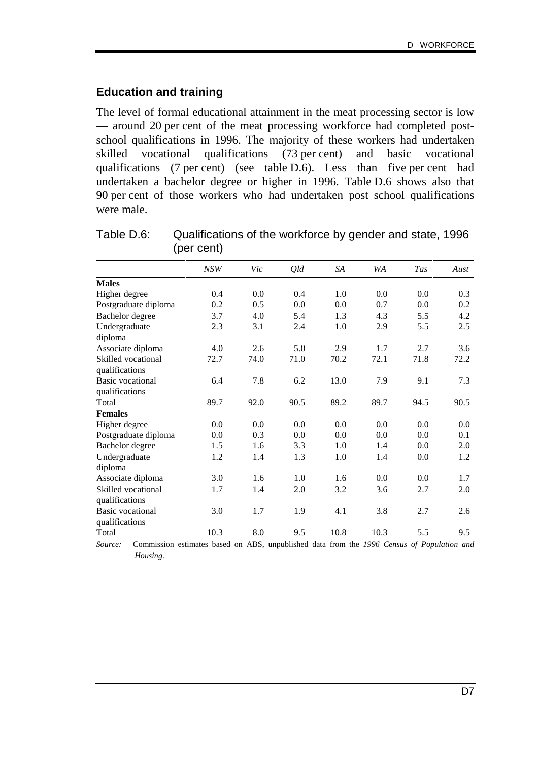### **Education and training**

The level of formal educational attainment in the meat processing sector is low — around 20 per cent of the meat processing workforce had completed postschool qualifications in 1996. The majority of these workers had undertaken skilled vocational qualifications (73 per cent) and basic vocational qualifications (7 per cent) (see table D.6). Less than five per cent had undertaken a bachelor degree or higher in 1996. Table D.6 shows also that 90 per cent of those workers who had undertaken post school qualifications were male.

|                         | NSW  | Vic  | Qld     | SA   | WA   | <b>Tas</b> | Aust |
|-------------------------|------|------|---------|------|------|------------|------|
| <b>Males</b>            |      |      |         |      |      |            |      |
| Higher degree           | 0.4  | 0.0  | 0.4     | 1.0  | 0.0  | 0.0        | 0.3  |
| Postgraduate diploma    | 0.2  | 0.5  | 0.0     | 0.0  | 0.7  | 0.0        | 0.2  |
| Bachelor degree         | 3.7  | 4.0  | 5.4     | 1.3  | 4.3  | 5.5        | 4.2  |
| Undergraduate           | 2.3  | 3.1  | 2.4     | 1.0  | 2.9  | 5.5        | 2.5  |
| diploma                 |      |      |         |      |      |            |      |
| Associate diploma       | 4.0  | 2.6  | 5.0     | 2.9  | 1.7  | 2.7        | 3.6  |
| Skilled vocational      | 72.7 | 74.0 | 71.0    | 70.2 | 72.1 | 71.8       | 72.2 |
| qualifications          |      |      |         |      |      |            |      |
| <b>Basic vocational</b> | 6.4  | 7.8  | 6.2     | 13.0 | 7.9  | 9.1        | 7.3  |
| qualifications          |      |      |         |      |      |            |      |
| Total                   | 89.7 | 92.0 | 90.5    | 89.2 | 89.7 | 94.5       | 90.5 |
| <b>Females</b>          |      |      |         |      |      |            |      |
| Higher degree           | 0.0  | 0.0  | 0.0     | 0.0  | 0.0  | 0.0        | 0.0  |
| Postgraduate diploma    | 0.0  | 0.3  | $0.0\,$ | 0.0  | 0.0  | 0.0        | 0.1  |
| Bachelor degree         | 1.5  | 1.6  | 3.3     | 1.0  | 1.4  | 0.0        | 2.0  |
| Undergraduate           | 1.2  | 1.4  | 1.3     | 1.0  | 1.4  | 0.0        | 1.2  |
| diploma                 |      |      |         |      |      |            |      |
| Associate diploma       | 3.0  | 1.6  | 1.0     | 1.6  | 0.0  | 0.0        | 1.7  |
| Skilled vocational      | 1.7  | 1.4  | 2.0     | 3.2  | 3.6  | 2.7        | 2.0  |
| qualifications          |      |      |         |      |      |            |      |
| <b>Basic</b> vocational | 3.0  | 1.7  | 1.9     | 4.1  | 3.8  | 2.7        | 2.6  |
| qualifications          |      |      |         |      |      |            |      |
| Total                   | 10.3 | 8.0  | 9.5     | 10.8 | 10.3 | 5.5        | 9.5  |

Table D.6: Qualifications of the workforce by gender and state, 1996 (per cent)

*Source:* Commission estimates based on ABS, unpublished data from the *1996 Census of Population and Housing*.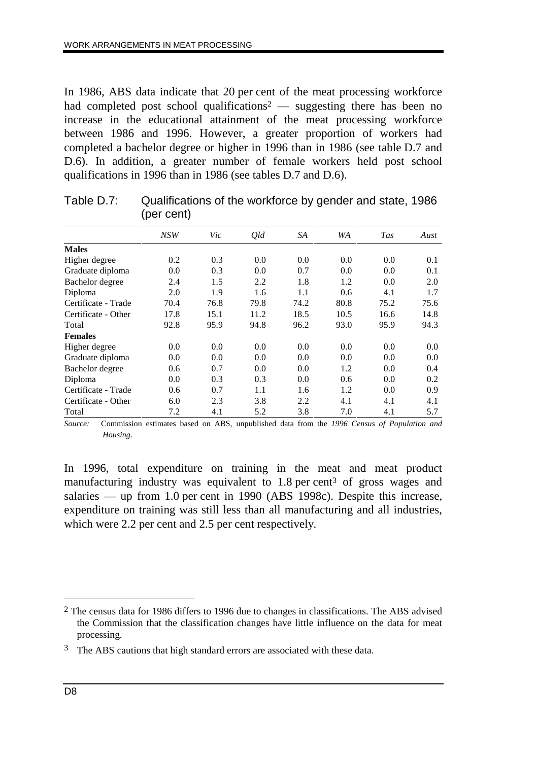In 1986, ABS data indicate that 20 per cent of the meat processing workforce had completed post school qualifications<sup>2</sup> — suggesting there has been no increase in the educational attainment of the meat processing workforce between 1986 and 1996. However, a greater proportion of workers had completed a bachelor degree or higher in 1996 than in 1986 (see table D.7 and D.6). In addition, a greater number of female workers held post school qualifications in 1996 than in 1986 (see tables D.7 and D.6).

|                     | <b>NSW</b> | Vic  | Qld  | SA   | WA   | <b>Tas</b> | Aust |
|---------------------|------------|------|------|------|------|------------|------|
| <b>Males</b>        |            |      |      |      |      |            |      |
| Higher degree       | 0.2        | 0.3  | 0.0  | 0.0  | 0.0  | 0.0        | 0.1  |
| Graduate diploma    | 0.0        | 0.3  | 0.0  | 0.7  | 0.0  | 0.0        | 0.1  |
| Bachelor degree     | 2.4        | 1.5  | 2.2  | 1.8  | 1.2  | 0.0        | 2.0  |
| Diploma             | 2.0        | 1.9  | 1.6  | 1.1  | 0.6  | 4.1        | 1.7  |
| Certificate - Trade | 70.4       | 76.8 | 79.8 | 74.2 | 80.8 | 75.2       | 75.6 |
| Certificate - Other | 17.8       | 15.1 | 11.2 | 18.5 | 10.5 | 16.6       | 14.8 |
| Total               | 92.8       | 95.9 | 94.8 | 96.2 | 93.0 | 95.9       | 94.3 |
| <b>Females</b>      |            |      |      |      |      |            |      |
| Higher degree       | 0.0        | 0.0  | 0.0  | 0.0  | 0.0  | 0.0        | 0.0  |
| Graduate diploma    | 0.0        | 0.0  | 0.0  | 0.0  | 0.0  | 0.0        | 0.0  |
| Bachelor degree     | 0.6        | 0.7  | 0.0  | 0.0  | 1.2  | 0.0        | 0.4  |
| Diploma             | 0.0        | 0.3  | 0.3  | 0.0  | 0.6  | 0.0        | 0.2  |
| Certificate - Trade | 0.6        | 0.7  | 1.1  | 1.6  | 1.2  | 0.0        | 0.9  |
| Certificate - Other | 6.0        | 2.3  | 3.8  | 2.2  | 4.1  | 4.1        | 4.1  |
| Total               | 7.2        | 4.1  | 5.2  | 3.8  | 7.0  | 4.1        | 5.7  |

| Table D.7: | Qualifications of the workforce by gender and state, 1986 |
|------------|-----------------------------------------------------------|
|            | (per cent)                                                |

*Source:* Commission estimates based on ABS, unpublished data from the *1996 Census of Population and Housing*.

In 1996, total expenditure on training in the meat and meat product manufacturing industry was equivalent to 1.8 per cent<sup>3</sup> of gross wages and salaries — up from 1.0 per cent in 1990 (ABS 1998c). Despite this increase, expenditure on training was still less than all manufacturing and all industries, which were 2.2 per cent and 2.5 per cent respectively.

 $\overline{a}$ 

<sup>2</sup> The census data for 1986 differs to 1996 due to changes in classifications. The ABS advised the Commission that the classification changes have little influence on the data for meat processing.

<sup>&</sup>lt;sup>3</sup> The ABS cautions that high standard errors are associated with these data.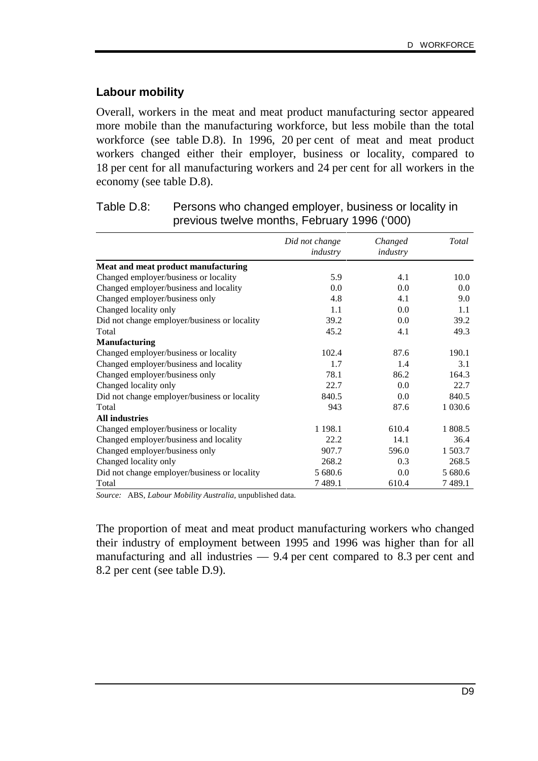#### **Labour mobility**

Overall, workers in the meat and meat product manufacturing sector appeared more mobile than the manufacturing workforce, but less mobile than the total workforce (see table D.8). In 1996, 20 per cent of meat and meat product workers changed either their employer, business or locality, compared to 18 per cent for all manufacturing workers and 24 per cent for all workers in the economy (see table D.8).

|                                              | Did not change | Changed  | Total     |
|----------------------------------------------|----------------|----------|-----------|
|                                              | industry       | industry |           |
| Meat and meat product manufacturing          |                |          |           |
| Changed employer/business or locality        | 5.9            | 4.1      | 10.0      |
| Changed employer/business and locality       | 0.0            | 0.0      | 0.0       |
| Changed employer/business only               | 4.8            | 4.1      | 9.0       |
| Changed locality only                        | 1.1            | 0.0      | 1.1       |
| Did not change employer/business or locality | 39.2           | 0.0      | 39.2      |
| Total                                        | 45.2           | 4.1      | 49.3      |
| <b>Manufacturing</b>                         |                |          |           |
| Changed employer/business or locality        | 102.4          | 87.6     | 190.1     |
| Changed employer/business and locality       | 1.7            | 1.4      | 3.1       |
| Changed employer/business only               | 78.1           | 86.2     | 164.3     |
| Changed locality only                        | 22.7           | 0.0      | 22.7      |
| Did not change employer/business or locality | 840.5          | 0.0      | 840.5     |
| Total                                        | 943            | 87.6     | 1 0 3 0.6 |
| <b>All industries</b>                        |                |          |           |
| Changed employer/business or locality        | 1 1 9 8 .1     | 610.4    | 1 808.5   |
| Changed employer/business and locality       | 22.2           | 14.1     | 36.4      |
| Changed employer/business only               | 907.7          | 596.0    | 1 503.7   |
| Changed locality only                        | 268.2          | 0.3      | 268.5     |
| Did not change employer/business or locality | 5 680.6        | 0.0      | 5 680.6   |
| Total                                        | 7489.1         | 610.4    | 7489.1    |

| Table D.8: | Persons who changed employer, business or locality in |
|------------|-------------------------------------------------------|
|            | previous twelve months, February 1996 ('000)          |

*Source:* ABS, *Labour Mobility Australia,* unpublished data.

The proportion of meat and meat product manufacturing workers who changed their industry of employment between 1995 and 1996 was higher than for all manufacturing and all industries — 9.4 per cent compared to 8.3 per cent and 8.2 per cent (see table D.9).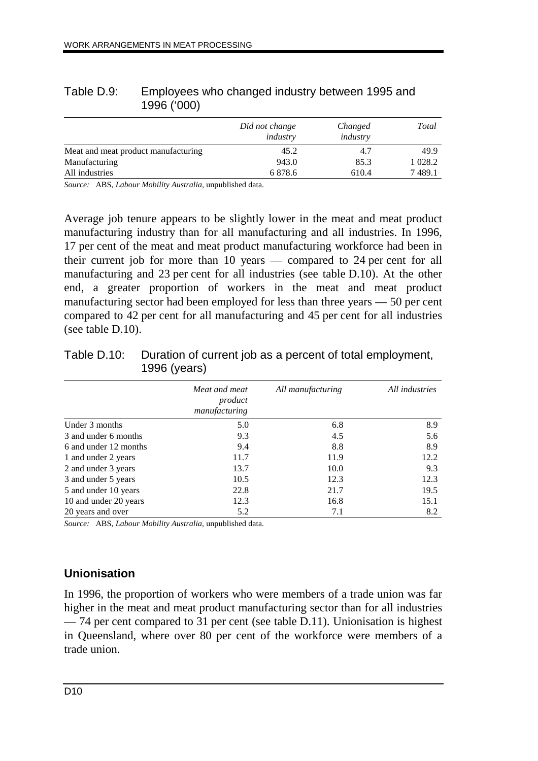|                                     | Did not change<br>industry | Changed<br>industry | Total    |
|-------------------------------------|----------------------------|---------------------|----------|
| Meat and meat product manufacturing | 45.2                       | 4.7                 | 49.9     |
| Manufacturing                       | 943.0                      | 85.3                | 1 0 28.2 |
| All industries                      | 6878.6                     | 610.4               | 7489.1   |

#### Table D.9: Employees who changed industry between 1995 and 1996 ('000)

*Source:* ABS, *Labour Mobility Australia,* unpublished data.

Average job tenure appears to be slightly lower in the meat and meat product manufacturing industry than for all manufacturing and all industries. In 1996, 17 per cent of the meat and meat product manufacturing workforce had been in their current job for more than 10 years — compared to 24 per cent for all manufacturing and 23 per cent for all industries (see table D.10). At the other end, a greater proportion of workers in the meat and meat product manufacturing sector had been employed for less than three years — 50 per cent compared to 42 per cent for all manufacturing and 45 per cent for all industries (see table D.10).

|                       | Meat and meat<br>product<br>manufacturing | All manufacturing | All industries |
|-----------------------|-------------------------------------------|-------------------|----------------|
| Under 3 months        | 5.0                                       | 6.8               | 8.9            |
| 3 and under 6 months  | 9.3                                       | 4.5               | 5.6            |
| 6 and under 12 months | 9.4                                       | 8.8               | 8.9            |
| 1 and under 2 years   | 11.7                                      | 11.9              | 12.2           |
| 2 and under 3 years   | 13.7                                      | 10.0              | 9.3            |
| 3 and under 5 years   | 10.5                                      | 12.3              | 12.3           |
| 5 and under 10 years  | 22.8                                      | 21.7              | 19.5           |
| 10 and under 20 years | 12.3                                      | 16.8              | 15.1           |
| 20 years and over     | 5.2                                       | 7.1               | 8.2            |

Table D.10: Duration of current job as a percent of total employment, 1996 (years)

*Source:* ABS, *Labour Mobility Australia,* unpublished data.

# **Unionisation**

In 1996, the proportion of workers who were members of a trade union was far higher in the meat and meat product manufacturing sector than for all industries — 74 per cent compared to 31 per cent (see table D.11). Unionisation is highest in Queensland, where over 80 per cent of the workforce were members of a trade union.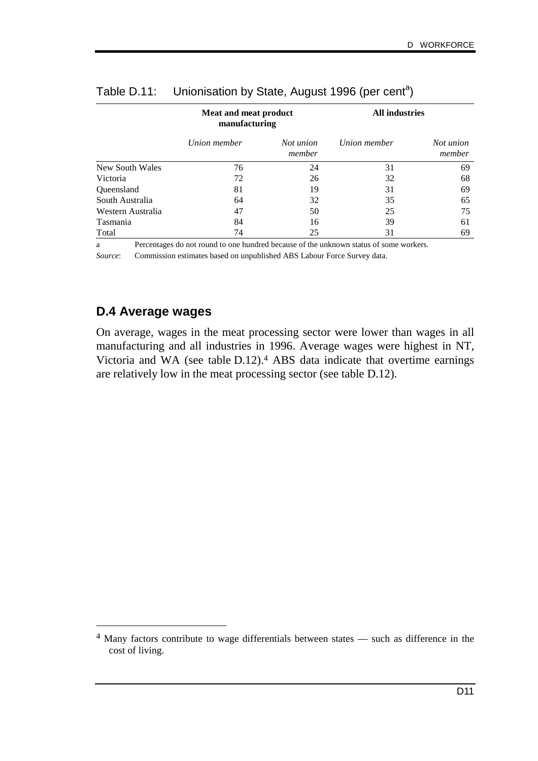|                   | Meat and meat product<br>manufacturing |                     | <b>All industries</b> |                     |
|-------------------|----------------------------------------|---------------------|-----------------------|---------------------|
|                   | Union member                           | Not union<br>member | Union member          | Not union<br>member |
| New South Wales   | 76                                     | 24                  | 31                    | 69                  |
| Victoria          | 72                                     | 26                  | 32                    | 68                  |
| Queensland        | 81                                     | 19                  | 31                    | 69                  |
| South Australia   | 64                                     | 32                  | 35                    | 65                  |
| Western Australia | 47                                     | 50                  | 25                    | 75                  |
| Tasmania          | 84                                     | 16                  | 39                    | 61                  |
| Total             | 74                                     | 25                  | 31                    | 69                  |

# Table D.11: Unionisation by State, August 1996 (per cent<sup>a</sup>)

a Percentages do not round to one hundred because of the unknown status of some workers.

*Source*: Commission estimates based on unpublished ABS Labour Force Survey data.

# **D.4 Average wages**

-

On average, wages in the meat processing sector were lower than wages in all manufacturing and all industries in 1996. Average wages were highest in NT, Victoria and WA (see table D.12).4 ABS data indicate that overtime earnings are relatively low in the meat processing sector (see table D.12).

<sup>4</sup> Many factors contribute to wage differentials between states — such as difference in the cost of living.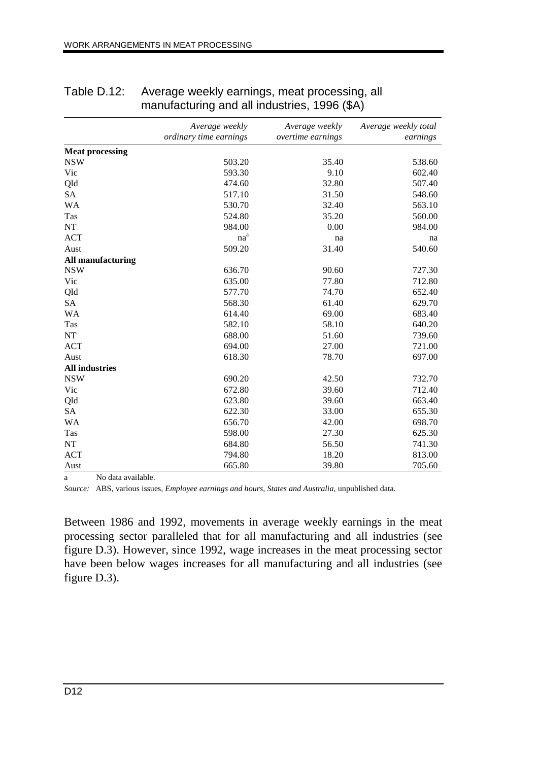|                          | Average weekly<br>ordinary time earnings | Average weekly<br>overtime earnings | Average weekly total<br>earnings |
|--------------------------|------------------------------------------|-------------------------------------|----------------------------------|
| <b>Meat processing</b>   |                                          |                                     |                                  |
| <b>NSW</b>               | 503.20                                   | 35.40                               | 538.60                           |
| Vic                      | 593.30                                   | 9.10                                | 602.40                           |
| Qld                      | 474.60                                   | 32.80                               | 507.40                           |
| <b>SA</b>                | 517.10                                   | 31.50                               | 548.60                           |
| <b>WA</b>                | 530.70                                   | 32.40                               | 563.10                           |
| Tas                      | 524.80                                   | 35.20                               | 560.00                           |
| <b>NT</b>                | 984.00                                   | 0.00                                | 984.00                           |
| <b>ACT</b>               | $na^a$                                   | na                                  | na                               |
| Aust                     | 509.20                                   | 31.40                               | 540.60                           |
| <b>All manufacturing</b> |                                          |                                     |                                  |
| <b>NSW</b>               | 636.70                                   | 90.60                               | 727.30                           |
| Vic                      | 635.00                                   | 77.80                               | 712.80                           |
| Qld                      | 577.70                                   | 74.70                               | 652.40                           |
| <b>SA</b>                | 568.30                                   | 61.40                               | 629.70                           |
| <b>WA</b>                | 614.40                                   | 69.00                               | 683.40                           |
| Tas                      | 582.10                                   | 58.10                               | 640.20                           |
| <b>NT</b>                | 688.00                                   | 51.60                               | 739.60                           |
| <b>ACT</b>               | 694.00                                   | 27.00                               | 721.00                           |
| Aust                     | 618.30                                   | 78.70                               | 697.00                           |
| <b>All industries</b>    |                                          |                                     |                                  |
| <b>NSW</b>               | 690.20                                   | 42.50                               | 732.70                           |
| Vic                      | 672.80                                   | 39.60                               | 712.40                           |
| Qld                      | 623.80                                   | 39.60                               | 663.40                           |
| <b>SA</b>                | 622.30                                   | 33.00                               | 655.30                           |
| <b>WA</b>                | 656.70                                   | 42.00                               | 698.70                           |
| Tas                      | 598.00                                   | 27.30                               | 625.30                           |
| NT                       | 684.80                                   | 56.50                               | 741.30                           |
| <b>ACT</b>               | 794.80                                   | 18.20                               | 813.00                           |
| Aust                     | 665.80                                   | 39.80                               | 705.60                           |

## Table D.12: Average weekly earnings, meat processing, all manufacturing and all industries, 1996 (\$A)

a No data available.

*Source:* ABS, various issues, *Employee earnings and hours, States and Australia*, unpublished data.

Between 1986 and 1992, movements in average weekly earnings in the meat processing sector paralleled that for all manufacturing and all industries (see figure D.3). However, since 1992, wage increases in the meat processing sector have been below wages increases for all manufacturing and all industries (see figure D.3).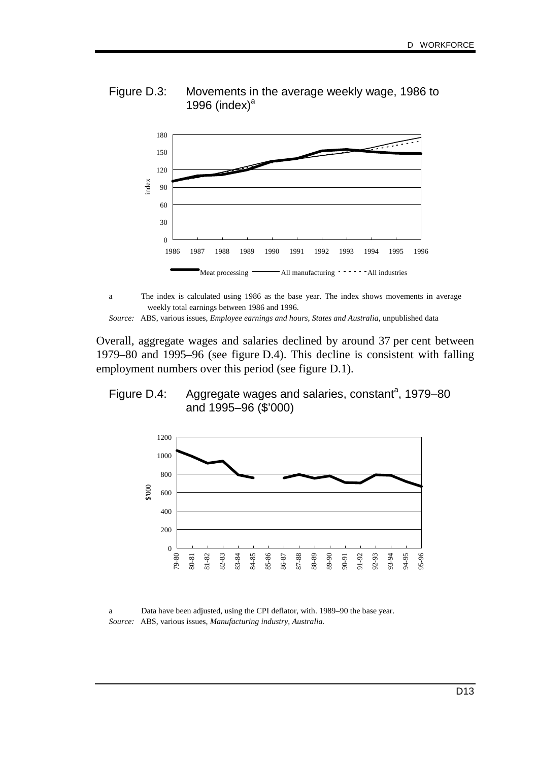



a The index is calculated using 1986 as the base year. The index shows movements in average weekly total earnings between 1986 and 1996.

*Source:* ABS, various issues, *Employee earnings and hours, States and Australia*, unpublished data

Overall, aggregate wages and salaries declined by around 37 per cent between 1979–80 and 1995–96 (see figure D.4). This decline is consistent with falling employment numbers over this period (see figure D.1).





a Data have been adjusted, using the CPI deflator, with. 1989–90 the base year. *Source:* ABS, various issues, *Manufacturing industry, Australia.*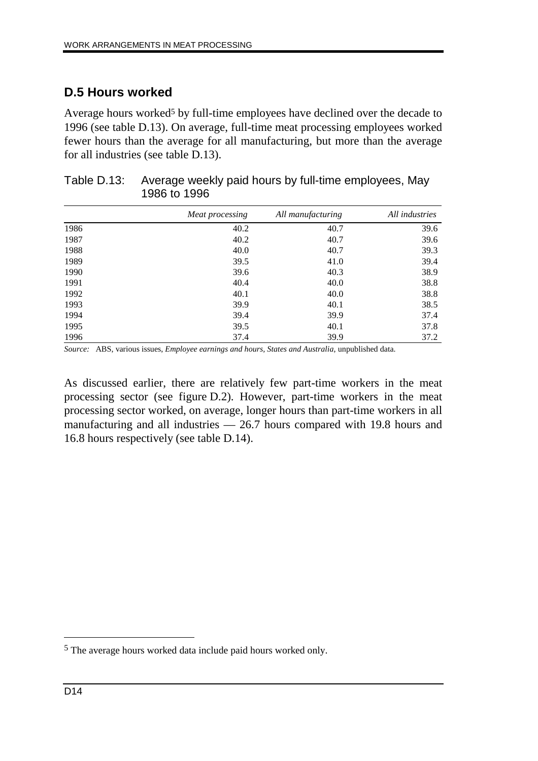# **D.5 Hours worked**

Average hours worked<sup>5</sup> by full-time employees have declined over the decade to 1996 (see table D.13). On average, full-time meat processing employees worked fewer hours than the average for all manufacturing, but more than the average for all industries (see table D.13).

|      | Meat processing | All manufacturing | All industries |
|------|-----------------|-------------------|----------------|
| 1986 | 40.2            | 40.7              | 39.6           |
| 1987 | 40.2            | 40.7              | 39.6           |
| 1988 | 40.0            | 40.7              | 39.3           |
| 1989 | 39.5            | 41.0              | 39.4           |
| 1990 | 39.6            | 40.3              | 38.9           |
| 1991 | 40.4            | 40.0              | 38.8           |
| 1992 | 40.1            | 40.0              | 38.8           |
| 1993 | 39.9            | 40.1              | 38.5           |
| 1994 | 39.4            | 39.9              | 37.4           |
| 1995 | 39.5            | 40.1              | 37.8           |
| 1996 | 37.4            | 39.9              | 37.2           |

| Table D.13: Average weekly paid hours by full-time employees, May |
|-------------------------------------------------------------------|
| 1986 to 1996                                                      |

*Source:* ABS, various issues, *Employee earnings and hours, States and Australia*, unpublished data.

As discussed earlier, there are relatively few part-time workers in the meat processing sector (see figure D.2). However, part-time workers in the meat processing sector worked, on average, longer hours than part-time workers in all manufacturing and all industries — 26.7 hours compared with 19.8 hours and 16.8 hours respectively (see table D.14).

 $\overline{a}$ 

<sup>5</sup> The average hours worked data include paid hours worked only.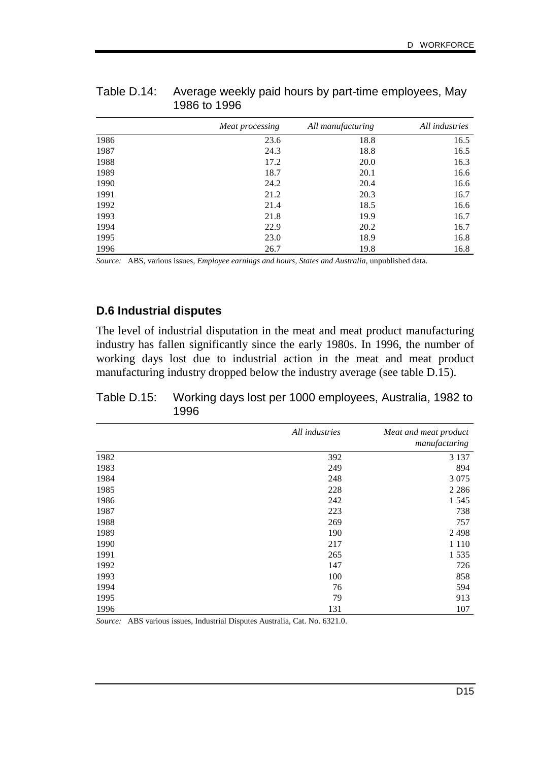|      | Meat processing | All manufacturing | All industries |
|------|-----------------|-------------------|----------------|
| 1986 | 23.6            | 18.8              | 16.5           |
| 1987 | 24.3            | 18.8              | 16.5           |
| 1988 | 17.2            | 20.0              | 16.3           |
| 1989 | 18.7            | 20.1              | 16.6           |
| 1990 | 24.2            | 20.4              | 16.6           |
| 1991 | 21.2            | 20.3              | 16.7           |
| 1992 | 21.4            | 18.5              | 16.6           |
| 1993 | 21.8            | 19.9              | 16.7           |
| 1994 | 22.9            | 20.2              | 16.7           |
| 1995 | 23.0            | 18.9              | 16.8           |
| 1996 | 26.7            | 19.8              | 16.8           |

Table D.14: Average weekly paid hours by part-time employees, May 1986 to 1996

*Source:* ABS, various issues, *Employee earnings and hours, States and Australia*, unpublished data.

## **D.6 Industrial disputes**

The level of industrial disputation in the meat and meat product manufacturing industry has fallen significantly since the early 1980s. In 1996, the number of working days lost due to industrial action in the meat and meat product manufacturing industry dropped below the industry average (see table D.15).

Table D.15: Working days lost per 1000 employees, Australia, 1982 to 1996

|      | All industries | Meat and meat product<br>manufacturing |
|------|----------------|----------------------------------------|
| 1982 | 392            | 3 1 3 7                                |
| 1983 | 249            | 894                                    |
| 1984 | 248            | 3 0 7 5                                |
| 1985 | 228            | 2 2 8 6                                |
| 1986 | 242            | 1 5 4 5                                |
| 1987 | 223            | 738                                    |
| 1988 | 269            | 757                                    |
| 1989 | 190            | 2 4 9 8                                |
| 1990 | 217            | 1 1 1 0                                |
| 1991 | 265            | 1 5 3 5                                |
| 1992 | 147            | 726                                    |
| 1993 | 100            | 858                                    |
| 1994 | 76             | 594                                    |
| 1995 | 79             | 913                                    |
| 1996 | 131            | 107                                    |

*Source:* ABS various issues, Industrial Disputes Australia, Cat. No. 6321.0.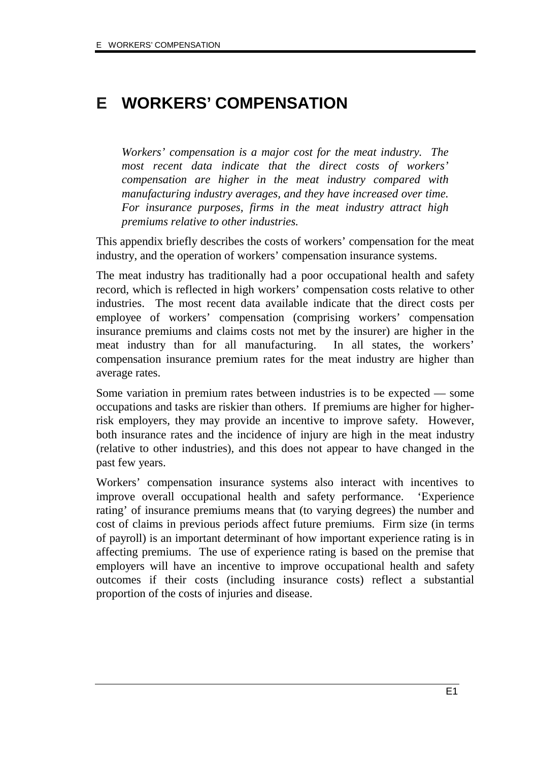# **E WORKERS' COMPENSATION**

*Workers' compensation is a major cost for the meat industry. The most recent data indicate that the direct costs of workers' compensation are higher in the meat industry compared with manufacturing industry averages, and they have increased over time. For insurance purposes, firms in the meat industry attract high premiums relative to other industries.*

This appendix briefly describes the costs of workers' compensation for the meat industry, and the operation of workers' compensation insurance systems.

The meat industry has traditionally had a poor occupational health and safety record, which is reflected in high workers' compensation costs relative to other industries. The most recent data available indicate that the direct costs per employee of workers' compensation (comprising workers' compensation insurance premiums and claims costs not met by the insurer) are higher in the meat industry than for all manufacturing. In all states, the workers' compensation insurance premium rates for the meat industry are higher than average rates.

Some variation in premium rates between industries is to be expected — some occupations and tasks are riskier than others. If premiums are higher for higherrisk employers, they may provide an incentive to improve safety. However, both insurance rates and the incidence of injury are high in the meat industry (relative to other industries), and this does not appear to have changed in the past few years.

Workers' compensation insurance systems also interact with incentives to improve overall occupational health and safety performance. 'Experience rating' of insurance premiums means that (to varying degrees) the number and cost of claims in previous periods affect future premiums. Firm size (in terms of payroll) is an important determinant of how important experience rating is in affecting premiums. The use of experience rating is based on the premise that employers will have an incentive to improve occupational health and safety outcomes if their costs (including insurance costs) reflect a substantial proportion of the costs of injuries and disease.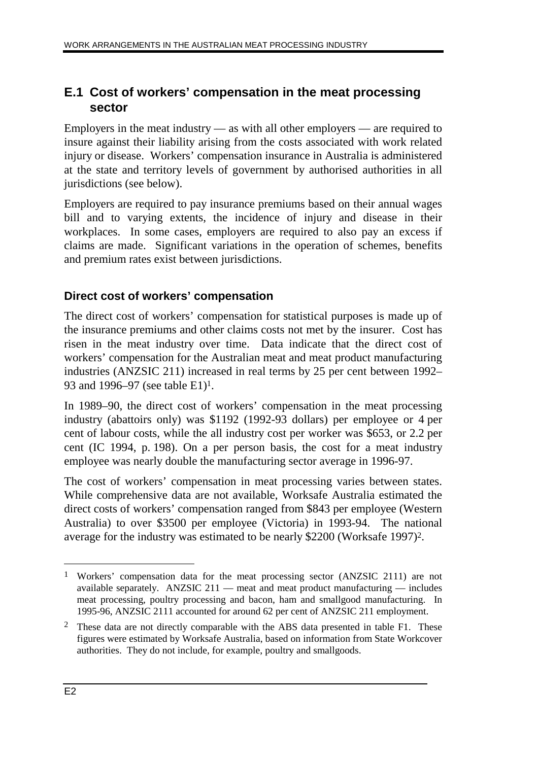# **E.1 Cost of workers' compensation in the meat processing sector**

Employers in the meat industry — as with all other employers — are required to insure against their liability arising from the costs associated with work related injury or disease. Workers' compensation insurance in Australia is administered at the state and territory levels of government by authorised authorities in all jurisdictions (see below).

Employers are required to pay insurance premiums based on their annual wages bill and to varying extents, the incidence of injury and disease in their workplaces. In some cases, employers are required to also pay an excess if claims are made. Significant variations in the operation of schemes, benefits and premium rates exist between jurisdictions.

# **Direct cost of workers' compensation**

The direct cost of workers' compensation for statistical purposes is made up of the insurance premiums and other claims costs not met by the insurer. Cost has risen in the meat industry over time. Data indicate that the direct cost of workers' compensation for the Australian meat and meat product manufacturing industries (ANZSIC 211) increased in real terms by 25 per cent between 1992– 93 and 1996–97 (see table E1)1.

In 1989–90, the direct cost of workers' compensation in the meat processing industry (abattoirs only) was \$1192 (1992-93 dollars) per employee or 4 per cent of labour costs, while the all industry cost per worker was \$653, or 2.2 per cent (IC 1994, p. 198). On a per person basis, the cost for a meat industry employee was nearly double the manufacturing sector average in 1996-97.

The cost of workers' compensation in meat processing varies between states. While comprehensive data are not available, Worksafe Australia estimated the direct costs of workers' compensation ranged from \$843 per employee (Western Australia) to over \$3500 per employee (Victoria) in 1993-94. The national average for the industry was estimated to be nearly \$2200 (Worksafe 1997)2.

<sup>1</sup> Workers' compensation data for the meat processing sector (ANZSIC 2111) are not available separately. ANZSIC 211 — meat and meat product manufacturing — includes meat processing, poultry processing and bacon, ham and smallgood manufacturing. In 1995-96, ANZSIC 2111 accounted for around 62 per cent of ANZSIC 211 employment.

<sup>&</sup>lt;sup>2</sup> These data are not directly comparable with the ABS data presented in table F1. These figures were estimated by Worksafe Australia, based on information from State Workcover authorities. They do not include, for example, poultry and smallgoods.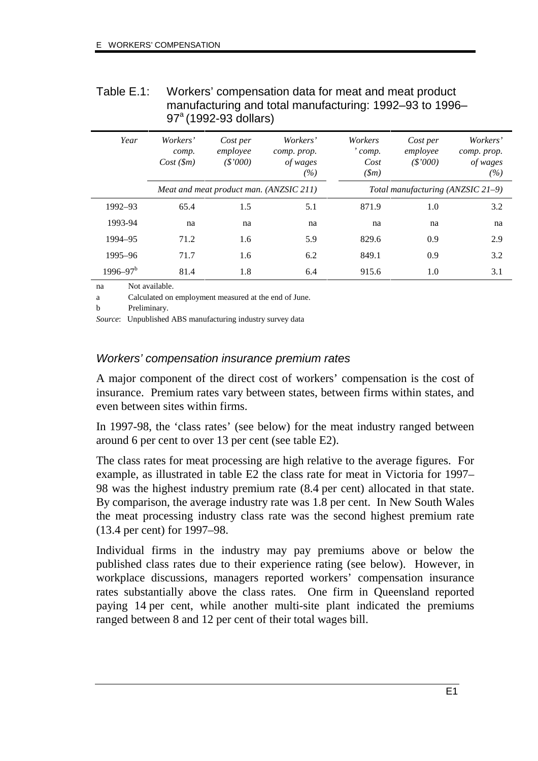| Table E.1: | Workers' compensation data for meat and meat product    |
|------------|---------------------------------------------------------|
|            | manufacturing and total manufacturing: 1992–93 to 1996– |
|            | $97^{\circ}$ (1992-93 dollars)                          |

| Year         | Workers'<br>comp.<br>Cost(Sm) | Cost per<br>employee<br>$(*'000)$       | Workers'<br>comp. prop.<br>of wages<br>(%) | Workers<br>comp.<br>Cost<br>$(\text{m})$ | Cost per<br>employee<br>(S'000)   | Workers'<br>comp. prop.<br>of wages<br>(%) |
|--------------|-------------------------------|-----------------------------------------|--------------------------------------------|------------------------------------------|-----------------------------------|--------------------------------------------|
|              |                               | Meat and meat product man. (ANZSIC 211) |                                            |                                          | Total manufacturing (ANZSIC 21-9) |                                            |
| 1992-93      | 65.4                          | 1.5                                     | 5.1                                        | 871.9                                    | 1.0                               | 3.2                                        |
| 1993-94      | na                            | na                                      | na                                         | na                                       | na                                | na                                         |
| 1994-95      | 71.2                          | 1.6                                     | 5.9                                        | 829.6                                    | 0.9                               | 2.9                                        |
| 1995-96      | 71.7                          | 1.6                                     | 6.2                                        | 849.1                                    | 0.9                               | 3.2                                        |
| $1996 - 97b$ | 81.4                          | 1.8                                     | 6.4                                        | 915.6                                    | 1.0                               | 3.1                                        |

na Not available.

a Calculated on employment measured at the end of June.

b Preliminary.

*Source*: Unpublished ABS manufacturing industry survey data

## Workers' compensation insurance premium rates

A major component of the direct cost of workers' compensation is the cost of insurance. Premium rates vary between states, between firms within states, and even between sites within firms.

In 1997-98, the 'class rates' (see below) for the meat industry ranged between around 6 per cent to over 13 per cent (see table E2).

The class rates for meat processing are high relative to the average figures. For example, as illustrated in table E2 the class rate for meat in Victoria for 1997– 98 was the highest industry premium rate (8.4 per cent) allocated in that state. By comparison, the average industry rate was 1.8 per cent. In New South Wales the meat processing industry class rate was the second highest premium rate (13.4 per cent) for 1997–98.

Individual firms in the industry may pay premiums above or below the published class rates due to their experience rating (see below). However, in workplace discussions, managers reported workers' compensation insurance rates substantially above the class rates. One firm in Queensland reported paying 14 per cent, while another multi-site plant indicated the premiums ranged between 8 and 12 per cent of their total wages bill.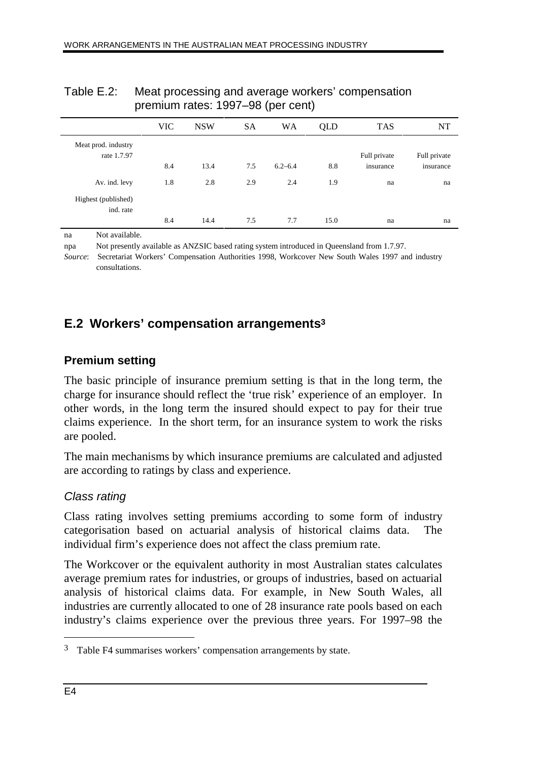|                     | <b>VIC</b> | <b>NSW</b> | SA  | <b>WA</b>   | QLD  | <b>TAS</b>   | <b>NT</b>    |
|---------------------|------------|------------|-----|-------------|------|--------------|--------------|
| Meat prod. industry |            |            |     |             |      |              |              |
| rate 1.7.97         |            |            |     |             |      | Full private | Full private |
|                     | 8.4        | 13.4       | 7.5 | $6.2 - 6.4$ | 8.8  | insurance    | insurance    |
| Av. ind. levy       | 1.8        | 2.8        | 2.9 | 2.4         | 1.9  | na           | na           |
| Highest (published) |            |            |     |             |      |              |              |
| ind. rate           |            |            |     |             |      |              |              |
|                     | 8.4        | 14.4       | 7.5 | 7.7         | 15.0 | na           | na           |

## Table E.2: Meat processing and average workers' compensation premium rates: 1997–98 (per cent)

na Not available.

npa Not presently available as ANZSIC based rating system introduced in Queensland from 1.7.97.

*Source*: Secretariat Workers' Compensation Authorities 1998, Workcover New South Wales 1997 and industry consultations.

# **E.2 Workers' compensation arrangements3**

# **Premium setting**

The basic principle of insurance premium setting is that in the long term, the charge for insurance should reflect the 'true risk' experience of an employer. In other words, in the long term the insured should expect to pay for their true claims experience. In the short term, for an insurance system to work the risks are pooled.

The main mechanisms by which insurance premiums are calculated and adjusted are according to ratings by class and experience.

# Class rating

Class rating involves setting premiums according to some form of industry categorisation based on actuarial analysis of historical claims data. The individual firm's experience does not affect the class premium rate.

The Workcover or the equivalent authority in most Australian states calculates average premium rates for industries, or groups of industries, based on actuarial analysis of historical claims data. For example, in New South Wales, all industries are currently allocated to one of 28 insurance rate pools based on each industry's claims experience over the previous three years. For 1997–98 the

 $\overline{a}$ 

<sup>3</sup> Table F4 summarises workers' compensation arrangements by state.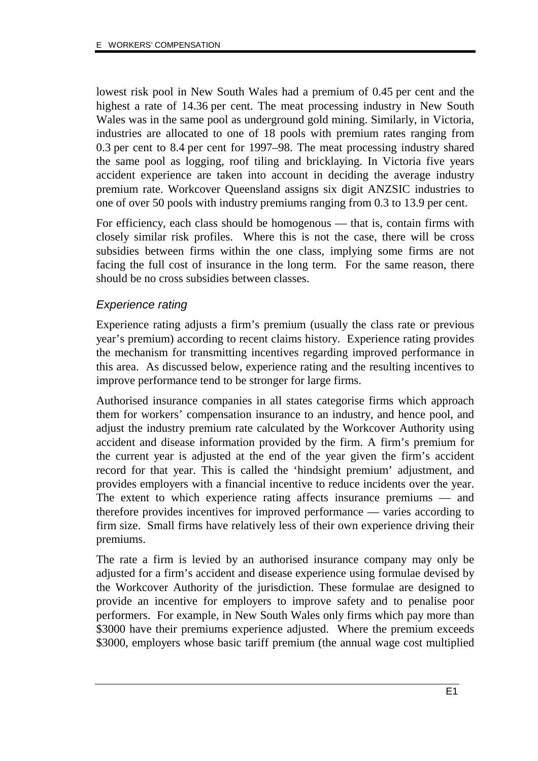lowest risk pool in New South Wales had a premium of 0.45 per cent and the highest a rate of 14.36 per cent. The meat processing industry in New South Wales was in the same pool as underground gold mining. Similarly, in Victoria, industries are allocated to one of 18 pools with premium rates ranging from 0.3 per cent to 8.4 per cent for 1997–98. The meat processing industry shared the same pool as logging, roof tiling and bricklaying. In Victoria five years accident experience are taken into account in deciding the average industry premium rate. Workcover Queensland assigns six digit ANZSIC industries to one of over 50 pools with industry premiums ranging from 0.3 to 13.9 per cent.

For efficiency, each class should be homogenous — that is, contain firms with closely similar risk profiles. Where this is not the case, there will be cross subsidies between firms within the one class, implying some firms are not facing the full cost of insurance in the long term. For the same reason, there should be no cross subsidies between classes.

## Experience rating

Experience rating adjusts a firm's premium (usually the class rate or previous year's premium) according to recent claims history. Experience rating provides the mechanism for transmitting incentives regarding improved performance in this area. As discussed below, experience rating and the resulting incentives to improve performance tend to be stronger for large firms.

Authorised insurance companies in all states categorise firms which approach them for workers' compensation insurance to an industry, and hence pool, and adjust the industry premium rate calculated by the Workcover Authority using accident and disease information provided by the firm. A firm's premium for the current year is adjusted at the end of the year given the firm's accident record for that year. This is called the 'hindsight premium' adjustment, and provides employers with a financial incentive to reduce incidents over the year. The extent to which experience rating affects insurance premiums — and therefore provides incentives for improved performance — varies according to firm size. Small firms have relatively less of their own experience driving their premiums.

The rate a firm is levied by an authorised insurance company may only be adjusted for a firm's accident and disease experience using formulae devised by the Workcover Authority of the jurisdiction. These formulae are designed to provide an incentive for employers to improve safety and to penalise poor performers. For example, in New South Wales only firms which pay more than \$3000 have their premiums experience adjusted. Where the premium exceeds \$3000, employers whose basic tariff premium (the annual wage cost multiplied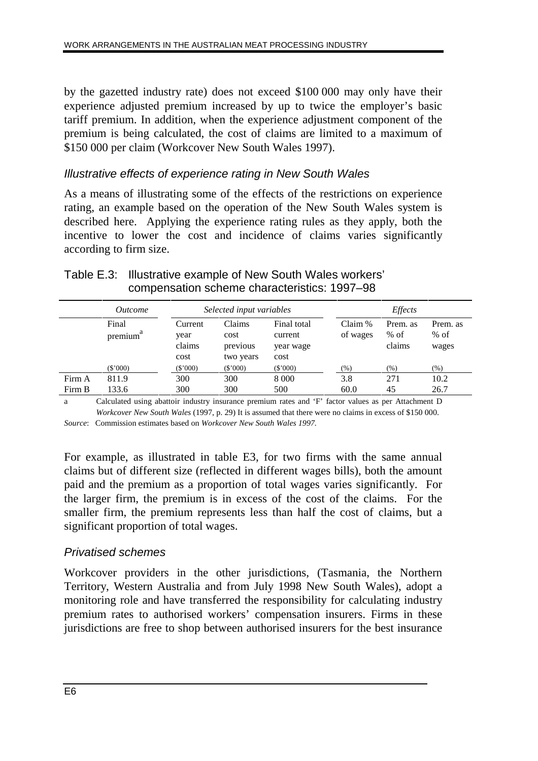by the gazetted industry rate) does not exceed \$100 000 may only have their experience adjusted premium increased by up to twice the employer's basic tariff premium. In addition, when the experience adjustment component of the premium is being calculated, the cost of claims are limited to a maximum of \$150 000 per claim (Workcover New South Wales 1997).

## Illustrative effects of experience rating in New South Wales

As a means of illustrating some of the effects of the restrictions on experience rating, an example based on the operation of the New South Wales system is described here. Applying the experience rating rules as they apply, both the incentive to lower the cost and incidence of claims varies significantly according to firm size.

|        | <i>Outcome</i>        |                                   | Selected input variables                |                                             |                     | <i>Effects</i>               |                             |
|--------|-----------------------|-----------------------------------|-----------------------------------------|---------------------------------------------|---------------------|------------------------------|-----------------------------|
|        | Final<br>a<br>premium | Current<br>year<br>claims<br>cost | Claims<br>cost<br>previous<br>two years | Final total<br>current<br>year wage<br>cost | Claim %<br>of wages | Prem. as<br>$%$ of<br>claims | Prem. as<br>$%$ of<br>wages |
|        | $(\$'000)$            | $(\$'000)$                        | $(\$'000)$                              | (\$'000)                                    | (% )                | $(\% )$                      | $(\% )$                     |
| Firm A | 811.9                 | 300                               | 300                                     | 8 0 0 0                                     | 3.8                 | 271                          | 10.2                        |
| Firm B | 133.6                 | 300                               | 300                                     | 500                                         | 60.0                | 45                           | 26.7                        |

## Table E.3: Illustrative example of New South Wales workers' compensation scheme characteristics: 1997–98

a Calculated using abattoir industry insurance premium rates and 'F' factor values as per Attachment D *Workcover New South Wales* (1997, p. 29) It is assumed that there were no claims in excess of \$150 000. *Source*: Commission estimates based on *Workcover New South Wales 1997.*

For example, as illustrated in table E3, for two firms with the same annual claims but of different size (reflected in different wages bills), both the amount paid and the premium as a proportion of total wages varies significantly. For the larger firm, the premium is in excess of the cost of the claims. For the smaller firm, the premium represents less than half the cost of claims, but a significant proportion of total wages.

## Privatised schemes

Workcover providers in the other jurisdictions, (Tasmania, the Northern Territory, Western Australia and from July 1998 New South Wales), adopt a monitoring role and have transferred the responsibility for calculating industry premium rates to authorised workers' compensation insurers. Firms in these jurisdictions are free to shop between authorised insurers for the best insurance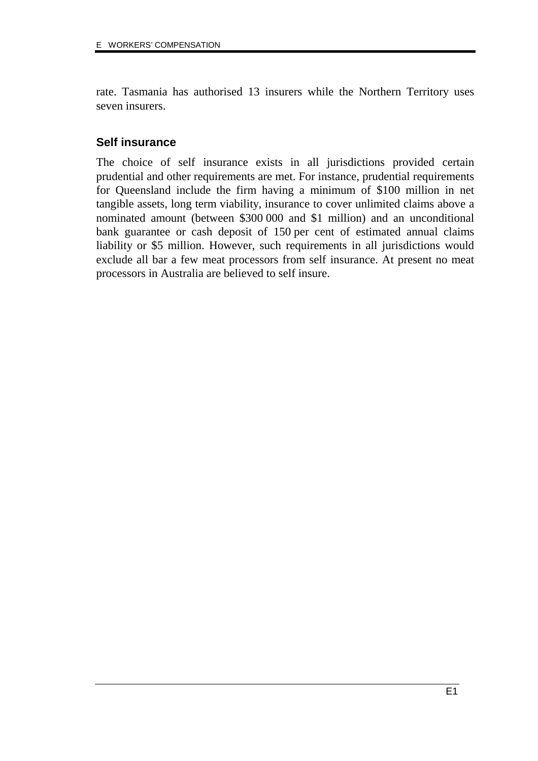rate. Tasmania has authorised 13 insurers while the Northern Territory uses seven insurers.

## **Self insurance**

The choice of self insurance exists in all jurisdictions provided certain prudential and other requirements are met. For instance, prudential requirements for Queensland include the firm having a minimum of \$100 million in net tangible assets, long term viability, insurance to cover unlimited claims above a nominated amount (between \$300 000 and \$1 million) and an unconditional bank guarantee or cash deposit of 150 per cent of estimated annual claims liability or \$5 million. However, such requirements in all jurisdictions would exclude all bar a few meat processors from self insurance. At present no meat processors in Australia are believed to self insure.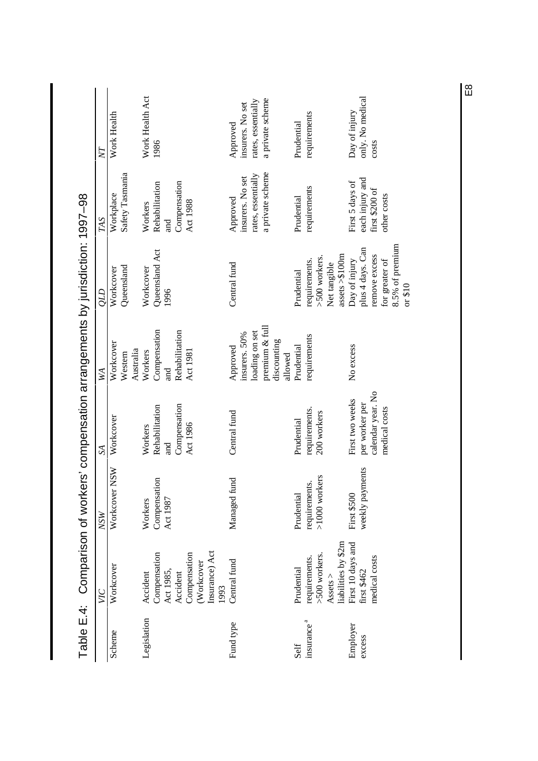|                                                                           | Ŋ             | Work Health                  |           | Work Health Act | 1986           |            |                                 |                                      | Approved     | insurers. No set | rates, essentially | a private scheme  |                        | Prudential | requirements           |                 |                                                                                                      |                  | Day of injury     | only. No medical | costs             |                |                             |
|---------------------------------------------------------------------------|---------------|------------------------------|-----------|-----------------|----------------|------------|---------------------------------|--------------------------------------|--------------|------------------|--------------------|-------------------|------------------------|------------|------------------------|-----------------|------------------------------------------------------------------------------------------------------|------------------|-------------------|------------------|-------------------|----------------|-----------------------------|
|                                                                           | TAS           | Safety Tasmania<br>Workplace |           | Workers         | Rehabilitation | រី<br>ក្នុ | Compensation<br><b>Act 1988</b> |                                      | Approved     | insurers. No set | rates, essentially | a private scheme  |                        | Prudential | requirements           |                 |                                                                                                      |                  | First 5 days of   | each injury and  | first \$200 of    | other costs    |                             |
| Comparison of workers' compensation arrangements by jurisdiction: 1997-98 | <b>CTO</b>    | Queensland<br>Workcover      |           | Workcover       | Queensland Act | 1996       |                                 |                                      | Central fund |                  |                    |                   |                        | Prudential | requirements.          | >500 workers.   | Net tangible                                                                                         | assets $> $100m$ | Day of injury     | plus 4 days. Can | remove excess     | for greater of | 8.5% of premium<br>or $$10$ |
|                                                                           | WА            | Workcover<br>Western         | Australia | Workers         | Compensation   | and        | Rehabilitation<br>Act 1981      |                                      | Approved     | insurers. 50%    | loading on set     | premium $\&$ full | discounting<br>allowed | Prudential | requirements           |                 |                                                                                                      |                  | No excess         |                  |                   |                |                             |
|                                                                           | $S_{\!\!\!A}$ | Workcover                    |           | Workers         | Rehabilitation | and        | Compensation<br>Act 1986        |                                      | Central fund |                  |                    |                   |                        | Prudential | requirements.          | 200 workers     |                                                                                                      |                  | First two weeks   | per worker per   | calendar year. No | medical costs  |                             |
|                                                                           | <b>NSW</b>    | <b>NSW</b><br>Workcover      |           | Workers         | Compensation   | Act 1987   |                                 |                                      | Managed fund |                  |                    |                   |                        | Prudential | requirements.          | $>1000$ workers |                                                                                                      |                  | First \$500       | weekly payments  |                   |                |                             |
|                                                                           | VІС           | Workcover                    |           | Accident        | Compensation   | Act 1985,  | Compensation<br>Accident        | Insurance) Act<br>(Workcover<br>1993 | Central fund |                  |                    |                   |                        | Prudential | requirements.          | >500 workers.   | $\begin{array}{l}\text{Assets} > \qquad \qquad \text{if all}\; \text{if all}\; n\geq 0. \end{array}$ |                  | First 10 days and | first \$462      | medical costs     |                |                             |
| Table E.4:                                                                |               | Scheme                       |           | Legislation     |                |            |                                 |                                      | Fund type    |                  |                    |                   |                        | Self       | insurance <sup>a</sup> |                 |                                                                                                      |                  | Employer          | excess           |                   |                |                             |

 $\overline{E}$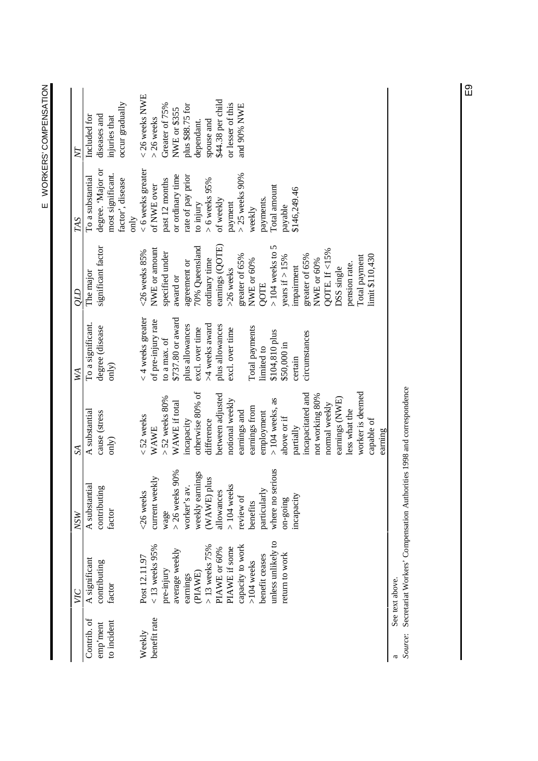|                         | VЮ                                                                    | <b>NSW</b>             | $S_{\mathcal{A}}$                | WA                       | GТО                | TAS                                    | $\triangledown$               |
|-------------------------|-----------------------------------------------------------------------|------------------------|----------------------------------|--------------------------|--------------------|----------------------------------------|-------------------------------|
| Contrib. of             | A significant                                                         | A substantial          | A substantial                    | To a significant.        | The major          | To a substantial                       | Included for                  |
| to incident<br>emp'ment | contributing<br>factor                                                | contributing<br>factor | cause (stress<br>$\text{only}$ ) | degree (disease<br>only) | significant factor | degree. 'Major or<br>most significant. | diseases and<br>injuries that |
|                         |                                                                       |                        |                                  |                          |                    | factor', disease                       | occur gradually               |
|                         |                                                                       |                        |                                  |                          |                    | only                                   |                               |
| Weekly                  | Post 12.11.97                                                         | <26 weeks              | $<$ 52 weeks                     | $<$ 4 weeks greater      | $<$ 26 weeks 85%   | < 6 weeks greater                      | $<$ 26 weeks NWE              |
| benefit rate            | $<$ 13 weeks 95%                                                      | kly<br>current wee     | <b>WAWE</b>                      | of pre-injury rate       | NWE or amount      | of NWE over                            | $>$ 26 weeks                  |
|                         | pre-injury                                                            | wage                   | $> 52$ weeks $80\%$              | to a max. of             | specified under    | past 12 months                         | Greater of 75%                |
|                         | average weekly                                                        | 90%<br>> 26 weeks      | WAWE if total                    | \$737.80 or award        | award or           | or ordinary time                       | NWE or \$355                  |
|                         | earnings                                                              | worker's av            | incapacity                       | plus allowances          | agreement or       | rate of pay prior                      | plus \$88.75 for              |
|                         | (PIAWE)                                                               | weekly earnings        | otherwise 80% of                 | excl. over time          | 70% Queensland     | to injury                              | dependant.                    |
|                         | $>$ 13 weeks 75%                                                      | (WAWE) plus            | difference                       | >4 weeks award           | ordinary time      | $> 6$ weeks $95\%$                     | spouse and                    |
|                         | PIAWE or 60%                                                          | allowances             | between adjusted                 | plus allowances          | earnings (QOTE)    | of weekly                              | \$44.38 per child             |
|                         | PIAWE if some                                                         | $>104$ weeks           | notional weekly                  | excl. over time          | >26 weeks          | payment                                | or lesser of this             |
|                         | capacity to work                                                      | review of              | earnings and                     |                          | greater of 65%     | $>$ 25 weeks 90%                       | and 90% NWE                   |
|                         | $>104$ weeks                                                          | benefits               | earnings from                    | Total payments           | NWE or $60\%$      | weekly                                 |                               |
|                         | benefit ceases                                                        | particularly           | employment                       | limited to               | QOTE               | payments.                              |                               |
|                         | unless unlikely to                                                    | where no serious       | $>104$ weeks, as                 | \$104,810 plus           | $>$ 104 weeks to 5 | Total amount                           |                               |
|                         | return to work                                                        | $on-going$             | above or if                      | \$50,000 in              | years if $> 15\%$  | payable                                |                               |
|                         |                                                                       | incapacity             | partially                        | certain                  | impairment         | \$146,249.46                           |                               |
|                         |                                                                       |                        | incapacitated and                | circumstances            | greater of 65%     |                                        |                               |
|                         |                                                                       |                        | not working 80%                  |                          | NWE or 60%         |                                        |                               |
|                         |                                                                       |                        | normal weekly                    |                          | QOTE. If <15%      |                                        |                               |
|                         |                                                                       |                        | earnings (NWE)                   |                          | DSS single         |                                        |                               |
|                         |                                                                       |                        | less what the                    |                          | pension rate.      |                                        |                               |
|                         |                                                                       |                        | worker is deemed                 |                          | Total payment      |                                        |                               |
|                         |                                                                       |                        | capable of                       |                          | limit \$110,430    |                                        |                               |
|                         |                                                                       |                        | earning                          |                          |                    |                                        |                               |
|                         | See text above.                                                       |                        |                                  |                          |                    |                                        |                               |
| Source:                 | Secretariat Workers' Compensation Authorities 1998 and correspondence |                        |                                  |                          |                    |                                        |                               |

*Source*: Secretariat Workers' Compensation Authorities 1998 and correspondence

E WORKERS' COMPENSATION E WORKERS' COMPENSATION

E9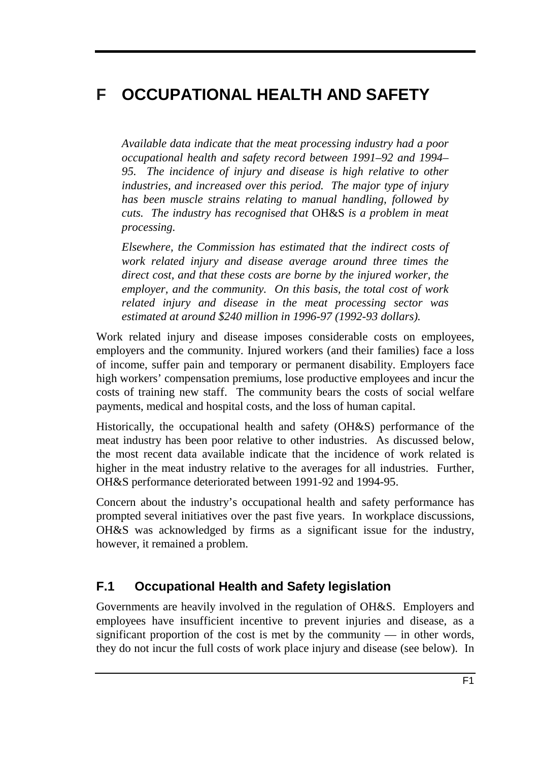# **F OCCUPATIONAL HEALTH AND SAFETY**

*Available data indicate that the meat processing industry had a poor occupational health and safety record between 1991–92 and 1994– 95. The incidence of injury and disease is high relative to other industries, and increased over this period. The major type of injury has been muscle strains relating to manual handling, followed by cuts. The industry has recognised that* OH&S *is a problem in meat processing.*

*Elsewhere, the Commission has estimated that the indirect costs of work related injury and disease average around three times the direct cost, and that these costs are borne by the injured worker, the employer, and the community. On this basis, the total cost of work related injury and disease in the meat processing sector was estimated at around \$240 million in 1996-97 (1992-93 dollars).*

Work related injury and disease imposes considerable costs on employees, employers and the community. Injured workers (and their families) face a loss of income, suffer pain and temporary or permanent disability. Employers face high workers' compensation premiums, lose productive employees and incur the costs of training new staff. The community bears the costs of social welfare payments, medical and hospital costs, and the loss of human capital.

Historically, the occupational health and safety (OH&S) performance of the meat industry has been poor relative to other industries. As discussed below, the most recent data available indicate that the incidence of work related is higher in the meat industry relative to the averages for all industries. Further, OH&S performance deteriorated between 1991-92 and 1994-95.

Concern about the industry's occupational health and safety performance has prompted several initiatives over the past five years. In workplace discussions, OH&S was acknowledged by firms as a significant issue for the industry, however, it remained a problem.

### **F.1 Occupational Health and Safety legislation**

Governments are heavily involved in the regulation of OH&S. Employers and employees have insufficient incentive to prevent injuries and disease, as a significant proportion of the cost is met by the community — in other words, they do not incur the full costs of work place injury and disease (see below). In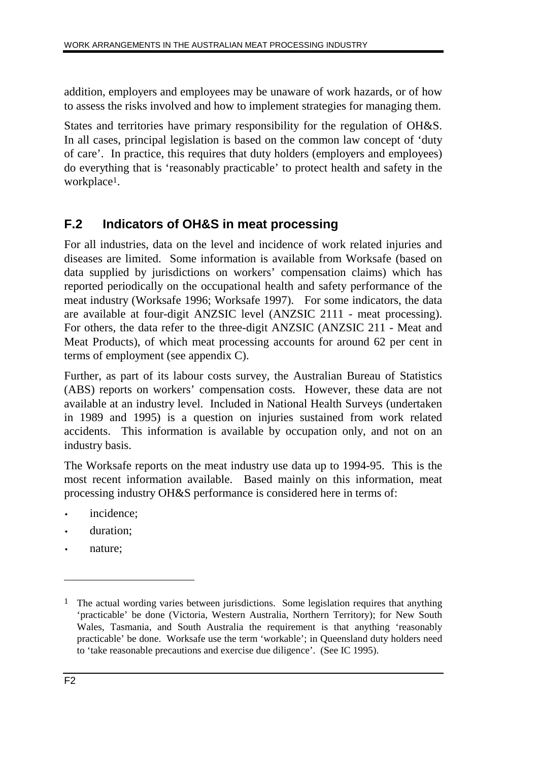addition, employers and employees may be unaware of work hazards, or of how to assess the risks involved and how to implement strategies for managing them.

States and territories have primary responsibility for the regulation of OH&S. In all cases, principal legislation is based on the common law concept of 'duty of care'. In practice, this requires that duty holders (employers and employees) do everything that is 'reasonably practicable' to protect health and safety in the workplace<sup>1</sup>.

### **F.2 Indicators of OH&S in meat processing**

For all industries, data on the level and incidence of work related injuries and diseases are limited. Some information is available from Worksafe (based on data supplied by jurisdictions on workers' compensation claims) which has reported periodically on the occupational health and safety performance of the meat industry (Worksafe 1996; Worksafe 1997). For some indicators, the data are available at four-digit ANZSIC level (ANZSIC 2111 - meat processing). For others, the data refer to the three-digit ANZSIC (ANZSIC 211 - Meat and Meat Products), of which meat processing accounts for around 62 per cent in terms of employment (see appendix C).

Further, as part of its labour costs survey, the Australian Bureau of Statistics (ABS) reports on workers' compensation costs. However, these data are not available at an industry level. Included in National Health Surveys (undertaken in 1989 and 1995) is a question on injuries sustained from work related accidents. This information is available by occupation only, and not on an industry basis.

The Worksafe reports on the meat industry use data up to 1994-95. This is the most recent information available. Based mainly on this information, meat processing industry OH&S performance is considered here in terms of:

- incidence:
- duration:
- nature;

<sup>&</sup>lt;sup>1</sup> The actual wording varies between jurisdictions. Some legislation requires that anything 'practicable' be done (Victoria, Western Australia, Northern Territory); for New South Wales, Tasmania, and South Australia the requirement is that anything 'reasonably practicable' be done. Worksafe use the term 'workable'; in Queensland duty holders need to 'take reasonable precautions and exercise due diligence'. (See IC 1995).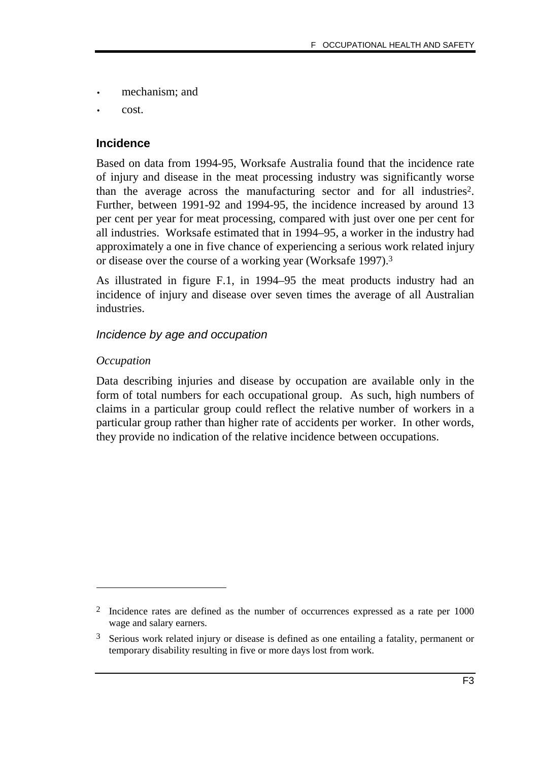- mechanism; and
- cost.

#### **Incidence**

Based on data from 1994-95, Worksafe Australia found that the incidence rate of injury and disease in the meat processing industry was significantly worse than the average across the manufacturing sector and for all industries2. Further, between 1991-92 and 1994-95, the incidence increased by around 13 per cent per year for meat processing, compared with just over one per cent for all industries. Worksafe estimated that in 1994–95, a worker in the industry had approximately a one in five chance of experiencing a serious work related injury or disease over the course of a working year (Worksafe 1997).3

As illustrated in figure F.1, in 1994–95 the meat products industry had an incidence of injury and disease over seven times the average of all Australian industries.

#### Incidence by age and occupation

#### *Occupation*

-

Data describing injuries and disease by occupation are available only in the form of total numbers for each occupational group. As such, high numbers of claims in a particular group could reflect the relative number of workers in a particular group rather than higher rate of accidents per worker. In other words, they provide no indication of the relative incidence between occupations.

<sup>2</sup> Incidence rates are defined as the number of occurrences expressed as a rate per 1000 wage and salary earners.

<sup>3</sup> Serious work related injury or disease is defined as one entailing a fatality, permanent or temporary disability resulting in five or more days lost from work.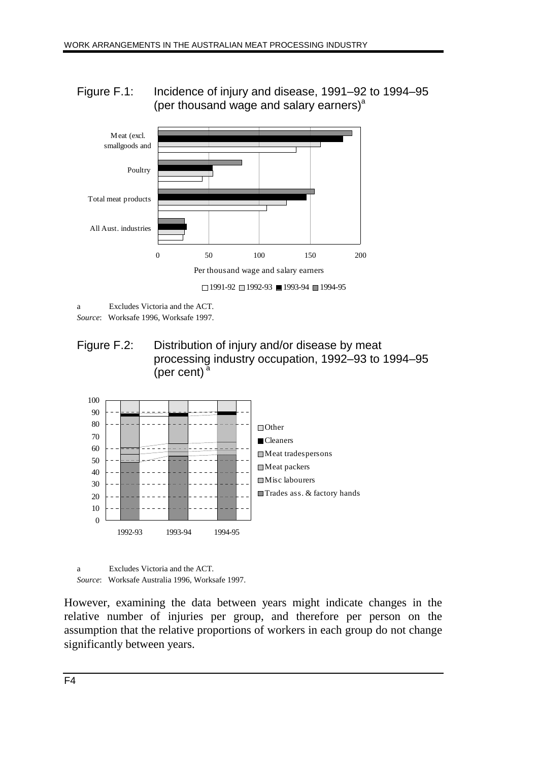Figure F.1: Incidence of injury and disease, 1991–92 to 1994–95 (per thousand wage and salary earners) $a$ 



a Excludes Victoria and the ACT.

*Source*: Worksafe 1996, Worksafe 1997.

Figure F.2: Distribution of injury and/or disease by meat processing industry occupation, 1992–93 to 1994–95 (per cent) $a$ 



a Excludes Victoria and the ACT. *Source*: Worksafe Australia 1996, Worksafe 1997.

However, examining the data between years might indicate changes in the relative number of injuries per group, and therefore per person on the assumption that the relative proportions of workers in each group do not change significantly between years.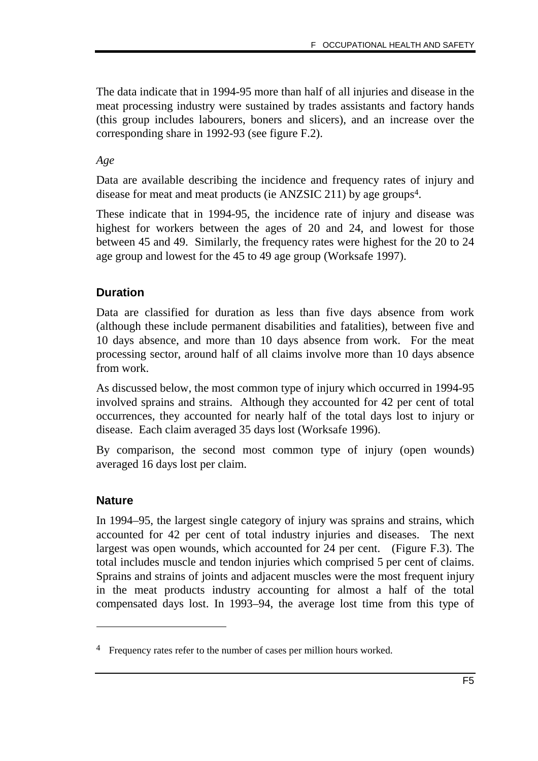The data indicate that in 1994-95 more than half of all injuries and disease in the meat processing industry were sustained by trades assistants and factory hands (this group includes labourers, boners and slicers), and an increase over the corresponding share in 1992-93 (see figure F.2).

#### *Age*

Data are available describing the incidence and frequency rates of injury and disease for meat and meat products (ie ANZSIC 211) by age groups4.

These indicate that in 1994-95, the incidence rate of injury and disease was highest for workers between the ages of 20 and 24, and lowest for those between 45 and 49. Similarly, the frequency rates were highest for the 20 to 24 age group and lowest for the 45 to 49 age group (Worksafe 1997).

#### **Duration**

Data are classified for duration as less than five days absence from work (although these include permanent disabilities and fatalities), between five and 10 days absence, and more than 10 days absence from work. For the meat processing sector, around half of all claims involve more than 10 days absence from work.

As discussed below, the most common type of injury which occurred in 1994-95 involved sprains and strains. Although they accounted for 42 per cent of total occurrences, they accounted for nearly half of the total days lost to injury or disease. Each claim averaged 35 days lost (Worksafe 1996).

By comparison, the second most common type of injury (open wounds) averaged 16 days lost per claim.

#### **Nature**

-

In 1994–95, the largest single category of injury was sprains and strains, which accounted for 42 per cent of total industry injuries and diseases. The next largest was open wounds, which accounted for 24 per cent. (Figure F.3). The total includes muscle and tendon injuries which comprised 5 per cent of claims. Sprains and strains of joints and adjacent muscles were the most frequent injury in the meat products industry accounting for almost a half of the total compensated days lost. In 1993–94, the average lost time from this type of

<sup>4</sup> Frequency rates refer to the number of cases per million hours worked.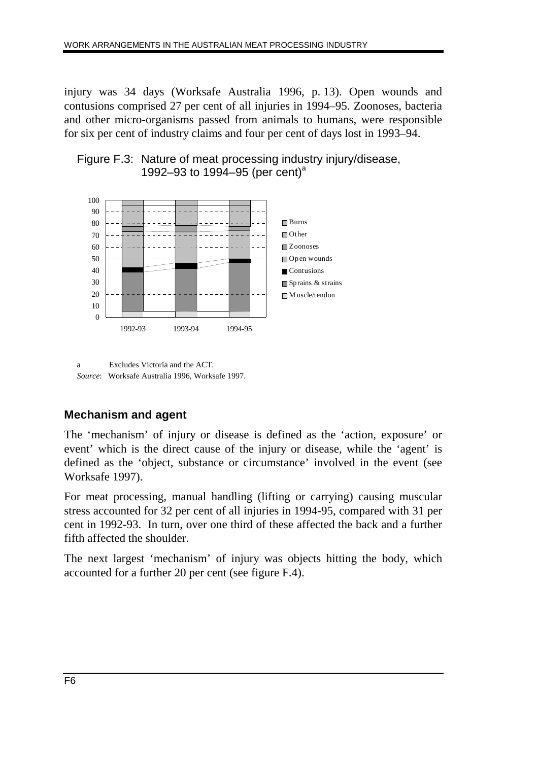injury was 34 days (Worksafe Australia 1996, p. 13). Open wounds and contusions comprised 27 per cent of all injuries in 1994–95. Zoonoses, bacteria and other micro-organisms passed from animals to humans, were responsible for six per cent of industry claims and four per cent of days lost in 1993–94.





a Excludes Victoria and the ACT. *Source*: Worksafe Australia 1996, Worksafe 1997.

### **Mechanism and agent**

The 'mechanism' of injury or disease is defined as the 'action, exposure' or event' which is the direct cause of the injury or disease, while the 'agent' is defined as the 'object, substance or circumstance' involved in the event (see Worksafe 1997).

For meat processing, manual handling (lifting or carrying) causing muscular stress accounted for 32 per cent of all injuries in 1994-95, compared with 31 per cent in 1992-93. In turn, over one third of these affected the back and a further fifth affected the shoulder.

The next largest 'mechanism' of injury was objects hitting the body, which accounted for a further 20 per cent (see figure F.4).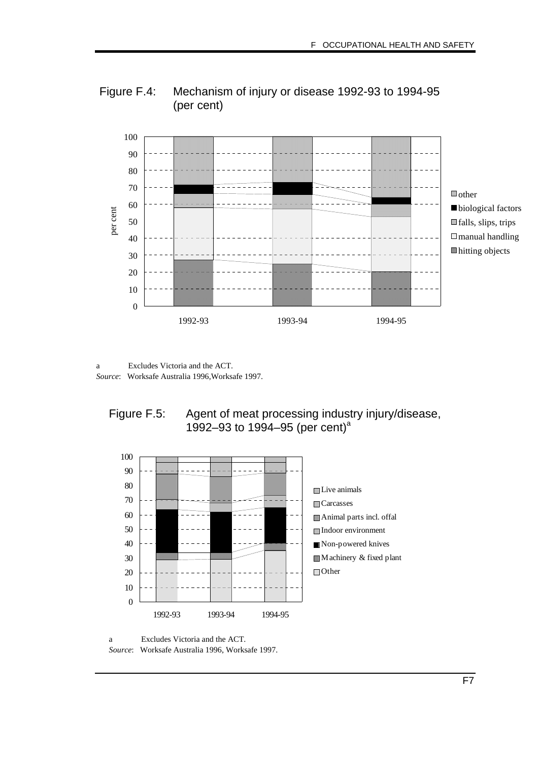



a Excludes Victoria and the ACT. *Source*: Worksafe Australia 1996,Worksafe 1997.





a Excludes Victoria and the ACT.

*Source*: Worksafe Australia 1996, Worksafe 1997.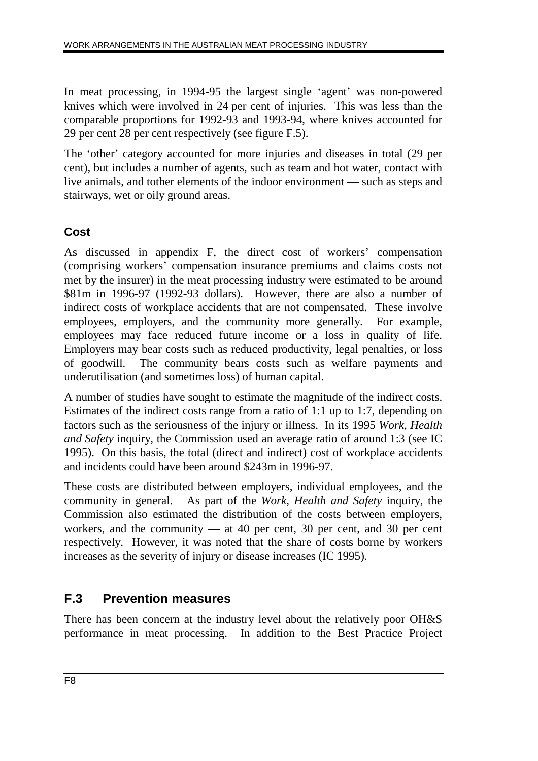In meat processing, in 1994-95 the largest single 'agent' was non-powered knives which were involved in 24 per cent of injuries. This was less than the comparable proportions for 1992-93 and 1993-94, where knives accounted for 29 per cent 28 per cent respectively (see figure F.5).

The 'other' category accounted for more injuries and diseases in total (29 per cent), but includes a number of agents, such as team and hot water, contact with live animals, and tother elements of the indoor environment — such as steps and stairways, wet or oily ground areas.

### **Cost**

As discussed in appendix F, the direct cost of workers' compensation (comprising workers' compensation insurance premiums and claims costs not met by the insurer) in the meat processing industry were estimated to be around \$81m in 1996-97 (1992-93 dollars). However, there are also a number of indirect costs of workplace accidents that are not compensated. These involve employees, employers, and the community more generally. For example, employees may face reduced future income or a loss in quality of life. Employers may bear costs such as reduced productivity, legal penalties, or loss of goodwill. The community bears costs such as welfare payments and underutilisation (and sometimes loss) of human capital.

A number of studies have sought to estimate the magnitude of the indirect costs. Estimates of the indirect costs range from a ratio of 1:1 up to 1:7, depending on factors such as the seriousness of the injury or illness. In its 1995 *Work, Health and Safety* inquiry, the Commission used an average ratio of around 1:3 (see IC 1995). On this basis, the total (direct and indirect) cost of workplace accidents and incidents could have been around \$243m in 1996-97.

These costs are distributed between employers, individual employees, and the community in general. As part of the *Work, Health and Safety* inquiry, the Commission also estimated the distribution of the costs between employers, workers, and the community  $-$  at 40 per cent, 30 per cent, and 30 per cent respectively. However, it was noted that the share of costs borne by workers increases as the severity of injury or disease increases (IC 1995).

### **F.3 Prevention measures**

There has been concern at the industry level about the relatively poor OH&S performance in meat processing. In addition to the Best Practice Project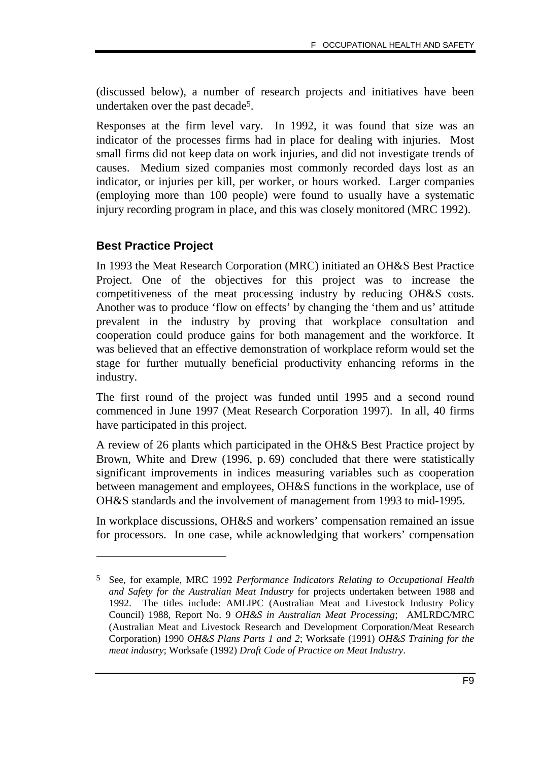(discussed below), a number of research projects and initiatives have been undertaken over the past decade5.

Responses at the firm level vary. In 1992, it was found that size was an indicator of the processes firms had in place for dealing with injuries. Most small firms did not keep data on work injuries, and did not investigate trends of causes. Medium sized companies most commonly recorded days lost as an indicator, or injuries per kill, per worker, or hours worked. Larger companies (employing more than 100 people) were found to usually have a systematic injury recording program in place, and this was closely monitored (MRC 1992).

#### **Best Practice Project**

-

In 1993 the Meat Research Corporation (MRC) initiated an OH&S Best Practice Project. One of the objectives for this project was to increase the competitiveness of the meat processing industry by reducing OH&S costs. Another was to produce 'flow on effects' by changing the 'them and us' attitude prevalent in the industry by proving that workplace consultation and cooperation could produce gains for both management and the workforce. It was believed that an effective demonstration of workplace reform would set the stage for further mutually beneficial productivity enhancing reforms in the industry.

The first round of the project was funded until 1995 and a second round commenced in June 1997 (Meat Research Corporation 1997). In all, 40 firms have participated in this project.

A review of 26 plants which participated in the OH&S Best Practice project by Brown, White and Drew (1996, p. 69) concluded that there were statistically significant improvements in indices measuring variables such as cooperation between management and employees, OH&S functions in the workplace, use of OH&S standards and the involvement of management from 1993 to mid-1995.

In workplace discussions, OH&S and workers' compensation remained an issue for processors. In one case, while acknowledging that workers' compensation

<sup>5</sup> See, for example, MRC 1992 *Performance Indicators Relating to Occupational Health and Safety for the Australian Meat Industry* for projects undertaken between 1988 and 1992. The titles include: AMLIPC (Australian Meat and Livestock Industry Policy Council) 1988, Report No. 9 *OH&S in Australian Meat Processing*; AMLRDC/MRC (Australian Meat and Livestock Research and Development Corporation/Meat Research Corporation) 1990 *OH&S Plans Parts 1 and 2*; Worksafe (1991) *OH&S Training for the meat industry*; Worksafe (1992) *Draft Code of Practice on Meat Industry*.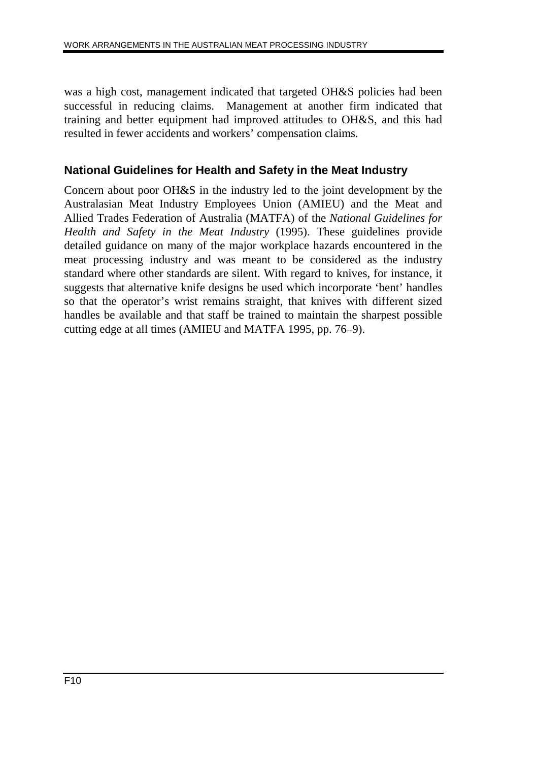was a high cost, management indicated that targeted OH&S policies had been successful in reducing claims. Management at another firm indicated that training and better equipment had improved attitudes to OH&S, and this had resulted in fewer accidents and workers' compensation claims.

### **National Guidelines for Health and Safety in the Meat Industry**

Concern about poor OH&S in the industry led to the joint development by the Australasian Meat Industry Employees Union (AMIEU) and the Meat and Allied Trades Federation of Australia (MATFA) of the *National Guidelines for Health and Safety in the Meat Industry* (1995). These guidelines provide detailed guidance on many of the major workplace hazards encountered in the meat processing industry and was meant to be considered as the industry standard where other standards are silent. With regard to knives, for instance, it suggests that alternative knife designs be used which incorporate 'bent' handles so that the operator's wrist remains straight, that knives with different sized handles be available and that staff be trained to maintain the sharpest possible cutting edge at all times (AMIEU and MATFA 1995, pp. 76–9).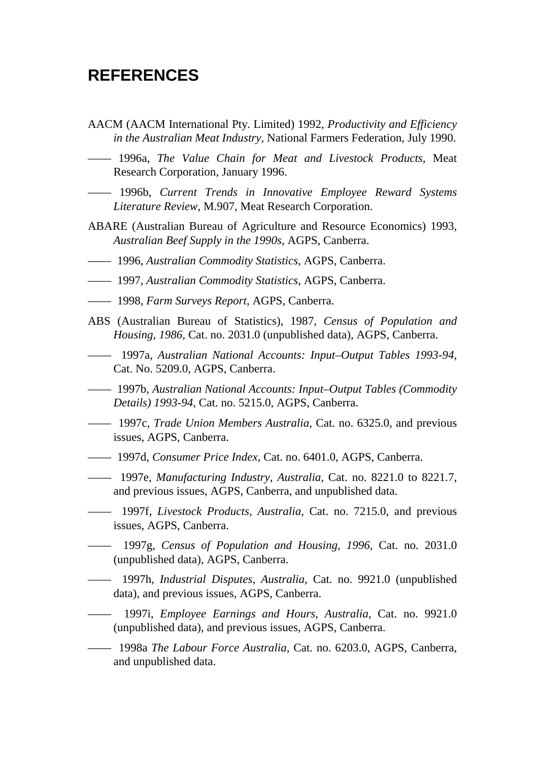## **REFERENCES**

- AACM (AACM International Pty. Limited) 1992, *Productivity and Efficiency in the Australian Meat Industry,* National Farmers Federation, July 1990.
- —— 1996a, *The Value Chain for Meat and Livestock Products,* Meat Research Corporation, January 1996.
- —— 1996b, *Current Trends in Innovative Employee Reward Systems Literature Review*, M.907, Meat Research Corporation.
- ABARE (Australian Bureau of Agriculture and Resource Economics) 1993, *Australian Beef Supply in the 1990s*, AGPS, Canberra.
- —— 1996, *Australian Commodity Statistics*, AGPS, Canberra.
- —— 1997, *Australian Commodity Statistics*, AGPS, Canberra.
- —— 1998, *Farm Surveys Report,* AGPS, Canberra.
- ABS (Australian Bureau of Statistics), 1987, *Census of Population and Housing, 1986,* Cat. no. 2031.0 (unpublished data), AGPS, Canberra.
- —— 1997a, *Australian National Accounts: Input–Output Tables 1993-94*, Cat. No. 5209.0, AGPS, Canberra.
- —— 1997b, *Australian National Accounts: Input–Output Tables (Commodity Details) 1993-94*, Cat. no. 5215.0, AGPS, Canberra.
- —— 1997c, *Trade Union Members Australia*, Cat. no. 6325.0, and previous issues, AGPS, Canberra.
- —— 1997d, *Consumer Price Index,* Cat. no. 6401.0, AGPS, Canberra.
- —— 1997e, *Manufacturing Industry, Australia*, Cat. no. 8221.0 to 8221.7, and previous issues, AGPS, Canberra, and unpublished data.
- —— 1997f, *Livestock Products, Australia,* Cat. no. 7215.0, and previous issues, AGPS, Canberra.
- —— 1997g, *Census of Population and Housing, 1996,* Cat. no. 2031.0 (unpublished data), AGPS, Canberra.
- —— 1997h, *Industrial Disputes, Australia,* Cat. no. 9921.0 (unpublished data), and previous issues, AGPS, Canberra.
- —— 1997i, *Employee Earnings and Hours, Australia,* Cat. no. 9921.0 (unpublished data), and previous issues, AGPS, Canberra.
- —— 1998a *The Labour Force Australia,* Cat. no. 6203.0, AGPS, Canberra, and unpublished data.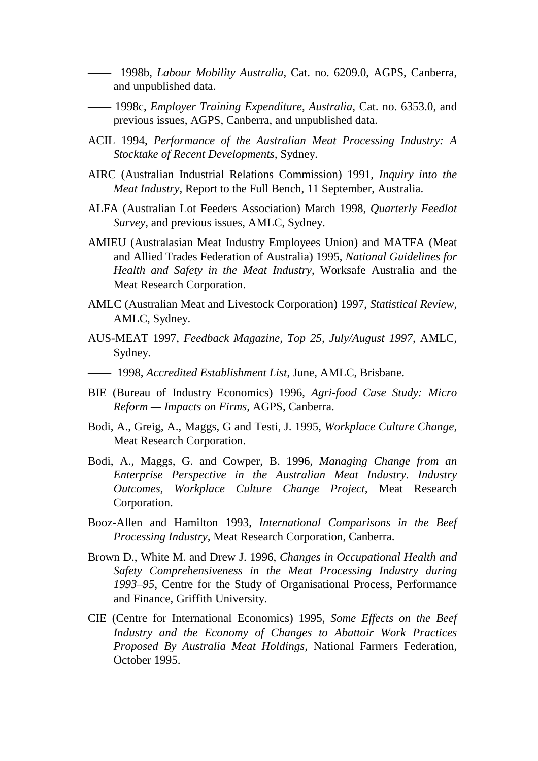—— 1998b, *Labour Mobility Australia*, Cat. no. 6209.0, AGPS, Canberra, and unpublished data.

- —— 1998c, *Employer Training Expenditure, Australia,* Cat. no. 6353.0, and previous issues, AGPS, Canberra, and unpublished data.
- ACIL 1994, *Performance of the Australian Meat Processing Industry: A Stocktake of Recent Developments,* Sydney.
- AIRC (Australian Industrial Relations Commission) 1991*, Inquiry into the Meat Industry,* Report to the Full Bench, 11 September, Australia.
- ALFA (Australian Lot Feeders Association) March 1998, *Quarterly Feedlot Survey,* and previous issues, AMLC, Sydney.
- AMIEU (Australasian Meat Industry Employees Union) and MATFA (Meat and Allied Trades Federation of Australia) 1995, *National Guidelines for Health and Safety in the Meat Industry*, Worksafe Australia and the Meat Research Corporation.
- AMLC (Australian Meat and Livestock Corporation) 1997, *Statistical Review*, AMLC, Sydney.
- AUS-MEAT 1997, *Feedback Magazine, Top 25, July/August 1997,* AMLC, Sydney.
- —— 1998, *Accredited Establishment List*, June, AMLC, Brisbane.
- BIE (Bureau of Industry Economics) 1996, *Agri-food Case Study: Micro Reform — Impacts on Firms,* AGPS, Canberra.
- Bodi, A., Greig, A., Maggs, G and Testi, J. 1995, *Workplace Culture Change,* Meat Research Corporation.
- Bodi, A., Maggs, G. and Cowper, B. 1996, *Managing Change from an Enterprise Perspective in the Australian Meat Industry. Industry Outcomes, Workplace Culture Change Project,* Meat Research Corporation.
- Booz-Allen and Hamilton 1993, *International Comparisons in the Beef Processing Industry,* Meat Research Corporation, Canberra.
- Brown D., White M. and Drew J. 1996, *Changes in Occupational Health and Safety Comprehensiveness in the Meat Processing Industry during 1993–95*, Centre for the Study of Organisational Process, Performance and Finance, Griffith University.
- CIE (Centre for International Economics) 1995, *Some Effects on the Beef Industry and the Economy of Changes to Abattoir Work Practices Proposed By Australia Meat Holdings,* National Farmers Federation, October 1995.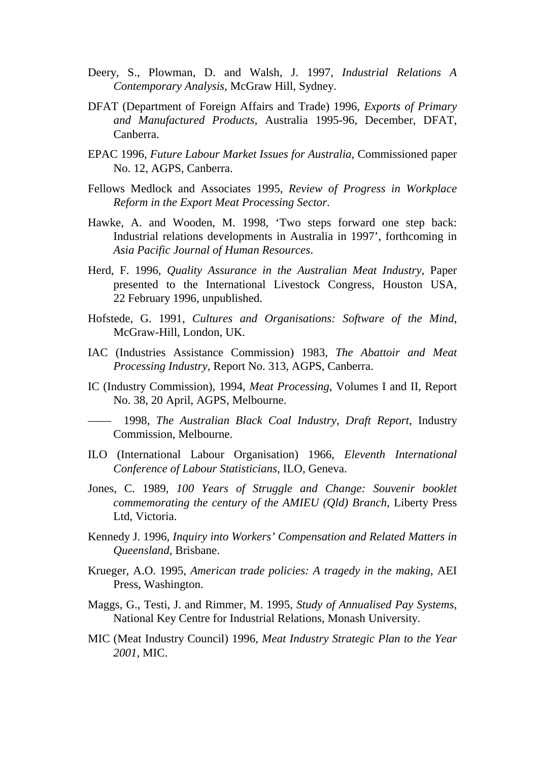- Deery, S., Plowman, D. and Walsh, J. 1997, *Industrial Relations A Contemporary Analysis*, McGraw Hill, Sydney.
- DFAT (Department of Foreign Affairs and Trade) 1996, *Exports of Primary and Manufactured Products,* Australia 1995-96, December, DFAT, Canberra.
- EPAC 1996, *Future Labour Market Issues for Australia,* Commissioned paper No. 12, AGPS, Canberra.
- Fellows Medlock and Associates 1995, *Review of Progress in Workplace Reform in the Export Meat Processing Sector*.
- Hawke, A. and Wooden, M. 1998, 'Two steps forward one step back: Industrial relations developments in Australia in 1997', forthcoming in *Asia Pacific Journal of Human Resources*.
- Herd, F. 1996, *Quality Assurance in the Australian Meat Industry,* Paper presented to the International Livestock Congress, Houston USA, 22 February 1996, unpublished.
- Hofstede, G. 1991, *Cultures and Organisations: Software of the Mind*, McGraw-Hill, London, UK.
- IAC (Industries Assistance Commission) 1983, *The Abattoir and Meat Processing Industry,* Report No. 313, AGPS, Canberra.
- IC (Industry Commission), 1994, *Meat Processing*, Volumes I and II, Report No. 38, 20 April, AGPS, Melbourne.

—— 1998, *The Australian Black Coal Industry, Draft Report*, Industry Commission, Melbourne.

- ILO (International Labour Organisation) 1966, *Eleventh International Conference of Labour Statisticians,* ILO, Geneva.
- Jones, C. 1989, *100 Years of Struggle and Change: Souvenir booklet commemorating the century of the AMIEU (Qld) Branch*, Liberty Press Ltd, Victoria.
- Kennedy J. 1996, *Inquiry into Workers' Compensation and Related Matters in Queensland*, Brisbane.
- Krueger, A.O. 1995, *American trade policies: A tragedy in the making,* AEI Press, Washington.
- Maggs, G., Testi, J. and Rimmer, M. 1995, *Study of Annualised Pay Systems*, National Key Centre for Industrial Relations, Monash University.
- MIC (Meat Industry Council) 1996, *Meat Industry Strategic Plan to the Year 2001,* MIC.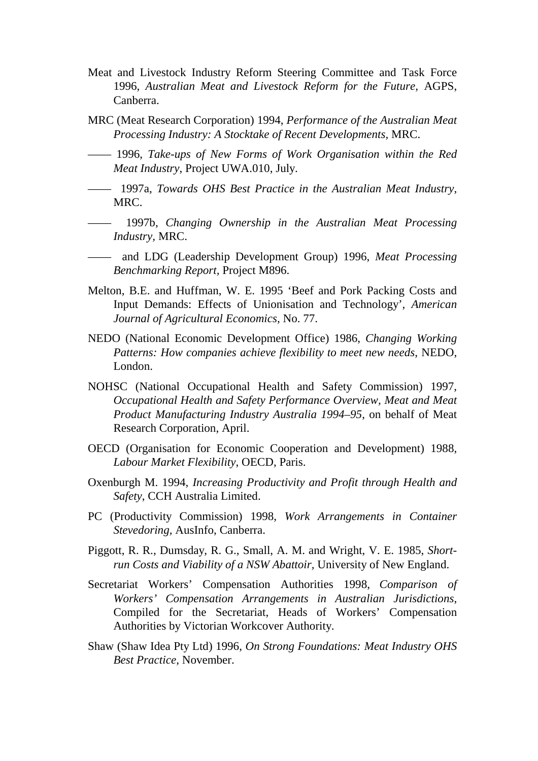- Meat and Livestock Industry Reform Steering Committee and Task Force 1996, *Australian Meat and Livestock Reform for the Future,* AGPS, Canberra.
- MRC (Meat Research Corporation) 1994, *Performance of the Australian Meat Processing Industry: A Stocktake of Recent Developments,* MRC.
- —— 1996, *Take-ups of New Forms of Work Organisation within the Red Meat Industry*, Project UWA.010, July.
- —— 1997a, *Towards OHS Best Practice in the Australian Meat Industry*, MRC.
- —— 1997b, *Changing Ownership in the Australian Meat Processing Industry,* MRC.
- —— and LDG (Leadership Development Group) 1996, *Meat Processing Benchmarking Report,* Project M896.
- Melton, B.E. and Huffman, W. E. 1995 'Beef and Pork Packing Costs and Input Demands: Effects of Unionisation and Technology', *American Journal of Agricultural Economics,* No. 77.
- NEDO (National Economic Development Office) 1986, *Changing Working Patterns: How companies achieve flexibility to meet new needs*, NEDO, London.
- NOHSC (National Occupational Health and Safety Commission) 1997, *Occupational Health and Safety Performance Overview, Meat and Meat Product Manufacturing Industry Australia 1994–95*, on behalf of Meat Research Corporation, April.
- OECD (Organisation for Economic Cooperation and Development) 1988, *Labour Market Flexibility*, OECD, Paris.
- Oxenburgh M. 1994, *Increasing Productivity and Profit through Health and Safety*, CCH Australia Limited.
- PC (Productivity Commission) 1998, *Work Arrangements in Container Stevedoring,* AusInfo, Canberra.
- Piggott, R. R., Dumsday, R. G., Small, A. M. and Wright, V. E. 1985, *Shortrun Costs and Viability of a NSW Abattoir,* University of New England.
- Secretariat Workers' Compensation Authorities 1998, *Comparison of Workers' Compensation Arrangements in Australian Jurisdictions*, Compiled for the Secretariat, Heads of Workers' Compensation Authorities by Victorian Workcover Authority.
- Shaw (Shaw Idea Pty Ltd) 1996, *On Strong Foundations: Meat Industry OHS Best Practice*, November.